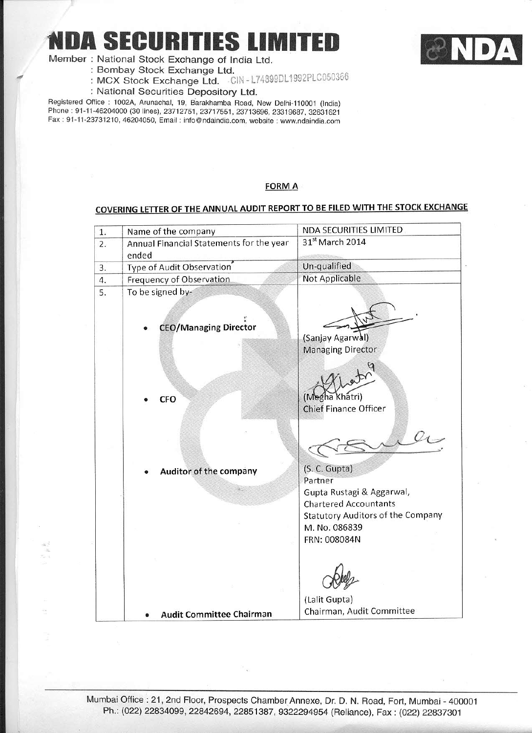# DA SECURITIES LII



Member: National Stock Exchange of India Ltd.

- : Bombay Stock Exchange Ltd.
- : MCX Stock Exchange Ltd. CIN-L74899DL1992PLC050366
- : National Securities Depository Ltd.

Registered Office: 1002A, Arunachal, 19, Barakhamba Road, New Delhi-110001 (India) Phone: 91-11-46204000 (30 lines), 23712751, 23717551, 23713696, 23319687, 32631621 Fax: 91-11-23731210, 46204050, Email: info@ndaindia.com, website: www.ndaindia.com

# **FORM A**

# COVERING LETTER OF THE ANNUAL AUDIT REPORT TO BE FILED WITH THE STOCK EXCHANGE

| 1. | Name of the company                                     | NDA SECURITIES LIMITED                                                                                                                                                       |
|----|---------------------------------------------------------|------------------------------------------------------------------------------------------------------------------------------------------------------------------------------|
| 2. | Annual Financial Statements for the year<br>ended       | 31 <sup>st</sup> March 2014                                                                                                                                                  |
| 3. | Type of Audit Observation                               | Un-qualified                                                                                                                                                                 |
| 4. | Frequency of Observation                                | Not Applicable                                                                                                                                                               |
| 5. | To be signed by-<br><b>CEO/Managing Director</b><br>CFO | (Sanjay Agarwal)<br><b>Managing Director</b><br>$a^{t}$<br>(Megha Khatri)<br><b>Chief Finance Officer</b>                                                                    |
|    | Auditor of the company                                  | (S. C. Gupta)<br>Partner<br>Gupta Rustagi & Aggarwal,<br><b>Chartered Accountants</b><br>Statutory Auditors of the Company<br>M. No. 086839<br>FRN: 008084N<br>(Lalit Gupta) |
|    | <b>Audit Committee Chairman</b>                         | Chairman, Audit Committee                                                                                                                                                    |

Mumbai Office: 21, 2nd Floor, Prospects Chamber Annexe, Dr. D. N. Road, Fort, Mumbai - 400001 Ph.: (022) 22834099, 22842694, 22851387, 9322294954 (Reliance), Fax: (022) 22837301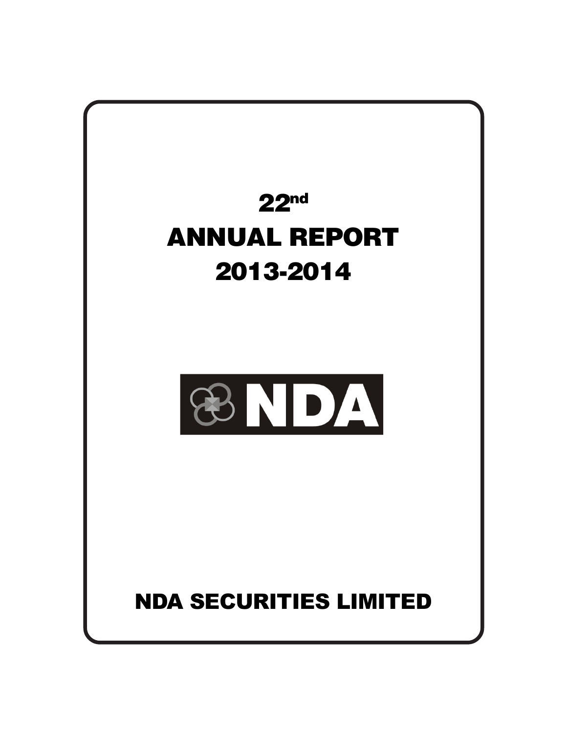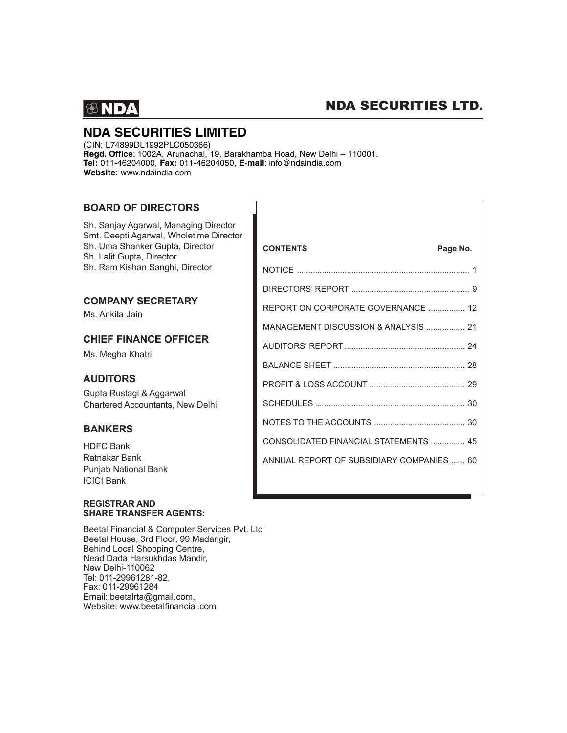# **BRDA**

# NDA SECURITIES LTD.

# **NDA SECURITIES LIMITED**

(CIN: L74899DL1992PLC050366) **Regd. Office**: 1002A, Arunachal, 19, Barakhamba Road, New Delhi – 110001. **Tel:** 011-46204000, **Fax:** 011-46204050, **E-mail**: info@ndaindia.com **Website:** www.ndaindia.com

# **BOARD OF DIRECTORS**

Sh. Sanjay Agarwal, Managing Director Smt. Deepti Agarwal, Wholetime Director Sh. Uma Shanker Gupta, Director Sh. Lalit Gupta, Director Sh. Ram Kishan Sanghi, Director

# **COMPANY SECRETARY**

Ms. Ankita Jain

# **CHIEF FINANCE OFFICER**

Ms. Megha Khatri

# **AUDITORS**

Gupta Rustagi & Aggarwal Chartered Accountants, New Delhi

# **BANKERS**

HDFC Bank Ratnakar Bank Punjab National Bank ICICI Bank

### **REGISTRAR AND SHARE TRANSFER AGENTS:**

Beetal Financial & Computer Services Pvt. Ltd Beetal House, 3rd Floor, 99 Madangir, Behind Local Shopping Centre, Nead Dada Harsukhdas Mandir, New Delhi-110062 Tel: 011-29961281-82, Fax: 011-29961284 Email: beetalrta@gmail.com, Website: www.beetalfinancial.com

| <b>CONTENTS</b>                           | Page No. |
|-------------------------------------------|----------|
|                                           |          |
|                                           |          |
| REPORT ON CORPORATE GOVERNANCE  12        |          |
|                                           |          |
|                                           |          |
|                                           |          |
|                                           |          |
|                                           |          |
|                                           |          |
| CONSOLIDATED FINANCIAL STATEMENTS  45     |          |
| ANNUAL REPORT OF SUBSIDIARY COMPANIES  60 |          |
|                                           |          |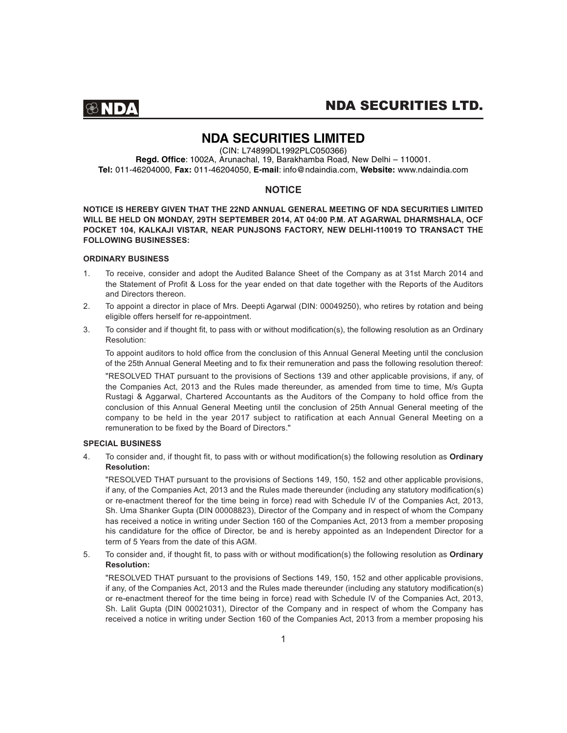

# **NDA SECURITIES LIMITED**

(CIN: L74899DL1992PLC050366) **Regd. Office**: 1002A, Arunachal, 19, Barakhamba Road, New Delhi – 110001. **Tel:** 011-46204000, **Fax:** 011-46204050, **E-mail**: info@ndaindia.com, **Website:** www.ndaindia.com

# **NOTICE**

**NOTICE IS HEREBY GIVEN THAT THE 22ND ANNUAL GENERAL MEETING OF NDA SECURITIES LIMITED WILL BE HELD ON MONDAY, 29TH SEPTEMBER 2014, AT 04:00 P.M. AT AGARWAL DHARMSHALA, OCF POCKET 104, KALKAJI VISTAR, NEAR PUNJSONS FACTORY, NEW DELHI-110019 TO TRANSACT THE FOLLOWING BUSINESSES:**

### **ORDINARY BUSINESS**

- 1. To receive, consider and adopt the Audited Balance Sheet of the Company as at 31st March 2014 and the Statement of Profit & Loss for the year ended on that date together with the Reports of the Auditors and Directors thereon.
- 2. To appoint a director in place of Mrs. Deepti Agarwal (DIN: 00049250), who retires by rotation and being eligible offers herself for re-appointment.
- 3. To consider and if thought fit, to pass with or without modification(s), the following resolution as an Ordinary Resolution:

To appoint auditors to hold office from the conclusion of this Annual General Meeting until the conclusion of the 25th Annual General Meeting and to fix their remuneration and pass the following resolution thereof:

"RESOLVED THAT pursuant to the provisions of Sections 139 and other applicable provisions, if any, of the Companies Act, 2013 and the Rules made thereunder, as amended from time to time, M/s Gupta Rustagi & Aggarwal, Chartered Accountants as the Auditors of the Company to hold office from the conclusion of this Annual General Meeting until the conclusion of 25th Annual General meeting of the company to be held in the year 2017 subject to ratification at each Annual General Meeting on a remuneration to be fixed by the Board of Directors."

### **SPECIAL BUSINESS**

4. To consider and, if thought fit, to pass with or without modification(s) the following resolution as **Ordinary Resolution:**

"RESOLVED THAT pursuant to the provisions of Sections 149, 150, 152 and other applicable provisions, if any, of the Companies Act, 2013 and the Rules made thereunder (including any statutory modification(s) or re-enactment thereof for the time being in force) read with Schedule IV of the Companies Act, 2013, Sh. Uma Shanker Gupta (DIN 00008823), Director of the Company and in respect of whom the Company has received a notice in writing under Section 160 of the Companies Act, 2013 from a member proposing his candidature for the office of Director, be and is hereby appointed as an Independent Director for a term of 5 Years from the date of this AGM.

5. To consider and, if thought fit, to pass with or without modification(s) the following resolution as **Ordinary Resolution:**

"RESOLVED THAT pursuant to the provisions of Sections 149, 150, 152 and other applicable provisions, if any, of the Companies Act, 2013 and the Rules made thereunder (including any statutory modification(s) or re-enactment thereof for the time being in force) read with Schedule IV of the Companies Act, 2013, Sh. Lalit Gupta (DIN 00021031), Director of the Company and in respect of whom the Company has received a notice in writing under Section 160 of the Companies Act, 2013 from a member proposing his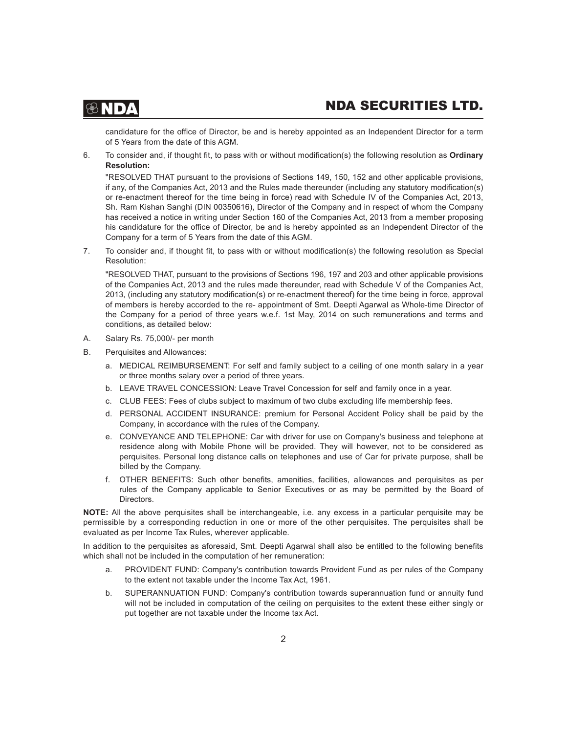# NDA

# NDA SECURITIES LTD.

candidature for the office of Director, be and is hereby appointed as an Independent Director for a term of 5 Years from the date of this AGM.

6. To consider and, if thought fit, to pass with or without modification(s) the following resolution as **Ordinary Resolution:**

"RESOLVED THAT pursuant to the provisions of Sections 149, 150, 152 and other applicable provisions, if any, of the Companies Act, 2013 and the Rules made thereunder (including any statutory modification(s) or re-enactment thereof for the time being in force) read with Schedule IV of the Companies Act, 2013, Sh. Ram Kishan Sanghi (DIN 00350616), Director of the Company and in respect of whom the Company has received a notice in writing under Section 160 of the Companies Act, 2013 from a member proposing his candidature for the office of Director, be and is hereby appointed as an Independent Director of the Company for a term of 5 Years from the date of this AGM.

7. To consider and, if thought fit, to pass with or without modification(s) the following resolution as Special Resolution:

"RESOLVED THAT, pursuant to the provisions of Sections 196, 197 and 203 and other applicable provisions of the Companies Act, 2013 and the rules made thereunder, read with Schedule V of the Companies Act, 2013, (including any statutory modification(s) or re-enactment thereof) for the time being in force, approval of members is hereby accorded to the re- appointment of Smt. Deepti Agarwal as Whole-time Director of the Company for a period of three years w.e.f. 1st May, 2014 on such remunerations and terms and conditions, as detailed below:

- A. Salary Rs. 75,000/- per month
- B. Perquisites and Allowances:
	- a. MEDICAL REIMBURSEMENT: For self and family subject to a ceiling of one month salary in a year or three months salary over a period of three years.
	- b. LEAVE TRAVEL CONCESSION: Leave Travel Concession for self and family once in a year.
	- c. CLUB FEES: Fees of clubs subject to maximum of two clubs excluding life membership fees.
	- d. PERSONAL ACCIDENT INSURANCE: premium for Personal Accident Policy shall be paid by the Company, in accordance with the rules of the Company.
	- e. CONVEYANCE AND TELEPHONE: Car with driver for use on Company's business and telephone at residence along with Mobile Phone will be provided. They will however, not to be considered as perquisites. Personal long distance calls on telephones and use of Car for private purpose, shall be billed by the Company.
	- f. OTHER BENEFITS: Such other benefits, amenities, facilities, allowances and perquisites as per rules of the Company applicable to Senior Executives or as may be permitted by the Board of Directors.

**NOTE:** All the above perquisites shall be interchangeable, i.e. any excess in a particular perquisite may be permissible by a corresponding reduction in one or more of the other perquisites. The perquisites shall be evaluated as per Income Tax Rules, wherever applicable.

In addition to the perquisites as aforesaid, Smt. Deepti Agarwal shall also be entitled to the following benefits which shall not be included in the computation of her remuneration:

- a. PROVIDENT FUND: Company's contribution towards Provident Fund as per rules of the Company to the extent not taxable under the Income Tax Act, 1961.
- b. SUPERANNUATION FUND: Company's contribution towards superannuation fund or annuity fund will not be included in computation of the ceiling on perquisites to the extent these either singly or put together are not taxable under the Income tax Act.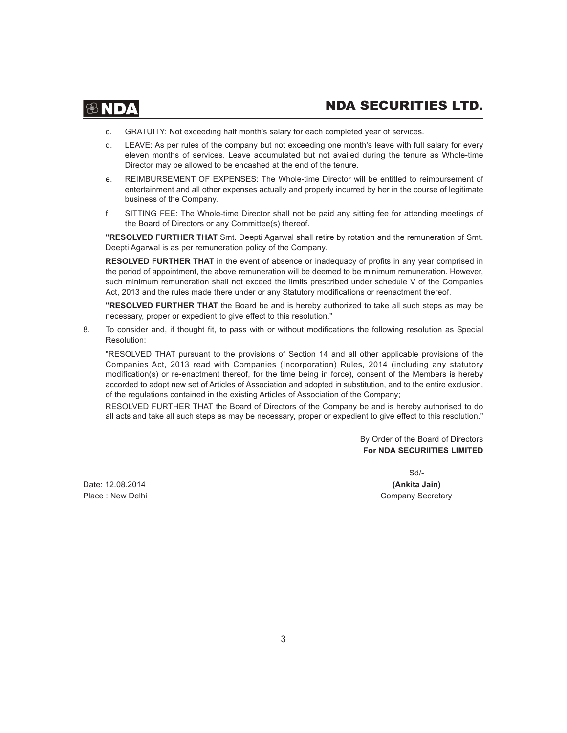# NDA

# NDA SECURITIES LTD.

- c. GRATUITY: Not exceeding half month's salary for each completed year of services.
- d. LEAVE: As per rules of the company but not exceeding one month's leave with full salary for every eleven months of services. Leave accumulated but not availed during the tenure as Whole-time Director may be allowed to be encashed at the end of the tenure.
- e. REIMBURSEMENT OF EXPENSES: The Whole-time Director will be entitled to reimbursement of entertainment and all other expenses actually and properly incurred by her in the course of legitimate business of the Company.
- f. SITTING FEE: The Whole-time Director shall not be paid any sitting fee for attending meetings of the Board of Directors or any Committee(s) thereof.

**"RESOLVED FURTHER THAT** Smt. Deepti Agarwal shall retire by rotation and the remuneration of Smt. Deepti Agarwal is as per remuneration policy of the Company.

**RESOLVED FURTHER THAT** in the event of absence or inadequacy of profits in any year comprised in the period of appointment, the above remuneration will be deemed to be minimum remuneration. However, such minimum remuneration shall not exceed the limits prescribed under schedule V of the Companies Act, 2013 and the rules made there under or any Statutory modifications or reenactment thereof.

**"RESOLVED FURTHER THAT** the Board be and is hereby authorized to take all such steps as may be necessary, proper or expedient to give effect to this resolution."

8. To consider and, if thought fit, to pass with or without modifications the following resolution as Special Resolution:

"RESOLVED THAT pursuant to the provisions of Section 14 and all other applicable provisions of the Companies Act, 2013 read with Companies (Incorporation) Rules, 2014 (including any statutory modification(s) or re-enactment thereof, for the time being in force), consent of the Members is hereby accorded to adopt new set of Articles of Association and adopted in substitution, and to the entire exclusion, of the regulations contained in the existing Articles of Association of the Company;

RESOLVED FURTHER THAT the Board of Directors of the Company be and is hereby authorised to do all acts and take all such steps as may be necessary, proper or expedient to give effect to this resolution."

> By Order of the Board of Directors **For NDA SECURIITIES LIMITED**

Sd/- Date: 12.08.2014 **(Ankita Jain)** Place : New Delhi Company Secretary New York 2012 12:00 12:00 12:00 12:00 12:00 12:00 12:00 12:00 12:00 12:00 12:00 12:00 12:00 12:00 12:00 12:00 12:00 12:00 12:00 12:00 12:00 12:00 12:00 12:00 12:00 12:00 12:00 12:00 12:0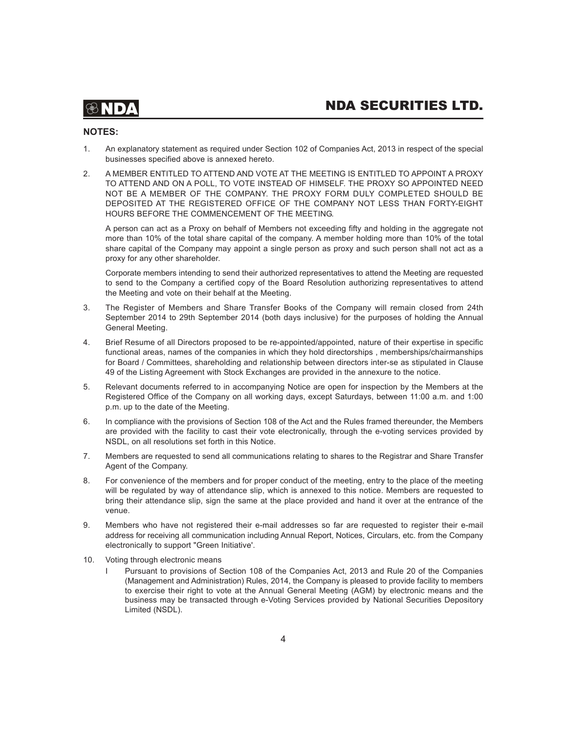

### **NOTES:**

- 1. An explanatory statement as required under Section 102 of Companies Act, 2013 in respect of the special businesses specified above is annexed hereto.
- 2. A MEMBER ENTITLED TO ATTEND AND VOTE AT THE MEETING IS ENTITLED TO APPOINT A PROXY TO ATTEND AND ON A POLL, TO VOTE INSTEAD OF HIMSELF. THE PROXY SO APPOINTED NEED NOT BE A MEMBER OF THE COMPANY. THE PROXY FORM DULY COMPLETED SHOULD BE DEPOSITED AT THE REGISTERED OFFICE OF THE COMPANY NOT LESS THAN FORTY-EIGHT HOURS BEFORE THE COMMENCEMENT OF THE MEETING.

A person can act as a Proxy on behalf of Members not exceeding fifty and holding in the aggregate not more than 10% of the total share capital of the company. A member holding more than 10% of the total share capital of the Company may appoint a single person as proxy and such person shall not act as a proxy for any other shareholder.

Corporate members intending to send their authorized representatives to attend the Meeting are requested to send to the Company a certified copy of the Board Resolution authorizing representatives to attend the Meeting and vote on their behalf at the Meeting.

- 3. The Register of Members and Share Transfer Books of the Company will remain closed from 24th September 2014 to 29th September 2014 (both days inclusive) for the purposes of holding the Annual General Meeting.
- 4. Brief Resume of all Directors proposed to be re-appointed/appointed, nature of their expertise in specific functional areas, names of the companies in which they hold directorships , memberships/chairmanships for Board / Committees, shareholding and relationship between directors inter-se as stipulated in Clause 49 of the Listing Agreement with Stock Exchanges are provided in the annexure to the notice.
- 5. Relevant documents referred to in accompanying Notice are open for inspection by the Members at the Registered Office of the Company on all working days, except Saturdays, between 11:00 a.m. and 1:00 p.m. up to the date of the Meeting.
- 6. In compliance with the provisions of Section 108 of the Act and the Rules framed thereunder, the Members are provided with the facility to cast their vote electronically, through the e-voting services provided by NSDL, on all resolutions set forth in this Notice.
- 7. Members are requested to send all communications relating to shares to the Registrar and Share Transfer Agent of the Company.
- 8. For convenience of the members and for proper conduct of the meeting, entry to the place of the meeting will be regulated by way of attendance slip, which is annexed to this notice. Members are requested to bring their attendance slip, sign the same at the place provided and hand it over at the entrance of the venue.
- 9. Members who have not registered their e-mail addresses so far are requested to register their e-mail address for receiving all communication including Annual Report, Notices, Circulars, etc. from the Company electronically to support "Green Initiative'.
- 10. Voting through electronic means
	- Pursuant to provisions of Section 108 of the Companies Act, 2013 and Rule 20 of the Companies (Management and Administration) Rules, 2014, the Company is pleased to provide facility to members to exercise their right to vote at the Annual General Meeting (AGM) by electronic means and the business may be transacted through e-Voting Services provided by National Securities Depository Limited (NSDL).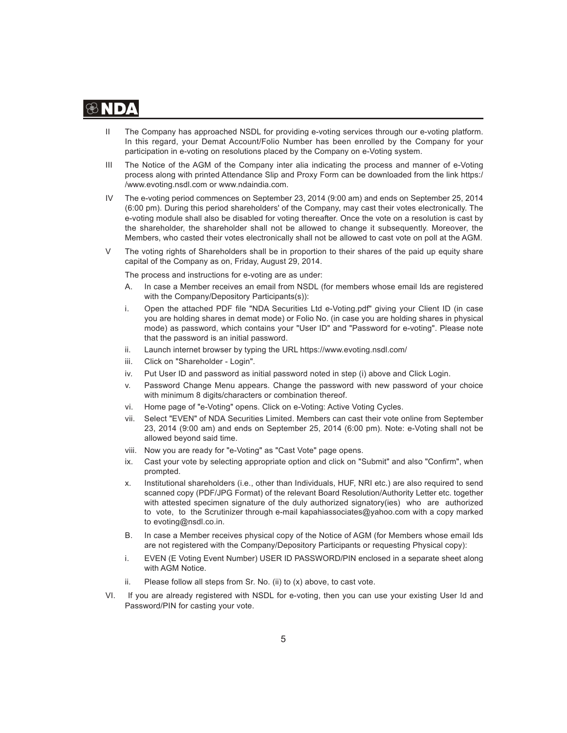- II The Company has approached NSDL for providing e-voting services through our e-voting platform. In this regard, your Demat Account/Folio Number has been enrolled by the Company for your participation in e-voting on resolutions placed by the Company on e-Voting system.
- III The Notice of the AGM of the Company inter alia indicating the process and manner of e-Voting process along with printed Attendance Slip and Proxy Form can be downloaded from the link https:/ /www.evoting.nsdl.com or www.ndaindia.com.
- IV The e-voting period commences on September 23, 2014 (9:00 am) and ends on September 25, 2014 (6:00 pm). During this period shareholders' of the Company, may cast their votes electronically. The e-voting module shall also be disabled for voting thereafter. Once the vote on a resolution is cast by the shareholder, the shareholder shall not be allowed to change it subsequently. Moreover, the Members, who casted their votes electronically shall not be allowed to cast vote on poll at the AGM.
- V The voting rights of Shareholders shall be in proportion to their shares of the paid up equity share capital of the Company as on, Friday, August 29, 2014.

The process and instructions for e-voting are as under:

- A. In case a Member receives an email from NSDL (for members whose email Ids are registered with the Company/Depository Participants(s)):
- i. Open the attached PDF file "NDA Securities Ltd e-Voting.pdf" giving your Client ID (in case you are holding shares in demat mode) or Folio No. (in case you are holding shares in physical mode) as password, which contains your "User ID" and "Password for e-voting". Please note that the password is an initial password.
- ii. Launch internet browser by typing the URL https://www.evoting.nsdl.com/
- iii. Click on "Shareholder Login".
- iv. Put User ID and password as initial password noted in step (i) above and Click Login.
- v. Password Change Menu appears. Change the password with new password of your choice with minimum 8 digits/characters or combination thereof.
- vi. Home page of "e-Voting" opens. Click on e-Voting: Active Voting Cycles.
- vii. Select "EVEN" of NDA Securities Limited. Members can cast their vote online from September 23, 2014 (9:00 am) and ends on September 25, 2014 (6:00 pm). Note: e-Voting shall not be allowed beyond said time.
- viii. Now you are ready for "e-Voting" as "Cast Vote" page opens.
- ix. Cast your vote by selecting appropriate option and click on "Submit" and also "Confirm", when prompted.
- x. Institutional shareholders (i.e., other than Individuals, HUF, NRI etc.) are also required to send scanned copy (PDF/JPG Format) of the relevant Board Resolution/Authority Letter etc. together with attested specimen signature of the duly authorized signatory(ies) who are authorized to vote, to the Scrutinizer through e-mail kapahiassociates@yahoo.com with a copy marked to evoting@nsdl.co.in.
- B. In case a Member receives physical copy of the Notice of AGM (for Members whose email Ids are not registered with the Company/Depository Participants or requesting Physical copy):
- i. EVEN (E Voting Event Number) USER ID PASSWORD/PIN enclosed in a separate sheet along with AGM Notice.
- ii. Please follow all steps from Sr. No. (ii) to (x) above, to cast vote.
- VI. If you are already registered with NSDL for e-voting, then you can use your existing User Id and Password/PIN for casting your vote.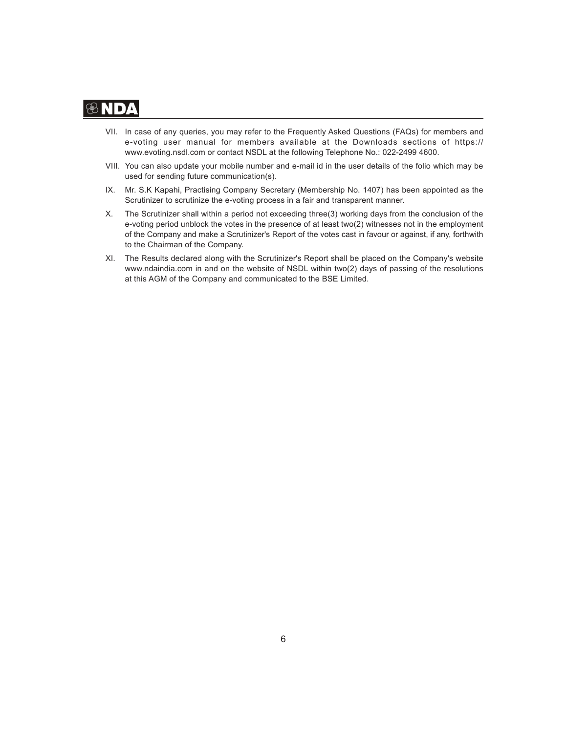# **®NDA**

- VII. In case of any queries, you may refer to the Frequently Asked Questions (FAQs) for members and e-voting user manual for members available at the Downloads sections of https:// www.evoting.nsdl.com or contact NSDL at the following Telephone No.: 022-2499 4600.
- VIII. You can also update your mobile number and e-mail id in the user details of the folio which may be used for sending future communication(s).
- IX. Mr. S.K Kapahi, Practising Company Secretary (Membership No. 1407) has been appointed as the Scrutinizer to scrutinize the e-voting process in a fair and transparent manner.
- X. The Scrutinizer shall within a period not exceeding three(3) working days from the conclusion of the e-voting period unblock the votes in the presence of at least two(2) witnesses not in the employment of the Company and make a Scrutinizer's Report of the votes cast in favour or against, if any, forthwith to the Chairman of the Company.
- XI. The Results declared along with the Scrutinizer's Report shall be placed on the Company's website www.ndaindia.com in and on the website of NSDL within two(2) days of passing of the resolutions at this AGM of the Company and communicated to the BSE Limited.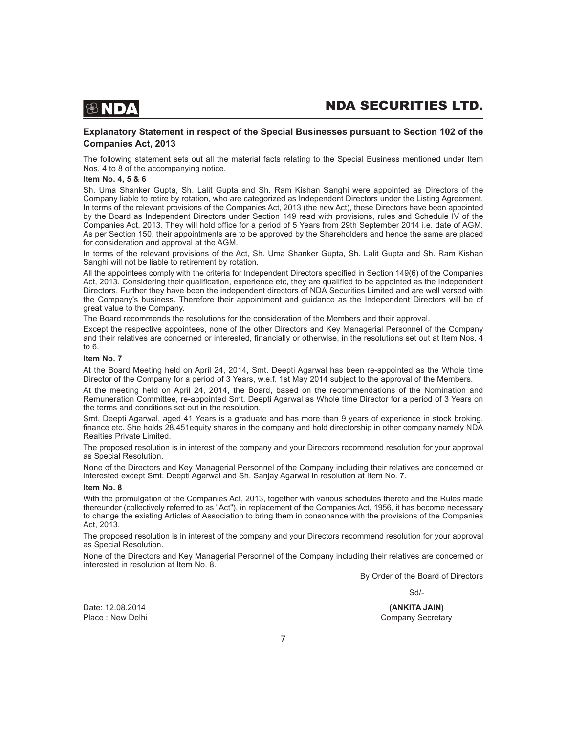# **ONDA**

# NDA SECURITIES LTD.

### **Explanatory Statement in respect of the Special Businesses pursuant to Section 102 of the Companies Act, 2013**

The following statement sets out all the material facts relating to the Special Business mentioned under Item Nos. 4 to 8 of the accompanying notice.

#### **Item No. 4, 5 & 6**

Sh. Uma Shanker Gupta, Sh. Lalit Gupta and Sh. Ram Kishan Sanghi were appointed as Directors of the Company liable to retire by rotation, who are categorized as Independent Directors under the Listing Agreement. In terms of the relevant provisions of the Companies Act, 2013 (the new Act), these Directors have been appointed by the Board as Independent Directors under Section 149 read with provisions, rules and Schedule IV of the Companies Act, 2013. They will hold office for a period of 5 Years from 29th September 2014 i.e. date of AGM. As per Section 150, their appointments are to be approved by the Shareholders and hence the same are placed for consideration and approval at the AGM.

In terms of the relevant provisions of the Act, Sh. Uma Shanker Gupta, Sh. Lalit Gupta and Sh. Ram Kishan Sanghi will not be liable to retirement by rotation.

All the appointees comply with the criteria for Independent Directors specified in Section 149(6) of the Companies Act, 2013. Considering their qualification, experience etc, they are qualified to be appointed as the Independent Directors. Further they have been the independent directors of NDA Securities Limited and are well versed with the Company's business. Therefore their appointment and guidance as the Independent Directors will be of great value to the Company.

The Board recommends the resolutions for the consideration of the Members and their approval.

Except the respective appointees, none of the other Directors and Key Managerial Personnel of the Company and their relatives are concerned or interested, financially or otherwise, in the resolutions set out at Item Nos. 4 to 6.

#### **Item No. 7**

At the Board Meeting held on April 24, 2014, Smt. Deepti Agarwal has been re-appointed as the Whole time Director of the Company for a period of 3 Years, w.e.f. 1st May 2014 subject to the approval of the Members.

At the meeting held on April 24, 2014, the Board, based on the recommendations of the Nomination and Remuneration Committee, re-appointed Smt. Deepti Agarwal as Whole time Director for a period of 3 Years on the terms and conditions set out in the resolution.

Smt. Deepti Agarwal, aged 41 Years is a graduate and has more than 9 years of experience in stock broking, finance etc. She holds 28,451equity shares in the company and hold directorship in other company namely NDA Realties Private Limited.

The proposed resolution is in interest of the company and your Directors recommend resolution for your approval as Special Resolution.

None of the Directors and Key Managerial Personnel of the Company including their relatives are concerned or interested except Smt. Deepti Agarwal and Sh. Sanjay Agarwal in resolution at Item No. 7.

### **Item No. 8**

With the promulgation of the Companies Act, 2013, together with various schedules thereto and the Rules made thereunder (collectively referred to as "Act"), in replacement of the Companies Act, 1956, it has become necessary to change the existing Articles of Association to bring them in consonance with the provisions of the Companies Act, 2013.

The proposed resolution is in interest of the company and your Directors recommend resolution for your approval as Special Resolution.

None of the Directors and Key Managerial Personnel of the Company including their relatives are concerned or interested in resolution at Item No. 8.

By Order of the Board of Directors

Sd/-

Date: 12.08.2014 **(ANKITA JAIN)**

Place : New Delhi Company Secretary New York 2012 12:00 12:00 12:00 12:00 12:00 12:00 12:00 12:00 12:00 12:00 12:00 12:00 12:00 12:00 12:00 12:00 12:00 12:00 12:00 12:00 12:00 12:00 12:00 12:00 12:00 12:00 12:00 12:00 12:0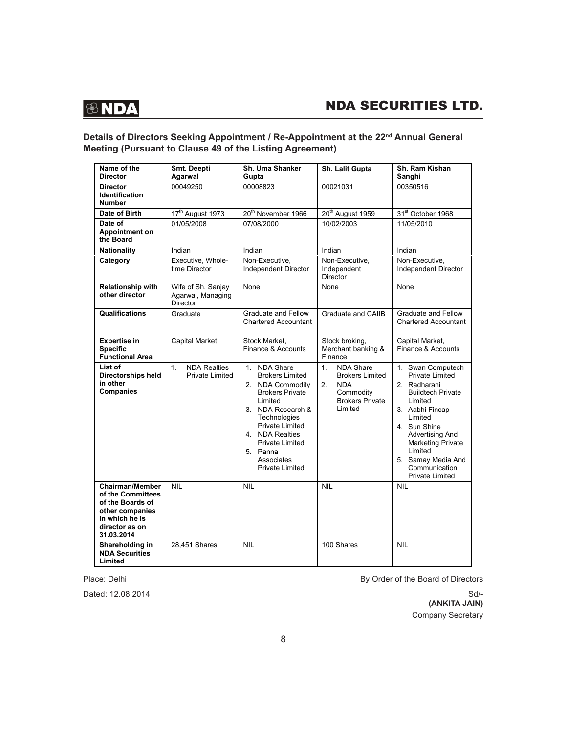# **®NDA**

# NDA SECURITIES LTD.

# **Details of Directors Seeking Appointment / Re-Appointment at the 22nd Annual General Meeting (Pursuant to Clause 49 of the Listing Agreement)**

| Name of the<br><b>Director</b>                                                                                                       | Smt. Deepti<br>Agarwal                                     | Sh. Uma Shanker<br>Gupta                                                                                                                                                                                                                                        | Sh. Lalit Gupta                                                                                                                    | Sh. Ram Kishan<br>Sanghi                                                                                                                                                                                                                                                    |
|--------------------------------------------------------------------------------------------------------------------------------------|------------------------------------------------------------|-----------------------------------------------------------------------------------------------------------------------------------------------------------------------------------------------------------------------------------------------------------------|------------------------------------------------------------------------------------------------------------------------------------|-----------------------------------------------------------------------------------------------------------------------------------------------------------------------------------------------------------------------------------------------------------------------------|
| <b>Director</b><br>Identification<br><b>Number</b>                                                                                   | 00049250                                                   | 00008823                                                                                                                                                                                                                                                        | 00021031                                                                                                                           | 00350516                                                                                                                                                                                                                                                                    |
| Date of Birth                                                                                                                        | 17 <sup>th</sup> August 1973                               | 20 <sup>th</sup> November 1966                                                                                                                                                                                                                                  | 20 <sup>th</sup> August 1959                                                                                                       | 31 <sup>st</sup> October 1968                                                                                                                                                                                                                                               |
| Date of<br>Appointment on<br>the Board                                                                                               | 01/05/2008                                                 | 07/08/2000                                                                                                                                                                                                                                                      | 10/02/2003                                                                                                                         | 11/05/2010                                                                                                                                                                                                                                                                  |
| <b>Nationality</b>                                                                                                                   | Indian                                                     | Indian                                                                                                                                                                                                                                                          | Indian                                                                                                                             | Indian                                                                                                                                                                                                                                                                      |
| Category                                                                                                                             | Executive, Whole-<br>time Director                         | Non-Executive.<br>Independent Director                                                                                                                                                                                                                          | Non-Executive,<br>Independent<br><b>Director</b>                                                                                   | Non-Executive,<br>Independent Director                                                                                                                                                                                                                                      |
| <b>Relationship with</b><br>other director                                                                                           | Wife of Sh. Sanjay<br>Agarwal, Managing<br><b>Director</b> | None                                                                                                                                                                                                                                                            | None                                                                                                                               | None                                                                                                                                                                                                                                                                        |
| Qualifications                                                                                                                       | Graduate                                                   | <b>Graduate and Fellow</b><br><b>Chartered Accountant</b>                                                                                                                                                                                                       | Graduate and CAIIB                                                                                                                 | <b>Graduate and Fellow</b><br><b>Chartered Accountant</b>                                                                                                                                                                                                                   |
| <b>Expertise in</b><br><b>Specific</b><br><b>Functional Area</b>                                                                     | <b>Capital Market</b>                                      | Stock Market.<br>Finance & Accounts                                                                                                                                                                                                                             | Stock broking,<br>Merchant banking &<br>Finance                                                                                    | Capital Market.<br><b>Finance &amp; Accounts</b>                                                                                                                                                                                                                            |
| List of<br>Directorships held<br>in other<br><b>Companies</b>                                                                        | <b>NDA Realties</b><br>1.<br><b>Private Limited</b>        | 1. NDA Share<br><b>Brokers Limited</b><br>2. NDA Commodity<br><b>Brokers Private</b><br>Limited<br>3. NDA Research &<br>Technologies<br><b>Private Limited</b><br>4. NDA Realties<br><b>Private Limited</b><br>5. Panna<br>Associates<br><b>Private Limited</b> | <b>NDA Share</b><br>1.<br><b>Brokers Limited</b><br>2 <sub>1</sub><br><b>NDA</b><br>Commodity<br><b>Brokers Private</b><br>Limited | 1. Swan Computech<br><b>Private Limited</b><br>2. Radharani<br><b>Buildtech Private</b><br>Limited<br>3. Aabhi Fincap<br>Limited<br>4. Sun Shine<br>Advertising And<br><b>Marketing Private</b><br>Limited<br>5. Samay Media And<br>Communication<br><b>Private Limited</b> |
| <b>Chairman/Member</b><br>of the Committees<br>of the Boards of<br>other companies<br>in which he is<br>director as on<br>31.03.2014 | <b>NIL</b>                                                 | <b>NIL</b>                                                                                                                                                                                                                                                      | <b>NIL</b>                                                                                                                         | <b>NIL</b>                                                                                                                                                                                                                                                                  |
| Shareholding in<br><b>NDA Securities</b><br>Limited                                                                                  | 28,451 Shares                                              | <b>NIL</b>                                                                                                                                                                                                                                                      | 100 Shares                                                                                                                         | <b>NIL</b>                                                                                                                                                                                                                                                                  |

Place: Delhi By Order of the Board of Directors

Dated: 12.08.2014 Sd/-

**(ANKITA JAIN)** Company Secretary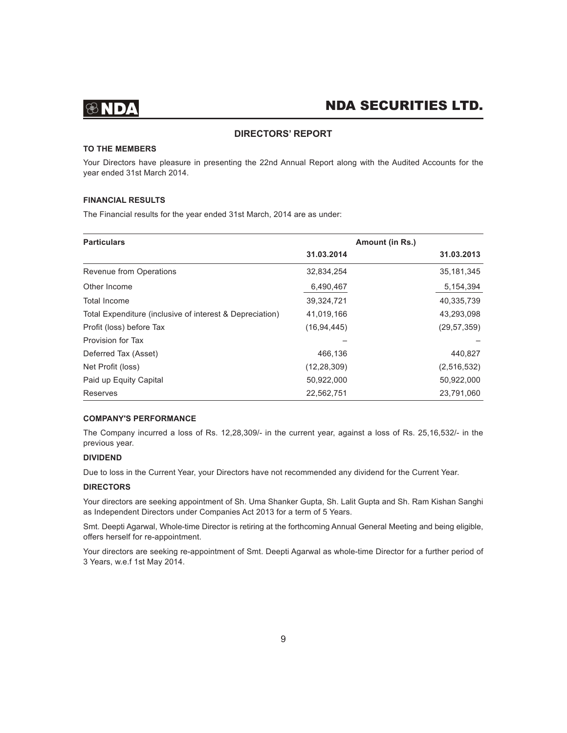# NDA

# NDA SECURITIES LTD.

### **DIRECTORS' REPORT**

### **TO THE MEMBERS**

Your Directors have pleasure in presenting the 22nd Annual Report along with the Audited Accounts for the year ended 31st March 2014.

### **FINANCIAL RESULTS**

The Financial results for the year ended 31st March, 2014 are as under:

| <b>Particulars</b>                                       | Amount (in Rs.) |               |  |
|----------------------------------------------------------|-----------------|---------------|--|
|                                                          | 31.03.2014      | 31.03.2013    |  |
| Revenue from Operations                                  | 32,834,254      | 35, 181, 345  |  |
| Other Income                                             | 6,490,467       | 5,154,394     |  |
| Total Income                                             | 39,324,721      | 40,335,739    |  |
| Total Expenditure (inclusive of interest & Depreciation) | 41,019,166      | 43,293,098    |  |
| Profit (loss) before Tax                                 | (16, 94, 445)   | (29, 57, 359) |  |
| Provision for Tax                                        |                 |               |  |
| Deferred Tax (Asset)                                     | 466.136         | 440,827       |  |
| Net Profit (loss)                                        | (12, 28, 309)   | (2,516,532)   |  |
| Paid up Equity Capital                                   | 50,922,000      | 50,922,000    |  |
| Reserves                                                 | 22,562,751      | 23,791,060    |  |

### **COMPANY'S PERFORMANCE**

The Company incurred a loss of Rs. 12,28,309/- in the current year, against a loss of Rs. 25,16,532/- in the previous year.

## **DIVIDEND**

Due to loss in the Current Year, your Directors have not recommended any dividend for the Current Year.

### **DIRECTORS**

Your directors are seeking appointment of Sh. Uma Shanker Gupta, Sh. Lalit Gupta and Sh. Ram Kishan Sanghi as Independent Directors under Companies Act 2013 for a term of 5 Years.

Smt. Deepti Agarwal, Whole-time Director is retiring at the forthcoming Annual General Meeting and being eligible, offers herself for re-appointment.

Your directors are seeking re-appointment of Smt. Deepti Agarwal as whole-time Director for a further period of 3 Years, w.e.f 1st May 2014.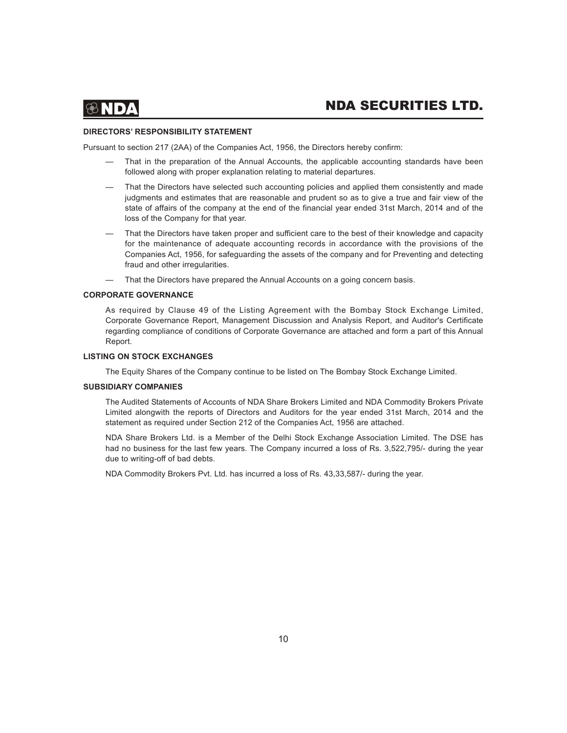#### **DIRECTORS' RESPONSIBILITY STATEMENT**

Pursuant to section 217 (2AA) of the Companies Act, 1956, the Directors hereby confirm:

- That in the preparation of the Annual Accounts, the applicable accounting standards have been followed along with proper explanation relating to material departures.
- That the Directors have selected such accounting policies and applied them consistently and made judgments and estimates that are reasonable and prudent so as to give a true and fair view of the state of affairs of the company at the end of the financial year ended 31st March, 2014 and of the loss of the Company for that year.
- That the Directors have taken proper and sufficient care to the best of their knowledge and capacity for the maintenance of adequate accounting records in accordance with the provisions of the Companies Act, 1956, for safeguarding the assets of the company and for Preventing and detecting fraud and other irregularities.
- That the Directors have prepared the Annual Accounts on a going concern basis.

### **CORPORATE GOVERNANCE**

As required by Clause 49 of the Listing Agreement with the Bombay Stock Exchange Limited, Corporate Governance Report, Management Discussion and Analysis Report, and Auditor's Certificate regarding compliance of conditions of Corporate Governance are attached and form a part of this Annual Report.

### **LISTING ON STOCK EXCHANGES**

The Equity Shares of the Company continue to be listed on The Bombay Stock Exchange Limited.

### **SUBSIDIARY COMPANIES**

The Audited Statements of Accounts of NDA Share Brokers Limited and NDA Commodity Brokers Private Limited alongwith the reports of Directors and Auditors for the year ended 31st March, 2014 and the statement as required under Section 212 of the Companies Act, 1956 are attached.

NDA Share Brokers Ltd. is a Member of the Delhi Stock Exchange Association Limited. The DSE has had no business for the last few years. The Company incurred a loss of Rs. 3,522,795/- during the year due to writing-off of bad debts.

NDA Commodity Brokers Pvt. Ltd. has incurred a loss of Rs. 43,33,587/- during the year.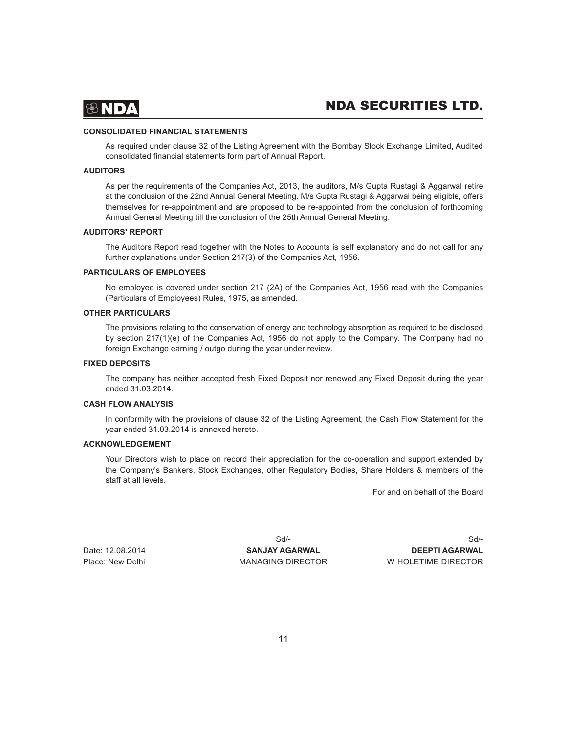

#### **CONSOLIDATED FINANCIAL STATEMENTS**

As required under clause 32 of the Listing Agreement with the Bombay Stock Exchange Limited, Audited consolidated financial statements form part of Annual Report.

#### **AUDITORS**

As per the requirements of the Companies Act, 2013, the auditors, M/s Gupta Rustagi & Aggarwal retire at the conclusion of the 22nd Annual General Meeting. M/s Gupta Rustagi & Aggarwal being eligible, offers themselves for re-appointment and are proposed to be re-appointed from the conclusion of forthcoming Annual General Meeting till the conclusion of the 25th Annual General Meeting.

### **AUDITORS' REPORT**

The Auditors Report read together with the Notes to Accounts is self explanatory and do not call for any further explanations under Section 217(3) of the Companies Act, 1956.

### **PARTICULARS OF EMPLOYEES**

No employee is covered under section 217 (2A) of the Companies Act, 1956 read with the Companies (Particulars of Employees) Rules, 1975, as amended.

### **OTHER PARTICULARS**

The provisions relating to the conservation of energy and technology absorption as required to be disclosed by section 217(1)(e) of the Companies Act, 1956 do not apply to the Company. The Company had no foreign Exchange earning / outgo during the year under review.

### **FIXED DEPOSITS**

The company has neither accepted fresh Fixed Deposit nor renewed any Fixed Deposit during the year ended 31.03.2014.

#### **CASH FLOW ANALYSIS**

In conformity with the provisions of clause 32 of the Listing Agreement, the Cash Flow Statement for the year ended 31.03.2014 is annexed hereto.

### **ACKNOWLEDGEMENT**

Your Directors wish to place on record their appreciation for the co-operation and support extended by the Company's Bankers, Stock Exchanges, other Regulatory Bodies, Share Holders & members of the staff at all levels.

For and on behalf of the Board

Sd/- Sd/- Date: 12.08.2014 **SANJAY AGARWAL DEEPTI AGARWAL** Place: New Delhi **MANAGING DIRECTOR** WHOLETIME DIRECTOR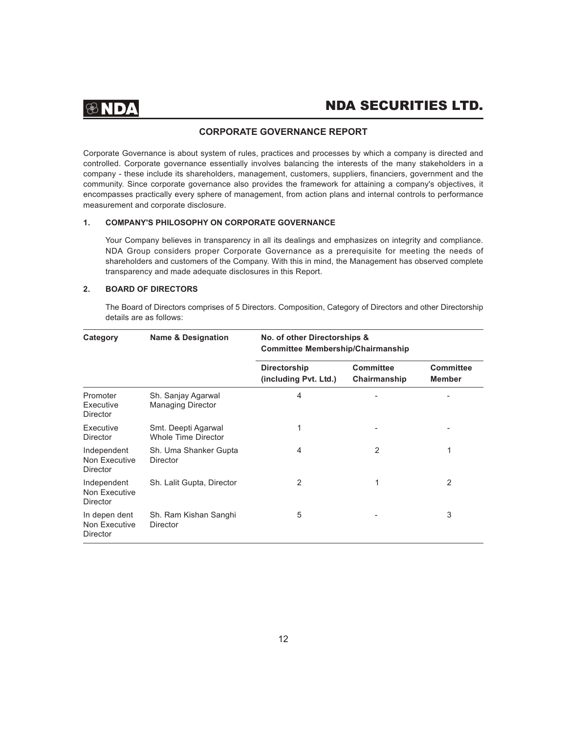**&NDA** 

# **CORPORATE GOVERNANCE REPORT**

Corporate Governance is about system of rules, practices and processes by which a company is directed and controlled. Corporate governance essentially involves balancing the interests of the many stakeholders in a company - these include its shareholders, management, customers, suppliers, financiers, government and the community. Since corporate governance also provides the framework for attaining a company's objectives, it encompasses practically every sphere of management, from action plans and internal controls to performance measurement and corporate disclosure.

### **1. COMPANY'S PHILOSOPHY ON CORPORATE GOVERNANCE**

Your Company believes in transparency in all its dealings and emphasizes on integrity and compliance. NDA Group considers proper Corporate Governance as a prerequisite for meeting the needs of shareholders and customers of the Company. With this in mind, the Management has observed complete transparency and made adequate disclosures in this Report.

### **2. BOARD OF DIRECTORS**

The Board of Directors comprises of 5 Directors. Composition, Category of Directors and other Directorship details are as follows:

| Category                                   | <b>Name &amp; Designation</b>                  | No. of other Directorships &<br><b>Committee Membership/Chairmanship</b> |                                  |                                   |  |
|--------------------------------------------|------------------------------------------------|--------------------------------------------------------------------------|----------------------------------|-----------------------------------|--|
|                                            |                                                | Directorship<br>(including Pvt. Ltd.)                                    | <b>Committee</b><br>Chairmanship | <b>Committee</b><br><b>Member</b> |  |
| Promoter<br>Executive<br>Director          | Sh. Sanjay Agarwal<br><b>Managing Director</b> | 4                                                                        |                                  |                                   |  |
| Executive<br>Director                      | Smt. Deepti Agarwal<br>Whole Time Director     | 1                                                                        |                                  |                                   |  |
| Independent<br>Non Executive<br>Director   | Sh. Uma Shanker Gupta<br>Director              | 4                                                                        | 2                                | 1                                 |  |
| Independent<br>Non Executive<br>Director   | Sh. Lalit Gupta, Director                      | 2                                                                        | 1                                | 2                                 |  |
| In depen dent<br>Non Executive<br>Director | Sh. Ram Kishan Sanghi<br><b>Director</b>       | 5                                                                        |                                  | 3                                 |  |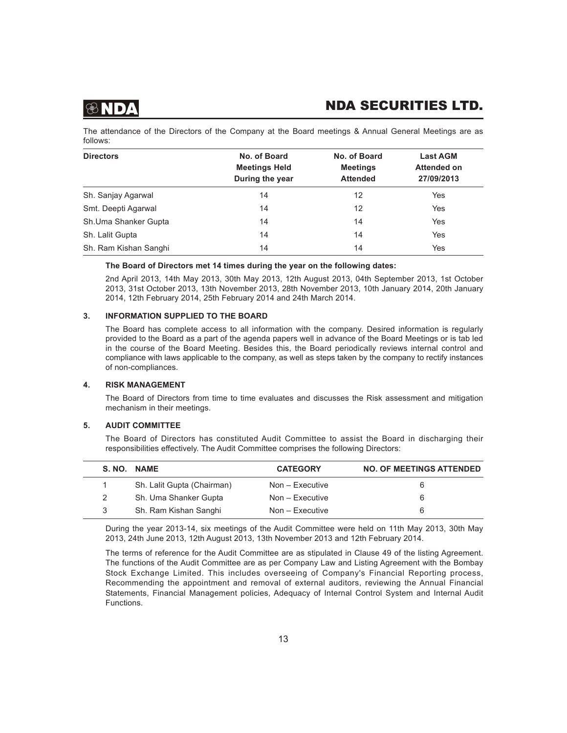The attendance of the Directors of the Company at the Board meetings & Annual General Meetings are as follows:

| <b>Directors</b>      | No. of Board<br><b>Meetings Held</b><br>During the year | No. of Board<br><b>Meetings</b><br><b>Attended</b> | <b>Last AGM</b><br>Attended on<br>27/09/2013 |
|-----------------------|---------------------------------------------------------|----------------------------------------------------|----------------------------------------------|
| Sh. Sanjay Agarwal    | 14                                                      | 12                                                 | Yes                                          |
| Smt. Deepti Agarwal   | 14                                                      | 12                                                 | Yes                                          |
| Sh.Uma Shanker Gupta  | 14                                                      | 14                                                 | Yes                                          |
| Sh. Lalit Gupta       | 14                                                      | 14                                                 | Yes                                          |
| Sh. Ram Kishan Sanghi | 14                                                      | 14                                                 | Yes                                          |

#### **The Board of Directors met 14 times during the year on the following dates:**

2nd April 2013, 14th May 2013, 30th May 2013, 12th August 2013, 04th September 2013, 1st October 2013, 31st October 2013, 13th November 2013, 28th November 2013, 10th January 2014, 20th January 2014, 12th February 2014, 25th February 2014 and 24th March 2014.

## **3. INFORMATION SUPPLIED TO THE BOARD**

The Board has complete access to all information with the company. Desired information is regularly provided to the Board as a part of the agenda papers well in advance of the Board Meetings or is tab led in the course of the Board Meeting. Besides this, the Board periodically reviews internal control and compliance with laws applicable to the company, as well as steps taken by the company to rectify instances of non-compliances.

#### **4. RISK MANAGEMENT**

The Board of Directors from time to time evaluates and discusses the Risk assessment and mitigation mechanism in their meetings.

### **5. AUDIT COMMITTEE**

The Board of Directors has constituted Audit Committee to assist the Board in discharging their responsibilities effectively. The Audit Committee comprises the following Directors:

| S. NO. NAME                | <b>CATEGORY</b> | <b>NO. OF MEETINGS ATTENDED</b> |
|----------------------------|-----------------|---------------------------------|
| Sh. Lalit Gupta (Chairman) | Non - Executive |                                 |
| Sh. Uma Shanker Gupta      | Non – Executive |                                 |
| Sh. Ram Kishan Sanghi      | Non – Executive |                                 |

During the year 2013-14, six meetings of the Audit Committee were held on 11th May 2013, 30th May 2013, 24th June 2013, 12th August 2013, 13th November 2013 and 12th February 2014.

The terms of reference for the Audit Committee are as stipulated in Clause 49 of the listing Agreement. The functions of the Audit Committee are as per Company Law and Listing Agreement with the Bombay Stock Exchange Limited. This includes overseeing of Company's Financial Reporting process, Recommending the appointment and removal of external auditors, reviewing the Annual Financial Statements, Financial Management policies, Adequacy of Internal Control System and Internal Audit Functions.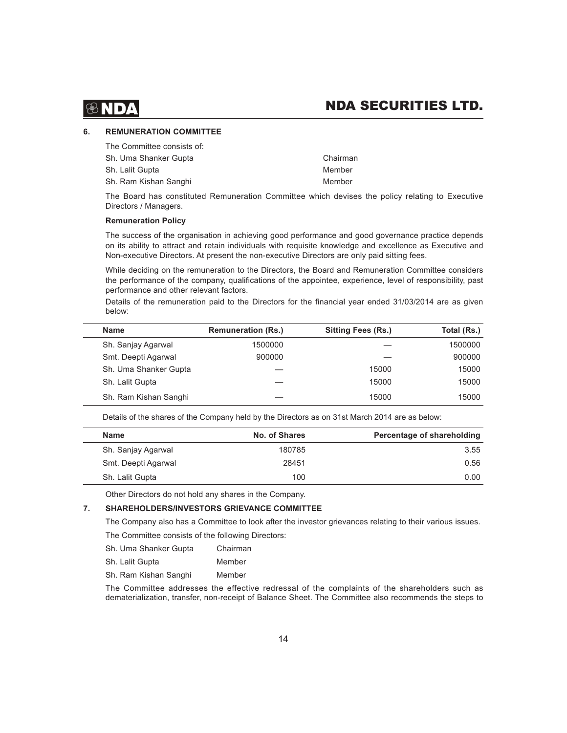#### **6. REMUNERATION COMMITTEE**

The Committee consists of:

| Sh. Uma Shanker Gupta | Chairman |
|-----------------------|----------|
| Sh. Lalit Gupta       | Member   |
| Sh. Ram Kishan Sanghi | Member   |

The Board has constituted Remuneration Committee which devises the policy relating to Executive Directors / Managers.

#### **Remuneration Policy**

The success of the organisation in achieving good performance and good governance practice depends on its ability to attract and retain individuals with requisite knowledge and excellence as Executive and Non-executive Directors. At present the non-executive Directors are only paid sitting fees.

While deciding on the remuneration to the Directors, the Board and Remuneration Committee considers the performance of the company, qualifications of the appointee, experience, level of responsibility, past performance and other relevant factors.

Details of the remuneration paid to the Directors for the financial year ended 31/03/2014 are as given below:

| <b>Name</b>           | <b>Remuneration (Rs.)</b> | <b>Sitting Fees (Rs.)</b> | Total (Rs.) |
|-----------------------|---------------------------|---------------------------|-------------|
| Sh. Sanjay Agarwal    | 1500000                   |                           | 1500000     |
| Smt. Deepti Agarwal   | 900000                    |                           | 900000      |
| Sh. Uma Shanker Gupta |                           | 15000                     | 15000       |
| Sh. Lalit Gupta       |                           | 15000                     | 15000       |
| Sh. Ram Kishan Sanghi |                           | 15000                     | 15000       |

Details of the shares of the Company held by the Directors as on 31st March 2014 are as below:

| Name                | No. of Shares | Percentage of shareholding |
|---------------------|---------------|----------------------------|
| Sh. Sanjay Agarwal  | 180785        | 3.55                       |
| Smt. Deepti Agarwal | 28451         | 0.56                       |
| Sh. Lalit Gupta     | 100           | 0.00                       |

Other Directors do not hold any shares in the Company.

### **7. SHAREHOLDERS/INVESTORS GRIEVANCE COMMITTEE**

The Company also has a Committee to look after the investor grievances relating to their various issues. The Committee consists of the following Directors:

| Sh. Uma Shanker Gupta | Chairman |
|-----------------------|----------|
| Sh. Lalit Gupta       | Member   |
| Sh. Ram Kishan Sanghi | Member   |

The Committee addresses the effective redressal of the complaints of the shareholders such as dematerialization, transfer, non-receipt of Balance Sheet. The Committee also recommends the steps to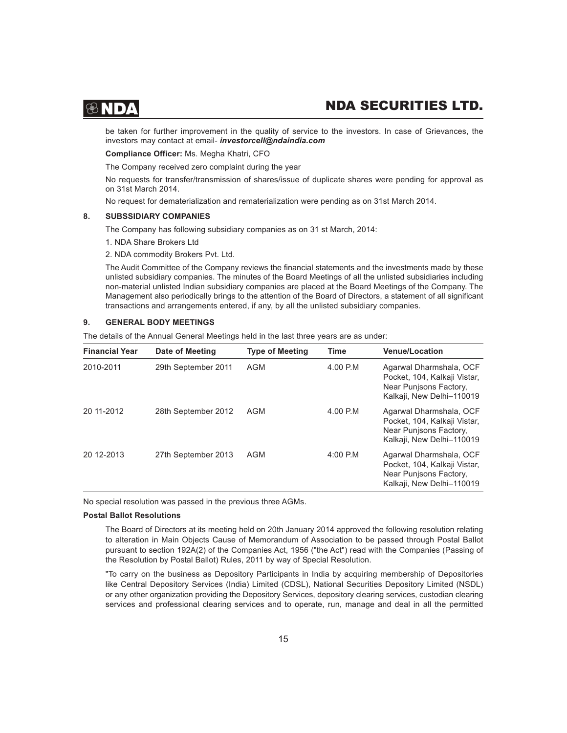# NDYA

# NDA SECURITIES LTD.

be taken for further improvement in the quality of service to the investors. In case of Grievances, the investors may contact at email- *investorcell@ndaindia.com*

**Compliance Officer:** Ms. Megha Khatri, CFO

The Company received zero complaint during the year

No requests for transfer/transmission of shares/issue of duplicate shares were pending for approval as on 31st March 2014.

No request for dematerialization and rematerialization were pending as on 31st March 2014.

### **8. SUBSSIDIARY COMPANIES**

The Company has following subsidiary companies as on 31 st March, 2014:

1. NDA Share Brokers Ltd

2. NDA commodity Brokers Pvt. Ltd.

The Audit Committee of the Company reviews the financial statements and the investments made by these unlisted subsidiary companies. The minutes of the Board Meetings of all the unlisted subsidiaries including non-material unlisted Indian subsidiary companies are placed at the Board Meetings of the Company. The Management also periodically brings to the attention of the Board of Directors, a statement of all significant transactions and arrangements entered, if any, by all the unlisted subsidiary companies.

#### **9. GENERAL BODY MEETINGS**

The details of the Annual General Meetings held in the last three years are as under:

| <b>Financial Year</b> | Date of Meeting     | <b>Type of Meeting</b> | Time     | <b>Venue/Location</b>                                                                                          |
|-----------------------|---------------------|------------------------|----------|----------------------------------------------------------------------------------------------------------------|
| 2010-2011             | 29th September 2011 | AGM                    | 4.00 P.M | Agarwal Dharmshala, OCF<br>Pocket, 104, Kalkaji Vistar,<br>Near Punjsons Factory.<br>Kalkaji, New Delhi-110019 |
| 20 11-2012            | 28th September 2012 | AGM                    | 4.00 P.M | Agarwal Dharmshala, OCF<br>Pocket, 104, Kalkaji Vistar,<br>Near Punjsons Factory.<br>Kalkaji, New Delhi-110019 |
| 20 12-2013            | 27th September 2013 | <b>AGM</b>             | 4:00 P.M | Agarwal Dharmshala, OCF<br>Pocket, 104, Kalkaji Vistar,<br>Near Punjsons Factory.<br>Kalkaji, New Delhi-110019 |

No special resolution was passed in the previous three AGMs.

### **Postal Ballot Resolutions**

The Board of Directors at its meeting held on 20th January 2014 approved the following resolution relating to alteration in Main Objects Cause of Memorandum of Association to be passed through Postal Ballot pursuant to section 192A(2) of the Companies Act, 1956 ("the Act") read with the Companies (Passing of the Resolution by Postal Ballot) Rules, 2011 by way of Special Resolution.

"To carry on the business as Depository Participants in India by acquiring membership of Depositories like Central Depository Services (India) Limited (CDSL), National Securities Depository Limited (NSDL) or any other organization providing the Depository Services, depository clearing services, custodian clearing services and professional clearing services and to operate, run, manage and deal in all the permitted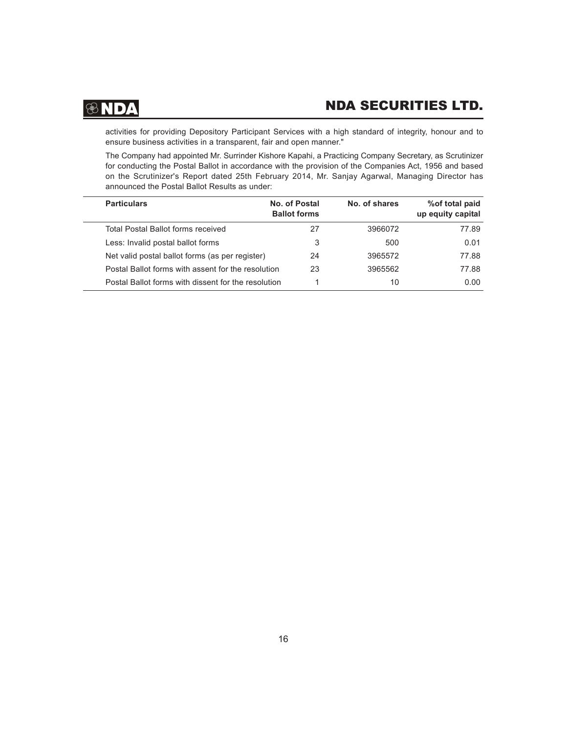#### NDA  $\bigcircled{3}$

activities for providing Depository Participant Services with a high standard of integrity, honour and to ensure business activities in a transparent, fair and open manner."

The Company had appointed Mr. Surrinder Kishore Kapahi, a Practicing Company Secretary, as Scrutinizer for conducting the Postal Ballot in accordance with the provision of the Companies Act, 1956 and based on the Scrutinizer's Report dated 25th February 2014, Mr. Sanjay Agarwal, Managing Director has announced the Postal Ballot Results as under:

| <b>Particulars</b>                                  | No. of Postal<br><b>Ballot forms</b> | No. of shares | % of total paid<br>up equity capital |
|-----------------------------------------------------|--------------------------------------|---------------|--------------------------------------|
| Total Postal Ballot forms received                  | 27                                   | 3966072       | 77.89                                |
| Less: Invalid postal ballot forms                   | 3                                    | 500           | 0.01                                 |
| Net valid postal ballot forms (as per register)     | 24                                   | 3965572       | 77.88                                |
| Postal Ballot forms with assent for the resolution  | 23                                   | 3965562       | 77.88                                |
| Postal Ballot forms with dissent for the resolution |                                      | 10            | 0.00                                 |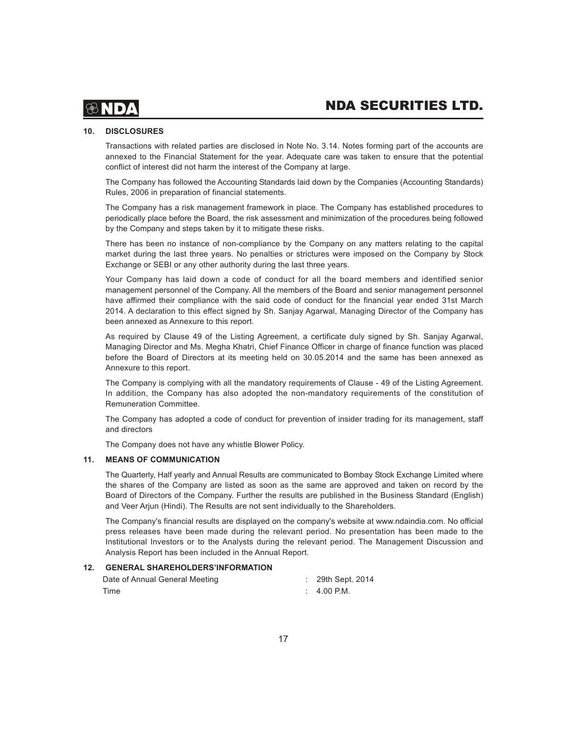### **10. DISCLOSURES**

Transactions with related parties are disclosed in Note No. 3.14. Notes forming part of the accounts are annexed to the Financial Statement for the year. Adequate care was taken to ensure that the potential conflict of interest did not harm the interest of the Company at large.

The Company has followed the Accounting Standards laid down by the Companies (Accounting Standards) Rules, 2006 in preparation of financial statements.

The Company has a risk management framework in place. The Company has established procedures to periodically place before the Board, the risk assessment and minimization of the procedures being followed by the Company and steps taken by it to mitigate these risks.

There has been no instance of non-compliance by the Company on any matters relating to the capital market during the last three years. No penalties or strictures were imposed on the Company by Stock Exchange or SEBI or any other authority during the last three years.

Your Company has laid down a code of conduct for all the board members and identified senior management personnel of the Company. All the members of the Board and senior management personnel have affirmed their compliance with the said code of conduct for the financial year ended 31st March 2014. A declaration to this effect signed by Sh. Sanjay Agarwal, Managing Director of the Company has been annexed as Annexure to this report.

As required by Clause 49 of the Listing Agreement, a certificate duly signed by Sh. Sanjay Agarwal, Managing Director and Ms. Megha Khatri, Chief Finance Officer in charge of finance function was placed before the Board of Directors at its meeting held on 30.05.2014 and the same has been annexed as Annexure to this report.

The Company is complying with all the mandatory requirements of Clause - 49 of the Listing Agreement. In addition, the Company has also adopted the non-mandatory requirements of the constitution of Remuneration Committee.

The Company has adopted a code of conduct for prevention of insider trading for its management, staff and directors

The Company does not have any whistle Blower Policy.

### **11. MEANS OF COMMUNICATION**

The Quarterly, Half yearly and Annual Results are communicated to Bombay Stock Exchange Limited where the shares of the Company are listed as soon as the same are approved and taken on record by the Board of Directors of the Company. Further the results are published in the Business Standard (English) and Veer Arjun (Hindi). The Results are not sent individually to the Shareholders.

The Company's financial results are displayed on the company's website at www.ndaindia.com. No official press releases have been made during the relevant period. No presentation has been made to the Institutional Investors or to the Analysts during the relevant period. The Management Discussion and Analysis Report has been included in the Annual Report.

### **12. GENERAL SHAREHOLDERS'INFORMATION**

| Date of Annual General Meeting | : 29th Sept. 2014 |
|--------------------------------|-------------------|
| Time                           | $: 4.00$ P.M.     |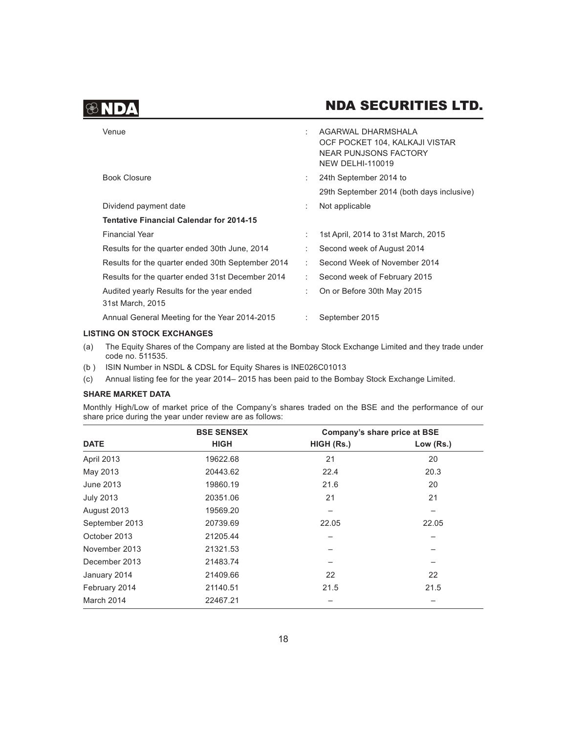# **&NDA**

# NDA SECURITIES LTD.

| Venue                                                         |    | AGARWAL DHARMSHALA<br>OCF POCKET 104, KALKAJI VISTAR<br><b>NEAR PUNJSONS FACTORY</b><br><b>NEW DELHI-110019</b> |
|---------------------------------------------------------------|----|-----------------------------------------------------------------------------------------------------------------|
| <b>Book Closure</b>                                           | ÷. | 24th September 2014 to                                                                                          |
|                                                               |    | 29th September 2014 (both days inclusive)                                                                       |
| Dividend payment date                                         | ÷  | Not applicable                                                                                                  |
| <b>Tentative Financial Calendar for 2014-15</b>               |    |                                                                                                                 |
| <b>Financial Year</b>                                         |    | 1st April, 2014 to 31st March, 2015                                                                             |
| Results for the quarter ended 30th June, 2014                 |    | Second week of August 2014                                                                                      |
| Results for the quarter ended 30th September 2014             |    | Second Week of November 2014                                                                                    |
| Results for the quarter ended 31st December 2014              |    | Second week of February 2015                                                                                    |
| Audited yearly Results for the year ended<br>31st March, 2015 | t. | On or Before 30th May 2015                                                                                      |
| Annual General Meeting for the Year 2014-2015                 |    | September 2015                                                                                                  |
|                                                               |    |                                                                                                                 |

### **LISTING ON STOCK EXCHANGES**

- (a) The Equity Shares of the Company are listed at the Bombay Stock Exchange Limited and they trade under code no. 511535.
- (b ) ISIN Number in NSDL & CDSL for Equity Shares is INE026C01013
- (c) Annual listing fee for the year 2014– 2015 has been paid to the Bombay Stock Exchange Limited.

# **SHARE MARKET DATA**

Monthly High/Low of market price of the Company's shares traded on the BSE and the performance of our share price during the year under review are as follows:

|                  | <b>BSE SENSEX</b> | Company's share price at BSE |             |
|------------------|-------------------|------------------------------|-------------|
| <b>DATE</b>      | <b>HIGH</b>       | HIGH (Rs.)                   | Low $(Rs.)$ |
| April 2013       | 19622.68          | 21                           | 20          |
| May 2013         | 20443.62          | 22.4                         | 20.3        |
| June 2013        | 19860.19          | 21.6                         | 20          |
| <b>July 2013</b> | 20351.06          | 21                           | 21          |
| August 2013      | 19569.20          |                              |             |
| September 2013   | 20739.69          | 22.05                        | 22.05       |
| October 2013     | 21205.44          |                              |             |
| November 2013    | 21321.53          |                              |             |
| December 2013    | 21483.74          |                              |             |
| January 2014     | 21409.66          | 22                           | 22          |
| February 2014    | 21140.51          | 21.5                         | 21.5        |
| March 2014       | 22467.21          |                              |             |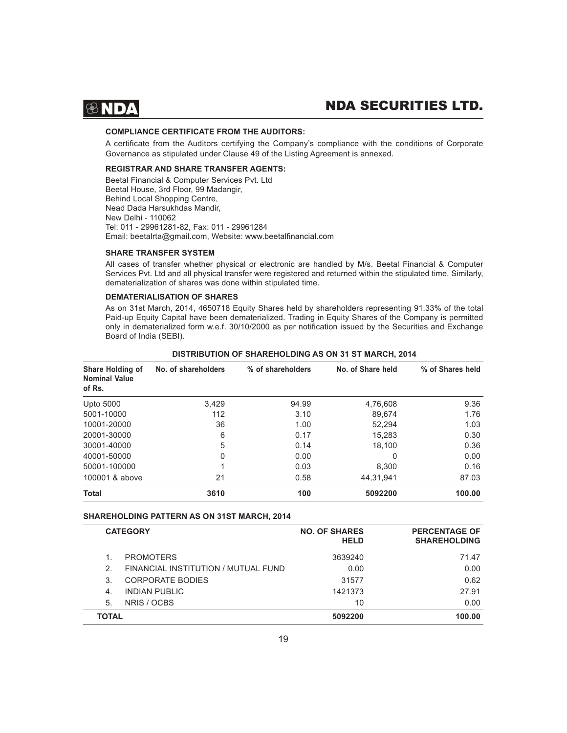# NDA

# NDA SECURITIES LTD.

#### **COMPLIANCE CERTIFICATE FROM THE AUDITORS:**

A certificate from the Auditors certifying the Company's compliance with the conditions of Corporate Governance as stipulated under Clause 49 of the Listing Agreement is annexed.

### **REGISTRAR AND SHARE TRANSFER AGENTS:**

Beetal Financial & Computer Services Pvt. Ltd Beetal House, 3rd Floor, 99 Madangir, Behind Local Shopping Centre, Nead Dada Harsukhdas Mandir, New Delhi - 110062 Tel: 011 - 29961281-82, Fax: 011 - 29961284 Email: beetalrta@gmail.com, Website: www.beetalfinancial.com

#### **SHARE TRANSFER SYSTEM**

All cases of transfer whether physical or electronic are handled by M/s. Beetal Financial & Computer Services Pvt. Ltd and all physical transfer were registered and returned within the stipulated time. Similarly, dematerialization of shares was done within stipulated time.

### **DEMATERIALISATION OF SHARES**

As on 31st March, 2014, 4650718 Equity Shares held by shareholders representing 91.33% of the total Paid-up Equity Capital have been dematerialized. Trading in Equity Shares of the Company is permitted only in dematerialized form w.e.f. 30/10/2000 as per notification issued by the Securities and Exchange Board of India (SEBI).

| Share Holding of<br><b>Nominal Value</b><br>of Rs. | No. of shareholders | % of shareholders | No. of Share held | % of Shares held |
|----------------------------------------------------|---------------------|-------------------|-------------------|------------------|
| Upto 5000                                          | 3.429               | 94.99             | 4.76.608          | 9.36             |
| 5001-10000                                         | 112                 | 3.10              | 89.674            | 1.76             |
| 10001-20000                                        | 36                  | 1.00              | 52,294            | 1.03             |
| 20001-30000                                        | 6                   | 0.17              | 15,283            | 0.30             |
| 30001-40000                                        | 5                   | 0.14              | 18.100            | 0.36             |
| 40001-50000                                        | 0                   | 0.00              | 0                 | 0.00             |
| 50001-100000                                       | 1                   | 0.03              | 8.300             | 0.16             |
| 100001 & above                                     | 21                  | 0.58              | 44.31.941         | 87.03            |
| <b>Total</b>                                       | 3610                | 100               | 5092200           | 100.00           |

#### **DISTRIBUTION OF SHAREHOLDING AS ON 31 ST MARCH, 2014**

### **SHAREHOLDING PATTERN AS ON 31ST MARCH, 2014**

|               | <b>CATEGORY</b>                     | <b>NO. OF SHARES</b><br><b>HELD</b> | <b>PERCENTAGE OF</b><br><b>SHAREHOLDING</b> |
|---------------|-------------------------------------|-------------------------------------|---------------------------------------------|
|               | <b>PROMOTERS</b>                    | 3639240                             | 71.47                                       |
| $\mathcal{P}$ | FINANCIAL INSTITUTION / MUTUAL FUND | 0.00                                | 0.00                                        |
| 3.            | CORPORATE BODIES                    | 31577                               | 0.62                                        |
| 4             | <b>INDIAN PUBLIC</b>                | 1421373                             | 27.91                                       |
| 5.            | NRIS / OCBS                         | 10                                  | 0.00                                        |
| <b>TOTAL</b>  |                                     | 5092200                             | 100.00                                      |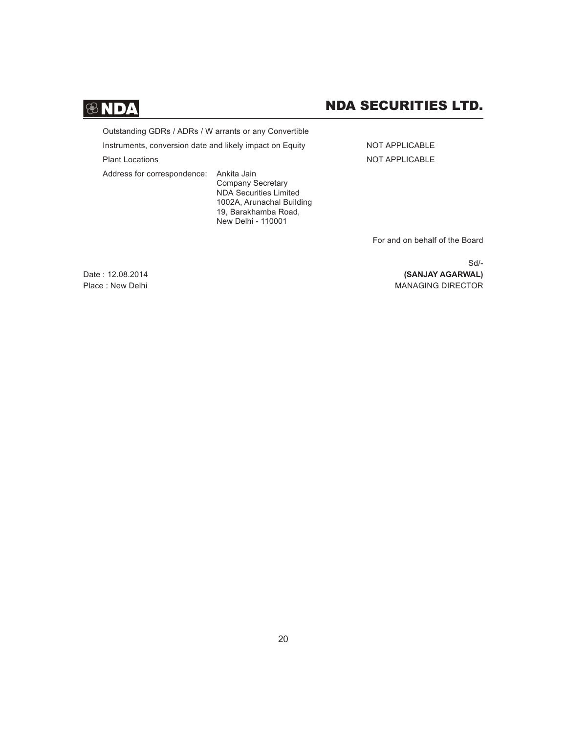# **®NDA**

# NDA SECURITIES LTD.

Outstanding GDRs / ADRs / W arrants or any Convertible Instruments, conversion date and likely impact on Equity NOT APPLICABLE Plant Locations **NOT APPLICABLE** 

Address for correspondence: Ankita Jain

Company Secretary NDA Securities Limited 1002A, Arunachal Building 19, Barakhamba Road, New Delhi - 110001

For and on behalf of the Board

Sd/- Date : 12.08.2014 **(SANJAY AGARWAL)**

Place : New Delhi MANAGING DIRECTOR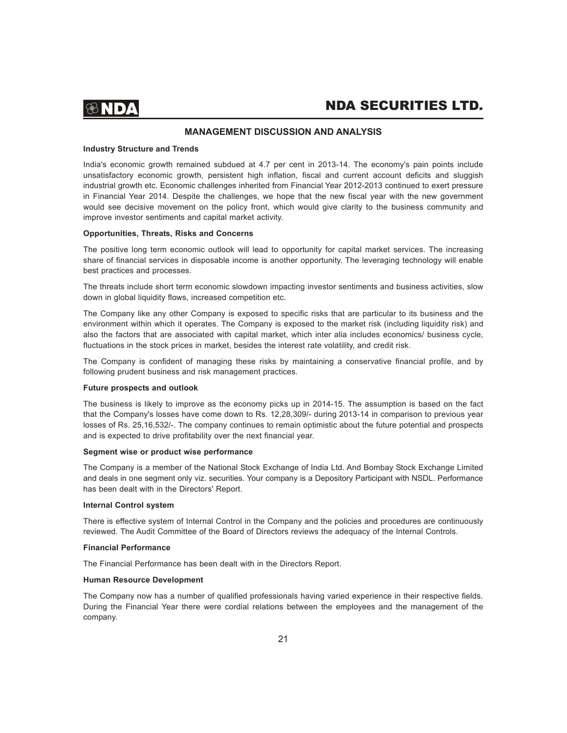

# **MANAGEMENT DISCUSSION AND ANALYSIS**

#### **Industry Structure and Trends**

India's economic growth remained subdued at 4.7 per cent in 2013-14. The economy's pain points include unsatisfactory economic growth, persistent high inflation, fiscal and current account deficits and sluggish industrial growth etc. Economic challenges inherited from Financial Year 2012-2013 continued to exert pressure in Financial Year 2014. Despite the challenges, we hope that the new fiscal year with the new government would see decisive movement on the policy front, which would give clarity to the business community and improve investor sentiments and capital market activity.

#### **Opportunities, Threats, Risks and Concerns**

The positive long term economic outlook will lead to opportunity for capital market services. The increasing share of financial services in disposable income is another opportunity. The leveraging technology will enable best practices and processes.

The threats include short term economic slowdown impacting investor sentiments and business activities, slow down in global liquidity flows, increased competition etc.

The Company like any other Company is exposed to specific risks that are particular to its business and the environment within which it operates. The Company is exposed to the market risk (including liquidity risk) and also the factors that are associated with capital market, which inter alia includes economics/ business cycle, fluctuations in the stock prices in market, besides the interest rate volatility, and credit risk.

The Company is confident of managing these risks by maintaining a conservative financial profile, and by following prudent business and risk management practices.

#### **Future prospects and outlook**

The business is likely to improve as the economy picks up in 2014-15. The assumption is based on the fact that the Company's losses have come down to Rs. 12,28,309/- during 2013-14 in comparison to previous year losses of Rs. 25,16,532/-. The company continues to remain optimistic about the future potential and prospects and is expected to drive profitability over the next financial year.

#### **Segment wise or product wise performance**

The Company is a member of the National Stock Exchange of India Ltd. And Bombay Stock Exchange Limited and deals in one segment only viz. securities. Your company is a Depository Participant with NSDL. Performance has been dealt with in the Directors' Report.

#### **Internal Control system**

There is effective system of Internal Control in the Company and the policies and procedures are continuously reviewed. The Audit Committee of the Board of Directors reviews the adequacy of the Internal Controls.

#### **Financial Performance**

The Financial Performance has been dealt with in the Directors Report.

### **Human Resource Development**

The Company now has a number of qualified professionals having varied experience in their respective fields. During the Financial Year there were cordial relations between the employees and the management of the company.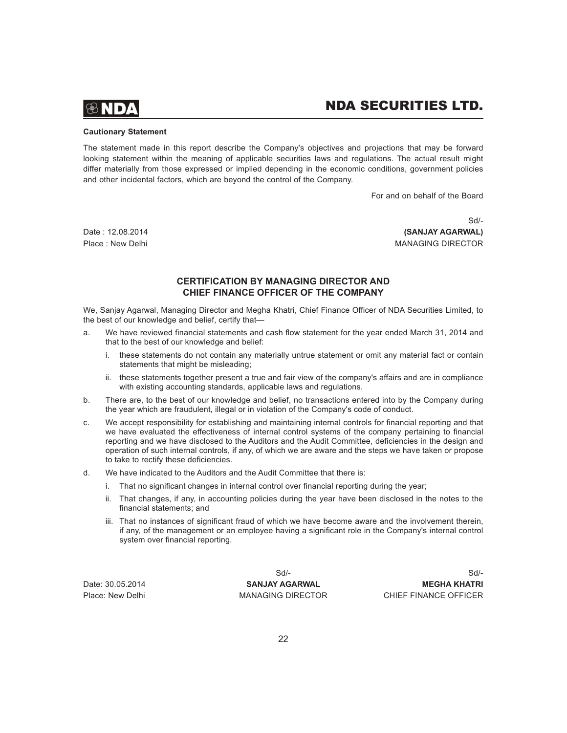#### **Cautionary Statement**

The statement made in this report describe the Company's objectives and projections that may be forward looking statement within the meaning of applicable securities laws and regulations. The actual result might differ materially from those expressed or implied depending in the economic conditions, government policies and other incidental factors, which are beyond the control of the Company.

For and on behalf of the Board

Sd/- Date : 12.08.2014 **(SANJAY AGARWAL)** Place : New Delhi MANAGING DIRECTOR

# **CERTIFICATION BY MANAGING DIRECTOR AND CHIEF FINANCE OFFICER OF THE COMPANY**

We, Sanjay Agarwal, Managing Director and Megha Khatri, Chief Finance Officer of NDA Securities Limited, to the best of our knowledge and belief, certify that—

- a. We have reviewed financial statements and cash flow statement for the year ended March 31, 2014 and that to the best of our knowledge and belief:
	- i. these statements do not contain any materially untrue statement or omit any material fact or contain statements that might be misleading;
	- ii. these statements together present a true and fair view of the company's affairs and are in compliance with existing accounting standards, applicable laws and regulations.
- b. There are, to the best of our knowledge and belief, no transactions entered into by the Company during the year which are fraudulent, illegal or in violation of the Company's code of conduct.
- c. We accept responsibility for establishing and maintaining internal controls for financial reporting and that we have evaluated the effectiveness of internal control systems of the company pertaining to financial reporting and we have disclosed to the Auditors and the Audit Committee, deficiencies in the design and operation of such internal controls, if any, of which we are aware and the steps we have taken or propose to take to rectify these deficiencies.
- d. We have indicated to the Auditors and the Audit Committee that there is:
	- i. That no significant changes in internal control over financial reporting during the year;
	- ii. That changes, if any, in accounting policies during the year have been disclosed in the notes to the financial statements; and
	- iii. That no instances of significant fraud of which we have become aware and the involvement therein, if any, of the management or an employee having a significant role in the Company's internal control system over financial reporting.

Sd/- Sd/- Date: 30.05.2014 **SANJAY AGARWAL MEGHA KHATRI** Place: New Delhi **MANAGING DIRECTOR** CHIEF FINANCE OFFICER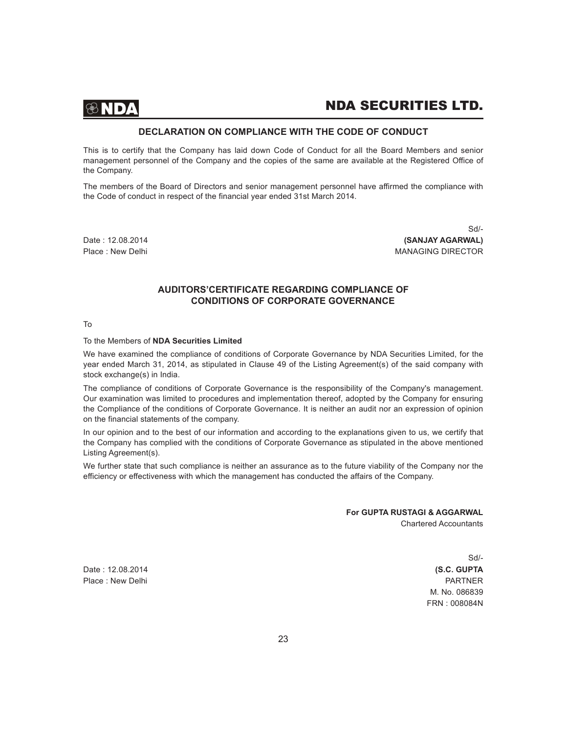# **DECLARATION ON COMPLIANCE WITH THE CODE OF CONDUCT**

This is to certify that the Company has laid down Code of Conduct for all the Board Members and senior management personnel of the Company and the copies of the same are available at the Registered Office of the Company.

The members of the Board of Directors and senior management personnel have affirmed the compliance with the Code of conduct in respect of the financial year ended 31st March 2014.

Sd/- Date : 12.08.2014 **(SANJAY AGARWAL)** Place : New Delhi MANAGING DIRECTOR

# **AUDITORS'CERTIFICATE REGARDING COMPLIANCE OF CONDITIONS OF CORPORATE GOVERNANCE**

To

To the Members of **NDA Securities Limited**

We have examined the compliance of conditions of Corporate Governance by NDA Securities Limited, for the year ended March 31, 2014, as stipulated in Clause 49 of the Listing Agreement(s) of the said company with stock exchange(s) in India.

The compliance of conditions of Corporate Governance is the responsibility of the Company's management. Our examination was limited to procedures and implementation thereof, adopted by the Company for ensuring the Compliance of the conditions of Corporate Governance. It is neither an audit nor an expression of opinion on the financial statements of the company.

In our opinion and to the best of our information and according to the explanations given to us, we certify that the Company has complied with the conditions of Corporate Governance as stipulated in the above mentioned Listing Agreement(s).

We further state that such compliance is neither an assurance as to the future viability of the Company nor the efficiency or effectiveness with which the management has conducted the affairs of the Company.

### **For GUPTA RUSTAGI & AGGARWAL**

Chartered Accountants

Date : 12.08.2014 **(S.C. GUPTA** Place : New Delhi Partners and the extension of the extension of the extension of the extension of the extension of the extension of the extension of the extension of the extension of the extension of the extension of the

Sd/- M. No. 086839 FRN : 008084N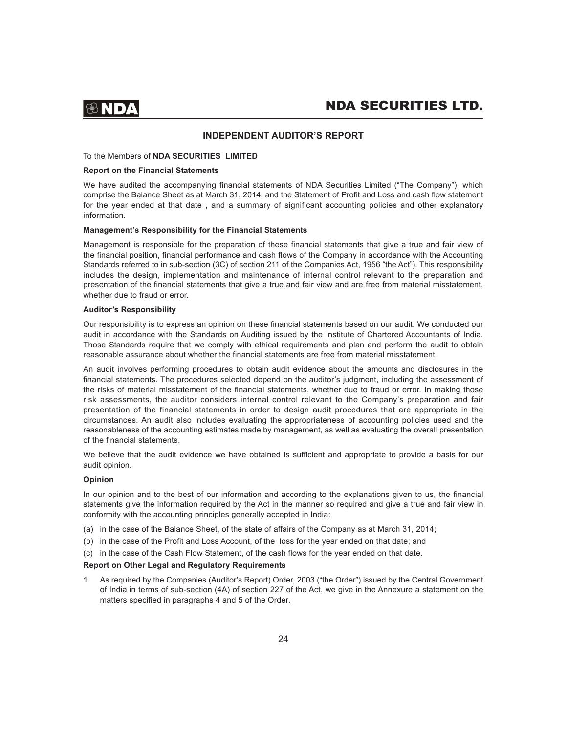

### **INDEPENDENT AUDITOR'S REPORT**

#### To the Members of **NDA SECURITIES LIMITED**

#### **Report on the Financial Statements**

We have audited the accompanying financial statements of NDA Securities Limited ("The Company"), which comprise the Balance Sheet as at March 31, 2014, and the Statement of Profit and Loss and cash flow statement for the year ended at that date , and a summary of significant accounting policies and other explanatory information.

### **Management's Responsibility for the Financial Statements**

Management is responsible for the preparation of these financial statements that give a true and fair view of the financial position, financial performance and cash flows of the Company in accordance with the Accounting Standards referred to in sub-section (3C) of section 211 of the Companies Act, 1956 "the Act"). This responsibility includes the design, implementation and maintenance of internal control relevant to the preparation and presentation of the financial statements that give a true and fair view and are free from material misstatement, whether due to fraud or error.

### **Auditor's Responsibility**

Our responsibility is to express an opinion on these financial statements based on our audit. We conducted our audit in accordance with the Standards on Auditing issued by the Institute of Chartered Accountants of India. Those Standards require that we comply with ethical requirements and plan and perform the audit to obtain reasonable assurance about whether the financial statements are free from material misstatement.

An audit involves performing procedures to obtain audit evidence about the amounts and disclosures in the financial statements. The procedures selected depend on the auditor's judgment, including the assessment of the risks of material misstatement of the financial statements, whether due to fraud or error. In making those risk assessments, the auditor considers internal control relevant to the Company's preparation and fair presentation of the financial statements in order to design audit procedures that are appropriate in the circumstances. An audit also includes evaluating the appropriateness of accounting policies used and the reasonableness of the accounting estimates made by management, as well as evaluating the overall presentation of the financial statements.

We believe that the audit evidence we have obtained is sufficient and appropriate to provide a basis for our audit opinion.

### **Opinion**

In our opinion and to the best of our information and according to the explanations given to us, the financial statements give the information required by the Act in the manner so required and give a true and fair view in conformity with the accounting principles generally accepted in India:

- (a) in the case of the Balance Sheet, of the state of affairs of the Company as at March 31, 2014;
- (b) in the case of the Profit and Loss Account, of the loss for the year ended on that date; and
- (c) in the case of the Cash Flow Statement, of the cash flows for the year ended on that date.

### **Report on Other Legal and Regulatory Requirements**

1. As required by the Companies (Auditor's Report) Order, 2003 ("the Order") issued by the Central Government of India in terms of sub-section (4A) of section 227 of the Act, we give in the Annexure a statement on the matters specified in paragraphs 4 and 5 of the Order.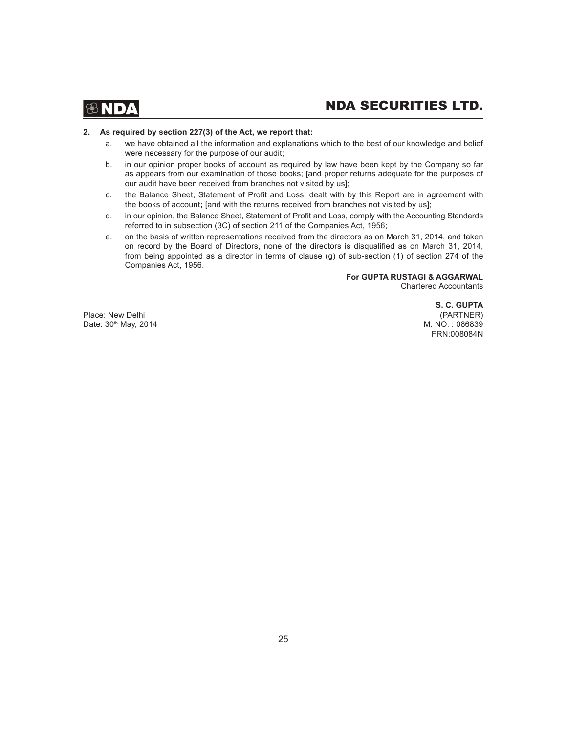### **2. As required by section 227(3) of the Act, we report that:**

- a. we have obtained all the information and explanations which to the best of our knowledge and belief were necessary for the purpose of our audit;
- b. in our opinion proper books of account as required by law have been kept by the Company so far as appears from our examination of those books; [and proper returns adequate for the purposes of our audit have been received from branches not visited by us];
- c. the Balance Sheet, Statement of Profit and Loss, dealt with by this Report are in agreement with the books of account**;** [and with the returns received from branches not visited by us];
- d. in our opinion, the Balance Sheet, Statement of Profit and Loss, comply with the Accounting Standards referred to in subsection (3C) of section 211 of the Companies Act, 1956;
- e. on the basis of written representations received from the directors as on March 31, 2014, and taken on record by the Board of Directors, none of the directors is disqualified as on March 31, 2014, from being appointed as a director in terms of clause (g) of sub-section (1) of section 274 of the Companies Act, 1956.

**For GUPTA RUSTAGI & AGGARWAL** Chartered Accountants

Place: New Delhi (PARTNER) (PARTNER) (PARTNER) (PARTNER) (PARTNER) (PARTNER) (PARTNER) (PARTNER) (PARTNER) (PARTNER) Date: 30<sup>th</sup> May, 2014

**S. C. GUPTA** FRN:008084N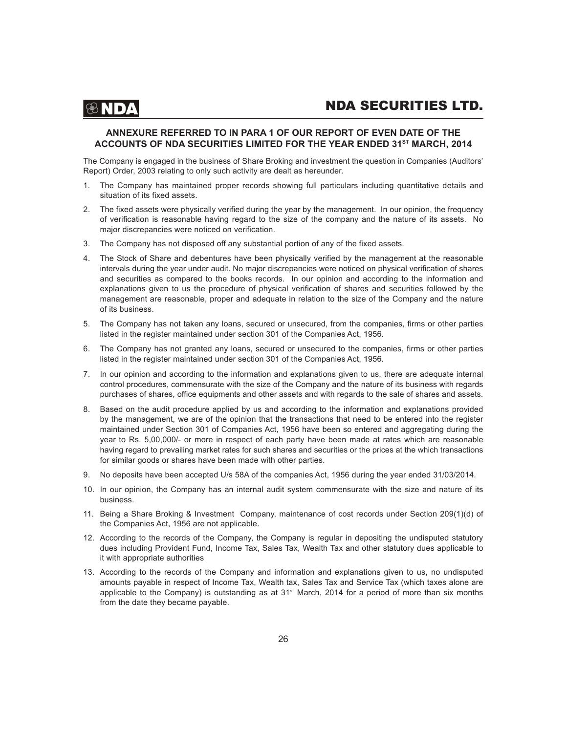# **&NDA**

# NDA SECURITIES LTD.

# **ANNEXURE REFERRED TO IN PARA 1 OF OUR REPORT OF EVEN DATE OF THE ACCOUNTS OF NDA SECURITIES LIMITED FOR THE YEAR ENDED 31ST MARCH, 2014**

The Company is engaged in the business of Share Broking and investment the question in Companies (Auditors' Report) Order, 2003 relating to only such activity are dealt as hereunder.

- 1. The Company has maintained proper records showing full particulars including quantitative details and situation of its fixed assets.
- 2. The fixed assets were physically verified during the year by the management. In our opinion, the frequency of verification is reasonable having regard to the size of the company and the nature of its assets. No major discrepancies were noticed on verification.
- 3. The Company has not disposed off any substantial portion of any of the fixed assets.
- 4. The Stock of Share and debentures have been physically verified by the management at the reasonable intervals during the year under audit. No major discrepancies were noticed on physical verification of shares and securities as compared to the books records. In our opinion and according to the information and explanations given to us the procedure of physical verification of shares and securities followed by the management are reasonable, proper and adequate in relation to the size of the Company and the nature of its business.
- 5. The Company has not taken any loans, secured or unsecured, from the companies, firms or other parties listed in the register maintained under section 301 of the Companies Act, 1956.
- 6. The Company has not granted any loans, secured or unsecured to the companies, firms or other parties listed in the register maintained under section 301 of the Companies Act, 1956.
- 7. In our opinion and according to the information and explanations given to us, there are adequate internal control procedures, commensurate with the size of the Company and the nature of its business with regards purchases of shares, office equipments and other assets and with regards to the sale of shares and assets.
- 8. Based on the audit procedure applied by us and according to the information and explanations provided by the management, we are of the opinion that the transactions that need to be entered into the register maintained under Section 301 of Companies Act, 1956 have been so entered and aggregating during the year to Rs. 5,00,000/- or more in respect of each party have been made at rates which are reasonable having regard to prevailing market rates for such shares and securities or the prices at the which transactions for similar goods or shares have been made with other parties.
- 9. No deposits have been accepted U/s 58A of the companies Act, 1956 during the year ended 31/03/2014.
- 10. In our opinion, the Company has an internal audit system commensurate with the size and nature of its business.
- 11. Being a Share Broking & Investment Company, maintenance of cost records under Section 209(1)(d) of the Companies Act, 1956 are not applicable.
- 12. According to the records of the Company, the Company is regular in depositing the undisputed statutory dues including Provident Fund, Income Tax, Sales Tax, Wealth Tax and other statutory dues applicable to it with appropriate authorities
- 13. According to the records of the Company and information and explanations given to us, no undisputed amounts payable in respect of Income Tax, Wealth tax, Sales Tax and Service Tax (which taxes alone are applicable to the Company) is outstanding as at  $31<sup>st</sup>$  March, 2014 for a period of more than six months from the date they became payable.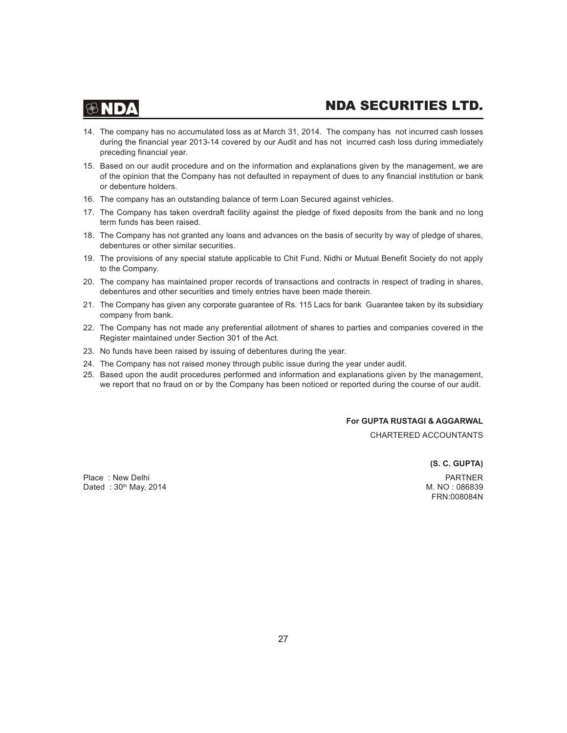# NDA

# NDA SECURITIES LTD.

- 14. The company has no accumulated loss as at March 31, 2014. The company has not incurred cash losses during the financial year 2013-14 covered by our Audit and has not incurred cash loss during immediately preceding financial year.
- 15. Based on our audit procedure and on the information and explanations given by the management, we are of the opinion that the Company has not defaulted in repayment of dues to any financial institution or bank or debenture holders.
- 16. The company has an outstanding balance of term Loan Secured against vehicles.
- 17. The Company has taken overdraft facility against the pledge of fixed deposits from the bank and no long term funds has been raised.
- 18. The Company has not granted any loans and advances on the basis of security by way of pledge of shares, debentures or other similar securities.
- 19. The provisions of any special statute applicable to Chit Fund, Nidhi or Mutual Benefit Society do not apply to the Company.
- 20. The company has maintained proper records of transactions and contracts in respect of trading in shares, debentures and other securities and timely entries have been made therein.
- 21. The Company has given any corporate guarantee of Rs. 115 Lacs for bank Guarantee taken by its subsidiary company from bank.
- 22. The Company has not made any preferential allotment of shares to parties and companies covered in the Register maintained under Section 301 of the Act.
- 23. No funds have been raised by issuing of debentures during the year.
- 24. The Company has not raised money through public issue during the year under audit.
- 25. Based upon the audit procedures performed and information and explanations given by the management, we report that no fraud on or by the Company has been noticed or reported during the course of our audit.

## **For GUPTA RUSTAGI & AGGARWAL**

CHARTERED ACCOUNTANTS

Place : New Delhi Partners and the extension of the extent of the extent of the extent of the extent of the extent of the extent of the extent of the extent of the extent of the extent of the extent of the extent of the ex  $\mu$  Dated : 30<sup>th</sup> May, 2014 M. No : 086839

**(S. C. GUPTA)** FRN:008084N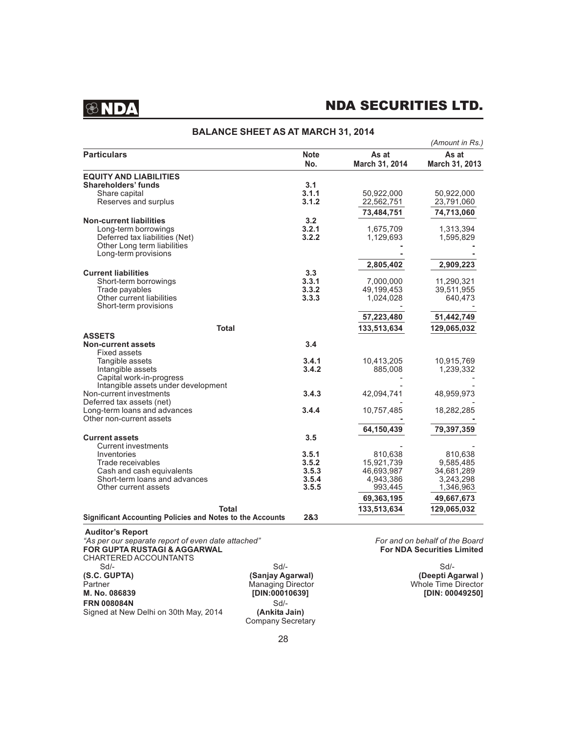

|                                                                  |                    |                         | (Amount in Rs.)                   |
|------------------------------------------------------------------|--------------------|-------------------------|-----------------------------------|
| <b>Particulars</b>                                               | <b>Note</b><br>No. | As at<br>March 31, 2014 | As at<br>March 31, 2013           |
| <b>EQUITY AND LIABILITIES</b>                                    |                    |                         |                                   |
| <b>Shareholders' funds</b>                                       | 3.1                |                         |                                   |
| Share capital                                                    | 3.1.1              | 50,922,000              | 50,922,000                        |
| Reserves and surplus                                             | 3.1.2              | 22,562,751              | 23,791,060                        |
|                                                                  |                    | 73,484,751              | 74,713,060                        |
| <b>Non-current liabilities</b>                                   | 3.2                |                         |                                   |
| Long-term borrowings<br>Deferred tax liabilities (Net)           | 3.2.1<br>3.2.2     | 1,675,709<br>1,129,693  | 1,313,394<br>1,595,829            |
| Other Long term liabilities                                      |                    |                         |                                   |
| Long-term provisions                                             |                    |                         |                                   |
|                                                                  |                    | 2,805,402               | 2,909,223                         |
| <b>Current liabilities</b>                                       | 3.3                |                         |                                   |
| Short-term borrowings                                            | 3.3.1              | 7.000.000               | 11.290.321                        |
| Trade payables                                                   | 3.3.2              | 49,199,453              | 39,511,955                        |
| Other current liabilities                                        | 3.3.3              | 1,024,028               | 640,473                           |
| Short-term provisions                                            |                    |                         |                                   |
|                                                                  |                    | 57,223,480              | 51,442,749                        |
| <b>Total</b>                                                     |                    | 133,513,634             | 129,065,032                       |
| <b>ASSETS</b>                                                    |                    |                         |                                   |
| <b>Non-current assets</b><br><b>Fixed assets</b>                 | 3.4                |                         |                                   |
| Tangible assets                                                  | 3.4.1              | 10,413,205              | 10,915,769                        |
| Intangible assets                                                | 3.4.2              | 885,008                 | 1,239,332                         |
| Capital work-in-progress                                         |                    |                         |                                   |
| Intangible assets under development                              |                    |                         |                                   |
| Non-current investments                                          | 3.4.3              | 42,094,741              | 48,959,973                        |
| Deferred tax assets (net)                                        | 3.4.4              |                         |                                   |
| Long-term loans and advances<br>Other non-current assets         |                    | 10,757,485              | 18,282,285                        |
|                                                                  |                    |                         |                                   |
| <b>Current assets</b>                                            | 3.5                | 64,150,439              | 79,397,359                        |
| <b>Current investments</b>                                       |                    |                         |                                   |
| Inventories                                                      | 3.5.1              | 810,638                 | 810,638                           |
| Trade receivables                                                | 3.5.2              | 15,921,739              | 9,585,485                         |
| Cash and cash equivalents                                        | 3.5.3              | 46,693,987              | 34,681,289                        |
| Short-term loans and advances                                    | 3.5.4              | 4,943,386               | 3,243,298                         |
| Other current assets                                             | 3.5.5              | 993,445                 | 1,346,963                         |
|                                                                  |                    | 69,363,195              | 49,667,673                        |
| Total                                                            |                    | 133,513,634             | 129,065,032                       |
| <b>Significant Accounting Policies and Notes to the Accounts</b> | 2&3                |                         |                                   |
| <b>Auditor's Report</b>                                          |                    |                         |                                   |
| "As per our separate report of even date attached"               |                    |                         | For and on behalf of the Board    |
| FOR GUPTA RUSTAGI & AGGARWAL                                     |                    |                         | <b>For NDA Securities Limited</b> |

CHARTERED ACCOUNTANTS<br>Sd/-<br>**(S.C. GUPTA) (S.C. GUPTA) (Sanjay Agarwal) (Deepti Agarwal )** Partner Managing Director Managing Director Noble Time Director **M. No. 086839 [DIN:00010639] [DIN: 00049250] FRN 008084N** Sd/-Company Secretary

Signed at New Delhi on 30th May, 2014

Sd/-<br>
Sd/-<br>
(Sanjay Agarwal) (Deepti Agamaging Director<br>
[DIN:00010639] (DIN:00010639]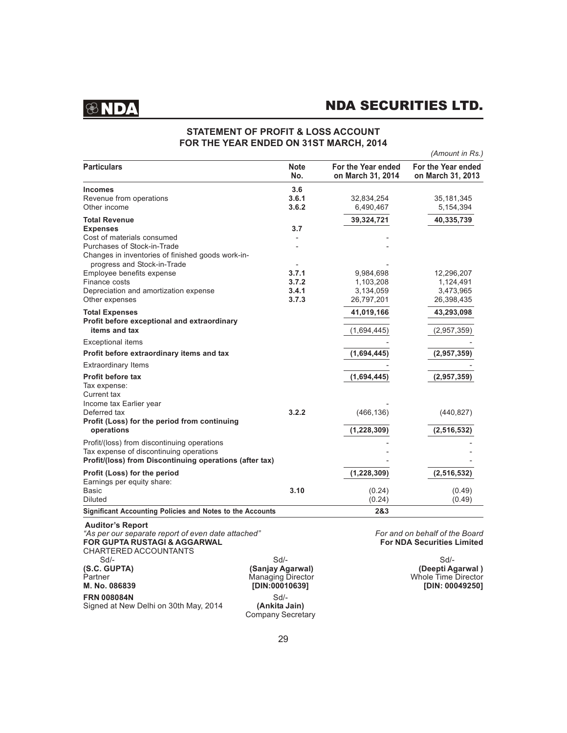

|                                                              |                    |                                         | (Amount in Rs.)                         |
|--------------------------------------------------------------|--------------------|-----------------------------------------|-----------------------------------------|
| <b>Particulars</b>                                           | <b>Note</b><br>No. | For the Year ended<br>on March 31, 2014 | For the Year ended<br>on March 31, 2013 |
| <b>Incomes</b>                                               | 3.6                |                                         |                                         |
| Revenue from operations                                      | 3.6.1              | 32,834,254                              | 35, 181, 345                            |
| Other income                                                 | 3.6.2              | 6,490,467                               | 5,154,394                               |
| <b>Total Revenue</b>                                         |                    | 39,324,721                              | 40,335,739                              |
| <b>Expenses</b>                                              | 3.7                |                                         |                                         |
| Cost of materials consumed                                   |                    |                                         |                                         |
| Purchases of Stock-in-Trade                                  |                    |                                         |                                         |
| Changes in inventories of finished goods work-in-            |                    |                                         |                                         |
| progress and Stock-in-Trade                                  |                    |                                         |                                         |
| Employee benefits expense<br>Finance costs                   | 3.7.1<br>3.7.2     | 9,984,698<br>1,103,208                  | 12,296,207<br>1,124,491                 |
| Depreciation and amortization expense                        | 3.4.1              | 3,134,059                               | 3,473,965                               |
| Other expenses                                               | 3.7.3              | 26,797,201                              | 26,398,435                              |
|                                                              |                    |                                         |                                         |
| <b>Total Expenses</b>                                        |                    | 41,019,166                              | 43,293,098                              |
| Profit before exceptional and extraordinary<br>items and tax |                    | (1,694,445)                             |                                         |
|                                                              |                    |                                         | (2,957,359)                             |
| <b>Exceptional items</b>                                     |                    |                                         |                                         |
| Profit before extraordinary items and tax                    |                    | (1,694,445)                             | (2,957,359)                             |
| <b>Extraordinary Items</b>                                   |                    |                                         |                                         |
| <b>Profit before tax</b>                                     |                    | (1,694,445)                             | (2,957,359)                             |
| Tax expense:                                                 |                    |                                         |                                         |
| Current tax                                                  |                    |                                         |                                         |
| Income tax Earlier year                                      |                    |                                         |                                         |
| Deferred tax                                                 | 3.2.2              | (466, 136)                              | (440, 827)                              |
| Profit (Loss) for the period from continuing                 |                    |                                         |                                         |
| operations                                                   |                    | (1, 228, 309)                           | (2, 516, 532)                           |
| Profit/(loss) from discontinuing operations                  |                    |                                         |                                         |
| Tax expense of discontinuing operations                      |                    |                                         |                                         |
| Profit/(loss) from Discontinuing operations (after tax)      |                    |                                         |                                         |
| Profit (Loss) for the period                                 |                    | (1, 228, 309)                           | (2,516,532)                             |
| Earnings per equity share:                                   |                    |                                         |                                         |
| <b>Basic</b>                                                 | 3.10               | (0.24)                                  | (0.49)                                  |
| <b>Diluted</b>                                               |                    | (0.24)                                  | (0.49)                                  |
| Significant Accounting Policies and Notes to the Accounts    |                    | 2&3                                     |                                         |
| <b>Auditor's Report</b>                                      |                    |                                         |                                         |

## **STATEMENT OF PROFIT & LOSS ACCOUNT FOR THE YEAR ENDED ON 31ST MARCH, 2014**

*"As per our separate report of even date attached" For and on behalf of the Board* **FOR GUPTA RUSTAGI & AGGARWAL For NDA Securities Limited** CHARTERED ACCOUNTANTS Sd/- Sd/- Sd/- **(S.C. GUPTA) (Sanjay Agarwal) (Deepti Agarwal )** Partner Managing Director Managing Director Noble Time Director **M. No. 086839 [DIN:00010639] [DIN: 00049250]**

FRN 008084N<br>Signed at New Delhi on 30th May, 2014 (Ankita Jain) Signed at New Delhi on 30th May, 2014

Company Secretary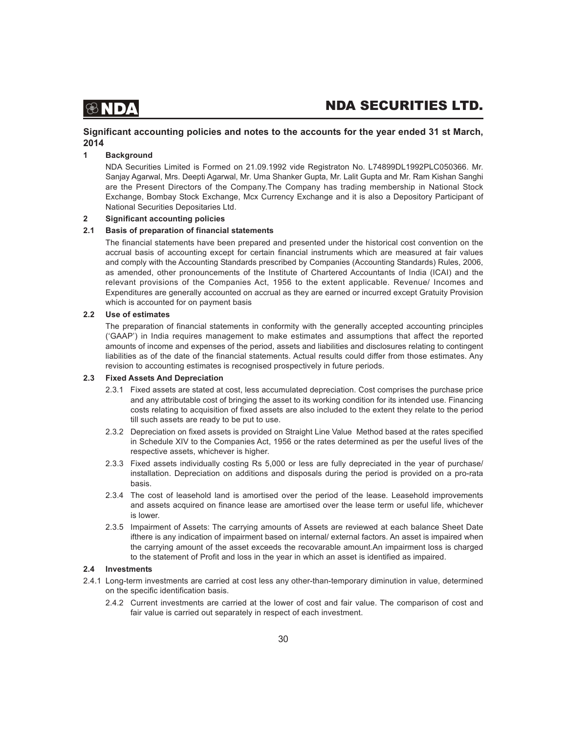# NDIA

# NDA SECURITIES LTD.

## **Significant accounting policies and notes to the accounts for the year ended 31 st March, 2014**

### **1 Background**

NDA Securities Limited is Formed on 21.09.1992 vide Registraton No. L74899DL1992PLC050366. Mr. Sanjay Agarwal, Mrs. Deepti Agarwal, Mr. Uma Shanker Gupta, Mr. Lalit Gupta and Mr. Ram Kishan Sanghi are the Present Directors of the Company.The Company has trading membership in National Stock Exchange, Bombay Stock Exchange, Mcx Currency Exchange and it is also a Depository Participant of National Securities Depositaries Ltd.

### **2 Significant accounting policies**

### **2.1 Basis of preparation of financial statements**

The financial statements have been prepared and presented under the historical cost convention on the accrual basis of accounting except for certain financial instruments which are measured at fair values and comply with the Accounting Standards prescribed by Companies (Accounting Standards) Rules, 2006, as amended, other pronouncements of the Institute of Chartered Accountants of India (ICAI) and the relevant provisions of the Companies Act, 1956 to the extent applicable. Revenue/ Incomes and Expenditures are generally accounted on accrual as they are earned or incurred except Gratuity Provision which is accounted for on payment basis

### **2.2 Use of estimates**

The preparation of financial statements in conformity with the generally accepted accounting principles ('GAAP') in India requires management to make estimates and assumptions that affect the reported amounts of income and expenses of the period, assets and liabilities and disclosures relating to contingent liabilities as of the date of the financial statements. Actual results could differ from those estimates. Any revision to accounting estimates is recognised prospectively in future periods.

### **2.3 Fixed Assets And Depreciation**

- 2.3.1 Fixed assets are stated at cost, less accumulated depreciation. Cost comprises the purchase price and any attributable cost of bringing the asset to its working condition for its intended use. Financing costs relating to acquisition of fixed assets are also included to the extent they relate to the period till such assets are ready to be put to use.
- 2.3.2 Depreciation on fixed assets is provided on Straight Line Value Method based at the rates specified in Schedule XIV to the Companies Act, 1956 or the rates determined as per the useful lives of the respective assets, whichever is higher.
- 2.3.3 Fixed assets individually costing Rs 5,000 or less are fully depreciated in the year of purchase/ installation. Depreciation on additions and disposals during the period is provided on a pro-rata basis.
- 2.3.4 The cost of leasehold land is amortised over the period of the lease. Leasehold improvements and assets acquired on finance lease are amortised over the lease term or useful life, whichever is lower.
- 2.3.5 Impairment of Assets: The carrying amounts of Assets are reviewed at each balance Sheet Date ifthere is any indication of impairment based on internal/ external factors. An asset is impaired when the carrying amount of the asset exceeds the recovarable amount.An impairment loss is charged to the statement of Profit and loss in the year in which an asset is identified as impaired.

### **2.4 Investments**

- 2.4.1 Long-term investments are carried at cost less any other-than-temporary diminution in value, determined on the specific identification basis.
	- 2.4.2 Current investments are carried at the lower of cost and fair value. The comparison of cost and fair value is carried out separately in respect of each investment.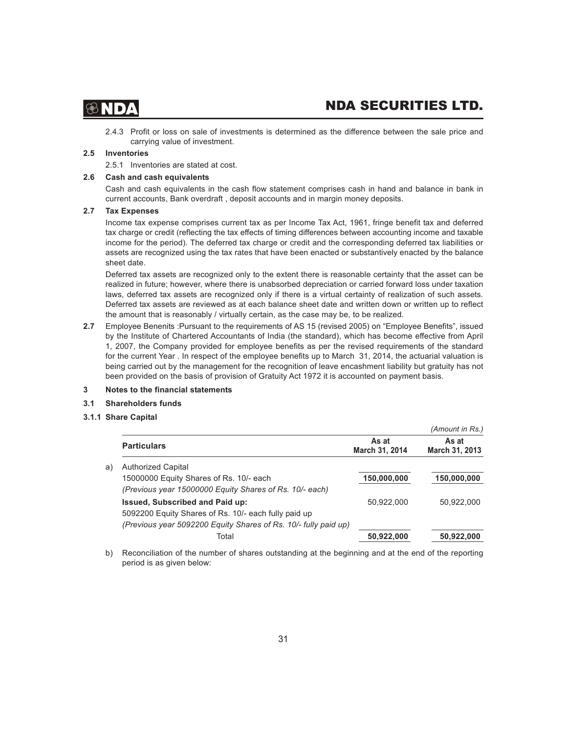# **BND**

# NDA SECURITIES LTD.

*(Amount in Rs.)*

2.4.3 Profit or loss on sale of investments is determined as the difference between the sale price and carrying value of investment.

### **2.5 Inventories**

2.5.1 Inventories are stated at cost.

### **2.6 Cash and cash equivalents**

Cash and cash equivalents in the cash flow statement comprises cash in hand and balance in bank in current accounts, Bank overdraft , deposit accounts and in margin money deposits.

### **2.7 Tax Expenses**

Income tax expense comprises current tax as per Income Tax Act, 1961, fringe benefit tax and deferred tax charge or credit (reflecting the tax effects of timing differences between accounting income and taxable income for the period). The deferred tax charge or credit and the corresponding deferred tax liabilities or assets are recognized using the tax rates that have been enacted or substantively enacted by the balance sheet date.

Deferred tax assets are recognized only to the extent there is reasonable certainty that the asset can be realized in future; however, where there is unabsorbed depreciation or carried forward loss under taxation laws, deferred tax assets are recognized only if there is a virtual certainty of realization of such assets. Deferred tax assets are reviewed as at each balance sheet date and written down or written up to reflect the amount that is reasonably / virtually certain, as the case may be, to be realized.

- **2.7** Employee Benenits :Pursuant to the requirements of AS 15 (revised 2005) on "Employee Benefits", issued by the Institute of Chartered Accountants of India (the standard), which has become effective from April 1, 2007, the Company provided for employee benefits as per the revised requirements of the standard for the current Year . In respect of the employee benefits up to March 31, 2014, the actuarial valuation is being carried out by the management for the recognition of leave encashment liability but gratuity has not been provided on the basis of provision of Gratuity Act 1972 it is accounted on payment basis.
- **3 Notes to the financial statements**
- **3.1 Shareholders funds**
- **3.1.1 Share Capital**

|                                                                 |                         | (Amount in Rs.)         |
|-----------------------------------------------------------------|-------------------------|-------------------------|
| <b>Particulars</b>                                              | As at<br>March 31, 2014 | As at<br>March 31, 2013 |
| <b>Authorized Capital</b>                                       |                         |                         |
| 15000000 Equity Shares of Rs. 10/- each                         | 150,000,000             | 150,000,000             |
| (Previous year 15000000 Equity Shares of Rs. 10/- each)         |                         |                         |
| <b>Issued, Subscribed and Paid up:</b>                          | 50.922.000              | 50.922.000              |
| 5092200 Equity Shares of Rs. 10/- each fully paid up            |                         |                         |
| (Previous year 5092200 Equity Shares of Rs. 10/- fully paid up) |                         |                         |
| Total                                                           | 50,922,000              | 50,922,000              |
|                                                                 |                         |                         |

b) Reconciliation of the number of shares outstanding at the beginning and at the end of the reporting period is as given below: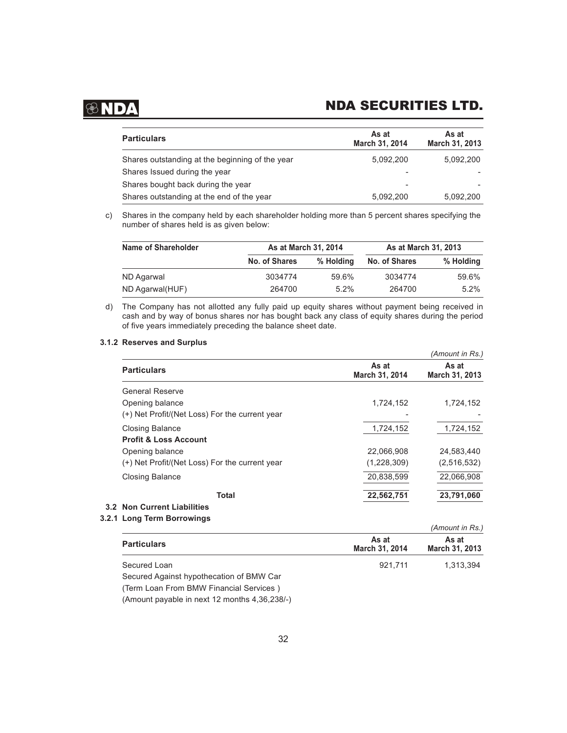# TDY

# NDA SECURITIES LTD.

| <b>Particulars</b>                              | As at          | As at          |  |
|-------------------------------------------------|----------------|----------------|--|
|                                                 | March 31, 2014 | March 31, 2013 |  |
| Shares outstanding at the beginning of the year | 5,092,200      | 5,092,200      |  |
| Shares Issued during the year                   |                |                |  |
| Shares bought back during the year              | -              |                |  |
| Shares outstanding at the end of the year       | 5,092,200      | 5,092,200      |  |

c) Shares in the company held by each shareholder holding more than 5 percent shares specifying the number of shares held is as given below:

| Name of Shareholder<br>As at March 31, 2014 |               | As at March 31, 2013 |               |           |
|---------------------------------------------|---------------|----------------------|---------------|-----------|
|                                             | No. of Shares | % Holding            | No. of Shares | % Holding |
| ND Agarwal                                  | 3034774       | 59.6%                | 3034774       | 59.6%     |
| ND Agarwal(HUF)                             | 264700        | $5.2\%$              | 264700        | $5.2\%$   |

d) The Company has not allotted any fully paid up equity shares without payment being received in cash and by way of bonus shares nor has bought back any class of equity shares during the period of five years immediately preceding the balance sheet date.

## **3.1.2 Reserves and Surplus**

|                                                |                         | (Amount in Rs.)         |
|------------------------------------------------|-------------------------|-------------------------|
| <b>Particulars</b>                             | As at<br>March 31, 2014 | As at<br>March 31, 2013 |
| <b>General Reserve</b>                         |                         |                         |
| Opening balance                                | 1,724,152               | 1,724,152               |
| (+) Net Profit/(Net Loss) For the current year |                         |                         |
| <b>Closing Balance</b>                         | 1,724,152               | 1,724,152               |
| <b>Profit &amp; Loss Account</b>               |                         |                         |
| Opening balance                                | 22,066,908              | 24,583,440              |
| (+) Net Profit/(Net Loss) For the current year | (1,228,309)             | (2,516,532)             |
| <b>Closing Balance</b>                         | 20,838,599              | 22,066,908              |
| Total                                          | 22,562,751              | 23,791,060              |
| <b>3.2 Non Current Liabilities</b>             |                         |                         |
| 3.2.1 Long Term Borrowings                     |                         |                         |
|                                                |                         | (Amount in Rs.)         |
| <b>Particulars</b>                             | As at<br>March 31, 2014 | As at<br>March 31, 2013 |

Secured Loan **921,711** 1,313,394 Secured Against hypothecation of BMW Car (Term Loan From BMW Financial Services )

(Amount payable in next 12 months 4,36,238/-)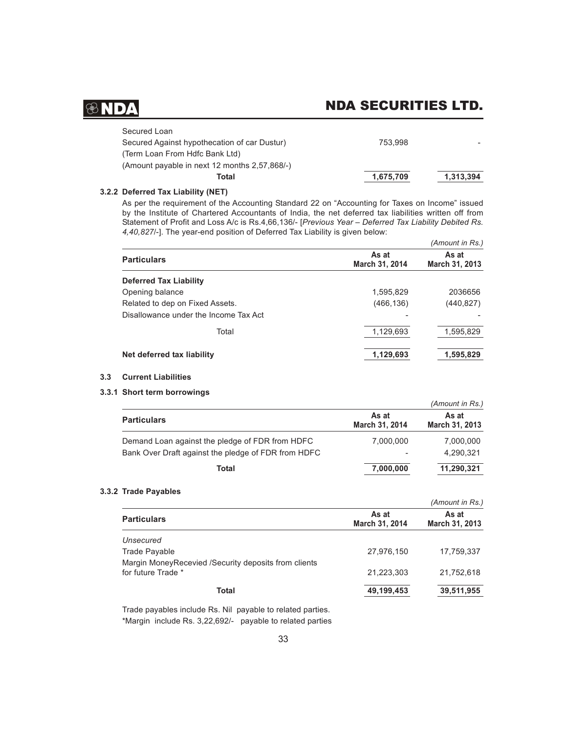# **®NDA**

# NDA SECURITIES LTD.

| (Amount payable in next 12 months 2,57,868/-)<br>Total | 1,675,709 | 1,313,394 |
|--------------------------------------------------------|-----------|-----------|
| (Term Loan From Hdfc Bank Ltd)                         |           |           |
| Secured Against hypothecation of car Dustur)           | 753.998   |           |
| Secured Loan                                           |           |           |

### **3.2.2 Deferred Tax Liability (NET)**

As per the requirement of the Accounting Standard 22 on "Accounting for Taxes on Income" issued by the Institute of Chartered Accountants of India, the net deferred tax liabilities written off from Statement of Profit and Loss A/c is Rs.4,66,136/- [*Previous Year – Deferred Tax Liability Debited Rs. 4,40,827*/-]. The year-end position of Deferred Tax Liability is given below:

|                                       | (Amount in Rs.)         |                         |
|---------------------------------------|-------------------------|-------------------------|
| <b>Particulars</b>                    | As at<br>March 31, 2014 | As at<br>March 31, 2013 |
| <b>Deferred Tax Liability</b>         |                         |                         |
| Opening balance                       | 1,595,829               | 2036656                 |
| Related to dep on Fixed Assets.       | (466, 136)              | (440, 827)              |
| Disallowance under the Income Tax Act |                         |                         |
| Total                                 | 1,129,693               | 1,595,829               |
| Net deferred tax liability            | 1,129,693               | 1,595,829               |

### **3.3 Current Liabilities**

# **3.3.1 Short term borrowings**

|                                                     | (Amount in Rs.)         |                         |
|-----------------------------------------------------|-------------------------|-------------------------|
| <b>Particulars</b>                                  | As at<br>March 31, 2014 | As at<br>March 31, 2013 |
| Demand Loan against the pledge of FDR from HDFC     | 7,000,000               | 7,000,000               |
| Bank Over Draft against the pledge of FDR from HDFC |                         | 4,290,321               |
| Total                                               | 7,000,000               | 11,290,321              |

### **3.3.2 Trade Payables**

|                                                      |                         | (Amount in Rs.)         |
|------------------------------------------------------|-------------------------|-------------------------|
| <b>Particulars</b>                                   | As at<br>March 31, 2014 | As at<br>March 31, 2013 |
| Unsecured                                            |                         |                         |
| Trade Payable                                        | 27,976,150              | 17,759,337              |
| Margin MoneyRecevied /Security deposits from clients |                         |                         |
| for future Trade *                                   | 21,223,303              | 21.752.618              |
| <b>Total</b>                                         | 49,199,453              | 39,511,955              |

Trade payables include Rs. Nil payable to related parties. \*Margin include Rs. 3,22,692/- payable to related parties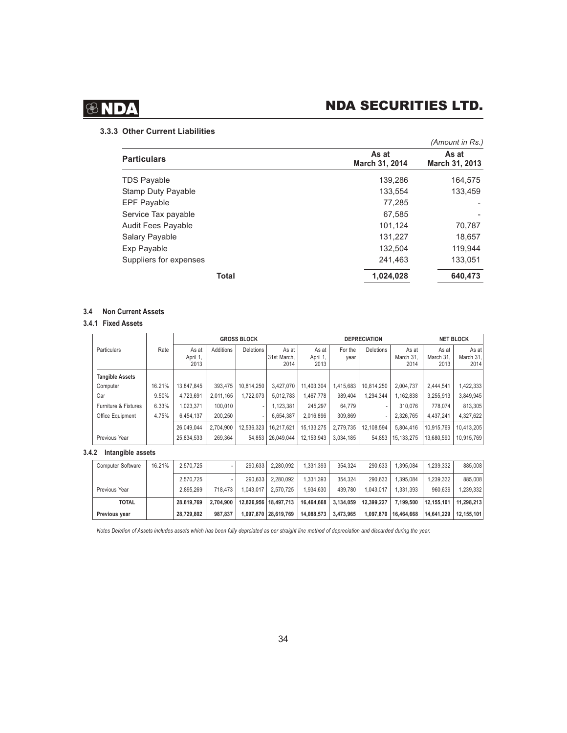# **&NDA**

# NDA SECURITIES LTD.

### **3.3.3 Other Current Liabilities**

|                           |                         | (Amount in Rs.)         |
|---------------------------|-------------------------|-------------------------|
| <b>Particulars</b>        | As at<br>March 31, 2014 | As at<br>March 31, 2013 |
| <b>TDS Payable</b>        | 139,286                 | 164,575                 |
| Stamp Duty Payable        | 133,554                 | 133.459                 |
| <b>EPF Payable</b>        | 77,285                  |                         |
| Service Tax payable       | 67,585                  |                         |
| <b>Audit Fees Payable</b> | 101,124                 | 70,787                  |
| Salary Payable            | 131,227                 | 18,657                  |
| Exp Payable               | 132,504                 | 119.944                 |
| Suppliers for expenses    | 241,463                 | 133,051                 |
| <b>Total</b>              | 1,024,028               | 640,473                 |

### **3.4 Non Current Assets**

### **3.4.1 Fixed Assets**

|                        |        |            | <b>GROSS BLOCK</b> |            |             |            |           | <b>DEPRECIATION</b>      |            | <b>NET BLOCK</b> |            |
|------------------------|--------|------------|--------------------|------------|-------------|------------|-----------|--------------------------|------------|------------------|------------|
| Particulars            | Rate   | As at      | Additions          | Deletions  | As at       | As at      | For the   | <b>Deletions</b>         | As at      | As at            | As at      |
|                        |        | April 1,   |                    |            | 31st March. | April 1,   | year      |                          | March 31.  | March 31.        | March 31,  |
|                        |        | 2013       |                    |            | 2014        | 2013       |           |                          | 2014       | 2013             | 2014       |
| <b>Tangible Assets</b> |        |            |                    |            |             |            |           |                          |            |                  |            |
| Computer               | 16.21% | 13,847,845 | 393,475            | 10.814.250 | 3.427.070   | 11.403.304 | 1.415.683 | 10.814.250               | 2.004.737  | 2.444.541        | 1,422,333  |
| Car                    | 9.50%  | 4.723.691  | 2.011.165          | 1.722.073  | 5.012.783   | 1.467.778  | 989.404   | 1.294.344                | 1.162.838  | 3.255.913        | 3,849,945  |
| Furniture & Fixtures   | 6.33%  | ,023,371   | 100.010            |            | 1.123.381   | 245.297    | 64.779    | $\overline{\phantom{a}}$ | 310.076    | 778.074          | 813,305    |
| Office Equipment       | 4.75%  | 6.454.137  | 200.250            |            | 6.654.387   | 2.016.896  | 309.869   | ٠                        | 2.326.765  | 4.437.241        | 4.327.622  |
|                        |        | 26.049.044 | 2.704.900          | 12.536.323 | 16.217.621  | 15.133.275 | 2.779.735 | 12.108.594               | 5.804.416  | 10.915.769       | 10,413,205 |
| Previous Year          |        | 25.834.533 | 269.364            | 54.853     | 26.049.044  | 12.153.943 | 3.034.185 | 54.853                   | 15.133.275 | 13.680.590       | 10,915,769 |

### **3.4.2 Intangible assets**

| <b>Computer Software</b> | 16.21% | 2.570.725  |           | 290.633   | 2.280.092               | 1.331.393  | 354.324   | 290.633    | .395.084   | .239.332   | 885.008    |
|--------------------------|--------|------------|-----------|-----------|-------------------------|------------|-----------|------------|------------|------------|------------|
|                          |        | 2.570.725  |           | 290.633   | 2.280.092               | 1.331.393  | 354.324   | 290.633    | .395.084   | .239.332   | 885.008    |
| Previous Year            |        | 2.895.269  | 718.473   | 1.043.017 | 2.570.725               | 1.934.630  | 439.780   | 1.043.017  | .331.393   | 960.639    | 1.239.3321 |
| TOTAL                    |        | 28.619.769 | 2.704.900 |           | 12.826.956   18.497.713 | 16.464.668 | 3.134.059 | 12.399.227 | 199.500    | 12.155.101 | 11.298.213 |
| Previous year            |        | 28.729.802 | 987.837   |           | 1.097.870 28.619.769    | 14.088.573 | 3.473.965 | 1.097.870  | 16.464.668 | 14.641.229 | 12.155.101 |

*Notes Deletion of Assets includes assets which has been fully deprciated as per straight line method of depreciation and discarded during the year.*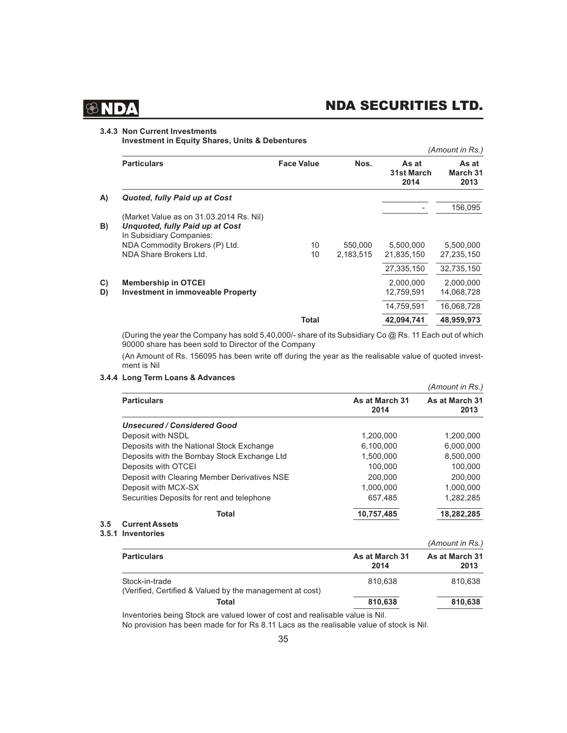# **BNDA**

# NDA SECURITIES LTD.

#### **3.4.3 Non Current Investments**

**Investment in Equity Shares, Units & Debentures**

| <b>Particulars</b>                                                                                     | <b>Face Value</b> | Nos.      | As at<br>31st March<br>2014 | As at<br>March 31<br>2013 |
|--------------------------------------------------------------------------------------------------------|-------------------|-----------|-----------------------------|---------------------------|
| Quoted, fully Paid up at Cost                                                                          |                   |           |                             |                           |
|                                                                                                        |                   |           |                             | 156,095                   |
| (Market Value as on 31.03.2014 Rs. Nil)<br>Unquoted, fully Paid up at Cost<br>In Subsidiary Companies: |                   |           |                             |                           |
| NDA Commodity Brokers (P) Ltd.                                                                         | 10                | 550,000   | 5,500,000                   | 5,500,000                 |
| NDA Share Brokers Ltd.                                                                                 | 10                | 2.183.515 | 21.835.150                  | 27.235.150                |
|                                                                                                        |                   |           | 27,335,150                  | 32,735,150                |
| <b>Membership in OTCEI</b>                                                                             |                   |           | 2,000,000                   | 2,000,000                 |
| <b>Investment in immoveable Property</b>                                                               |                   |           | 12,759,591                  | 14,068,728                |
|                                                                                                        |                   |           | 14,759,591                  | 16,068,728                |
|                                                                                                        | <b>Total</b>      |           | 42,094,741                  | 48,959,973                |

(During the year the Company has sold 5,40,000/- share of its Subsidiary Co @ Rs. 11 Each out of which 90000 share has been sold to Director of the Company

(An Amount of Rs. 156095 has been write off during the year as the realisable value of quoted investment is Nil

### **3.4.4 Long Term Loans & Advances**

|                        | (Amount in Rs.)        |
|------------------------|------------------------|
| As at March 31<br>2014 | As at March 31<br>2013 |
|                        |                        |
| 1,200,000              | 1.200.000              |
| 6,100,000              | 6,000,000              |
| 1.500.000              | 8.500.000              |
| 100.000                | 100.000                |
| 200,000                | 200.000                |
| 1,000,000              | 1,000,000              |
| 657,485                | 1,282,285              |
| 10,757,485             | 18,282,285             |
|                        |                        |
|                        | <i>(Amount in Rs.)</i> |
|                        |                        |

| <b>Particulars</b>                                                         | As at March 31<br>2014 | As at March 31<br>2013 |
|----------------------------------------------------------------------------|------------------------|------------------------|
| Stock-in-trade<br>(Verified, Certified & Valued by the management at cost) | 810.638                | 810.638                |
| Total                                                                      | 810,638                | 810,638                |

Inventories being Stock are valued lower of cost and realisable value is Nil. No provision has been made for for Rs 8.11 Lacs as the realisable value of stock is Nil.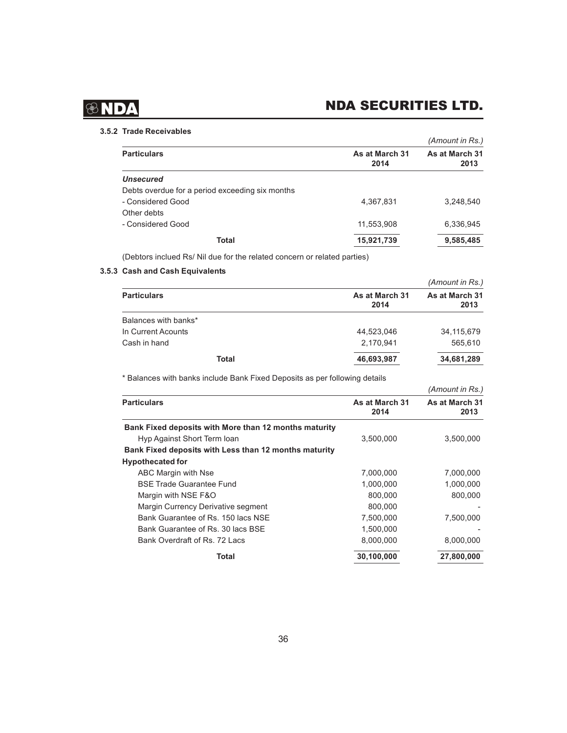# NDA SECURITIES LTD.

### **3.5.2 Trade Receivables**

|                                                 | (Amount in Rs.)        |                        |  |  |  |
|-------------------------------------------------|------------------------|------------------------|--|--|--|
| <b>Particulars</b>                              | As at March 31<br>2014 | As at March 31<br>2013 |  |  |  |
| <b>Unsecured</b>                                |                        |                        |  |  |  |
| Debts overdue for a period exceeding six months |                        |                        |  |  |  |
| - Considered Good                               | 4,367,831              | 3,248,540              |  |  |  |
| Other debts                                     |                        |                        |  |  |  |
| - Considered Good                               | 11,553,908             | 6,336,945              |  |  |  |
| Total                                           | 15,921,739             | 9,585,485              |  |  |  |

(Debtors inclued Rs/ Nil due for the related concern or related parties)

### **3.5.3 Cash and Cash Equivalents**

|                      |                        | (Amount in Rs.)        |
|----------------------|------------------------|------------------------|
| <b>Particulars</b>   | As at March 31<br>2014 | As at March 31<br>2013 |
| Balances with banks* |                        |                        |
| In Current Acounts   | 44,523,046             | 34,115,679             |
| Cash in hand         | 2,170,941              | 565,610                |
| Total                | 46,693,987             | 34,681,289             |

\* Balances with banks include Bank Fixed Deposits as per following details

|                                                       |                        | (Amount in Rs.)        |
|-------------------------------------------------------|------------------------|------------------------|
| <b>Particulars</b>                                    | As at March 31<br>2014 | As at March 31<br>2013 |
| Bank Fixed deposits with More than 12 months maturity |                        |                        |
| Hyp Against Short Term Ioan                           | 3,500,000              | 3,500,000              |
| Bank Fixed deposits with Less than 12 months maturity |                        |                        |
| <b>Hypothecated for</b>                               |                        |                        |
| ABC Margin with Nse                                   | 7,000,000              | 7,000,000              |
| <b>BSE Trade Guarantee Fund</b>                       | 1,000,000              | 1,000,000              |
| Margin with NSE F&O                                   | 800.000                | 800,000                |
| Margin Currency Derivative segment                    | 800,000                |                        |
| Bank Guarantee of Rs. 150 lacs NSE                    | 7,500,000              | 7,500,000              |
| Bank Guarantee of Rs. 30 lacs BSE                     | 1,500,000              |                        |
| Bank Overdraft of Rs. 72 Lacs                         | 8,000,000              | 8,000,000              |
| Total                                                 | 30,100,000             | 27,800,000             |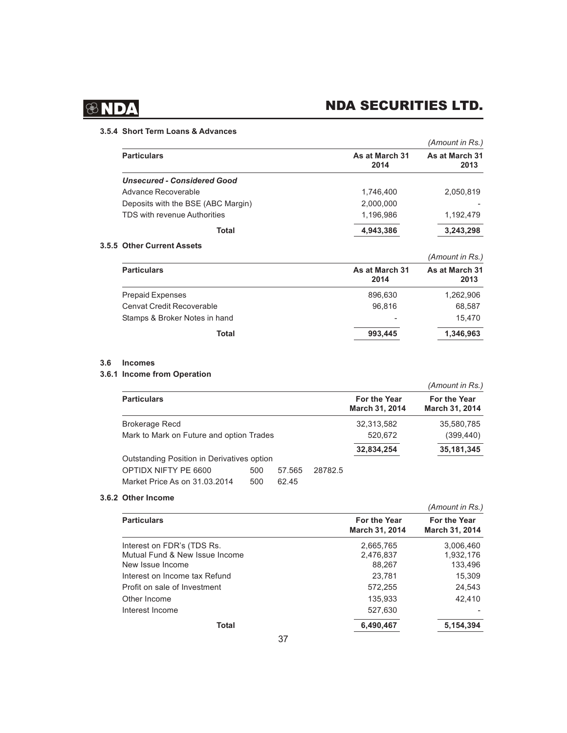# NDA SECURITIES LTD.

### **3.5.4 Short Term Loans & Advances**

|                        | (Amount in Rs.)        |
|------------------------|------------------------|
| As at March 31<br>2014 | As at March 31<br>2013 |
|                        |                        |
| 1.746.400              | 2,050,819              |
| 2,000,000              |                        |
| 1,196,986              | 1.192.479              |
| 4,943,386              | 3,243,298              |
|                        |                        |

### **3.5.5 Other Current Assets**

|                               |                        | (Amount in Rs.)        |
|-------------------------------|------------------------|------------------------|
| <b>Particulars</b>            | As at March 31<br>2014 | As at March 31<br>2013 |
| <b>Prepaid Expenses</b>       | 896,630                | 1,262,906              |
| Cenvat Credit Recoverable     | 96.816                 | 68,587                 |
| Stamps & Broker Notes in hand |                        | 15.470                 |
| Total                         | 993,445                | 1,346,963              |

### **3.6 Incomes**

### **3.6.1 Income from Operation**

|                                            |                                |                                |         |            | (Amount in Rs.) |
|--------------------------------------------|--------------------------------|--------------------------------|---------|------------|-----------------|
| <b>Particulars</b>                         | For the Year<br>March 31, 2014 | For the Year<br>March 31, 2014 |         |            |                 |
| <b>Brokerage Recd</b>                      |                                |                                |         | 32,313,582 | 35,580,785      |
| Mark to Mark on Future and option Trades   |                                |                                |         | 520,672    | (399, 440)      |
|                                            |                                |                                |         | 32,834,254 | 35, 181, 345    |
| Outstanding Position in Derivatives option |                                |                                |         |            |                 |
| OPTIDX NIFTY PE 6600                       | 500                            | 57.565                         | 28782.5 |            |                 |
| Market Price As on 31.03.2014              | 500                            | 62.45                          |         |            |                 |

### **3.6.2 Other Income**

|                                |                                | (Amount in Rs.)                |
|--------------------------------|--------------------------------|--------------------------------|
| <b>Particulars</b>             | For the Year<br>March 31, 2014 | For the Year<br>March 31, 2014 |
| Interest on FDR's (TDS Rs.     | 2.665.765                      | 3.006.460                      |
| Mutual Fund & New Issue Income | 2.476.837                      | 1,932,176                      |
| New Issue Income               | 88,267                         | 133,496                        |
| Interest on Income tax Refund  | 23,781                         | 15,309                         |
| Profit on sale of Investment   | 572.255                        | 24.543                         |
| Other Income                   | 135.933                        | 42.410                         |
| Interest Income                | 527,630                        |                                |
| Total                          | 6,490,467                      | 5,154,394                      |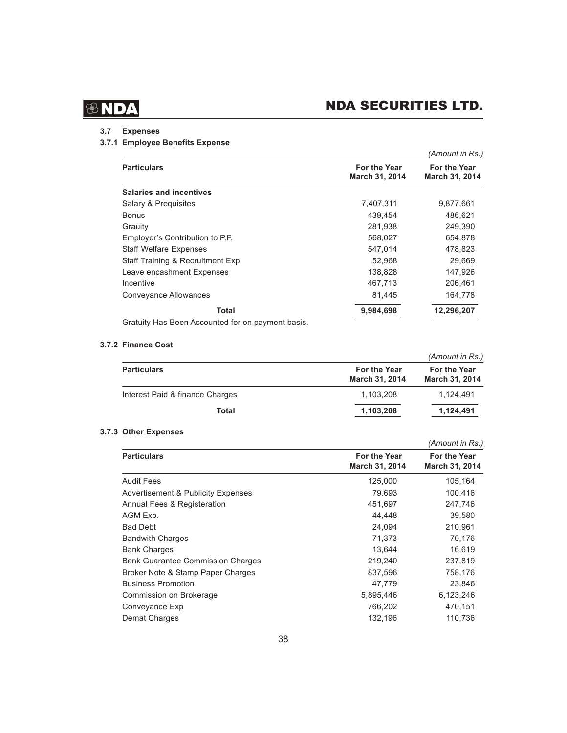# NDA SECURITIES LTD.

### **3.7 Expenses**

### **3.7.1 Employee Benefits Expense**

| $=$ p.v , vv $=$ vvv $=$ $\sim$ pvvv              |                                |                                |
|---------------------------------------------------|--------------------------------|--------------------------------|
|                                                   |                                | (Amount in Rs.)                |
| <b>Particulars</b>                                | For the Year<br>March 31, 2014 | For the Year<br>March 31, 2014 |
| <b>Salaries and incentives</b>                    |                                |                                |
| Salary & Prequisites                              | 7.407.311                      | 9,877,661                      |
| <b>Bonus</b>                                      | 439.454                        | 486,621                        |
| Grauity                                           | 281,938                        | 249,390                        |
| Employer's Contribution to P.F.                   | 568.027                        | 654.878                        |
| <b>Staff Welfare Expenses</b>                     | 547,014                        | 478,823                        |
| Staff Training & Recruitment Exp                  | 52,968                         | 29,669                         |
| Leave encashment Expenses                         | 138,828                        | 147,926                        |
| Incentive                                         | 467,713                        | 206,461                        |
| Conveyance Allowances                             | 81,445                         | 164,778                        |
| Total                                             | 9,984,698                      | 12,296,207                     |
| Gratuity Has Been Accounted for on payment basis. |                                |                                |

### **3.7.2 Finance Cost**

|                                 |                                       | (Amount in Rs.)                       |
|---------------------------------|---------------------------------------|---------------------------------------|
| <b>Particulars</b>              | <b>For the Year</b><br>March 31, 2014 | <b>For the Year</b><br>March 31, 2014 |
| Interest Paid & finance Charges | 1,103,208                             | 1,124,491                             |
| Total                           | 1,103,208                             | 1,124,491                             |

### **3.7.3 Other Expenses**

|                                          |                                | (Amount in Rs.)                |
|------------------------------------------|--------------------------------|--------------------------------|
| <b>Particulars</b>                       | For the Year<br>March 31, 2014 | For the Year<br>March 31, 2014 |
| <b>Audit Fees</b>                        | 125,000                        | 105,164                        |
| Advertisement & Publicity Expenses       | 79,693                         | 100,416                        |
| Annual Fees & Registeration              | 451,697                        | 247,746                        |
| AGM Exp.                                 | 44,448                         | 39,580                         |
| <b>Bad Debt</b>                          | 24.094                         | 210,961                        |
| <b>Bandwith Charges</b>                  | 71,373                         | 70,176                         |
| <b>Bank Charges</b>                      | 13.644                         | 16,619                         |
| <b>Bank Guarantee Commission Charges</b> | 219,240                        | 237,819                        |
| Broker Note & Stamp Paper Charges        | 837,596                        | 758,176                        |
| <b>Business Promotion</b>                | 47,779                         | 23,846                         |
| Commission on Brokerage                  | 5,895,446                      | 6,123,246                      |
| Conveyance Exp                           | 766,202                        | 470,151                        |
| Demat Charges                            | 132,196                        | 110,736                        |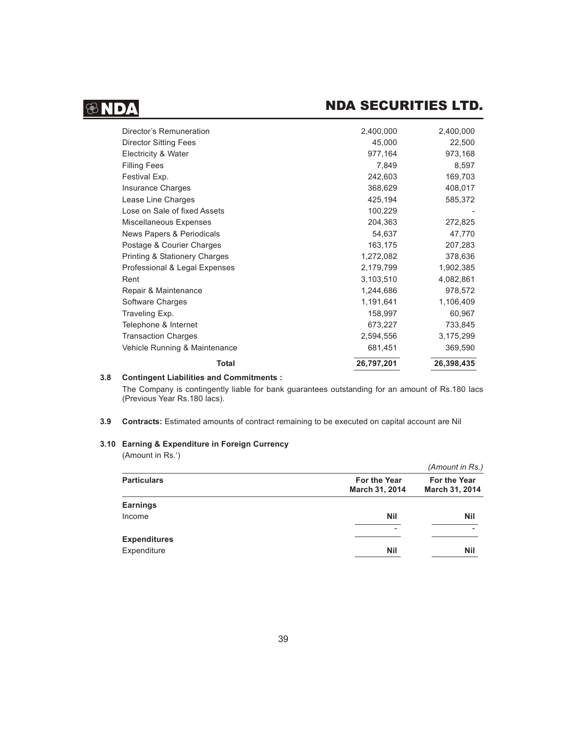# **BNDA**

# NDA SECURITIES LTD.

| Director's Remuneration                  | 2,400,000  | 2,400,000  |
|------------------------------------------|------------|------------|
| <b>Director Sitting Fees</b>             | 45,000     | 22,500     |
| Electricity & Water                      | 977,164    | 973,168    |
| <b>Filling Fees</b>                      | 7,849      | 8,597      |
| Festival Exp.                            | 242,603    | 169,703    |
| <b>Insurance Charges</b>                 | 368,629    | 408,017    |
| Lease Line Charges                       | 425,194    | 585,372    |
| Lose on Sale of fixed Assets             | 100,229    |            |
| Miscellaneous Expenses                   | 204,363    | 272,825    |
| News Papers & Periodicals                | 54,637     | 47,770     |
| Postage & Courier Charges                | 163,175    | 207,283    |
| <b>Printing &amp; Stationery Charges</b> | 1,272,082  | 378,636    |
| Professional & Legal Expenses            | 2,179,799  | 1,902,385  |
| Rent                                     | 3,103,510  | 4,082,861  |
| Repair & Maintenance                     | 1,244,686  | 978,572    |
| Software Charges                         | 1,191,641  | 1,106,409  |
| Traveling Exp.                           | 158,997    | 60,967     |
| Telephone & Internet                     | 673,227    | 733,845    |
| <b>Transaction Charges</b>               | 2,594,556  | 3,175,299  |
| Vehicle Running & Maintenance            | 681,451    | 369,590    |
| Total                                    | 26,797,201 | 26,398,435 |

### **3.8 Contingent Liabilities and Commitments :**

The Company is contingently liable for bank guarantees outstanding for an amount of Rs.180 lacs (Previous Year Rs.180 lacs).

**3.9 Contracts:** Estimated amounts of contract remaining to be executed on capital account are Nil

### **3.10 Earning & Expenditure in Foreign Currency**

(Amount in Rs.')

|                     | (Amount in Rs.)                |                                |  |  |
|---------------------|--------------------------------|--------------------------------|--|--|
| <b>Particulars</b>  | For the Year<br>March 31, 2014 | For the Year<br>March 31, 2014 |  |  |
| <b>Earnings</b>     |                                |                                |  |  |
| Income              | <b>Nil</b>                     | <b>Nil</b>                     |  |  |
|                     | $\overline{\phantom{a}}$       |                                |  |  |
| <b>Expenditures</b> |                                |                                |  |  |
| Expenditure         | <b>Nil</b>                     | <b>Nil</b>                     |  |  |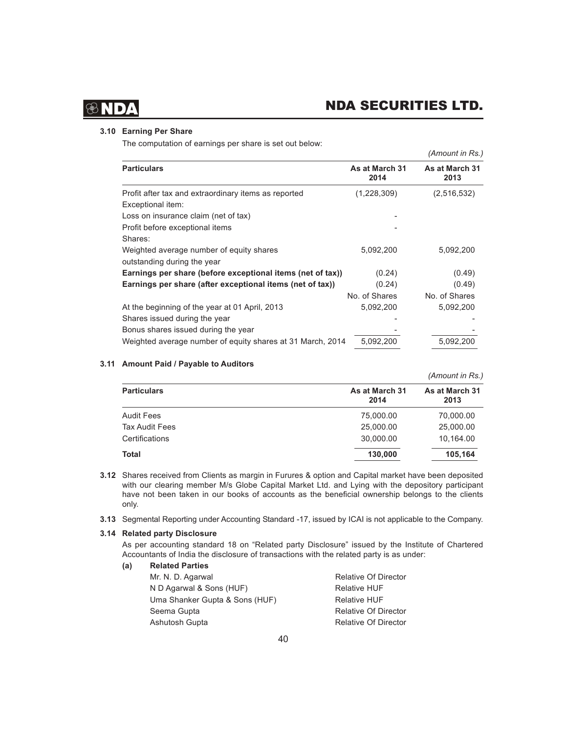#### **3.10 Earning Per Share**

The computation of earnings per share is set out below:

*(Amount in Rs.)* **Particulars As at March 31 As at March 31 As at March 31 As at March 31 2014 2013** Profit after tax and extraordinary items as reported (1,228,309) (2,516,532) Exceptional item: Loss on insurance claim (net of tax) Profit before exceptional items Shares: Weighted average number of equity shares 5,092,200 5,092,200 5,092,200 outstanding during the year **Earnings per share (before exceptional items (net of tax))** (0.24) (0.49) **Earnings per share (after exceptional items (net of tax))** (0.24) (0.49) No. of Shares No. of Shares At the beginning of the year at 01 April, 2013 5,092,200 5,092,200 Shares issued during the year Bonus shares issued during the year Weighted average number of equity shares at 31 March, 2014 5,092,200 5,092,200

### **3.11 Amount Paid / Payable to Auditors**

*(Amount in Rs.)*

| <b>Particulars</b>    | As at March 31<br>2014 | As at March 31<br>2013 |
|-----------------------|------------------------|------------------------|
| <b>Audit Fees</b>     | 75,000.00              | 70,000.00              |
| <b>Tax Audit Fees</b> | 25,000.00              | 25,000.00              |
| Certifications        | 30,000.00              | 10,164.00              |
| <b>Total</b>          | 130,000                | 105,164                |

- **3.12** Shares received from Clients as margin in Furures & option and Capital market have been deposited with our clearing member M/s Globe Capital Market Ltd. and Lying with the depository participant have not been taken in our books of accounts as the beneficial ownership belongs to the clients only.
- **3.13** Segmental Reporting under Accounting Standard -17, issued by ICAI is not applicable to the Company.

### **3.14 Related party Disclosure**

As per accounting standard 18 on "Related party Disclosure" issued by the Institute of Chartered Accountants of India the disclosure of transactions with the related party is as under:

| (a) | <b>Related Parties</b> |  |
|-----|------------------------|--|
|-----|------------------------|--|

Mr. N. D. Agarwal **Relative Of Director** N D Agarwal & Sons (HUF) Relative HUF Uma Shanker Gupta & Sons (HUF) Relative HUF Seema Gupta **Relative Of Director** Relative Of Director Ashutosh Gupta **Relative Of Director** Relative Of Director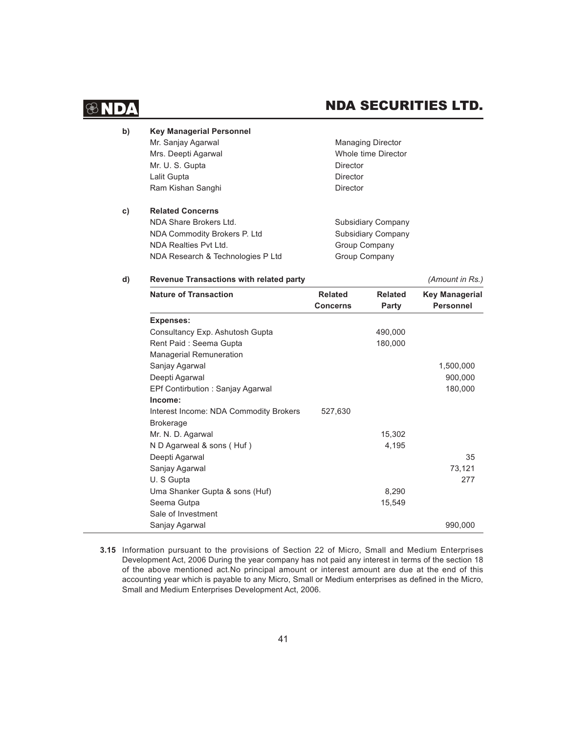# NDZ

# NDA SECURITIES LTD.

| b) | <b>Key Managerial Personnel</b>   |                          |
|----|-----------------------------------|--------------------------|
|    | Mr. Sanjay Agarwal                | <b>Managing Director</b> |
|    | Mrs. Deepti Agarwal               | Whole time Director      |
|    | Mr. U. S. Gupta                   | Director                 |
|    | Lalit Gupta                       | Director                 |
|    | Ram Kishan Sanghi                 | Director                 |
| C) | <b>Related Concerns</b>           |                          |
|    | NDA Share Brokers Ltd.            | Subsidiary Company       |
|    | NDA Commodity Brokers P. Ltd      | Subsidiary Company       |
|    | NDA Realties Pyt Ltd.             | Group Company            |
|    | NDA Research & Technologies P Ltd | Group Company            |

### **d) Revenue Transactions with related party** *(Amount in Rs.)*

| <b>Nature of Transaction</b>           | <b>Related</b><br><b>Concerns</b> | <b>Related</b><br>Party | <b>Key Managerial</b><br><b>Personnel</b> |
|----------------------------------------|-----------------------------------|-------------------------|-------------------------------------------|
| <b>Expenses:</b>                       |                                   |                         |                                           |
| Consultancy Exp. Ashutosh Gupta        |                                   | 490,000                 |                                           |
| Rent Paid: Seema Gupta                 |                                   | 180,000                 |                                           |
| <b>Managerial Remuneration</b>         |                                   |                         |                                           |
| Sanjay Agarwal                         |                                   |                         | 1,500,000                                 |
| Deepti Agarwal                         |                                   |                         | 900,000                                   |
| EPf Contirbution: Sanjay Agarwal       |                                   |                         | 180,000                                   |
| Income:                                |                                   |                         |                                           |
| Interest Income: NDA Commodity Brokers | 527,630                           |                         |                                           |
| <b>Brokerage</b>                       |                                   |                         |                                           |
| Mr. N. D. Agarwal                      |                                   | 15,302                  |                                           |
| N D Agarweal & sons (Huf)              |                                   | 4,195                   |                                           |
| Deepti Agarwal                         |                                   |                         | 35                                        |
| Sanjay Agarwal                         |                                   |                         | 73,121                                    |
| U. S Gupta                             |                                   |                         | 277                                       |
| Uma Shanker Gupta & sons (Huf)         |                                   | 8,290                   |                                           |
| Seema Gutpa                            |                                   | 15,549                  |                                           |
| Sale of Investment                     |                                   |                         |                                           |
| Sanjay Agarwal                         |                                   |                         | 990,000                                   |

**3.15** Information pursuant to the provisions of Section 22 of Micro, Small and Medium Enterprises Development Act, 2006 During the year company has not paid any interest in terms of the section 18 of the above mentioned act.No principal amount or interest amount are due at the end of this accounting year which is payable to any Micro, Small or Medium enterprises as defined in the Micro, Small and Medium Enterprises Development Act, 2006.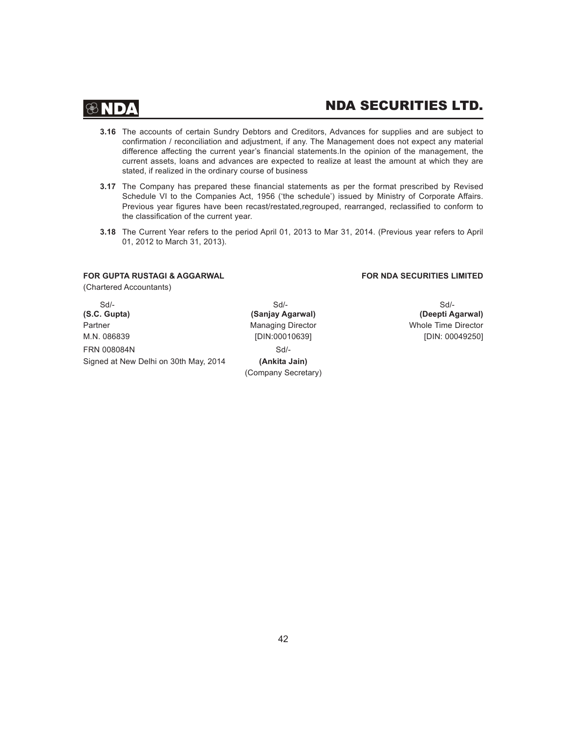- **3.16** The accounts of certain Sundry Debtors and Creditors, Advances for supplies and are subject to confirmation / reconciliation and adjustment, if any. The Management does not expect any material difference affecting the current year's financial statements.In the opinion of the management, the current assets, loans and advances are expected to realize at least the amount at which they are stated, if realized in the ordinary course of business
- **3.17** The Company has prepared these financial statements as per the format prescribed by Revised Schedule VI to the Companies Act, 1956 ('the schedule') issued by Ministry of Corporate Affairs. Previous year figures have been recast/restated,regrouped, rearranged, reclassified to conform to the classification of the current year.
- **3.18** The Current Year refers to the period April 01, 2013 to Mar 31, 2014. (Previous year refers to April 01, 2012 to March 31, 2013).

### **FOR GUPTA RUSTAGI & AGGARWAL FOR NDA SECURITIES LIMITED**

(Chartered Accountants)

Sd/- Sd/- Sd/- **(S.C. Gupta) (Sanjay Agarwal) (Deepti Agarwal)** Partner **Managing Director** Managing Director **Managing Director** Mole Time Director M.N. 086839 [DIN:00010639] [DIN: 00049250] FRN 008084N Sd/-Signed at New Delhi on 30th May, 2014 **(Ankita Jain)**

(Company Secretary)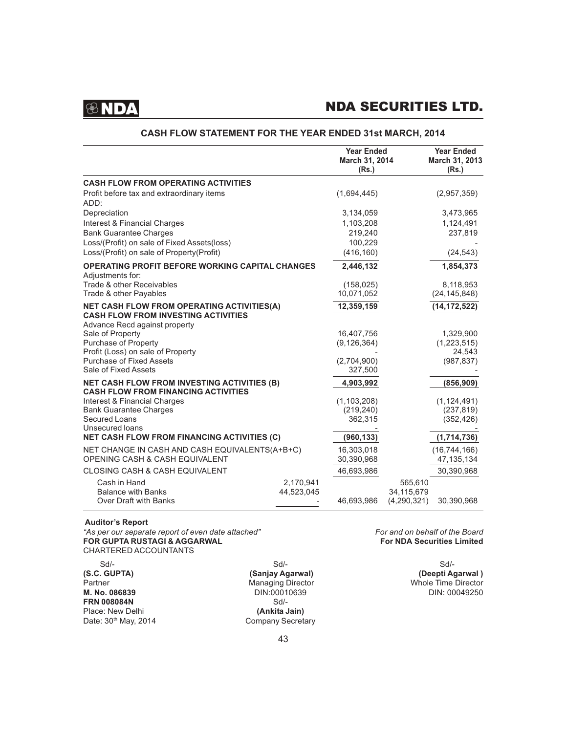### NDA SECURITIES LTD.

|                                                                                                  |            | <b>Year Ended</b><br>March 31, 2014<br>(Rs.) |             | <b>Year Ended</b><br>March 31, 2013<br>(Rs.) |
|--------------------------------------------------------------------------------------------------|------------|----------------------------------------------|-------------|----------------------------------------------|
| <b>CASH FLOW FROM OPERATING ACTIVITIES</b>                                                       |            |                                              |             |                                              |
| Profit before tax and extraordinary items<br>ADD:                                                |            | (1,694,445)                                  |             | (2,957,359)                                  |
| Depreciation                                                                                     |            | 3,134,059                                    |             | 3,473,965                                    |
| Interest & Financial Charges                                                                     |            | 1,103,208                                    |             | 1,124,491                                    |
| <b>Bank Guarantee Charges</b>                                                                    |            | 219,240                                      |             | 237,819                                      |
| Loss/(Profit) on sale of Fixed Assets(loss)                                                      |            | 100,229                                      |             |                                              |
| Loss/(Profit) on sale of Property(Profit)                                                        |            | (416, 160)                                   |             | (24, 543)                                    |
| <b>OPERATING PROFIT BEFORE WORKING CAPITAL CHANGES</b>                                           |            | 2,446,132                                    |             | 1,854,373                                    |
| Adjustments for:<br>Trade & other Receivables                                                    |            | (158, 025)                                   |             | 8,118,953                                    |
| Trade & other Payables                                                                           |            | 10,071,052                                   |             | (24, 145, 848)                               |
| <b>NET CASH FLOW FROM OPERATING ACTIVITIES(A)</b><br><b>CASH FLOW FROM INVESTING ACTIVITIES</b>  |            | 12,359,159                                   |             | (14, 172, 522)                               |
| Advance Recd against property                                                                    |            |                                              |             |                                              |
| Sale of Property                                                                                 |            | 16,407,756                                   |             | 1,329,900                                    |
| Purchase of Property                                                                             |            | (9, 126, 364)                                |             | (1,223,515)                                  |
| Profit (Loss) on sale of Property                                                                |            |                                              |             | 24,543                                       |
| <b>Purchase of Fixed Assets</b>                                                                  |            | (2,704,900)                                  |             | (987, 837)                                   |
| Sale of Fixed Assets                                                                             |            | 327,500                                      |             |                                              |
| <b>NET CASH FLOW FROM INVESTING ACTIVITIES (B)</b><br><b>CASH FLOW FROM FINANCING ACTIVITIES</b> |            | 4,903,992                                    |             | (856, 909)                                   |
| Interest & Financial Charges                                                                     |            | (1, 103, 208)                                |             | (1, 124, 491)                                |
| <b>Bank Guarantee Charges</b>                                                                    |            | (219, 240)                                   |             | (237, 819)                                   |
| Secured Loans                                                                                    |            | 362,315                                      |             | (352, 426)                                   |
| Unsecured loans                                                                                  |            |                                              |             |                                              |
| <b>NET CASH FLOW FROM FINANCING ACTIVITIES (C)</b>                                               |            | (960, 133)                                   |             | (1,714,736)                                  |
| NET CHANGE IN CASH AND CASH EQUIVALENTS(A+B+C)<br><b>OPENING CASH &amp; CASH EQUIVALENT</b>      |            | 16,303,018<br>30,390,968                     |             | (16, 744, 166)<br>47, 135, 134               |
| CLOSING CASH & CASH EQUIVALENT                                                                   |            | 46,693,986                                   |             | 30,390,968                                   |
| Cash in Hand                                                                                     | 2,170,941  |                                              | 565,610     |                                              |
| <b>Balance with Banks</b>                                                                        | 44,523,045 |                                              | 34,115,679  |                                              |
| Over Draft with Banks                                                                            |            | 46,693,986                                   | (4,290,321) | 30,390,968                                   |

### **CASH FLOW STATEMENT FOR THE YEAR ENDED 31st MARCH, 2014**

### **Auditor's Report**

*"As per our separate report of even date attached" For and on behalf of the Board* **FOR GUPTA RUSTAGI & AGGARWAL** CHARTERED ACCOUNTANTS

**(S.C. GUPTA) (Sanjay Agarwal) (Deepti Agarwal )** Partner Managing Director Whole Time Director **FRN 008084N** Sd/-<br>
Place: New Delhi **State Control of Alexandre Control (Ankita Jain)** Place: New Delhi **(Ankita Jain)**<br>Date: 30<sup>th</sup> May, 2014 **Company Secretary** Date: 30<sup>th</sup> May, 2014

Sd/- Sd/- Sd/- **DIN:00010639**<br>-Sd/-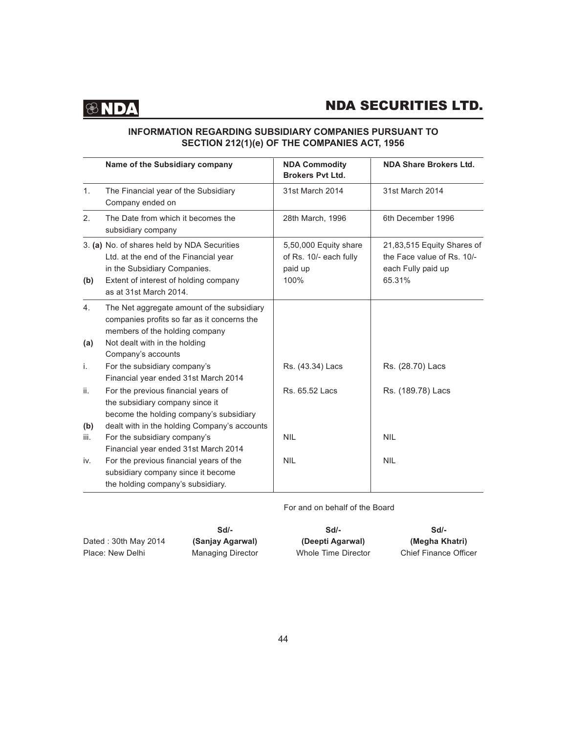

### **INFORMATION REGARDING SUBSIDIARY COMPANIES PURSUANT TO SECTION 212(1)(e) OF THE COMPANIES ACT, 1956**

|                | Name of the Subsidiary company                                                                                                                                                          | <b>NDA Commodity</b><br><b>Brokers Pvt Ltd.</b>                    | <b>NDA Share Brokers Ltd.</b>                                                            |
|----------------|-----------------------------------------------------------------------------------------------------------------------------------------------------------------------------------------|--------------------------------------------------------------------|------------------------------------------------------------------------------------------|
| 1 <sub>1</sub> | The Financial year of the Subsidiary<br>Company ended on                                                                                                                                | 31st March 2014                                                    | 31st March 2014                                                                          |
| 2.             | The Date from which it becomes the<br>subsidiary company                                                                                                                                | 28th March, 1996                                                   | 6th December 1996                                                                        |
| (b)            | 3. (a) No. of shares held by NDA Securities<br>Ltd. at the end of the Financial year<br>in the Subsidiary Companies.<br>Extent of interest of holding company<br>as at 31st March 2014. | 5,50,000 Equity share<br>of Rs. 10/- each fully<br>paid up<br>100% | 21,83,515 Equity Shares of<br>the Face value of Rs. 10/-<br>each Fully paid up<br>65.31% |
| 4.<br>(a)      | The Net aggregate amount of the subsidiary<br>companies profits so far as it concerns the<br>members of the holding company<br>Not dealt with in the holding                            |                                                                    |                                                                                          |
| j.             | Company's accounts<br>For the subsidiary company's<br>Financial year ended 31st March 2014                                                                                              | Rs. (43.34) Lacs                                                   | Rs. (28.70) Lacs                                                                         |
| ii.<br>(b)     | For the previous financial years of<br>the subsidiary company since it<br>become the holding company's subsidiary<br>dealt with in the holding Company's accounts                       | Rs. 65.52 Lacs                                                     | Rs. (189.78) Lacs                                                                        |
| iii.           | For the subsidiary company's<br>Financial year ended 31st March 2014                                                                                                                    | <b>NIL</b>                                                         | <b>NIL</b>                                                                               |
| iv.            | For the previous financial years of the<br>subsidiary company since it become<br>the holding company's subsidiary.                                                                      | <b>NIL</b>                                                         | <b>NIL</b>                                                                               |

For and on behalf of the Board

|                      | Sd                | Sd/-                | Sd/-                         |
|----------------------|-------------------|---------------------|------------------------------|
| Dated: 30th May 2014 | (Sanjay Agarwal)  | (Deepti Agarwal)    | (Megha Khatri)               |
| Place: New Delhi     | Managing Director | Whole Time Director | <b>Chief Finance Officer</b> |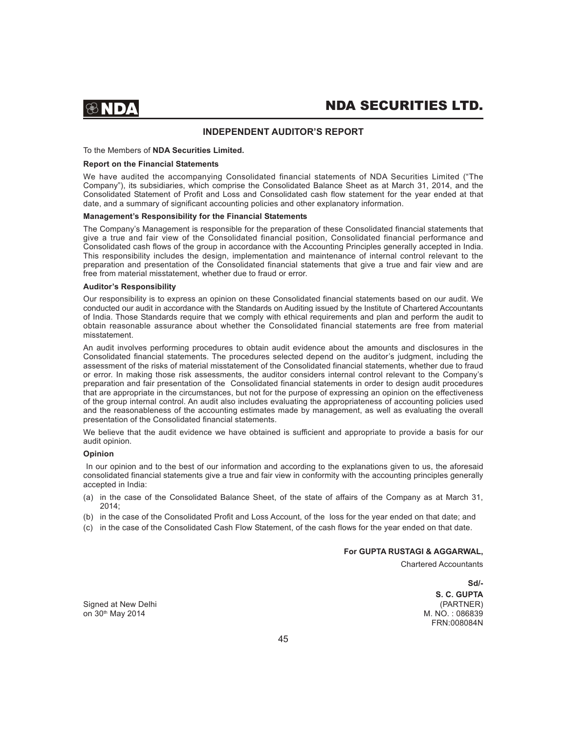

### **INDEPENDENT AUDITOR'S REPORT**

#### To the Members of **NDA Securities Limited.**

### **Report on the Financial Statements**

We have audited the accompanying Consolidated financial statements of NDA Securities Limited ("The Company"), its subsidiaries, which comprise the Consolidated Balance Sheet as at March 31, 2014, and the Consolidated Statement of Profit and Loss and Consolidated cash flow statement for the year ended at that date, and a summary of significant accounting policies and other explanatory information.

#### **Management's Responsibility for the Financial Statements**

The Company's Management is responsible for the preparation of these Consolidated financial statements that give a true and fair view of the Consolidated financial position, Consolidated financial performance and Consolidated cash flows of the group in accordance with the Accounting Principles generally accepted in India. This responsibility includes the design, implementation and maintenance of internal control relevant to the preparation and presentation of the Consolidated financial statements that give a true and fair view and are free from material misstatement, whether due to fraud or error.

#### **Auditor's Responsibility**

Our responsibility is to express an opinion on these Consolidated financial statements based on our audit. We conducted our audit in accordance with the Standards on Auditing issued by the Institute of Chartered Accountants of India. Those Standards require that we comply with ethical requirements and plan and perform the audit to obtain reasonable assurance about whether the Consolidated financial statements are free from material misstatement.

An audit involves performing procedures to obtain audit evidence about the amounts and disclosures in the Consolidated financial statements. The procedures selected depend on the auditor's judgment, including the assessment of the risks of material misstatement of the Consolidated financial statements, whether due to fraud or error. In making those risk assessments, the auditor considers internal control relevant to the Company's preparation and fair presentation of the Consolidated financial statements in order to design audit procedures that are appropriate in the circumstances, but not for the purpose of expressing an opinion on the effectiveness of the group internal control. An audit also includes evaluating the appropriateness of accounting policies used and the reasonableness of the accounting estimates made by management, as well as evaluating the overall presentation of the Consolidated financial statements.

We believe that the audit evidence we have obtained is sufficient and appropriate to provide a basis for our audit opinion.

#### **Opinion**

 In our opinion and to the best of our information and according to the explanations given to us, the aforesaid consolidated financial statements give a true and fair view in conformity with the accounting principles generally accepted in India:

- (a) in the case of the Consolidated Balance Sheet, of the state of affairs of the Company as at March 31,  $2014$
- (b) in the case of the Consolidated Profit and Loss Account, of the loss for the year ended on that date; and
- (c) in the case of the Consolidated Cash Flow Statement, of the cash flows for the year ended on that date.

#### **For GUPTA RUSTAGI & AGGARWAL,**

Chartered Accountants

Signed at New Delhi (PARTNER) on 30th May 2014 M. NO. : 086839

**S. C. GUPTA** FRN:008084N

**Sd/-**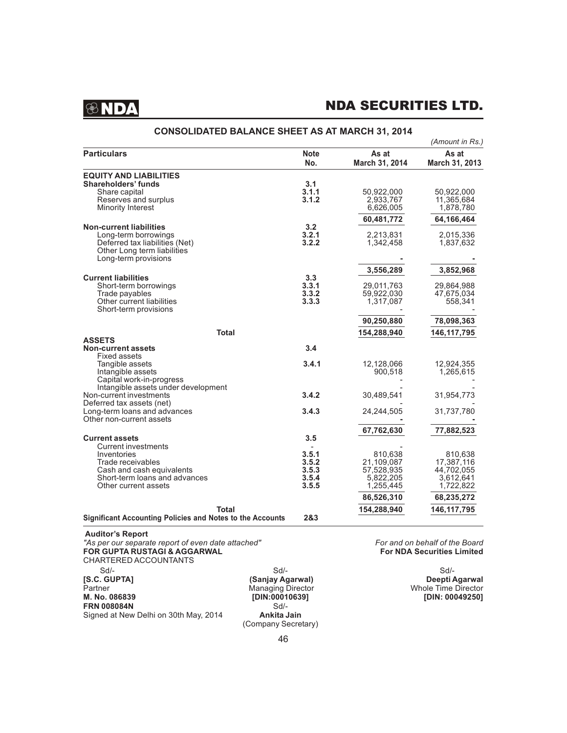

|                                                               |                    |                         | (Amount in Rs.)          |
|---------------------------------------------------------------|--------------------|-------------------------|--------------------------|
| <b>Particulars</b>                                            | <b>Note</b><br>No. | As at<br>March 31, 2014 | As at<br>March 31, 2013  |
| <b>EQUITY AND LIABILITIES</b>                                 |                    |                         |                          |
| <b>Shareholders' funds</b>                                    | 3.1                |                         |                          |
| Share capital<br>Reserves and surplus                         | 3.1.1<br>3.1.2     | 50,922,000<br>2,933,767 | 50,922,000<br>11,365,684 |
| Minority Interest                                             |                    | 6,626,005               | 1,878,780                |
|                                                               |                    | 60,481,772              | 64,166,464               |
| <b>Non-current liabilities</b>                                | 3.2                |                         |                          |
| Long-term borrowings                                          | 3.2.1              | 2,213,831               | 2,015,336                |
| Deferred tax liabilities (Net)<br>Other Long term liabilities | 3.2.2              | 1,342,458               | 1,837,632                |
| Long-term provisions                                          |                    |                         |                          |
|                                                               |                    | 3,556,289               | 3,852,968                |
| <b>Current liabilities</b>                                    | 3.3 <sub>2</sub>   |                         |                          |
| Short-term borrowings                                         | 3.3.1              | 29,011,763              | 29,864,988               |
| Trade payables<br>Other current liabilities                   | 3.3.2<br>3.3.3     | 59,922,030              | 47,675,034<br>558,341    |
| Short-term provisions                                         |                    | 1,317,087               |                          |
|                                                               |                    | 90,250,880              | 78,098,363               |
| <b>Total</b>                                                  |                    | 154,288,940             | 146,117,795              |
| <b>ASSETS</b>                                                 |                    |                         |                          |
| <b>Non-current assets</b>                                     | 3.4                |                         |                          |
| <b>Fixed assets</b>                                           | 3.4.1              |                         |                          |
| Tangible assets<br>Intangible assets                          |                    | 12,128,066<br>900,518   | 12,924,355<br>1,265,615  |
| Capital work-in-progress                                      |                    |                         |                          |
| Intangible assets under development                           |                    |                         |                          |
| Non-current investments<br>Deferred tax assets (net)          | 3.4.2              | 30,489,541              | 31,954,773               |
| Long-term loans and advances                                  | 3.4.3              | 24,244,505              | 31,737,780               |
| Other non-current assets                                      |                    |                         |                          |
|                                                               |                    | 67,762,630              | 77,882,523               |
| <b>Current assets</b>                                         | 3.5                |                         |                          |
| <b>Current investments</b>                                    |                    |                         |                          |
| Inventories<br>Trade receivables                              | 3.5.1<br>3.5.2     | 810,638<br>21,109,087   | 810,638<br>17,387,116    |
| Cash and cash equivalents                                     | 3.5.3              | 57,528,935              | 44,702,055               |
| Short-term loans and advances                                 | 3.5.4              | 5,822,205               | 3,612,641                |
| Other current assets                                          | 3.5.5              | 1,255,445               | 1,722,822                |
|                                                               |                    | 86,526,310              | 68,235,272               |
| Total                                                         |                    | 154,288,940             | 146, 117, 795            |
| Significant Accounting Policies and Notes to the Accounts     | 2&3                |                         |                          |

*"As per our separate report of even date attached" For and on behalf of the Board* **FOR GUPTA RUSTAGI & AGGARWAL** CHARTERED ACCOUNTANTS Sd/- Sd/- Sd/- **[S.C. GUPTA] (Sanjay Agarwal) Deepti Agarwal** Partner Managing Director Managing Director Noble Time Director **Managing Director (Sanjay Agarwal) E.C. GUPTA] Deepti Agarwal Partner M. No. 086839 and a set of the contract of the contract of the contract of the contract of the contract of the contract of the contract of th FRN 008084N** Sd/-<br>Signed at New Delhi on 30th May, 2014 **Ankita Jain** Signed at New Delhi on 30th May, 2014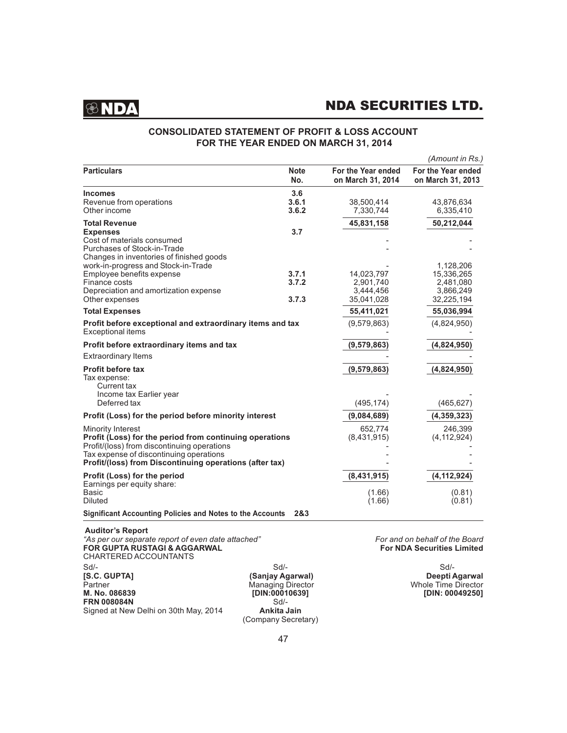

### **CONSOLIDATED STATEMENT OF PROFIT & LOSS ACCOUNT FOR THE YEAR ENDED ON MARCH 31, 2014**

|                                                                                       |                    |                                         | (Amount in Rs.)                         |
|---------------------------------------------------------------------------------------|--------------------|-----------------------------------------|-----------------------------------------|
| <b>Particulars</b>                                                                    | <b>Note</b><br>No. | For the Year ended<br>on March 31, 2014 | For the Year ended<br>on March 31, 2013 |
| <b>Incomes</b>                                                                        | 3.6                |                                         |                                         |
| Revenue from operations                                                               | 3.6.1              | 38,500,414                              | 43,876,634                              |
| Other income                                                                          | 3.6.2              | 7,330,744                               | 6,335,410                               |
| <b>Total Revenue</b>                                                                  |                    | 45,831,158                              | 50,212,044                              |
| <b>Expenses</b>                                                                       | 3.7                |                                         |                                         |
| Cost of materials consumed<br>Purchases of Stock-in-Trade                             |                    |                                         |                                         |
| Changes in inventories of finished goods                                              |                    |                                         |                                         |
| work-in-progress and Stock-in-Trade                                                   |                    |                                         | 1,128,206                               |
| Employee benefits expense                                                             | 3.7.1              | 14,023,797                              | 15,336,265                              |
| Finance costs                                                                         | 3.7.2              | 2,901,740                               | 2,481,080                               |
| Depreciation and amortization expense                                                 |                    | 3,444,456                               | 3,866,249                               |
| Other expenses                                                                        | 3.7.3              | 35,041,028                              | 32,225,194                              |
| <b>Total Expenses</b>                                                                 |                    | 55,411,021                              | 55,036,994                              |
| Profit before exceptional and extraordinary items and tax<br><b>Exceptional items</b> |                    | (9,579,863)                             | (4,824,950)                             |
| Profit before extraordinary items and tax                                             |                    | (9,579,863)                             | (4,824,950)                             |
| <b>Extraordinary Items</b>                                                            |                    |                                         |                                         |
| <b>Profit before tax</b>                                                              |                    |                                         |                                         |
| Tax expense:<br>Current tax                                                           |                    | (9,579,863)                             | (4,824,950)                             |
| Income tax Earlier year                                                               |                    |                                         |                                         |
| Deferred tax                                                                          |                    | (495, 174)                              | (465, 627)                              |
| Profit (Loss) for the period before minority interest                                 |                    | (9,084,689)                             | (4, 359, 323)                           |
| Minority Interest                                                                     |                    | 652,774                                 | 246,399                                 |
| Profit (Loss) for the period from continuing operations                               |                    | (8,431,915)                             | (4, 112, 924)                           |
| Profit/(loss) from discontinuing operations                                           |                    |                                         |                                         |
| Tax expense of discontinuing operations                                               |                    |                                         |                                         |
| Profit/(loss) from Discontinuing operations (after tax)                               |                    |                                         |                                         |
| Profit (Loss) for the period<br>Earnings per equity share:                            |                    | (8,431,915)                             | (4, 112, 924)                           |
| Basic                                                                                 |                    | (1.66)                                  | (0.81)                                  |
| <b>Diluted</b>                                                                        |                    | (1.66)                                  | (0.81)                                  |
| Significant Accounting Policies and Notes to the Accounts                             | 2&3                |                                         |                                         |
| <b>Auditor's Report</b>                                                               |                    |                                         |                                         |
| "As per our separate report of even date attached"                                    |                    |                                         | For and on behalf of the Board          |
| <b>FOR GUPTA RUSTAGI &amp; AGGARWAL</b>                                               |                    |                                         | <b>For NDA Securities Limited</b>       |

CHARTERED ACCOUNTANTS Sd/- Sd/- Sd/- **[S.C. GUPTA]** (Sanjay Agarwal) **Deepti Agarwal**<br>
Partner M. No. 086839 **[DIN:00010639] Deepti Agarwal**<br> **M. No. 086839 Deepti Agarwal**<br> **DIN:00010639] DEEPTI (DIN:00049250]** Partner Managing Director Managing Director Number 2016 Managing Director Number 2016 **M. No. 086839 [DIN:00010639] [DIN: 00049250] FRN 008084N** Sd/-<br>Signed at New Delhi on 30th May, 2014 **Ankita Jain** 

Signed at New Delhi on 30th May, 2014

(Company Secretary)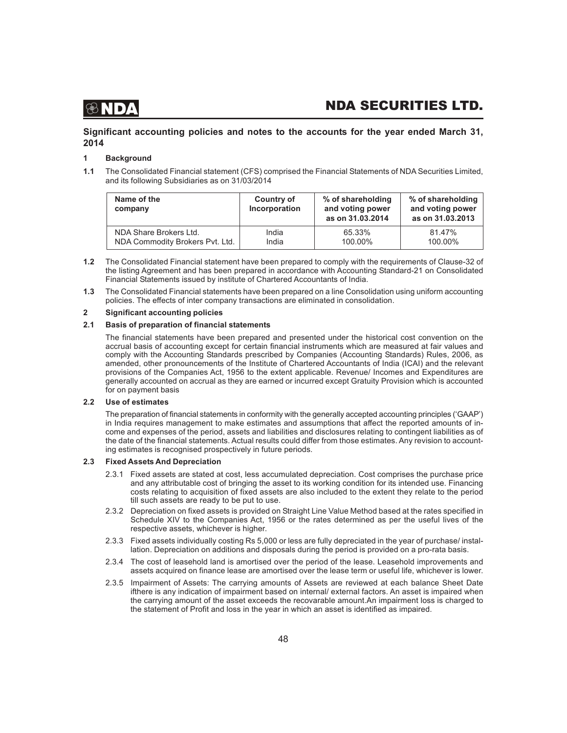### **Significant accounting policies and notes to the accounts for the year ended March 31, 2014**

### **1 Background**

**1.1** The Consolidated Financial statement (CFS) comprised the Financial Statements of NDA Securities Limited, and its following Subsidiaries as on 31/03/2014

| Name of the<br>company          | <b>Country of</b><br>Incorporation | % of shareholding<br>and voting power<br>as on 31.03.2014 | % of shareholding<br>and voting power<br>as on 31.03.2013 |
|---------------------------------|------------------------------------|-----------------------------------------------------------|-----------------------------------------------------------|
| NDA Share Brokers Ltd.          | India                              | 65.33%                                                    | 81.47%                                                    |
| NDA Commodity Brokers Pvt. Ltd. | India                              | 100.00%                                                   | 100.00%                                                   |

- **1.2** The Consolidated Financial statement have been prepared to comply with the requirements of Clause-32 of the listing Agreement and has been prepared in accordance with Accounting Standard-21 on Consolidated Financial Statements issued by institute of Chartered Accountants of India.
- **1.3** The Consolidated Financial statements have been prepared on a line Consolidation using uniform accounting policies. The effects of inter company transactions are eliminated in consolidation.

#### **2 Significant accounting policies**

#### **2.1 Basis of preparation of financial statements**

The financial statements have been prepared and presented under the historical cost convention on the accrual basis of accounting except for certain financial instruments which are measured at fair values and comply with the Accounting Standards prescribed by Companies (Accounting Standards) Rules, 2006, as amended, other pronouncements of the Institute of Chartered Accountants of India (ICAI) and the relevant provisions of the Companies Act, 1956 to the extent applicable. Revenue/ Incomes and Expenditures are generally accounted on accrual as they are earned or incurred except Gratuity Provision which is accounted for on payment basis

#### **2.2 Use of estimates**

The preparation of financial statements in conformity with the generally accepted accounting principles ('GAAP') in India requires management to make estimates and assumptions that affect the reported amounts of income and expenses of the period, assets and liabilities and disclosures relating to contingent liabilities as of the date of the financial statements. Actual results could differ from those estimates. Any revision to accounting estimates is recognised prospectively in future periods.

#### **2.3 Fixed Assets And Depreciation**

- 2.3.1 Fixed assets are stated at cost, less accumulated depreciation. Cost comprises the purchase price and any attributable cost of bringing the asset to its working condition for its intended use. Financing costs relating to acquisition of fixed assets are also included to the extent they relate to the period till such assets are ready to be put to use.
- 2.3.2 Depreciation on fixed assets is provided on Straight Line Value Method based at the rates specified in Schedule XIV to the Companies Act, 1956 or the rates determined as per the useful lives of the respective assets, whichever is higher.
- 2.3.3 Fixed assets individually costing Rs 5,000 or less are fully depreciated in the year of purchase/ installation. Depreciation on additions and disposals during the period is provided on a pro-rata basis.
- 2.3.4 The cost of leasehold land is amortised over the period of the lease. Leasehold improvements and assets acquired on finance lease are amortised over the lease term or useful life, whichever is lower.
- 2.3.5 Impairment of Assets: The carrying amounts of Assets are reviewed at each balance Sheet Date ifthere is any indication of impairment based on internal/ external factors. An asset is impaired when the carrying amount of the asset exceeds the recovarable amount.An impairment loss is charged to the statement of Profit and loss in the year in which an asset is identified as impaired.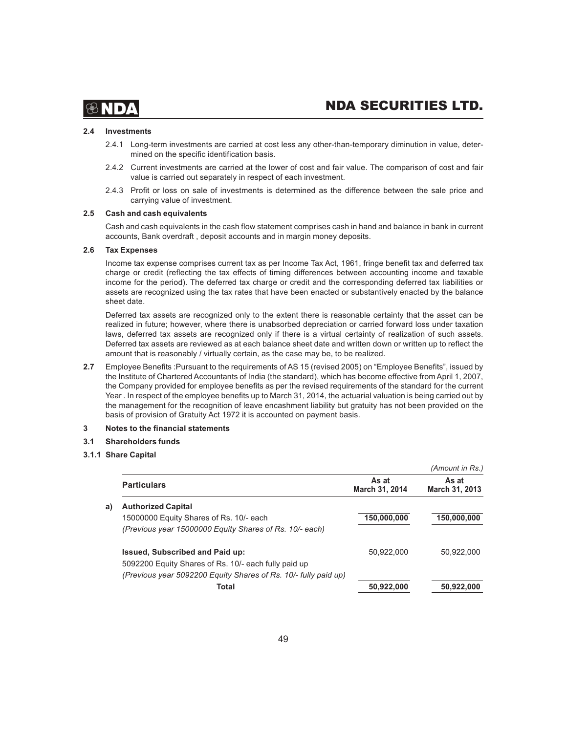#### **2.4 Investments**

- 2.4.1 Long-term investments are carried at cost less any other-than-temporary diminution in value, determined on the specific identification basis.
- 2.4.2 Current investments are carried at the lower of cost and fair value. The comparison of cost and fair value is carried out separately in respect of each investment.
- 2.4.3 Profit or loss on sale of investments is determined as the difference between the sale price and carrying value of investment.

#### **2.5 Cash and cash equivalents**

Cash and cash equivalents in the cash flow statement comprises cash in hand and balance in bank in current accounts, Bank overdraft , deposit accounts and in margin money deposits.

### **2.6 Tax Expenses**

Income tax expense comprises current tax as per Income Tax Act, 1961, fringe benefit tax and deferred tax charge or credit (reflecting the tax effects of timing differences between accounting income and taxable income for the period). The deferred tax charge or credit and the corresponding deferred tax liabilities or assets are recognized using the tax rates that have been enacted or substantively enacted by the balance sheet date.

Deferred tax assets are recognized only to the extent there is reasonable certainty that the asset can be realized in future; however, where there is unabsorbed depreciation or carried forward loss under taxation laws, deferred tax assets are recognized only if there is a virtual certainty of realization of such assets. Deferred tax assets are reviewed as at each balance sheet date and written down or written up to reflect the amount that is reasonably / virtually certain, as the case may be, to be realized.

**2.7** Employee Benefits :Pursuant to the requirements of AS 15 (revised 2005) on "Employee Benefits", issued by the Institute of Chartered Accountants of India (the standard), which has become effective from April 1, 2007, the Company provided for employee benefits as per the revised requirements of the standard for the current Year . In respect of the employee benefits up to March 31, 2014, the actuarial valuation is being carried out by the management for the recognition of leave encashment liability but gratuity has not been provided on the basis of provision of Gratuity Act 1972 it is accounted on payment basis.

### **3 Notes to the financial statements**

#### **3.1 Shareholders funds**

**3.1.1 Share Capital**

|                                                                 |                         | (Amount in Rs.)         |
|-----------------------------------------------------------------|-------------------------|-------------------------|
| <b>Particulars</b>                                              | As at<br>March 31, 2014 | As at<br>March 31, 2013 |
| <b>Authorized Capital</b>                                       |                         |                         |
| 15000000 Equity Shares of Rs. 10/- each                         | 150,000,000             | 150,000,000             |
| (Previous year 15000000 Equity Shares of Rs. 10/- each)         |                         |                         |
| <b>Issued, Subscribed and Paid up:</b>                          | 50.922.000              | 50.922.000              |
| 5092200 Equity Shares of Rs. 10/- each fully paid up            |                         |                         |
| (Previous year 5092200 Equity Shares of Rs. 10/- fully paid up) |                         |                         |
| Total                                                           | 50,922,000              | 50,922,000              |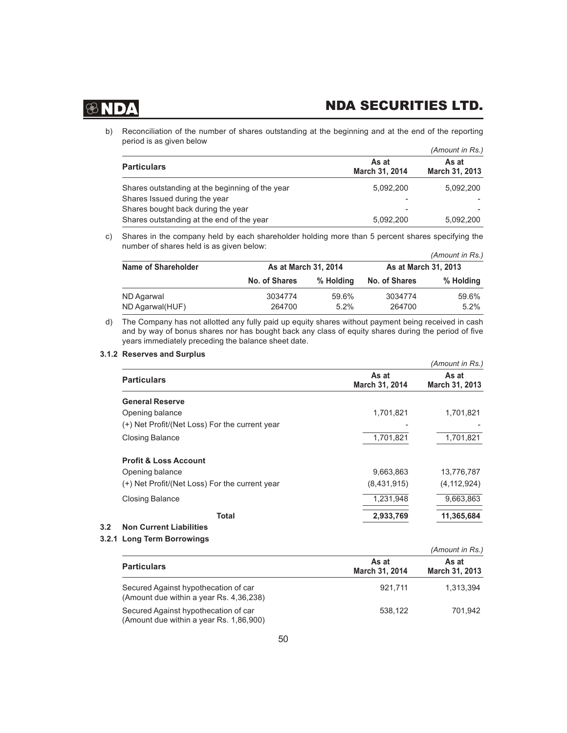# D

# NDA SECURITIES LTD.

b) Reconciliation of the number of shares outstanding at the beginning and at the end of the reporting period is as given below *(Amount in Rs.)*

|                                                 |                         | (Amount in RS.)         |
|-------------------------------------------------|-------------------------|-------------------------|
| <b>Particulars</b>                              | As at<br>March 31, 2014 | As at<br>March 31, 2013 |
| Shares outstanding at the beginning of the year | 5.092.200               | 5,092,200               |
| Shares Issued during the year                   |                         |                         |
| Shares bought back during the year              | ۰                       |                         |
| Shares outstanding at the end of the year       | 5,092,200               | 5,092,200               |

c) Shares in the company held by each shareholder holding more than 5 percent shares specifying the number of shares held is as given below:

|                     |                      |           |                      | (Amount in Rs.) |
|---------------------|----------------------|-----------|----------------------|-----------------|
| Name of Shareholder | As at March 31, 2014 |           | As at March 31, 2013 |                 |
|                     | No. of Shares        | % Holding | No. of Shares        | % Holding       |
| ND Agarwal          | 3034774              | 59.6%     | 3034774              | 59.6%           |
| ND Agarwal(HUF)     | 264700               | 5.2%      | 264700               | 5.2%            |

d) The Company has not allotted any fully paid up equity shares without payment being received in cash and by way of bonus shares nor has bought back any class of equity shares during the period of five years immediately preceding the balance sheet date.

### **3.1.2 Reserves and Surplus**

| <b>INCOURT COMMUNICATION</b>                   |                         | (Amount in Rs.)         |
|------------------------------------------------|-------------------------|-------------------------|
| <b>Particulars</b>                             | As at<br>March 31, 2014 | As at<br>March 31, 2013 |
| <b>General Reserve</b>                         |                         |                         |
| Opening balance                                | 1,701,821               | 1,701,821               |
| (+) Net Profit/(Net Loss) For the current year |                         |                         |
| <b>Closing Balance</b>                         | 1,701,821               | 1,701,821               |
| <b>Profit &amp; Loss Account</b>               |                         |                         |
| Opening balance                                | 9,663,863               | 13,776,787              |
| (+) Net Profit/(Net Loss) For the current year | (8,431,915)             | (4, 112, 924)           |
| <b>Closing Balance</b>                         | 1,231,948               | 9,663,863               |
| Total                                          | 2,933,769               | 11,365,684              |
| <b>Non Current Liabilities</b>                 |                         |                         |

### **3.2.1 Long Term Borrowings**

**3.2** 

| I LUIIY IEIIII DUITUWIIIYS                                                      |                         |                         |
|---------------------------------------------------------------------------------|-------------------------|-------------------------|
|                                                                                 |                         | (Amount in Rs.)         |
| <b>Particulars</b>                                                              | As at<br>March 31, 2014 | As at<br>March 31, 2013 |
| Secured Against hypothecation of car<br>(Amount due within a year Rs. 4,36,238) | 921.711                 | 1.313.394               |
| Secured Against hypothecation of car<br>(Amount due within a year Rs. 1,86,900) | 538.122                 | 701.942                 |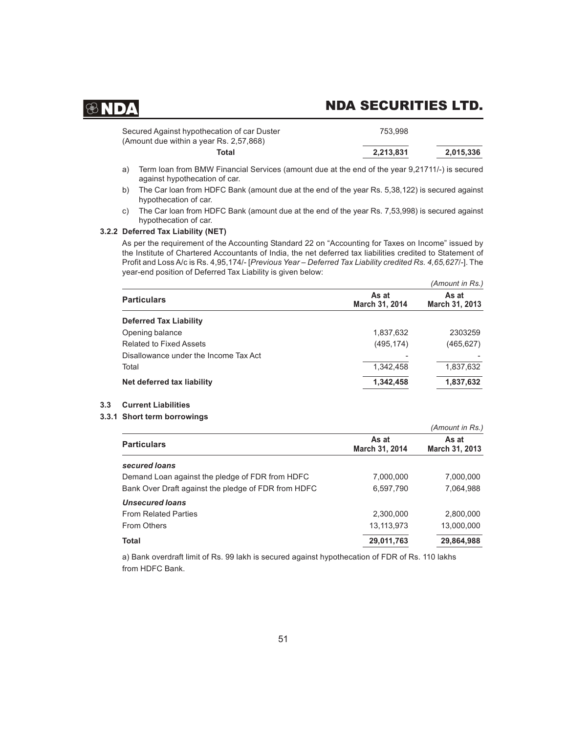# D)

## NDA SECURITIES LTD.

| (Amount due within a year Rs. 2,57,868) |           |           |
|-----------------------------------------|-----------|-----------|
| Total                                   | 2.213.831 | 2.015.336 |

- a) Term loan from BMW Financial Services (amount due at the end of the year 9,21711/-) is secured against hypothecation of car.
- b) The Car loan from HDFC Bank (amount due at the end of the year Rs. 5,38,122) is secured against hypothecation of car.
- c) The Car loan from HDFC Bank (amount due at the end of the year Rs. 7,53,998) is secured against hypothecation of car.

#### **3.2.2 Deferred Tax Liability (NET)**

As per the requirement of the Accounting Standard 22 on "Accounting for Taxes on Income" issued by the Institute of Chartered Accountants of India, the net deferred tax liabilities credited to Statement of Profit and Loss A/c is Rs. 4,95,174/- [*Previous Year – Deferred Tax Liability credited Rs. 4,65,627*/-]. The year-end position of Deferred Tax Liability is given below:

|                                       |                         | (Amount in Rs.)         |
|---------------------------------------|-------------------------|-------------------------|
| <b>Particulars</b>                    | As at<br>March 31, 2014 | As at<br>March 31, 2013 |
| <b>Deferred Tax Liability</b>         |                         |                         |
| Opening balance                       | 1,837,632               | 2303259                 |
| <b>Related to Fixed Assets</b>        | (495, 174)              | (465, 627)              |
| Disallowance under the Income Tax Act |                         |                         |
| Total                                 | 1,342,458               | 1,837,632               |
| Net deferred tax liability            | 1,342,458               | 1,837,632               |

#### **3.3 Current Liabilities**

#### **3.3.1 Short term borrowings**

|                                                     |                         | (Amount in Rs.)         |
|-----------------------------------------------------|-------------------------|-------------------------|
| <b>Particulars</b>                                  | As at<br>March 31, 2014 | As at<br>March 31, 2013 |
| secured loans                                       |                         |                         |
| Demand Loan against the pledge of FDR from HDFC     | 7,000,000               | 7,000,000               |
| Bank Over Draft against the pledge of FDR from HDFC | 6,597,790               | 7.064.988               |
| <b>Unsecured loans</b>                              |                         |                         |
| <b>From Related Parties</b>                         | 2,300,000               | 2.800.000               |
| <b>From Others</b>                                  | 13,113,973              | 13,000,000              |
| Total                                               | 29,011,763              | 29,864,988              |

a) Bank overdraft limit of Rs. 99 lakh is secured against hypothecation of FDR of Rs. 110 lakhs from HDFC Bank.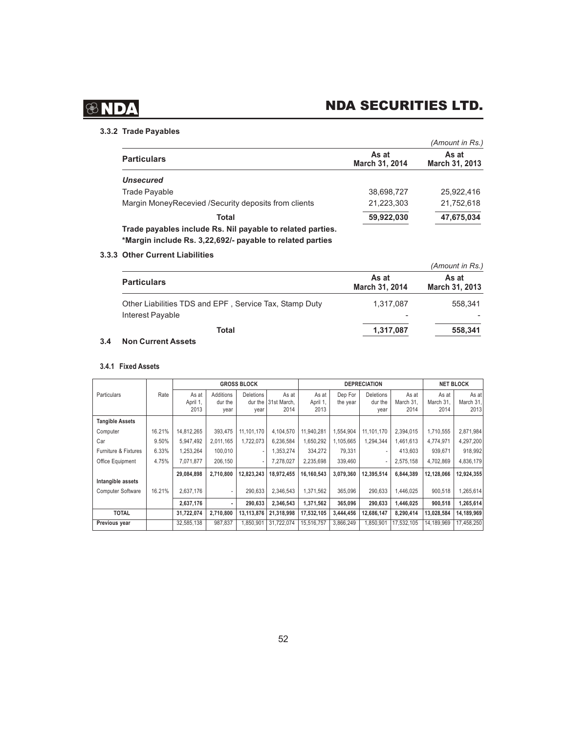# NDA SECURITIES LTD.

### **3.3.2 Trade Payables**

|                                                            |                         | (Amount in Rs.)         |
|------------------------------------------------------------|-------------------------|-------------------------|
| <b>Particulars</b>                                         | As at<br>March 31, 2014 | As at<br>March 31, 2013 |
| <b>Unsecured</b>                                           |                         |                         |
| <b>Trade Payable</b>                                       | 38,698,727              | 25.922.416              |
| Margin MoneyRecevied /Security deposits from clients       | 21.223.303              | 21.752.618              |
| Total                                                      | 59,922,030              | 47,675,034              |
| Trade payables include Rs. Nil payable to related parties. |                         |                         |

**\*Margin include Rs. 3,22,692/- payable to related parties**

### **3.3.3 Other Current Liabilities**

|                                                                            |                         | (Amount in Rs.)         |
|----------------------------------------------------------------------------|-------------------------|-------------------------|
| <b>Particulars</b>                                                         | As at<br>March 31, 2014 | As at<br>March 31, 2013 |
| Other Liabilities TDS and EPF, Service Tax, Stamp Duty<br>Interest Payable | 1,317,087               | 558.341                 |
| Total                                                                      | 1,317,087               | 558,341                 |

### **3.4 Non Current Assets**

### **3.4.1 Fixed Assets**

|                        |        | <b>GROSS BLOCK</b><br><b>DEPRECIATION</b> |                              |                                     |                              | <b>NET BLOCK</b>          |                     |                              |                            |                            |                            |
|------------------------|--------|-------------------------------------------|------------------------------|-------------------------------------|------------------------------|---------------------------|---------------------|------------------------------|----------------------------|----------------------------|----------------------------|
| <b>Particulars</b>     | Rate   | As at<br>April 1,<br>2013                 | Additions<br>dur the<br>year | <b>Deletions</b><br>dur the<br>year | As at<br>31st March,<br>2014 | As at<br>April 1,<br>2013 | Dep For<br>the year | Deletions<br>dur the<br>year | As at<br>March 31,<br>2014 | As at<br>March 31,<br>2014 | As at<br>March 31,<br>2013 |
| <b>Tangible Assets</b> |        |                                           |                              |                                     |                              |                           |                     |                              |                            |                            |                            |
| Computer               | 16.21% | 14,812,265                                | 393.475                      | 11.101.170                          | 4,104,570                    | 11,940,281                | 1,554,904           | 11,101,170                   | 2,394,015                  | 1,710,555                  | 2,871,984                  |
| Car                    | 9.50%  | 5,947,492                                 | 2.011.165                    | 1,722,073                           | 6.236.584                    | 1,650,292                 | 1.105.665           | 1.294.344                    | 1,461,613                  | 4.774.971                  | 4,297,200                  |
| Furniture & Fixtures   | 6.33%  | 1,253,264                                 | 100,010                      |                                     | 1.353.274                    | 334.272                   | 79.331              | $\overline{\phantom{a}}$     | 413.603                    | 939.671                    | 918,992                    |
| Office Equipment       | 4.75%  | 7,071,877                                 | 206,150                      |                                     | 7,278,027                    | 2,235,698                 | 339,460             |                              | 2,575,158                  | 4,702,869                  | 4,836,179                  |
|                        |        | 29,084,898                                | 2.710.800                    | 12.823.243                          | 18,972,455                   | 16.160.543                | 3,079,360           | 12,395,514                   | 6.844.389                  | 12,128,066                 | 12,924,355                 |
| Intangible assets      |        |                                           |                              |                                     |                              |                           |                     |                              |                            |                            |                            |
| Computer Software      | 16.21% | 2,637,176                                 |                              | 290.633                             | 2.346.543                    | 1,371,562                 | 365.096             | 290.633                      | 446.025                    | 900.518                    | 1,265,614                  |
|                        |        | 2,637,176                                 | ٠                            | 290.633                             | 2,346,543                    | 1,371,562                 | 365,096             | 290,633                      | 1,446,025                  | 900,518                    | 1,265,614                  |
| <b>TOTAL</b>           |        | 31,722,074                                | 2,710,800                    | 13.113.876                          | 21,318,998                   | 17,532,105                | 3,444,456           | 12,686,147                   | 8,290,414                  | 13,028,584                 | 14,189,969                 |
| Previous year          |        | 32,585,138                                | 987.837                      | 1,850,901                           | 31,722,074                   | 15.516.757                | 3.866.249           | 1,850,901                    | 17,532,105                 | 14.189.969                 | 17,458,250                 |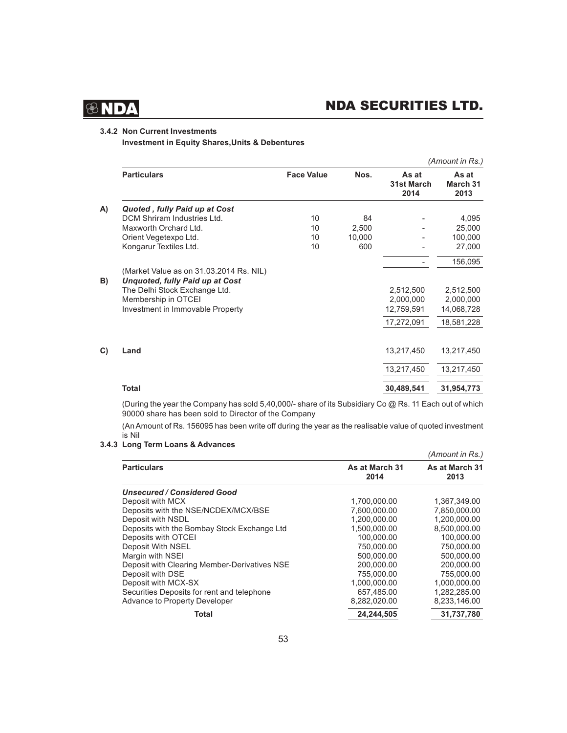# NDA SECURITIES LTD.

### **3.4.2 Non Current Investments**

**Investment in Equity Shares,Units & Debentures**

| <b>Particulars</b>                                                         | <b>Face Value</b> | Nos.   | As at              | As at            |
|----------------------------------------------------------------------------|-------------------|--------|--------------------|------------------|
|                                                                            |                   |        | 31st March<br>2014 | March 31<br>2013 |
| Quoted, fully Paid up at Cost                                              |                   |        |                    |                  |
| DCM Shriram Industries Ltd.                                                | 10                | 84     |                    | 4,095            |
| Maxworth Orchard Ltd.                                                      | 10                | 2,500  |                    | 25,000           |
| Orient Vegetexpo Ltd.                                                      | 10                | 10,000 |                    | 100,000          |
| Kongarur Textiles Ltd.                                                     | 10                | 600    |                    | 27,000           |
|                                                                            |                   |        |                    | 156,095          |
| (Market Value as on 31.03.2014 Rs. NIL)<br>Unquoted, fully Paid up at Cost |                   |        |                    |                  |
| The Delhi Stock Exchange Ltd.                                              |                   |        | 2,512,500          | 2,512,500        |
| Membership in OTCEI                                                        |                   |        | 2,000,000          | 2,000,000        |
| Investment in Immovable Property                                           |                   |        | 12,759,591         | 14,068,728       |
|                                                                            |                   |        | 17,272,091         | 18,581,228       |
| Land                                                                       |                   |        | 13,217,450         | 13,217,450       |
|                                                                            |                   |        |                    |                  |
|                                                                            |                   |        | 13,217,450         | 13,217,450       |
| <b>Total</b>                                                               |                   |        | 30,489,541         | 31,954,773       |

(During the year the Company has sold 5,40,000/- share of its Subsidiary Co @ Rs. 11 Each out of which 90000 share has been sold to Director of the Company

(An Amount of Rs. 156095 has been write off during the year as the realisable value of quoted investment is Nil

### **3.4.3 Long Term Loans & Advances**

|                                              |                        | (Amount in Rs.)        |
|----------------------------------------------|------------------------|------------------------|
| <b>Particulars</b>                           | As at March 31<br>2014 | As at March 31<br>2013 |
| Unsecured / Considered Good                  |                        |                        |
| Deposit with MCX                             | 1,700,000.00           | 1.367.349.00           |
| Deposits with the NSE/NCDEX/MCX/BSE          | 7.600.000.00           | 7.850.000.00           |
| Deposit with NSDL                            | 1.200.000.00           | 1.200.000.00           |
| Deposits with the Bombay Stock Exchange Ltd  | 1,500,000.00           | 8,500,000.00           |
| Deposits with OTCEI                          | 100,000.00             | 100,000.00             |
| Deposit With NSEL                            | 750.000.00             | 750,000.00             |
| Margin with NSEI                             | 500.000.00             | 500.000.00             |
| Deposit with Clearing Member-Derivatives NSE | 200,000.00             | 200,000.00             |
| Deposit with DSE                             | 755,000.00             | 755,000.00             |
| Deposit with MCX-SX                          | 1.000.000.00           | 1.000.000.00           |
| Securities Deposits for rent and telephone   | 657.485.00             | 1,282,285.00           |
| Advance to Property Developer                | 8,282,020.00           | 8,233,146.00           |
| Total                                        | 24.244.505             | 31,737,780             |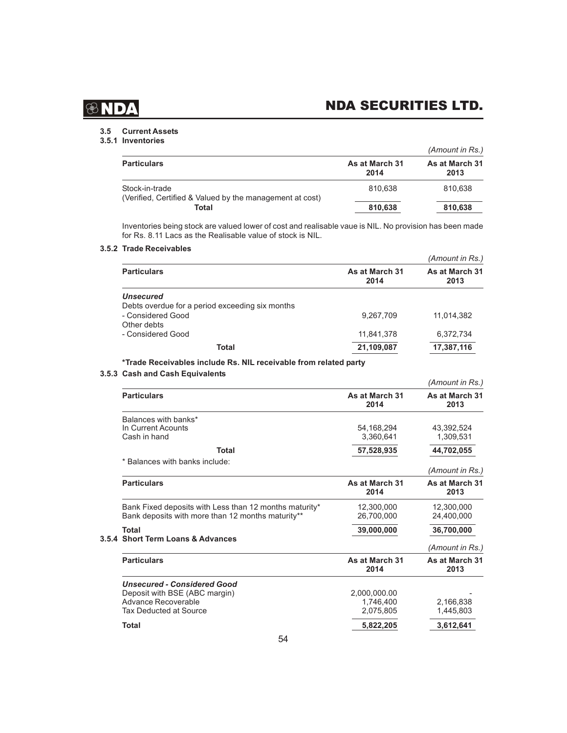# NDA SECURITIES LTD.

### **3.5 Current Assets**

### **3.5.1 Inventories**

|                                                                            |                        | (Amount in Rs.)        |
|----------------------------------------------------------------------------|------------------------|------------------------|
| <b>Particulars</b>                                                         | As at March 31<br>2014 | As at March 31<br>2013 |
| Stock-in-trade<br>(Verified, Certified & Valued by the management at cost) | 810.638                | 810.638                |
| Total                                                                      | 810,638                | 810,638                |

Inventories being stock are valued lower of cost and realisable vaue is NIL. No provision has been made for Rs. 8.11 Lacs as the Realisable value of stock is NIL.

### **3.5.2 Trade Receivables**

|                                                 |                        | (Amount in Rs.)        |
|-------------------------------------------------|------------------------|------------------------|
| <b>Particulars</b>                              | As at March 31<br>2014 | As at March 31<br>2013 |
| <b>Unsecured</b>                                |                        |                        |
| Debts overdue for a period exceeding six months |                        |                        |
| - Considered Good                               | 9.267.709              | 11,014,382             |
| Other debts                                     |                        |                        |
| - Considered Good                               | 11,841,378             | 6,372,734              |
| Total                                           | 21,109,087             | 17,387,116             |

### **\*Trade Receivables include Rs. NIL receivable from related party**

### **3.5.3 Cash and Cash Equivalents**

|       |                                                                                                                      |                                        | (Amount in Rs.)          |
|-------|----------------------------------------------------------------------------------------------------------------------|----------------------------------------|--------------------------|
|       | <b>Particulars</b>                                                                                                   | As at March 31<br>2014                 | As at March 31<br>2013   |
|       | Balances with banks*<br>In Current Acounts<br>Cash in hand                                                           | 54, 168, 294<br>3,360,641              | 43,392,524<br>1,309,531  |
|       | <b>Total</b>                                                                                                         | 57,528,935                             | 44,702,055               |
|       | * Balances with banks include:                                                                                       |                                        | (Amount in Rs.)          |
|       | <b>Particulars</b>                                                                                                   | As at March 31<br>2014                 | As at March 31<br>2013   |
|       | Bank Fixed deposits with Less than 12 months maturity*<br>Bank deposits with more than 12 months maturity**          | 12,300,000<br>26,700,000               | 12.300.000<br>24.400.000 |
| 3.5.4 | Total<br><b>Short Term Loans &amp; Advances</b>                                                                      | 39,000,000                             | 36,700,000               |
|       |                                                                                                                      |                                        | (Amount in Rs.)          |
|       | <b>Particulars</b>                                                                                                   | As at March 31<br>2014                 | As at March 31<br>2013   |
|       | <b>Unsecured - Considered Good</b><br>Deposit with BSE (ABC margin)<br>Advance Recoverable<br>Tax Deducted at Source | 2,000,000.00<br>1,746,400<br>2,075,805 | 2,166,838<br>1,445,803   |
|       | <b>Total</b>                                                                                                         | 5,822,205                              | 3,612,641                |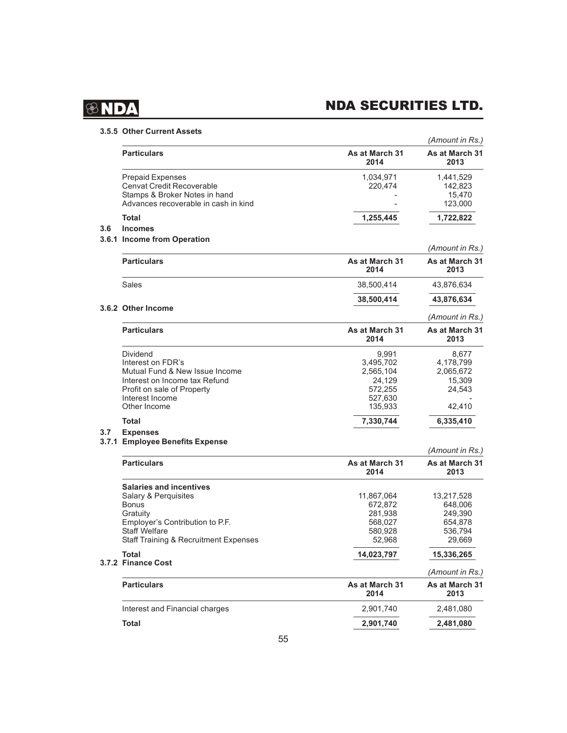# **& NDA**

# NDA SECURITIES LTD.

|     | 3.5.5 Other Current Assets                                                                                                                                                                        |                                                                            | (Amount in Rs.)                                                  |
|-----|---------------------------------------------------------------------------------------------------------------------------------------------------------------------------------------------------|----------------------------------------------------------------------------|------------------------------------------------------------------|
|     | <b>Particulars</b>                                                                                                                                                                                | As at March 31<br>2014                                                     | As at March 31<br>2013                                           |
|     | <b>Prepaid Expenses</b><br><b>Cenvat Credit Recoverable</b><br>Stamps & Broker Notes in hand<br>Advances recoverable in cash in kind                                                              | 1,034,971<br>220,474                                                       | 1,441,529<br>142,823<br>15,470<br>123,000                        |
|     | Total                                                                                                                                                                                             | 1,255,445                                                                  | 1,722,822                                                        |
| 3.6 | <b>Incomes</b>                                                                                                                                                                                    |                                                                            |                                                                  |
|     | 3.6.1 Income from Operation                                                                                                                                                                       |                                                                            | (Amount in Rs.)                                                  |
|     | <b>Particulars</b>                                                                                                                                                                                | As at March 31<br>2014                                                     | As at March 31<br>2013                                           |
|     | Sales                                                                                                                                                                                             | 38,500,414                                                                 | 43,876,634                                                       |
|     |                                                                                                                                                                                                   | 38,500,414                                                                 | 43,876,634                                                       |
|     | 3.6.2 Other Income                                                                                                                                                                                |                                                                            | (Amount in Rs.)                                                  |
|     | <b>Particulars</b>                                                                                                                                                                                | As at March 31<br>2014                                                     | As at March 31<br>2013                                           |
|     | Dividend<br>Interest on FDR's<br>Mutual Fund & New Issue Income<br>Interest on Income tax Refund<br>Profit on sale of Property<br>Interest Income<br>Other Income                                 | 9,991<br>3,495,702<br>2,565,104<br>24,129<br>572,255<br>527,630<br>135,933 | 8,677<br>4,178,799<br>2,065,672<br>15,309<br>24,543<br>42,410    |
|     | Total                                                                                                                                                                                             | 7,330,744                                                                  | 6,335,410                                                        |
| 3.7 | <b>Expenses</b><br>3.7.1 Employee Benefits Expense                                                                                                                                                |                                                                            | (Amount in Rs.)                                                  |
|     | <b>Particulars</b>                                                                                                                                                                                | As at March 31<br>2014                                                     | As at March 31<br>2013                                           |
|     | <b>Salaries and incentives</b><br>Salary & Perquisites<br><b>Bonus</b><br>Gratuity<br>Employer's Contribution to P.F.<br><b>Staff Welfare</b><br><b>Staff Training &amp; Recruitment Expenses</b> | 11,867,064<br>672,872<br>281,938<br>568,027<br>580,928<br>52,968           | 13,217,528<br>648,006<br>249,390<br>654,878<br>536,794<br>29,669 |
|     | <b>Total</b><br>3.7.2 Finance Cost                                                                                                                                                                | 14,023,797                                                                 | 15,336,265                                                       |
|     |                                                                                                                                                                                                   |                                                                            | (Amount in Rs.)                                                  |
|     | <b>Particulars</b>                                                                                                                                                                                | As at March 31<br>2014                                                     | As at March 31<br>2013                                           |
|     | Interest and Financial charges                                                                                                                                                                    | 2,901,740                                                                  | 2,481,080                                                        |
|     | <b>Total</b>                                                                                                                                                                                      | 2,901,740                                                                  | 2,481,080                                                        |
|     |                                                                                                                                                                                                   |                                                                            |                                                                  |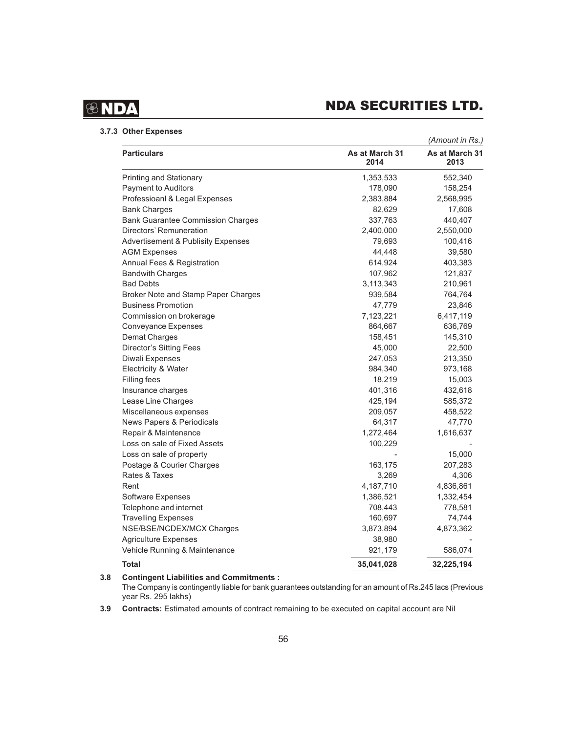# **& NDA**

# NDA SECURITIES LTD.

### **3.7.3 Other Expenses**

|                                               |                        | (Amount in Rs.)        |
|-----------------------------------------------|------------------------|------------------------|
| <b>Particulars</b>                            | As at March 31<br>2014 | As at March 31<br>2013 |
| <b>Printing and Stationary</b>                | 1,353,533              | 552,340                |
| Payment to Auditors                           | 178,090                | 158,254                |
| Professioanl & Legal Expenses                 | 2,383,884              | 2,568,995              |
| <b>Bank Charges</b>                           | 82,629                 | 17,608                 |
| <b>Bank Guarantee Commission Charges</b>      | 337,763                | 440,407                |
| Directors' Remuneration                       | 2,400,000              | 2,550,000              |
| <b>Advertisement &amp; Publisity Expenses</b> | 79,693                 | 100,416                |
| <b>AGM Expenses</b>                           | 44,448                 | 39,580                 |
| Annual Fees & Registration                    | 614,924                | 403,383                |
| <b>Bandwith Charges</b>                       | 107,962                | 121,837                |
| <b>Bad Debts</b>                              | 3,113,343              | 210,961                |
| Broker Note and Stamp Paper Charges           | 939,584                | 764,764                |
| <b>Business Promotion</b>                     | 47,779                 | 23,846                 |
| Commission on brokerage                       | 7,123,221              | 6,417,119              |
| Conveyance Expenses                           | 864,667                | 636,769                |
| Demat Charges                                 | 158,451                | 145,310                |
| Director's Sitting Fees                       | 45,000                 | 22,500                 |
| Diwali Expenses                               | 247,053                | 213,350                |
| Electricity & Water                           | 984,340                | 973,168                |
| Filling fees                                  | 18,219                 | 15,003                 |
| Insurance charges                             | 401,316                | 432,618                |
| Lease Line Charges                            | 425,194                | 585,372                |
| Miscellaneous expenses                        | 209,057                | 458,522                |
| News Papers & Periodicals                     | 64,317                 | 47,770                 |
| Repair & Maintenance                          | 1,272,464              | 1,616,637              |
| Loss on sale of Fixed Assets                  | 100,229                |                        |
| Loss on sale of property                      |                        | 15,000                 |
| Postage & Courier Charges                     | 163,175                | 207,283                |
| Rates & Taxes                                 | 3,269                  | 4,306                  |
| Rent                                          | 4,187,710              | 4,836,861              |
| Software Expenses                             | 1,386,521              | 1,332,454              |
| Telephone and internet                        | 708,443                | 778,581                |
| <b>Travelling Expenses</b>                    | 160,697                | 74,744                 |
| NSE/BSE/NCDEX/MCX Charges                     | 3,873,894              | 4,873,362              |
| <b>Agriculture Expenses</b>                   | 38,980                 |                        |
| Vehicle Running & Maintenance                 | 921,179                | 586,074                |
| <b>Total</b>                                  | 35,041,028             | 32,225,194             |

**3.8 Contingent Liabilities and Commitments :**

The Company is contingently liable for bank guarantees outstanding for an amount of Rs.245 lacs (Previous year Rs. 295 lakhs)

**3.9 Contracts:** Estimated amounts of contract remaining to be executed on capital account are Nil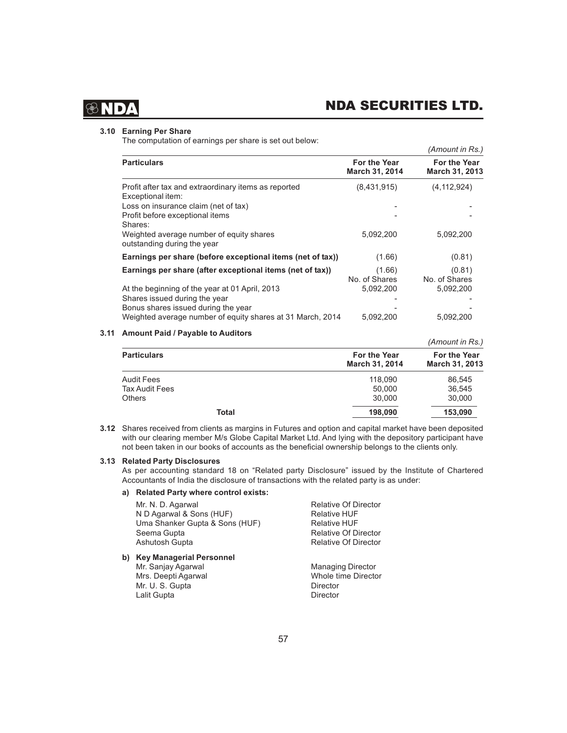# D

#### **3.10 Earning Per Share**

The computation of earnings per share is set out below:

|                                                                                                                        |                                | (Amount in Rs.)                |
|------------------------------------------------------------------------------------------------------------------------|--------------------------------|--------------------------------|
| <b>Particulars</b>                                                                                                     | For the Year<br>March 31, 2014 | For the Year<br>March 31, 2013 |
| Profit after tax and extraordinary items as reported<br>Exceptional item:                                              | (8,431,915)                    | (4, 112, 924)                  |
| Loss on insurance claim (net of tax)<br>Profit before exceptional items<br>Shares:                                     |                                |                                |
| Weighted average number of equity shares<br>outstanding during the year                                                | 5,092,200                      | 5,092,200                      |
| Earnings per share (before exceptional items (net of tax))                                                             | (1.66)                         | (0.81)                         |
| Earnings per share (after exceptional items (net of tax))                                                              | (1.66)<br>No. of Shares        | (0.81)<br>No. of Shares        |
| At the beginning of the year at 01 April, 2013<br>Shares issued during the year<br>Bonus shares issued during the year | 5,092,200                      | 5,092,200                      |
| Weighted average number of equity shares at 31 March, 2014                                                             | 5.092.200                      | 5.092.200                      |

### **3.11 Amount Paid / Payable to Auditors**

|                       |                                | (Amount in Rs.)                |
|-----------------------|--------------------------------|--------------------------------|
| <b>Particulars</b>    | For the Year<br>March 31, 2014 | For the Year<br>March 31, 2013 |
| <b>Audit Fees</b>     | 118.090                        | 86.545                         |
| <b>Tax Audit Fees</b> | 50,000                         | 36.545                         |
| <b>Others</b>         | 30,000                         | 30,000                         |
| Total                 | 198,090                        | 153,090                        |

**3.12** Shares received from clients as margins in Futures and option and capital market have been deposited with our clearing member M/s Globe Capital Market Ltd. And lying with the depository participant have not been taken in our books of accounts as the beneficial ownership belongs to the clients only.

#### **3.13 Related Party Disclosures**

As per accounting standard 18 on "Related party Disclosure" issued by the Institute of Chartered Accountants of India the disclosure of transactions with the related party is as under:

#### **a) Related Party where control exists:**

| Mr. N. D. Agarwal              | <b>Relative Of Director</b> |
|--------------------------------|-----------------------------|
| N D Agarwal & Sons (HUF)       | <b>Relative HUF</b>         |
| Uma Shanker Gupta & Sons (HUF) | <b>Relative HUF</b>         |
| Seema Gupta                    | <b>Relative Of Director</b> |
| Ashutosh Gupta                 | <b>Relative Of Director</b> |
|                                |                             |

**b) Key Managerial Personnel** Mr. Sanjay Agarwal **Managing Director**<br>
Mrs. Deepti Agarwal **Managing Director**<br>
Mhole time Director Mrs. Deepti Agarwal Mr. U. S. Gupta **Director**<br>
Lalit Gupta **Director**<br>
Director Lalit Gupta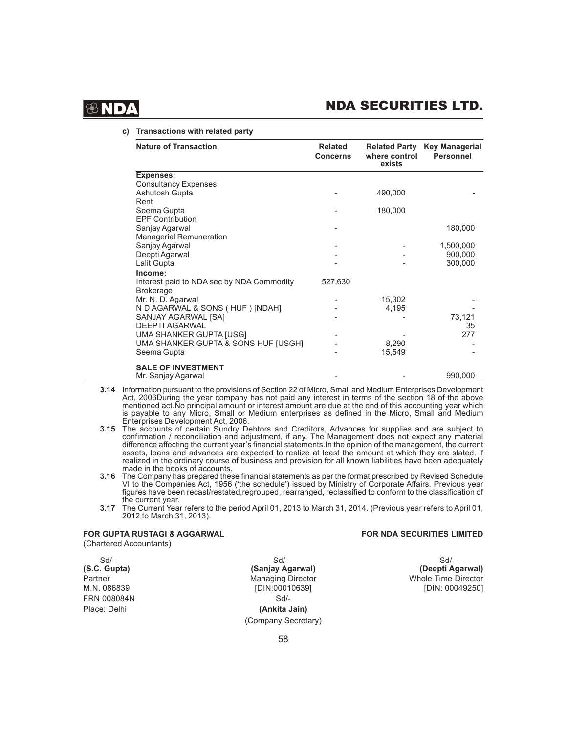#### **c) Transactions with related party**

| <b>Nature of Transaction</b>              | <b>Related</b><br><b>Concerns</b> | <b>Related Party</b><br>where control<br>exists | <b>Key Managerial</b><br><b>Personnel</b> |
|-------------------------------------------|-----------------------------------|-------------------------------------------------|-------------------------------------------|
| <b>Expenses:</b>                          |                                   |                                                 |                                           |
| <b>Consultancy Expenses</b>               |                                   |                                                 |                                           |
| Ashutosh Gupta                            |                                   | 490,000                                         |                                           |
| Rent                                      |                                   |                                                 |                                           |
| Seema Gupta                               |                                   | 180,000                                         |                                           |
| <b>EPF Contribution</b>                   |                                   |                                                 |                                           |
| Sanjay Agarwal                            |                                   |                                                 | 180,000                                   |
| <b>Managerial Remuneration</b>            |                                   |                                                 |                                           |
| Sanjay Agarwal                            |                                   |                                                 | 1,500,000                                 |
| Deepti Agarwal                            |                                   |                                                 | 900,000                                   |
| Lalit Gupta                               |                                   |                                                 | 300,000                                   |
| Income:                                   |                                   |                                                 |                                           |
| Interest paid to NDA sec by NDA Commodity | 527,630                           |                                                 |                                           |
| <b>Brokerage</b>                          |                                   |                                                 |                                           |
| Mr. N. D. Agarwal                         |                                   | 15,302                                          |                                           |
| N D AGARWAL & SONS (HUF) [NDAH]           |                                   | 4,195                                           |                                           |
| SANJAY AGARWAL [SA]                       |                                   |                                                 | 73,121                                    |
| <b>DEEPTI AGARWAL</b>                     |                                   |                                                 | 35                                        |
| UMA SHANKER GUPTA [USG]                   |                                   |                                                 | 277                                       |
| UMA SHANKER GUPTA & SONS HUF [USGH]       |                                   | 8,290                                           |                                           |
| Seema Gupta                               |                                   | 15,549                                          |                                           |
| <b>SALE OF INVESTMENT</b>                 |                                   |                                                 |                                           |
| Mr. Sanjay Agarwal                        |                                   |                                                 | 990,000                                   |

**3.14** Information pursuant to the provisions of Section 22 of Micro, Small and Medium Enterprises Development Act, 2006During the year company has not paid any interest in terms of the section 18 of the above mentioned act.No principal amount or interest amount are due at the end of this accounting year which is payable to any Micro, Small or Medium enterprises as defined in the Micro, Small and Medium Enterprises Development Act, 2006.

**3.15** The accounts of certain Sundry Debtors and Creditors, Advances for supplies and are subject to confirmation / reconciliation and adjustment, if any. The Management does not expect any material difference affecting the current year's financial statements.In the opinion of the management, the current assets, loans and advances are expected to realize at least the amount at which they are stated, if realized in the ordinary course of business and provision for all known liabilities have been adequately made in the books of accounts.

**3.16** The Company has prepared these financial statements as per the format prescribed by Revised Schedule VI to the Companies Act, 1956 ('the schedule') issued by Ministry of Corporate Affairs. Previous year figures have been recast/restated,regrouped, rearranged, reclassified to conform to the classification of the current year.

**3.17** The Current Year refers to the period April 01, 2013 to March 31, 2014. (Previous year refers to April 01, 2012 to March 31, 2013).

### **FOR GUPTA RUSTAGI & AGGARWAL FOR NDA SECURITIES LIMITED**

(Chartered Accountants)

FRN 008084N Sd/-

Sd/- Sd/- Sd/- Place: Delhi **(Ankita Jain)** (Company Secretary)

**(S.C. Gupta) (Sanjay Agarwal) (Deepti Agarwal)** Partner **Managing Director** Managing Director **Managing Director** Mole Time Director M.N. 086839 [DIN:00010639] [DIN: 00049250]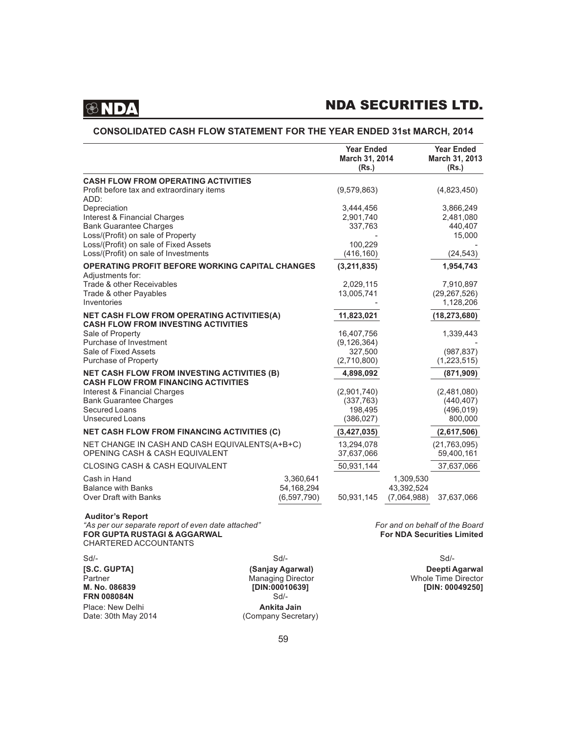# NDA SECURITIES LTD.

### **CONSOLIDATED CASH FLOW STATEMENT FOR THE YEAR ENDED 31st MARCH, 2014**

|                                                                                                 |                             | <b>Year Ended</b><br>March 31, 2014<br>(Rs.) |                           | <b>Year Ended</b><br>March 31, 2013<br>(Rs.) |
|-------------------------------------------------------------------------------------------------|-----------------------------|----------------------------------------------|---------------------------|----------------------------------------------|
| <b>CASH FLOW FROM OPERATING ACTIVITIES</b>                                                      |                             |                                              |                           |                                              |
| Profit before tax and extraordinary items                                                       |                             | (9,579,863)                                  |                           | (4,823,450)                                  |
| ADD:<br>Depreciation                                                                            |                             |                                              |                           |                                              |
| Interest & Financial Charges                                                                    |                             | 3,444,456<br>2,901,740                       |                           | 3,866,249<br>2,481,080                       |
| <b>Bank Guarantee Charges</b>                                                                   |                             | 337,763                                      |                           | 440,407                                      |
| Loss/(Profit) on sale of Property                                                               |                             |                                              |                           | 15,000                                       |
| Loss/(Profit) on sale of Fixed Assets                                                           |                             | 100,229                                      |                           |                                              |
| Loss/(Profit) on sale of Investments                                                            |                             | (416, 160)                                   |                           | (24, 543)                                    |
| <b>OPERATING PROFIT BEFORE WORKING CAPITAL CHANGES</b><br>Adjustments for:                      |                             | (3,211,835)                                  |                           | 1,954,743                                    |
| Trade & other Receivables                                                                       |                             | 2,029,115                                    |                           | 7,910,897                                    |
| Trade & other Payables                                                                          |                             | 13,005,741                                   |                           | (29, 267, 526)                               |
| Inventories                                                                                     |                             |                                              |                           | 1,128,206                                    |
| <b>NET CASH FLOW FROM OPERATING ACTIVITIES(A)</b><br><b>CASH FLOW FROM INVESTING ACTIVITIES</b> |                             | 11,823,021                                   |                           | (18, 273, 680)                               |
| Sale of Property                                                                                |                             | 16,407,756                                   |                           | 1,339,443                                    |
| Purchase of Investment                                                                          |                             | (9, 126, 364)                                |                           |                                              |
| Sale of Fixed Assets                                                                            |                             | 327,500                                      |                           | (987, 837)                                   |
| Purchase of Property                                                                            |                             | (2,710,800)                                  |                           | (1,223,515)                                  |
| <b>NET CASH FLOW FROM INVESTING ACTIVITIES (B)</b>                                              |                             | 4,898,092                                    |                           | (871, 909)                                   |
| <b>CASH FLOW FROM FINANCING ACTIVITIES</b>                                                      |                             |                                              |                           |                                              |
| Interest & Financial Charges                                                                    |                             | (2,901,740)                                  |                           | (2,481,080)                                  |
| <b>Bank Guarantee Charges</b><br>Secured Loans                                                  |                             | (337,763)                                    |                           | (440, 407)                                   |
| <b>Unsecured Loans</b>                                                                          |                             | 198,495<br>(386, 027)                        |                           | (496, 019)<br>800,000                        |
| <b>NET CASH FLOW FROM FINANCING ACTIVITIES (C)</b>                                              |                             | (3,427,035)                                  |                           | (2,617,506)                                  |
|                                                                                                 |                             |                                              |                           |                                              |
| NET CHANGE IN CASH AND CASH EQUIVALENTS(A+B+C)<br><b>OPENING CASH &amp; CASH EQUIVALENT</b>     |                             | 13,294,078<br>37,637,066                     |                           | (21, 763, 095)<br>59,400,161                 |
| CLOSING CASH & CASH EQUIVALENT                                                                  |                             | 50,931,144                                   |                           | 37,637,066                                   |
|                                                                                                 |                             |                                              |                           |                                              |
| Cash in Hand                                                                                    | 3,360,641                   |                                              | 1,309,530                 |                                              |
| <b>Balance with Banks</b><br>Over Draft with Banks                                              | 54, 168, 294<br>(6,597,790) | 50,931,145                                   | 43,392,524<br>(7,064,988) | 37,637,066                                   |
|                                                                                                 |                             |                                              |                           |                                              |
| <b>Auditor's Report</b><br>"As per our separate report of even date attached"                   |                             |                                              |                           | For and on behalf of the Board               |
| FOR GUPTA RUSTAGI & AGGARWAL<br>CHARTERED ACCOUNTANTS                                           |                             |                                              |                           | <b>For NDA Securities Limited</b>            |
| Sd                                                                                              | $Sd$ -                      |                                              |                           | Sd                                           |

**FRN 008084N** 

Place: New Delhi **Ankita Jain**<br>Date: 30th May 2014 (Company Secret

**Managing Director (Sanjay Agarwal) ESC. GUPTA] Deepti Agarwal**<br>
Partner M. No. 086839 **[DIN: 00010639] ERN 008084N EXECUTE:** Sd/-<br> **M. No. 086839 ERN 008084N** Sd/-

(Company Secretary)

**[S.C. GUPTA] (Sanjay Agarwal) Deepti Agarwal** Partner **Managing Director** Managing Director **Managing Director** Mole Time Director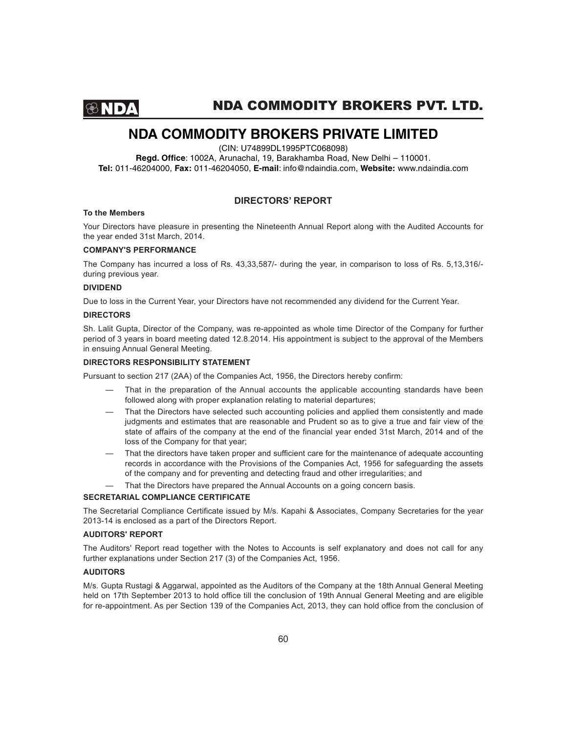NDIA

### NDA COMMODITY BROKERS PVT. LTD.

### **NDA COMMODITY BROKERS PRIVATE LIMITED**

(CIN: U74899DL1995PTC068098)

**Regd. Office**: 1002A, Arunachal, 19, Barakhamba Road, New Delhi – 110001. **Tel:** 011-46204000, **Fax:** 011-46204050, **E-mail**: info@ndaindia.com, **Website:** www.ndaindia.com

### **DIRECTORS' REPORT**

### **To the Members**

Your Directors have pleasure in presenting the Nineteenth Annual Report along with the Audited Accounts for the year ended 31st March, 2014.

#### **COMPANY'S PERFORMANCE**

The Company has incurred a loss of Rs. 43,33,587/- during the year, in comparison to loss of Rs. 5,13,316/ during previous year.

#### **DIVIDEND**

Due to loss in the Current Year, your Directors have not recommended any dividend for the Current Year.

#### **DIRECTORS**

Sh. Lalit Gupta, Director of the Company, was re-appointed as whole time Director of the Company for further period of 3 years in board meeting dated 12.8.2014. His appointment is subject to the approval of the Members in ensuing Annual General Meeting.

### **DIRECTORS RESPONSIBILITY STATEMENT**

Pursuant to section 217 (2AA) of the Companies Act, 1956, the Directors hereby confirm:

- That in the preparation of the Annual accounts the applicable accounting standards have been followed along with proper explanation relating to material departures;
- That the Directors have selected such accounting policies and applied them consistently and made judgments and estimates that are reasonable and Prudent so as to give a true and fair view of the state of affairs of the company at the end of the financial year ended 31st March, 2014 and of the loss of the Company for that year;
- That the directors have taken proper and sufficient care for the maintenance of adequate accounting records in accordance with the Provisions of the Companies Act, 1956 for safeguarding the assets of the company and for preventing and detecting fraud and other irregularities; and
- That the Directors have prepared the Annual Accounts on a going concern basis.

#### **SECRETARIAL COMPLIANCE CERTIFICATE**

The Secretarial Compliance Certificate issued by M/s. Kapahi & Associates, Company Secretaries for the year 2013-14 is enclosed as a part of the Directors Report.

### **AUDITORS' REPORT**

The Auditors' Report read together with the Notes to Accounts is self explanatory and does not call for any further explanations under Section 217 (3) of the Companies Act, 1956.

### **AUDITORS**

M/s. Gupta Rustagi & Aggarwal, appointed as the Auditors of the Company at the 18th Annual General Meeting held on 17th September 2013 to hold office till the conclusion of 19th Annual General Meeting and are eligible for re-appointment. As per Section 139 of the Companies Act, 2013, they can hold office from the conclusion of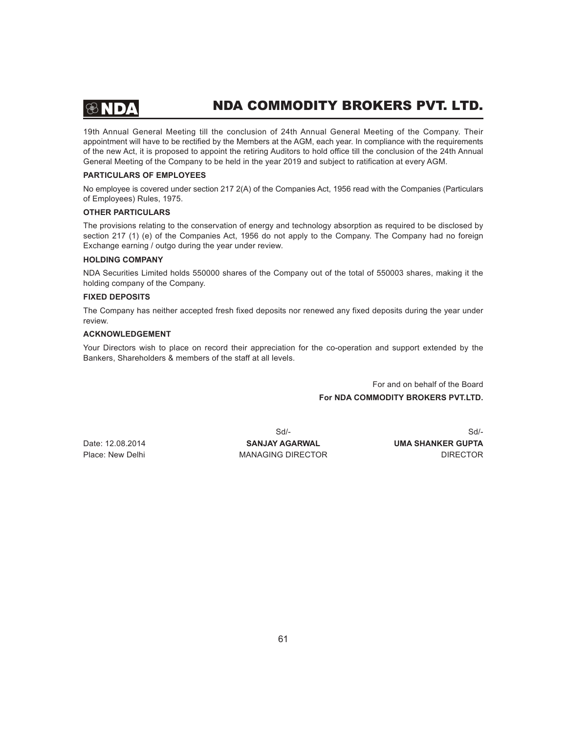# **ENDA**

# NDA COMMODITY BROKERS PVT. LTD.

19th Annual General Meeting till the conclusion of 24th Annual General Meeting of the Company. Their appointment will have to be rectified by the Members at the AGM, each year. In compliance with the requirements of the new Act, it is proposed to appoint the retiring Auditors to hold office till the conclusion of the 24th Annual General Meeting of the Company to be held in the year 2019 and subject to ratification at every AGM.

### **PARTICULARS OF EMPLOYEES**

No employee is covered under section 217 2(A) of the Companies Act, 1956 read with the Companies (Particulars of Employees) Rules, 1975.

### **OTHER PARTICULARS**

The provisions relating to the conservation of energy and technology absorption as required to be disclosed by section 217 (1) (e) of the Companies Act, 1956 do not apply to the Company. The Company had no foreign Exchange earning / outgo during the year under review.

### **HOLDING COMPANY**

NDA Securities Limited holds 550000 shares of the Company out of the total of 550003 shares, making it the holding company of the Company.

#### **FIXED DEPOSITS**

The Company has neither accepted fresh fixed deposits nor renewed any fixed deposits during the year under review.

#### **ACKNOWLEDGEMENT**

Your Directors wish to place on record their appreciation for the co-operation and support extended by the Bankers, Shareholders & members of the staff at all levels.

> For and on behalf of the Board **For NDA COMMODITY BROKERS PVT.LTD.**

Date: 12.08.2014 **SANJAY AGARWAL UMA SHANKER GUPTA** Place: New Delhi MANAGING DIRECTOR DIRECTOR DIRECTOR

Sd/- Sd/-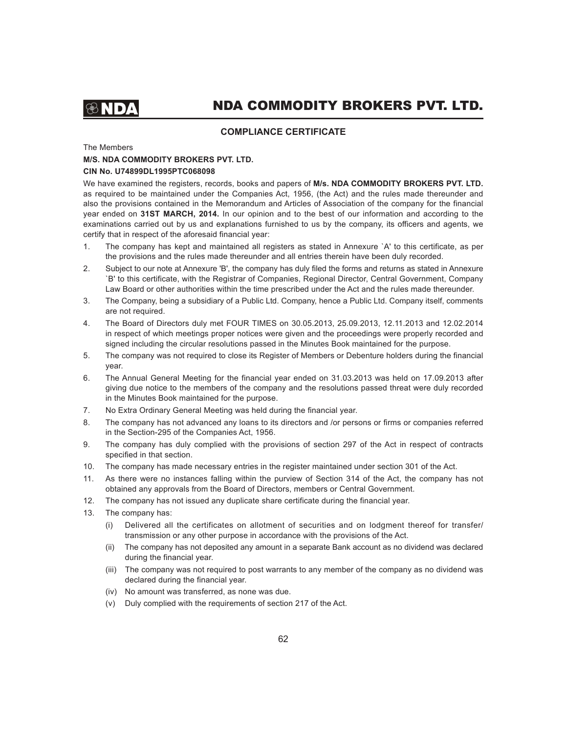

### NDA COMMODITY BROKERS PVT. LTD.

### **COMPLIANCE CERTIFICATE**

#### The Members

#### **M/S. NDA COMMODITY BROKERS PVT. LTD.**

#### **CIN No. U74899DL1995PTC068098**

We have examined the registers, records, books and papers of **M/s. NDA COMMODITY BROKERS PVT. LTD.** as required to be maintained under the Companies Act, 1956, (the Act) and the rules made thereunder and also the provisions contained in the Memorandum and Articles of Association of the company for the financial year ended on **31ST MARCH, 2014.** In our opinion and to the best of our information and according to the examinations carried out by us and explanations furnished to us by the company, its officers and agents, we certify that in respect of the aforesaid financial year:

- 1. The company has kept and maintained all registers as stated in Annexure `A' to this certificate, as per the provisions and the rules made thereunder and all entries therein have been duly recorded.
- 2. Subject to our note at Annexure 'B', the company has duly filed the forms and returns as stated in Annexure `B' to this certificate, with the Registrar of Companies, Regional Director, Central Government, Company Law Board or other authorities within the time prescribed under the Act and the rules made thereunder.
- 3. The Company, being a subsidiary of a Public Ltd. Company, hence a Public Ltd. Company itself, comments are not required.
- 4. The Board of Directors duly met FOUR TIMES on 30.05.2013, 25.09.2013, 12.11.2013 and 12.02.2014 in respect of which meetings proper notices were given and the proceedings were properly recorded and signed including the circular resolutions passed in the Minutes Book maintained for the purpose.
- 5. The company was not required to close its Register of Members or Debenture holders during the financial year.
- 6. The Annual General Meeting for the financial year ended on 31.03.2013 was held on 17.09.2013 after giving due notice to the members of the company and the resolutions passed threat were duly recorded in the Minutes Book maintained for the purpose.
- 7. No Extra Ordinary General Meeting was held during the financial year.
- 8. The company has not advanced any loans to its directors and /or persons or firms or companies referred in the Section-295 of the Companies Act, 1956.
- 9. The company has duly complied with the provisions of section 297 of the Act in respect of contracts specified in that section.
- 10. The company has made necessary entries in the register maintained under section 301 of the Act.
- 11. As there were no instances falling within the purview of Section 314 of the Act, the company has not obtained any approvals from the Board of Directors, members or Central Government.
- 12. The company has not issued any duplicate share certificate during the financial year.
- 13. The company has:
	- (i) Delivered all the certificates on allotment of securities and on lodgment thereof for transfer/ transmission or any other purpose in accordance with the provisions of the Act.
	- (ii) The company has not deposited any amount in a separate Bank account as no dividend was declared during the financial year.
	- (iii) The company was not required to post warrants to any member of the company as no dividend was declared during the financial year.
	- (iv) No amount was transferred, as none was due.
	- (v) Duly complied with the requirements of section 217 of the Act.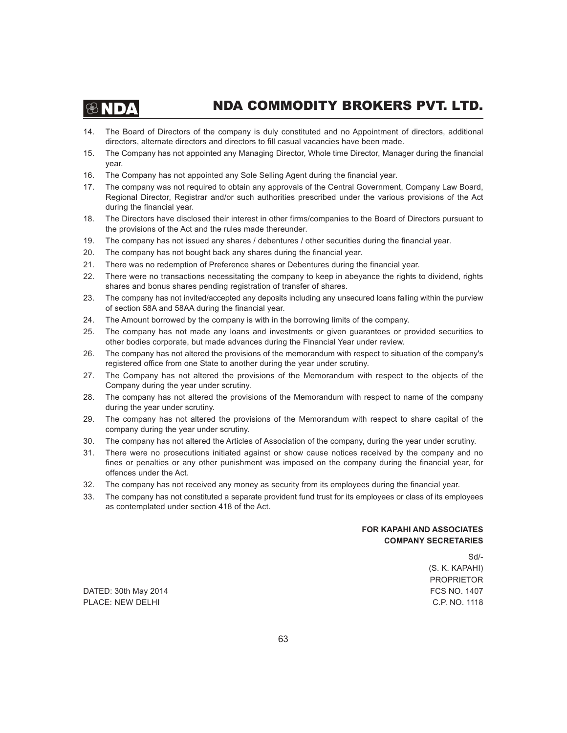# **ONDA**

### NDA COMMODITY BROKERS PVT. LTD.

- 14. The Board of Directors of the company is duly constituted and no Appointment of directors, additional directors, alternate directors and directors to fill casual vacancies have been made.
- 15. The Company has not appointed any Managing Director, Whole time Director, Manager during the financial year.
- 16. The Company has not appointed any Sole Selling Agent during the financial year.
- 17. The company was not required to obtain any approvals of the Central Government, Company Law Board, Regional Director, Registrar and/or such authorities prescribed under the various provisions of the Act during the financial year.
- 18. The Directors have disclosed their interest in other firms/companies to the Board of Directors pursuant to the provisions of the Act and the rules made thereunder.
- 19. The company has not issued any shares / debentures / other securities during the financial year.
- 20. The company has not bought back any shares during the financial year.
- 21. There was no redemption of Preference shares or Debentures during the financial year.
- 22. There were no transactions necessitating the company to keep in abeyance the rights to dividend, rights shares and bonus shares pending registration of transfer of shares.
- 23. The company has not invited/accepted any deposits including any unsecured loans falling within the purview of section 58A and 58AA during the financial year.
- 24. The Amount borrowed by the company is with in the borrowing limits of the company.
- 25. The company has not made any loans and investments or given guarantees or provided securities to other bodies corporate, but made advances during the Financial Year under review.
- 26. The company has not altered the provisions of the memorandum with respect to situation of the company's registered office from one State to another during the year under scrutiny.
- 27. The Company has not altered the provisions of the Memorandum with respect to the objects of the Company during the year under scrutiny.
- 28. The company has not altered the provisions of the Memorandum with respect to name of the company during the year under scrutiny.
- 29. The company has not altered the provisions of the Memorandum with respect to share capital of the company during the year under scrutiny.
- 30. The company has not altered the Articles of Association of the company, during the year under scrutiny.
- 31. There were no prosecutions initiated against or show cause notices received by the company and no fines or penalties or any other punishment was imposed on the company during the financial year, for offences under the Act.
- 32. The company has not received any money as security from its employees during the financial year.
- 33. The company has not constituted a separate provident fund trust for its employees or class of its employees as contemplated under section 418 of the Act.

### **FOR KAPAHI AND ASSOCIATES COMPANY SECRETARIES**

Sd/- (S. K. KAPAHI) PROPRIETOR

DATED: 30th May 2014 **FOR 1407** FOR NO. 1407 PLACE: NEW DELHI C.P. NO. 1118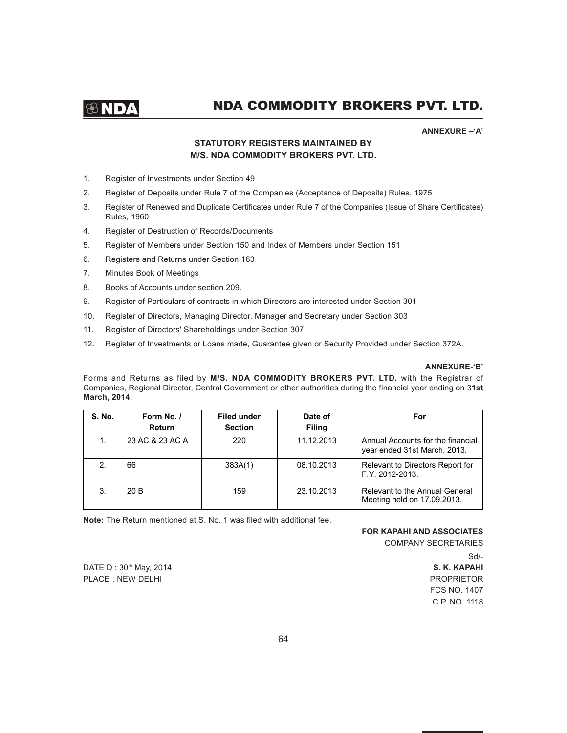

### NDA COMMODITY BROKERS PVT. LTD.

**ANNEXURE –'A'**

### **STATUTORY REGISTERS MAINTAINED BY M/S. NDA COMMODITY BROKERS PVT. LTD.**

- 1. Register of Investments under Section 49
- 2. Register of Deposits under Rule 7 of the Companies (Acceptance of Deposits) Rules, 1975
- 3. Register of Renewed and Duplicate Certificates under Rule 7 of the Companies (Issue of Share Certificates) Rules, 1960
- 4. Register of Destruction of Records/Documents
- 5. Register of Members under Section 150 and Index of Members under Section 151
- 6. Registers and Returns under Section 163
- 7. Minutes Book of Meetings
- 8. Books of Accounts under section 209.
- 9. Register of Particulars of contracts in which Directors are interested under Section 301
- 10. Register of Directors, Managing Director, Manager and Secretary under Section 303
- 11. Register of Directors' Shareholdings under Section 307
- 12. Register of Investments or Loans made, Guarantee given or Security Provided under Section 372A.

#### **ANNEXURE-'B'**

Forms and Returns as filed by **M/S. NDA COMMODITY BROKERS PVT. LTD.** with the Registrar of Companies, Regional Director, Central Government or other authorities during the financial year ending on 3**1st March, 2014.**

| <b>S. No.</b> | Form No. /<br><b>Return</b> | <b>Filed under</b><br><b>Section</b> | Date of<br><b>Filing</b> | <b>For</b>                                                        |
|---------------|-----------------------------|--------------------------------------|--------------------------|-------------------------------------------------------------------|
|               | 23 AC & 23 AC A             | 220                                  | 11.12.2013               | Annual Accounts for the financial<br>year ended 31st March, 2013. |
| 2.            | 66                          | 383A(1)                              | 08.10.2013               | Relevant to Directors Report for<br>F.Y. 2012-2013.               |
| 3.            | 20 B                        | 159                                  | 23.10.2013               | Relevant to the Annual General<br>Meeting held on 17.09.2013.     |

**Note:** The Return mentioned at S. No. 1 was filed with additional fee.

### **FOR KAPAHI AND ASSOCIATES**

COMPANY SECRETARIES

DATE D : 30th May, 2014 **S. K. KAPAHI** PLACE : NEW DELHI PROPRIETOR

Sd/- FCS NO. 1407 C.P. NO. 1118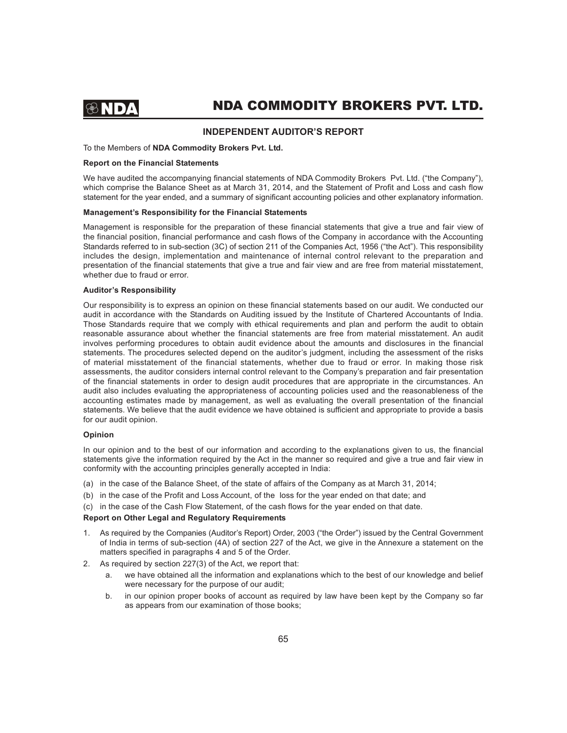

### NDA COMMODITY BROKERS PVT. LTD.

### **INDEPENDENT AUDITOR'S REPORT**

### To the Members of **NDA Commodity Brokers Pvt. Ltd.**

#### **Report on the Financial Statements**

We have audited the accompanying financial statements of NDA Commodity Brokers Pvt. Ltd. ("the Company"), which comprise the Balance Sheet as at March 31, 2014, and the Statement of Profit and Loss and cash flow statement for the year ended, and a summary of significant accounting policies and other explanatory information.

#### **Management's Responsibility for the Financial Statements**

Management is responsible for the preparation of these financial statements that give a true and fair view of the financial position, financial performance and cash flows of the Company in accordance with the Accounting Standards referred to in sub-section (3C) of section 211 of the Companies Act, 1956 ("the Act"). This responsibility includes the design, implementation and maintenance of internal control relevant to the preparation and presentation of the financial statements that give a true and fair view and are free from material misstatement, whether due to fraud or error.

#### **Auditor's Responsibility**

Our responsibility is to express an opinion on these financial statements based on our audit. We conducted our audit in accordance with the Standards on Auditing issued by the Institute of Chartered Accountants of India. Those Standards require that we comply with ethical requirements and plan and perform the audit to obtain reasonable assurance about whether the financial statements are free from material misstatement. An audit involves performing procedures to obtain audit evidence about the amounts and disclosures in the financial statements. The procedures selected depend on the auditor's judgment, including the assessment of the risks of material misstatement of the financial statements, whether due to fraud or error. In making those risk assessments, the auditor considers internal control relevant to the Company's preparation and fair presentation of the financial statements in order to design audit procedures that are appropriate in the circumstances. An audit also includes evaluating the appropriateness of accounting policies used and the reasonableness of the accounting estimates made by management, as well as evaluating the overall presentation of the financial statements. We believe that the audit evidence we have obtained is sufficient and appropriate to provide a basis for our audit opinion.

#### **Opinion**

In our opinion and to the best of our information and according to the explanations given to us, the financial statements give the information required by the Act in the manner so required and give a true and fair view in conformity with the accounting principles generally accepted in India:

- (a) in the case of the Balance Sheet, of the state of affairs of the Company as at March 31, 2014;
- (b) in the case of the Profit and Loss Account, of the loss for the year ended on that date; and
- (c) in the case of the Cash Flow Statement, of the cash flows for the year ended on that date.

#### **Report on Other Legal and Regulatory Requirements**

- 1. As required by the Companies (Auditor's Report) Order, 2003 ("the Order") issued by the Central Government of India in terms of sub-section (4A) of section 227 of the Act, we give in the Annexure a statement on the matters specified in paragraphs 4 and 5 of the Order.
- 2. As required by section 227(3) of the Act, we report that:
	- a. we have obtained all the information and explanations which to the best of our knowledge and belief were necessary for the purpose of our audit;
	- b. in our opinion proper books of account as required by law have been kept by the Company so far as appears from our examination of those books;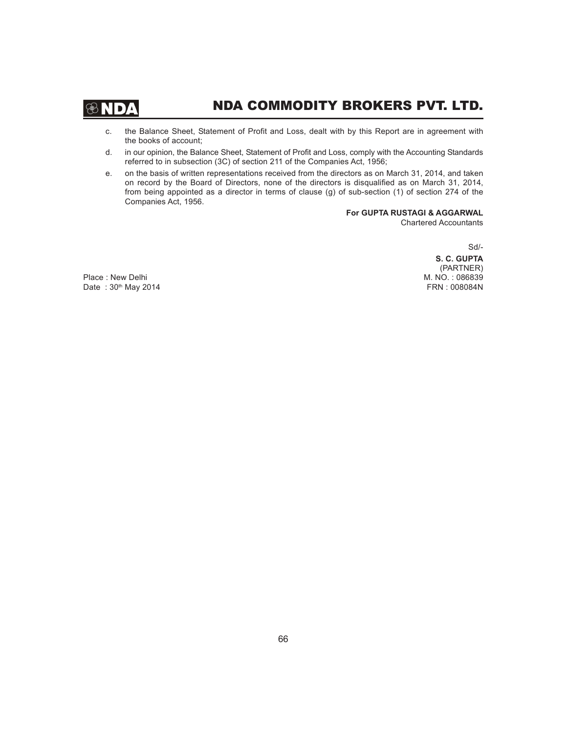

- c. the Balance Sheet, Statement of Profit and Loss, dealt with by this Report are in agreement with the books of account;
- d. in our opinion, the Balance Sheet, Statement of Profit and Loss, comply with the Accounting Standards referred to in subsection (3C) of section 211 of the Companies Act, 1956;
- e. on the basis of written representations received from the directors as on March 31, 2014, and taken on record by the Board of Directors, none of the directors is disqualified as on March 31, 2014, from being appointed as a director in terms of clause (g) of sub-section (1) of section 274 of the Companies Act, 1956.

### **For GUPTA RUSTAGI & AGGARWAL**

Chartered Accountants

Sd/-

**S. C. GUPTA** (PARTNER)

Place : New Delhi M. NO. : 086839<br>Date : 30<sup>th</sup> May 2014 **Date : 30<sup>th</sup> May 2014** Date:  $30<sup>th</sup>$  May 2014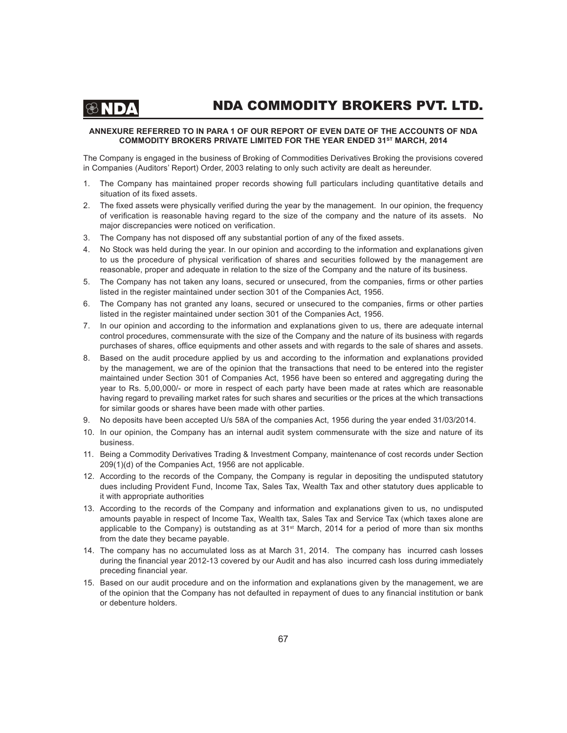#### **ANNEXURE REFERRED TO IN PARA 1 OF OUR REPORT OF EVEN DATE OF THE ACCOUNTS OF NDA COMMODITY BROKERS PRIVATE LIMITED FOR THE YEAR ENDED 31ST MARCH, 2014**

The Company is engaged in the business of Broking of Commodities Derivatives Broking the provisions covered in Companies (Auditors' Report) Order, 2003 relating to only such activity are dealt as hereunder.

- 1. The Company has maintained proper records showing full particulars including quantitative details and situation of its fixed assets.
- 2. The fixed assets were physically verified during the year by the management. In our opinion, the frequency of verification is reasonable having regard to the size of the company and the nature of its assets. No major discrepancies were noticed on verification.
- 3. The Company has not disposed off any substantial portion of any of the fixed assets.
- 4. No Stock was held during the year. In our opinion and according to the information and explanations given to us the procedure of physical verification of shares and securities followed by the management are reasonable, proper and adequate in relation to the size of the Company and the nature of its business.
- 5. The Company has not taken any loans, secured or unsecured, from the companies, firms or other parties listed in the register maintained under section 301 of the Companies Act, 1956.
- 6. The Company has not granted any loans, secured or unsecured to the companies, firms or other parties listed in the register maintained under section 301 of the Companies Act, 1956.
- 7. In our opinion and according to the information and explanations given to us, there are adequate internal control procedures, commensurate with the size of the Company and the nature of its business with regards purchases of shares, office equipments and other assets and with regards to the sale of shares and assets.
- 8. Based on the audit procedure applied by us and according to the information and explanations provided by the management, we are of the opinion that the transactions that need to be entered into the register maintained under Section 301 of Companies Act, 1956 have been so entered and aggregating during the year to Rs. 5,00,000/- or more in respect of each party have been made at rates which are reasonable having regard to prevailing market rates for such shares and securities or the prices at the which transactions for similar goods or shares have been made with other parties.
- 9. No deposits have been accepted U/s 58A of the companies Act, 1956 during the year ended 31/03/2014.
- 10. In our opinion, the Company has an internal audit system commensurate with the size and nature of its business.
- 11. Being a Commodity Derivatives Trading & Investment Company, maintenance of cost records under Section 209(1)(d) of the Companies Act, 1956 are not applicable.
- 12. According to the records of the Company, the Company is regular in depositing the undisputed statutory dues including Provident Fund, Income Tax, Sales Tax, Wealth Tax and other statutory dues applicable to it with appropriate authorities
- 13. According to the records of the Company and information and explanations given to us, no undisputed amounts payable in respect of Income Tax, Wealth tax, Sales Tax and Service Tax (which taxes alone are applicable to the Company) is outstanding as at  $31<sup>st</sup>$  March, 2014 for a period of more than six months from the date they became payable.
- 14. The company has no accumulated loss as at March 31, 2014. The company has incurred cash losses during the financial year 2012-13 covered by our Audit and has also incurred cash loss during immediately preceding financial year.
- 15. Based on our audit procedure and on the information and explanations given by the management, we are of the opinion that the Company has not defaulted in repayment of dues to any financial institution or bank or debenture holders.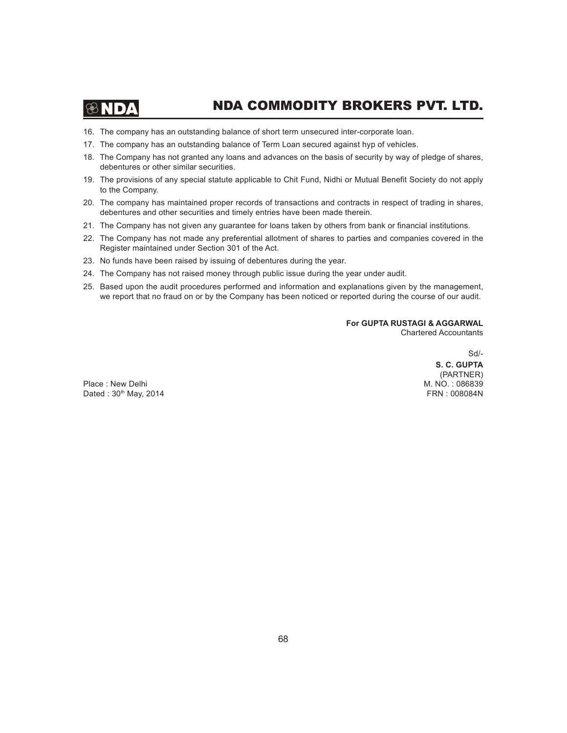### NDA COMMODITY BROKERS PVT. LTD.

- 16. The company has an outstanding balance of short term unsecured inter-corporate loan.
- 17. The company has an outstanding balance of Term Loan secured against hyp of vehicles.
- 18. The Company has not granted any loans and advances on the basis of security by way of pledge of shares, debentures or other similar securities.
- 19. The provisions of any special statute applicable to Chit Fund, Nidhi or Mutual Benefit Society do not apply to the Company.
- 20. The company has maintained proper records of transactions and contracts in respect of trading in shares, debentures and other securities and timely entries have been made therein.
- 21. The Company has not given any guarantee for loans taken by others from bank or financial institutions.
- 22. The Company has not made any preferential allotment of shares to parties and companies covered in the Register maintained under Section 301 of the Act.
- 23. No funds have been raised by issuing of debentures during the year.
- 24. The Company has not raised money through public issue during the year under audit.
- 25. Based upon the audit procedures performed and information and explanations given by the management, we report that no fraud on or by the Company has been noticed or reported during the course of our audit.

#### **For GUPTA RUSTAGI & AGGARWAL** Chartered Accountants

Sd/-

**S. C. GUPTA** (PARTNER)

Place : New Delhi Mathematic Methods and the control of the control of the control of the control of the control of the control of the control of the control of the control of the control of the control of the control of t Dated : 30<sup>th</sup> May, 2014 **FRN : 008084N**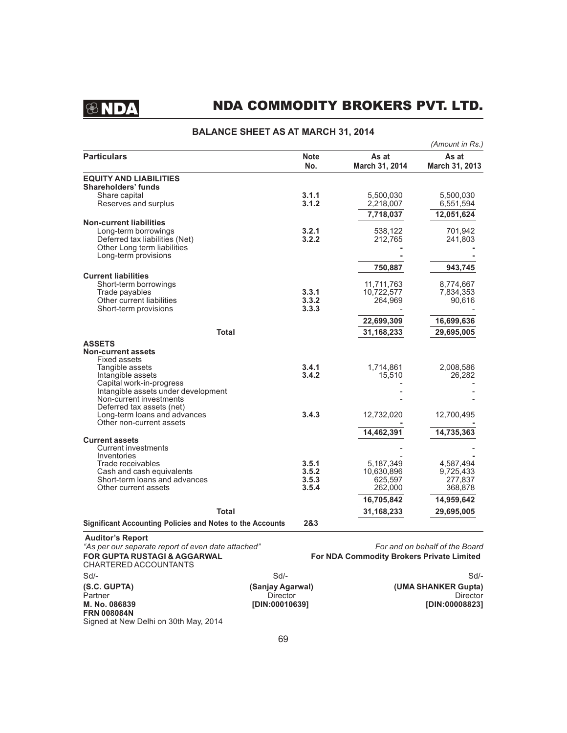

# NDA COMMODITY BROKERS PVT. LTD.

|                                                                  |                    |                         | (Amount in Rs.)         |
|------------------------------------------------------------------|--------------------|-------------------------|-------------------------|
| <b>Particulars</b>                                               | <b>Note</b><br>No. | As at<br>March 31, 2014 | As at<br>March 31, 2013 |
| <b>EQUITY AND LIABILITIES</b>                                    |                    |                         |                         |
| <b>Shareholders' funds</b>                                       |                    |                         |                         |
| Share capital                                                    | 3.1.1              | 5,500,030               | 5,500,030               |
| Reserves and surplus                                             | 3.1.2              | 2,218,007               | 6,551,594               |
|                                                                  |                    | 7,718,037               | 12,051,624              |
| <b>Non-current liabilities</b>                                   | 3.2.1              | 538,122                 |                         |
| Long-term borrowings<br>Deferred tax liabilities (Net)           | 3.2.2              | 212,765                 | 701,942<br>241,803      |
| Other Long term liabilities                                      |                    |                         |                         |
| Long-term provisions                                             |                    |                         |                         |
|                                                                  |                    | 750,887                 | 943,745                 |
| <b>Current liabilities</b>                                       |                    |                         |                         |
| Short-term borrowings                                            |                    | 11,711,763              | 8,774,667               |
| Trade payables                                                   | 3.3.1              | 10,722,577              | 7,834,353               |
| Other current liabilities                                        | 3.3.2              | 264,969                 | 90,616                  |
| Short-term provisions                                            | 3.3.3              |                         |                         |
|                                                                  |                    | 22,699,309              | 16,699,636              |
| <b>Total</b>                                                     |                    | 31,168,233              | 29,695,005              |
| <b>ASSETS</b>                                                    |                    |                         |                         |
| <b>Non-current assets</b>                                        |                    |                         |                         |
| <b>Fixed assets</b>                                              |                    |                         |                         |
| Tangible assets<br>Intangible assets                             | 3.4.1<br>3.4.2     | 1,714,861<br>15,510     | 2,008,586<br>26,282     |
| Capital work-in-progress                                         |                    |                         |                         |
| Intangible assets under development                              |                    |                         |                         |
| Non-current investments                                          |                    |                         |                         |
| Deferred tax assets (net)                                        |                    |                         |                         |
| Long-term loans and advances<br>Other non-current assets         | 3.4.3              | 12,732,020              | 12,700,495              |
|                                                                  |                    | 14,462,391              | 14,735,363              |
| <b>Current assets</b>                                            |                    |                         |                         |
| <b>Current investments</b>                                       |                    |                         |                         |
| Inventories                                                      |                    |                         |                         |
| Trade receivables<br>Cash and cash equivalents                   | 3.5.1<br>3.5.2     | 5,187,349<br>10,630,896 | 4,587,494<br>9,725,433  |
| Short-term loans and advances                                    | 3.5.3              | 625,597                 | 277,837                 |
| Other current assets                                             | 3.5.4              | 262,000                 | 368,878                 |
|                                                                  |                    | 16,705,842              | 14,959,642              |
| <b>Total</b>                                                     |                    | 31,168,233              | 29,695,005              |
| <b>Significant Accounting Policies and Notes to the Accounts</b> | 2&3                |                         |                         |
| Auditor'e Donort                                                 |                    |                         |                         |

### **BALANCE SHEET AS AT MARCH 31, 2014**

 **Auditor's Report** *"As per our separate report of even date attached" For and on behalf of the Board* CHARTERED ACCOUNTANTS Sd/- Sd/- Sd/- **(S.C. GUPTA) (Sanjay Agarwal) (UMA SHANKER Gupta)** Partner Director Director Director Director Director Director Director Director **M. No. 086839 [DIN:00010639] [DIN:00008823] FRN 008084N** Signed at New Delhi on 30th May, 2014

**For NDA Commodity Brokers Private Limited**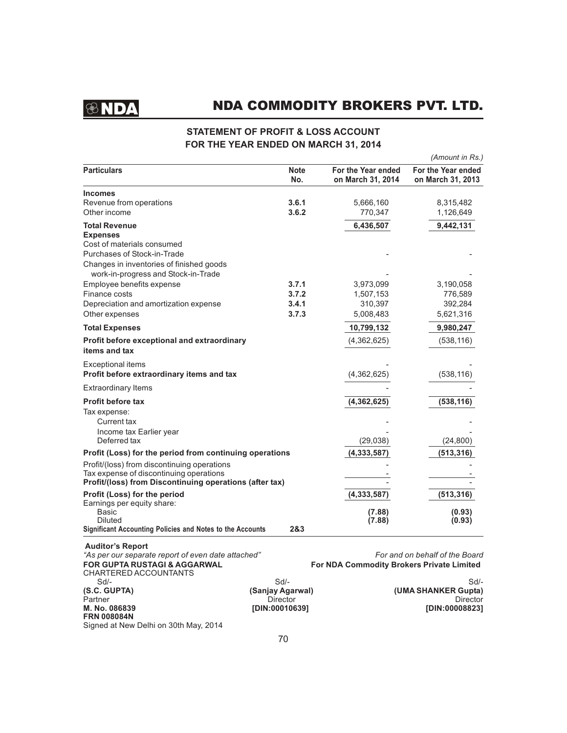

### NDA COMMODITY BROKERS PVT. LTD.

### **STATEMENT OF PROFIT & LOSS ACCOUNT FOR THE YEAR ENDED ON MARCH 31, 2014**

*(Amount in Rs.)* **Particulars Community Community Community Community Community Community Particulars** For the Year ended For the Year ended **No. on March 31, 2014 on March 31, 2013 Incomes** Revenue from operations **3.6.1** 5,666,160 8,315,482 Other income **3.6.2** 770,347 1,126,649 **Total Revenue 6,436,507 9,442,131 Expenses** Cost of materials consumed Purchases of Stock-in-Trade Changes in inventories of finished goods work-in-progress and Stock-in-Trade Employee benefits expense **3.7.1** 3,973,099 3,190,058 Finance costs **3.7.2** 1,507,153 776,589 Depreciation and amortization expense **3.4.1** 310,397 392,284 Other expenses **3.7.3** 5,008,483 5,621,316 **Total Expenses 10,799,132 9,980,247 Profit before exceptional and extraordinary** (4,362,625) (538,116) **items and tax** Exceptional items **Profit before extraordinary items and tax** (4,362,625) (538,116) **Extraordinary Items Profit before tax (4,362,625) (538,116)** Tax expense: Current tax Income tax Earlier year and the set of the set of the set of the set of the set of the set of the set of the set of the set of the set of the set of the set of the set of the set of the set of the set of the set of the set Deferred tax (29,038) (24,800) **Profit (Loss) for the period from continuing operations**  $(4,333,587)$  (513,316) Profit/(loss) from discontinuing operations Tax expense of discontinuing operations **Profit/(loss) from Discontinuing operations (after tax) Profit (Loss) for the period (4,333,587) (513,316)** Earnings per equity share: Basic **(7.88) (0.93)** Diluted **(7.88) (0.93) Significant Accounting Policies and Notes to the Accounts 2&3**

#### **Auditor's Report**

*"As per our separate report of even date attached" For and on behalf of the Board* **FOR GUPTA RUSTAGI & AGGARWAL For NDA Commodity Brokers Private Limited** CHARTERED ACCOUNTANTS

Sd/- Sd/- Sd/- **(S.C. GUPTA) (Sanjay Agarwal) (UMA SHANKER Gupta)** Partner Director Director Director Director Director Director Director Director **M. No. 086839 [DIN:00010639] [DIN:00008823] FRN 008084N** Signed at New Delhi on 30th May, 2014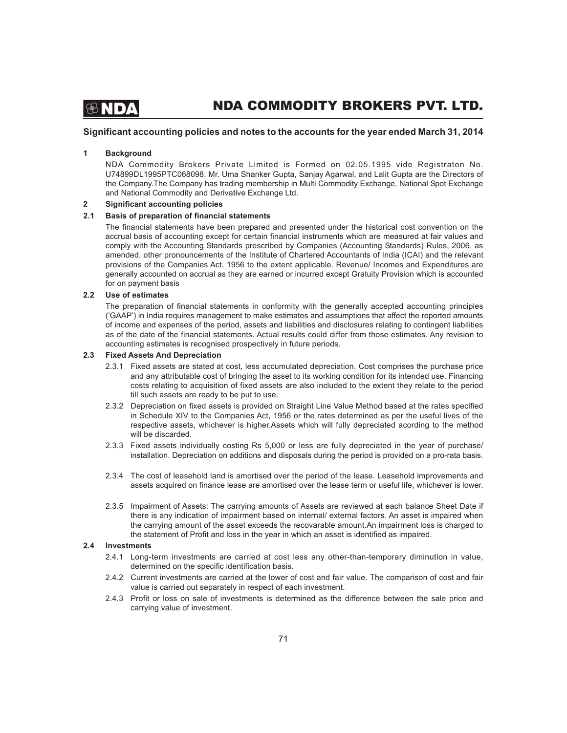### NDA COMMODITY BROKERS PVT. LTD.

### **Significant accounting policies and notes to the accounts for the year ended March 31, 2014**

### **1 Background**

NDA Commodity Brokers Private Limited is Formed on 02.05.1995 vide Registraton No. U74899DL1995PTC068098. Mr. Uma Shanker Gupta, Sanjay Agarwal, and Lalit Gupta are the Directors of the Company.The Company has trading membership in Multi Commodity Exchange, National Spot Exchange and National Commodity and Derivative Exchange Ltd.

### **2 Significant accounting policies**

### **2.1 Basis of preparation of financial statements**

The financial statements have been prepared and presented under the historical cost convention on the accrual basis of accounting except for certain financial instruments which are measured at fair values and comply with the Accounting Standards prescribed by Companies (Accounting Standards) Rules, 2006, as amended, other pronouncements of the Institute of Chartered Accountants of India (ICAI) and the relevant provisions of the Companies Act, 1956 to the extent applicable. Revenue/ Incomes and Expenditures are generally accounted on accrual as they are earned or incurred except Gratuity Provision which is accounted for on payment basis

### **2.2 Use of estimates**

The preparation of financial statements in conformity with the generally accepted accounting principles ('GAAP') in India requires management to make estimates and assumptions that affect the reported amounts of income and expenses of the period, assets and liabilities and disclosures relating to contingent liabilities as of the date of the financial statements. Actual results could differ from those estimates. Any revision to accounting estimates is recognised prospectively in future periods.

### **2.3 Fixed Assets And Depreciation**

- 2.3.1 Fixed assets are stated at cost, less accumulated depreciation. Cost comprises the purchase price and any attributable cost of bringing the asset to its working condition for its intended use. Financing costs relating to acquisition of fixed assets are also included to the extent they relate to the period till such assets are ready to be put to use.
- 2.3.2 Depreciation on fixed assets is provided on Straight Line Value Method based at the rates specified in Schedule XIV to the Companies Act, 1956 or the rates determined as per the useful lives of the respective assets, whichever is higher.Assets which will fully depreciated acording to the method will be discarded.
- 2.3.3 Fixed assets individually costing Rs 5,000 or less are fully depreciated in the year of purchase/ installation. Depreciation on additions and disposals during the period is provided on a pro-rata basis.
- 2.3.4 The cost of leasehold land is amortised over the period of the lease. Leasehold improvements and assets acquired on finance lease are amortised over the lease term or useful life, whichever is lower.
- 2.3.5 Impairment of Assets: The carrying amounts of Assets are reviewed at each balance Sheet Date if there is any indication of impairment based on internal/ external factors. An asset is impaired when the carrying amount of the asset exceeds the recovarable amount.An impairment loss is charged to the statement of Profit and loss in the year in which an asset is identified as impaired.

### **2.4 Investments**

- 2.4.1 Long-term investments are carried at cost less any other-than-temporary diminution in value, determined on the specific identification basis.
- 2.4.2 Current investments are carried at the lower of cost and fair value. The comparison of cost and fair value is carried out separately in respect of each investment.
- 2.4.3 Profit or loss on sale of investments is determined as the difference between the sale price and carrying value of investment.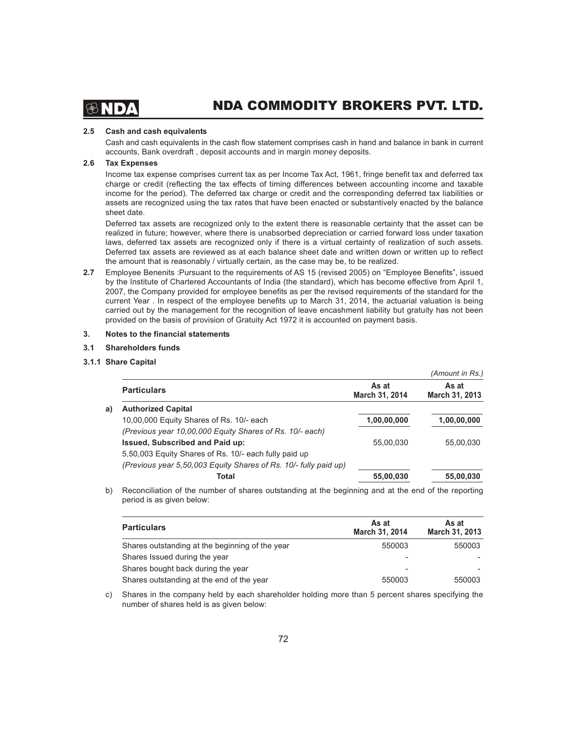#### **2.5 Cash and cash equivalents**

Cash and cash equivalents in the cash flow statement comprises cash in hand and balance in bank in current accounts, Bank overdraft , deposit accounts and in margin money deposits.

### **2.6 Tax Expenses**

Income tax expense comprises current tax as per Income Tax Act, 1961, fringe benefit tax and deferred tax charge or credit (reflecting the tax effects of timing differences between accounting income and taxable income for the period). The deferred tax charge or credit and the corresponding deferred tax liabilities or assets are recognized using the tax rates that have been enacted or substantively enacted by the balance sheet date.

Deferred tax assets are recognized only to the extent there is reasonable certainty that the asset can be realized in future; however, where there is unabsorbed depreciation or carried forward loss under taxation laws, deferred tax assets are recognized only if there is a virtual certainty of realization of such assets. Deferred tax assets are reviewed as at each balance sheet date and written down or written up to reflect the amount that is reasonably / virtually certain, as the case may be, to be realized.

**2.7** Employee Benenits :Pursuant to the requirements of AS 15 (revised 2005) on "Employee Benefits", issued by the Institute of Chartered Accountants of India (the standard), which has become effective from April 1, 2007, the Company provided for employee benefits as per the revised requirements of the standard for the current Year . In respect of the employee benefits up to March 31, 2014, the actuarial valuation is being carried out by the management for the recognition of leave encashment liability but gratuity has not been provided on the basis of provision of Gratuity Act 1972 it is accounted on payment basis.

### **3. Notes to the financial statements**

### **3.1 Shareholders funds**

### **3.1.1 Share Capital**

|                                                                  |                         | (Amount in Rs.)         |
|------------------------------------------------------------------|-------------------------|-------------------------|
| <b>Particulars</b>                                               | As at<br>March 31, 2014 | As at<br>March 31, 2013 |
| <b>Authorized Capital</b>                                        |                         |                         |
| 10,00,000 Equity Shares of Rs. 10/- each                         | 1,00,00,000             | 1,00,00,000             |
| (Previous year 10,00,000 Equity Shares of Rs. 10/- each)         |                         |                         |
| Issued, Subscribed and Paid up:                                  | 55,00,030               | 55,00,030               |
| 5,50,003 Equity Shares of Rs. 10/- each fully paid up            |                         |                         |
| (Previous year 5,50,003 Equity Shares of Rs. 10/- fully paid up) |                         |                         |
| Total                                                            | 55,00,030               | 55,00,030               |
|                                                                  |                         |                         |

b) Reconciliation of the number of shares outstanding at the beginning and at the end of the reporting period is as given below:

| <b>Particulars</b>                              | As at<br>March 31, 2014 | As at<br>March 31, 2013 |
|-------------------------------------------------|-------------------------|-------------------------|
| Shares outstanding at the beginning of the year | 550003                  | 550003                  |
| Shares Issued during the year                   |                         |                         |
| Shares bought back during the year              | -                       |                         |
| Shares outstanding at the end of the year       | 550003                  | 550003                  |

c) Shares in the company held by each shareholder holding more than 5 percent shares specifying the number of shares held is as given below: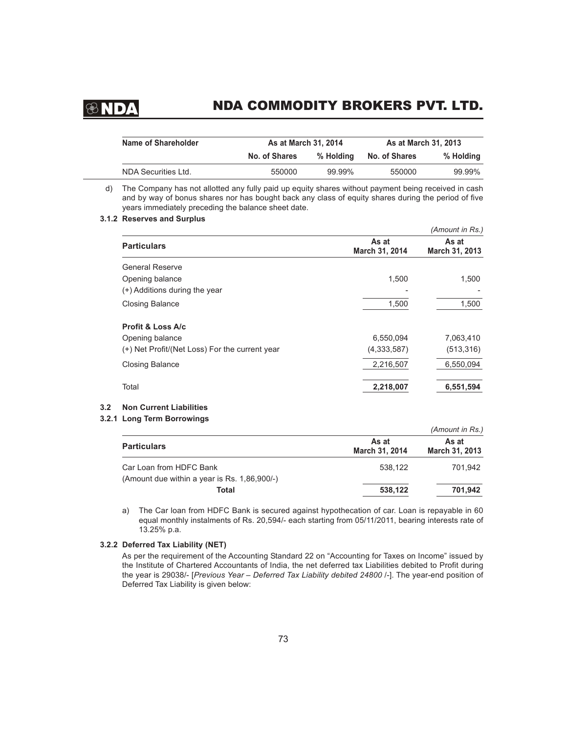# 'IDYA

### NDA COMMODITY BROKERS PVT. LTD.

| Name of Shareholder |               | As at March 31, 2014 |               | As at March 31, 2013 |
|---------------------|---------------|----------------------|---------------|----------------------|
|                     | No. of Shares | % Holding            | No. of Shares | % Holding            |
| NDA Securities Ltd. | 550000        | 99.99%               | 550000        | 99.99%               |

d) The Company has not allotted any fully paid up equity shares without payment being received in cash and by way of bonus shares nor has bought back any class of equity shares during the period of five years immediately preceding the balance sheet date.

### **3.1.2 Reserves and Surplus**

|                                                |                         | (Amount in Rs.)         |
|------------------------------------------------|-------------------------|-------------------------|
| <b>Particulars</b>                             | As at<br>March 31, 2014 | As at<br>March 31, 2013 |
| <b>General Reserve</b>                         |                         |                         |
| Opening balance                                | 1,500                   | 1,500                   |
| (+) Additions during the year                  |                         |                         |
| <b>Closing Balance</b>                         | 1,500                   | 1,500                   |
| Profit & Loss A/c                              |                         |                         |
| Opening balance                                | 6,550,094               | 7,063,410               |
| (+) Net Profit/(Net Loss) For the current year | (4,333,587)             | (513, 316)              |
| <b>Closing Balance</b>                         | 2,216,507               | 6,550,094               |
| Total                                          | 2,218,007               | 6,551,594               |

### **3.2 Non Current Liabilities**

### **3.2.1 Long Term Borrowings**

|                                              |                         | (Amount in Rs.)         |
|----------------------------------------------|-------------------------|-------------------------|
| <b>Particulars</b>                           | As at<br>March 31, 2014 | As at<br>March 31, 2013 |
| Car Loan from HDFC Bank                      | 538.122                 | 701.942                 |
| (Amount due within a year is Rs. 1,86,900/-) |                         |                         |
| Total                                        | 538,122                 | 701.942                 |

a) The Car loan from HDFC Bank is secured against hypothecation of car. Loan is repayable in 60 equal monthly instalments of Rs. 20,594/- each starting from 05/11/2011, bearing interests rate of 13.25% p.a.

### **3.2.2 Deferred Tax Liability (NET)**

As per the requirement of the Accounting Standard 22 on "Accounting for Taxes on Income" issued by the Institute of Chartered Accountants of India, the net deferred tax Liabilities debited to Profit during the year is 29038/- [*Previous Year – Deferred Tax Liability debited 24800* /-]. The year-end position of Deferred Tax Liability is given below: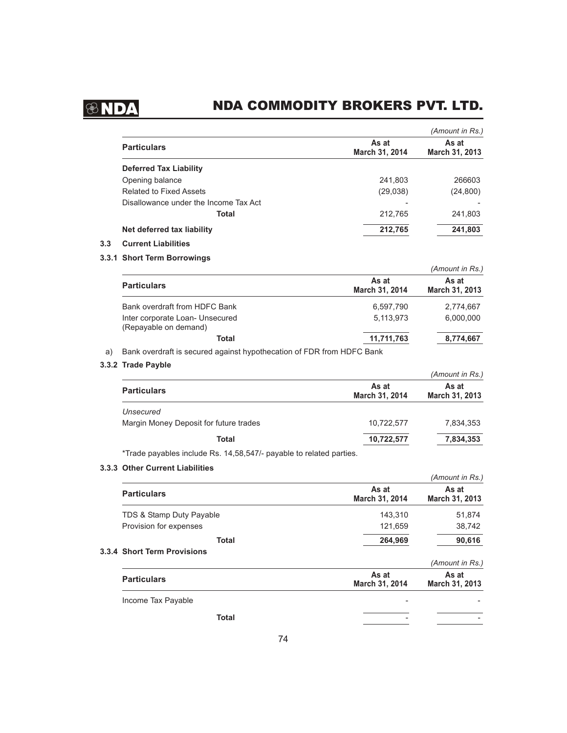# **& NDA**

# NDA COMMODITY BROKERS PVT. LTD.

|     |                                                                       |                         | (Amount in Rs.)         |
|-----|-----------------------------------------------------------------------|-------------------------|-------------------------|
|     | <b>Particulars</b>                                                    | As at<br>March 31, 2014 | As at<br>March 31, 2013 |
|     | <b>Deferred Tax Liability</b>                                         |                         |                         |
|     | Opening balance                                                       | 241,803                 | 266603                  |
|     | <b>Related to Fixed Assets</b>                                        | (29, 038)               | (24, 800)               |
|     | Disallowance under the Income Tax Act                                 |                         |                         |
|     | <b>Total</b>                                                          | 212,765                 | 241,803                 |
|     | Net deferred tax liability                                            | 212,765                 | 241,803                 |
| 3.3 | <b>Current Liabilities</b>                                            |                         |                         |
|     | 3.3.1 Short Term Borrowings                                           |                         |                         |
|     |                                                                       |                         | (Amount in Rs.)         |
|     | <b>Particulars</b>                                                    | As at<br>March 31, 2014 | As at<br>March 31, 2013 |
|     | Bank overdraft from HDFC Bank                                         | 6,597,790               | 2,774,667               |
|     | Inter corporate Loan- Unsecured<br>(Repayable on demand)              | 5,113,973               | 6,000,000               |
|     | <b>Total</b>                                                          | 11,711,763              | 8,774,667               |
| a)  | Bank overdraft is secured against hypothecation of FDR from HDFC Bank |                         |                         |
|     | 3.3.2 Trade Payble                                                    |                         |                         |
|     |                                                                       |                         | (Amount in Rs.)         |
|     | <b>Particulars</b>                                                    | As at<br>March 31, 2014 | As at<br>March 31, 2013 |
|     | Unsecured                                                             |                         |                         |
|     | Margin Money Deposit for future trades                                | 10,722,577              | 7,834,353               |
|     | <b>Total</b>                                                          | 10,722,577              | 7,834,353               |
|     | *Trade payables include Rs. 14,58,547/- payable to related parties.   |                         |                         |
|     | 3.3.3 Other Current Liabilities                                       |                         |                         |
|     |                                                                       |                         | (Amount in Rs.)         |
|     | <b>Particulars</b>                                                    | As at<br>March 31, 2014 | As at<br>March 31, 2013 |
|     | TDS & Stamp Duty Payable                                              | 143,310                 | 51,874                  |
|     | Provision for expenses                                                | 121,659                 | 38,742                  |
|     | <b>Total</b>                                                          | 264,969                 | 90,616                  |
|     | 3.3.4 Short Term Provisions                                           |                         | (Amount in Rs.)         |
|     | <b>Particulars</b>                                                    | As at<br>March 31, 2014 | As at<br>March 31, 2013 |
|     | Income Tax Payable                                                    |                         |                         |
|     | <b>Total</b>                                                          |                         |                         |
|     |                                                                       |                         |                         |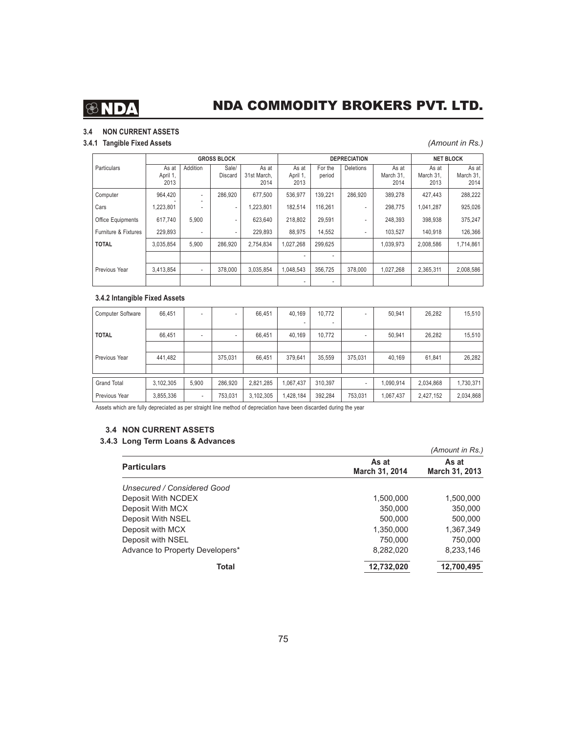## NDA COMMODITY BROKERS PVT. LTD.

### **3.4 NON CURRENT ASSETS**

### **3.4.1 Tangible Fixed Assets** *(Amount in Rs.)*

|                      |                           |                          | <b>GROSS BLOCK</b> |                              |                           |                          | <b>DEPRECIATION</b>      |                            |                            | <b>NET BLOCK</b>             |
|----------------------|---------------------------|--------------------------|--------------------|------------------------------|---------------------------|--------------------------|--------------------------|----------------------------|----------------------------|------------------------------|
| Particulars          | As at<br>April 1,<br>2013 | Addition                 | Sale/<br>Discard   | As at<br>31st March,<br>2014 | As at<br>April 1,<br>2013 | For the<br>period        | Deletions                | As at<br>March 31,<br>2014 | As at<br>March 31,<br>2013 | As at I<br>March 31,<br>2014 |
| Computer             | 964,420                   | $\overline{\phantom{a}}$ | 286.920            | 677,500                      | 536.977                   | 139.221                  | 286.920                  | 389,278                    | 427.443                    | 288,222                      |
| Cars                 | 1,223,801                 |                          |                    | 1.223.801                    | 182.514                   | 116.261                  | $\blacksquare$           | 298.775                    | 1.041.287                  | 925,026                      |
| Office Equipments    | 617.740                   | 5,900                    |                    | 623.640                      | 218.802                   | 29,591                   | ٠                        | 248,393                    | 398,938                    | 375,247                      |
| Furniture & Fixtures | 229,893                   | $\overline{\phantom{a}}$ |                    | 229,893                      | 88.975                    | 14,552                   | $\overline{\phantom{a}}$ | 103,527                    | 140,918                    | 126.366                      |
| <b>TOTAL</b>         | 3.035.854                 | 5,900                    | 286.920            | 2.754.834                    | 1.027.268                 | 299.625                  |                          | 1,039,973                  | 2.008.586                  | 1,714,861                    |
|                      |                           |                          |                    |                              |                           | $\blacksquare$           |                          |                            |                            |                              |
| Previous Year        | 3.413.854                 | $\overline{\phantom{a}}$ | 378,000            | 3.035.854                    | 1.048.543                 | 356.725                  | 378,000                  | 1.027.268                  | 2.365.311                  | 2.008.586                    |
|                      |                           |                          |                    |                              |                           | $\overline{\phantom{a}}$ |                          |                            |                            |                              |

### **3.4.2 Intangible Fixed Assets**

| <b>Computer Software</b> | 66,451    |                          |         | 66.451    | 40,169    | 10,772         | $\overline{\phantom{0}}$ | 50,941    | 26,282    | 15,510    |
|--------------------------|-----------|--------------------------|---------|-----------|-----------|----------------|--------------------------|-----------|-----------|-----------|
|                          |           |                          |         |           |           | $\overline{a}$ |                          |           |           |           |
| <b>TOTAL</b>             | 66,451    | ۰                        |         | 66.451    | 40,169    | 10.772         | $\overline{\phantom{a}}$ | 50.941    | 26,282    | 15,510    |
|                          |           |                          |         |           |           |                |                          |           |           |           |
| Previous Year            | 441.482   |                          | 375,031 | 66.451    | 379.641   | 35.559         | 375.031                  | 40.169    | 61.841    | 26,282    |
|                          |           |                          |         |           |           |                |                          |           |           |           |
| <b>Grand Total</b>       | 3,102,305 | 5.900                    | 286.920 | 2,821,285 | 1,067,437 | 310.397        | $\overline{\phantom{a}}$ | 1,090,914 | 2,034,868 | 1,730,371 |
| Previous Year            | 3,855,336 | $\overline{\phantom{0}}$ | 753,031 | 3,102,305 | 1,428,184 | 392,284        | 753,031                  | 067,437   | 2,427,152 | 2,034,868 |

Assets which are fully depreciated as per straight line method of depreciation have been discarded during the year

### **3.4 NON CURRENT ASSETS**

### **3.4.3 Long Term Loans & Advances**

|                                 |                         | (Amount in Rs.)         |
|---------------------------------|-------------------------|-------------------------|
| <b>Particulars</b>              | As at<br>March 31, 2014 | As at<br>March 31, 2013 |
| Unsecured / Considered Good     |                         |                         |
| Deposit With NCDEX              | 1.500.000               | 1,500,000               |
| Deposit With MCX                | 350,000                 | 350,000                 |
| Deposit With NSEL               | 500,000                 | 500,000                 |
| Deposit with MCX                | 1,350,000               | 1,367,349               |
| Deposit with NSEL               | 750,000                 | 750.000                 |
| Advance to Property Developers* | 8,282,020               | 8,233,146               |
| <b>Total</b>                    | 12,732,020              | 12,700,495              |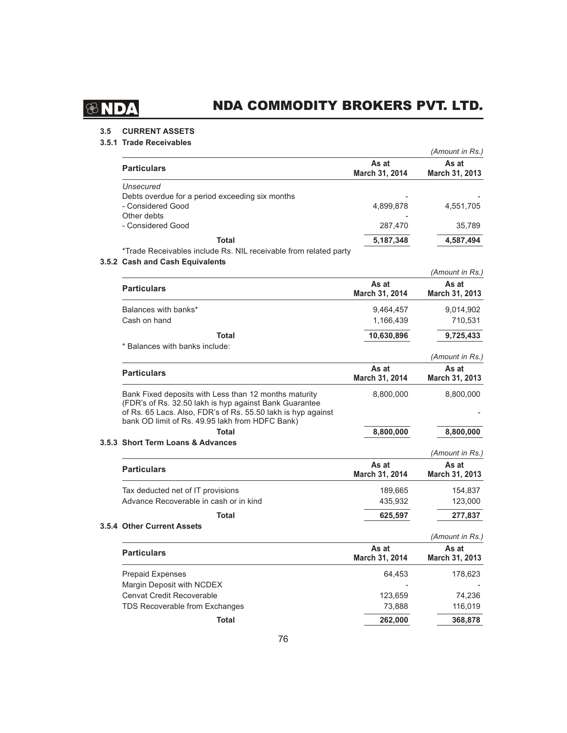## NDA COMMODITY BROKERS PVT. LTD.

### **3.5 CURRENT ASSETS**

**3.5.1 Trade Receivables**

|                                                                                                                        |                         | (Amount in Rs.)         |
|------------------------------------------------------------------------------------------------------------------------|-------------------------|-------------------------|
| <b>Particulars</b>                                                                                                     | As at<br>March 31, 2014 | As at<br>March 31, 2013 |
| Unsecured                                                                                                              |                         |                         |
| Debts overdue for a period exceeding six months                                                                        |                         |                         |
| - Considered Good                                                                                                      | 4,899,878               | 4,551,705               |
| Other debts<br>- Considered Good                                                                                       | 287,470                 | 35,789                  |
|                                                                                                                        |                         |                         |
| <b>Total</b><br>*Trade Receivables include Rs. NIL receivable from related party                                       | 5,187,348               | 4,587,494               |
| 3.5.2 Cash and Cash Equivalents                                                                                        |                         |                         |
|                                                                                                                        |                         | (Amount in Rs.)         |
|                                                                                                                        | As at                   | As at                   |
| <b>Particulars</b>                                                                                                     | March 31, 2014          | March 31, 2013          |
| Balances with banks*                                                                                                   | 9,464,457               | 9,014,902               |
| Cash on hand                                                                                                           | 1,166,439               | 710,531                 |
| Total                                                                                                                  | 10,630,896              |                         |
| * Balances with banks include:                                                                                         |                         | 9,725,433               |
|                                                                                                                        |                         | (Amount in Rs.)         |
|                                                                                                                        | As at                   | As at                   |
| <b>Particulars</b>                                                                                                     | March 31, 2014          | March 31, 2013          |
| Bank Fixed deposits with Less than 12 months maturity                                                                  | 8,800,000               | 8,800,000               |
| (FDR's of Rs. 32.50 lakh is hyp against Bank Guarantee<br>of Rs. 65 Lacs. Also, FDR's of Rs. 55.50 lakh is hyp against |                         |                         |
| bank OD limit of Rs. 49.95 lakh from HDFC Bank)<br>Total                                                               |                         |                         |
| 3.5.3 Short Term Loans & Advances                                                                                      | 8,800,000               | 8,800,000               |
|                                                                                                                        |                         | (Amount in Rs.)         |
|                                                                                                                        | As at                   | As at                   |
| <b>Particulars</b>                                                                                                     | March 31, 2014          | March 31, 2013          |
| Tax deducted net of IT provisions                                                                                      | 189,665                 | 154,837                 |
| Advance Recoverable in cash or in kind                                                                                 | 435,932                 | 123,000                 |
| Total                                                                                                                  | 625,597                 | 277,837                 |
| 3.5.4 Other Current Assets                                                                                             |                         |                         |
|                                                                                                                        |                         | (Amount in Rs.)         |
| <b>Particulars</b>                                                                                                     | As at                   | As at                   |
|                                                                                                                        | March 31, 2014          | March 31, 2013          |
| <b>Prepaid Expenses</b>                                                                                                | 64,453                  | 178,623                 |
| Margin Deposit with NCDEX                                                                                              |                         |                         |
| Cenvat Credit Recoverable                                                                                              | 123,659                 | 74,236                  |
| TDS Recoverable from Exchanges                                                                                         | 73,888                  | 116,019                 |
| Total                                                                                                                  | 262,000                 | 368,878                 |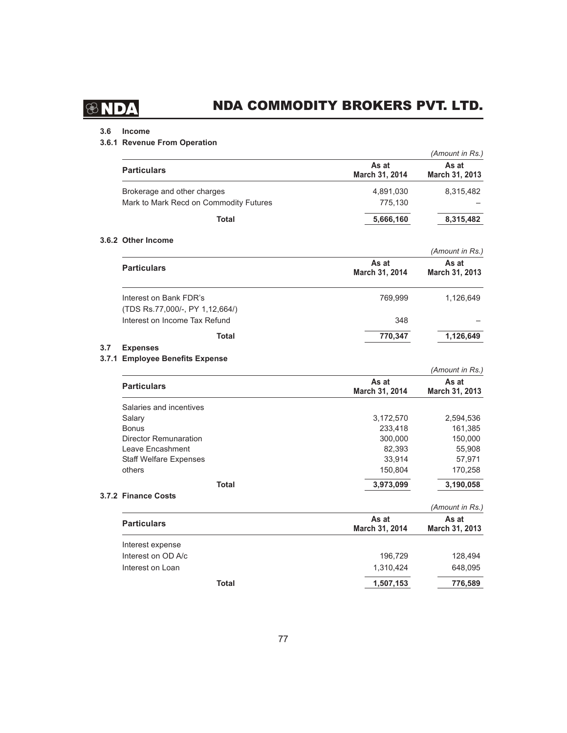# NDA COMMODITY BROKERS PVT. LTD.

### **3.6 Income**

### **3.6.1 Revenue From Operation**

|       | .                                      | (Amount in Rs.)         |                         |  |  |
|-------|----------------------------------------|-------------------------|-------------------------|--|--|
|       | <b>Particulars</b>                     | As at<br>March 31, 2014 | As at<br>March 31, 2013 |  |  |
|       | Brokerage and other charges            | 4,891,030               | 8,315,482               |  |  |
|       | Mark to Mark Recd on Commodity Futures | 775,130                 |                         |  |  |
|       | <b>Total</b>                           | 5,666,160               | 8,315,482               |  |  |
|       | 3.6.2 Other Income                     |                         |                         |  |  |
|       |                                        |                         | (Amount in Rs.)         |  |  |
|       | <b>Particulars</b>                     | As at<br>March 31, 2014 | As at<br>March 31, 2013 |  |  |
|       | Interest on Bank FDR's                 | 769,999                 | 1,126,649               |  |  |
|       | (TDS Rs.77,000/-, PY 1,12,664/)        |                         |                         |  |  |
|       | Interest on Income Tax Refund          | 348                     |                         |  |  |
|       | Total                                  | 770,347                 | 1,126,649               |  |  |
| 3.7   | <b>Expenses</b>                        |                         |                         |  |  |
| 3.7.1 | <b>Employee Benefits Expense</b>       |                         |                         |  |  |
|       |                                        |                         | (Amount in Rs.)         |  |  |
|       | <b>Particulars</b>                     | As at<br>March 31, 2014 | As at<br>March 31, 2013 |  |  |
|       | Salaries and incentives                |                         |                         |  |  |
|       | Salary                                 | 3,172,570               | 2,594,536               |  |  |
|       | <b>Bonus</b>                           | 233,418                 | 161,385                 |  |  |
|       | <b>Director Remunaration</b>           | 300,000                 | 150,000                 |  |  |
|       | Leave Encashment                       | 82,393                  | 55,908                  |  |  |
|       | <b>Staff Welfare Expenses</b>          | 33,914                  | 57,971                  |  |  |
|       | others                                 | 150,804                 | 170,258                 |  |  |
|       | <b>Total</b>                           | 3,973,099               | 3,190,058               |  |  |
|       | 3.7.2 Finance Costs                    |                         |                         |  |  |
|       |                                        |                         | (Amount in Rs.)         |  |  |
|       | <b>Particulars</b>                     | As at<br>March 31, 2014 | As at<br>March 31, 2013 |  |  |
|       | Interest expense                       |                         |                         |  |  |
|       | Interest on OD A/c                     | 196,729                 | 128,494                 |  |  |
|       | Interest on Loan                       | 1,310,424               | 648,095                 |  |  |
|       | Total                                  | 1,507,153               | 776,589                 |  |  |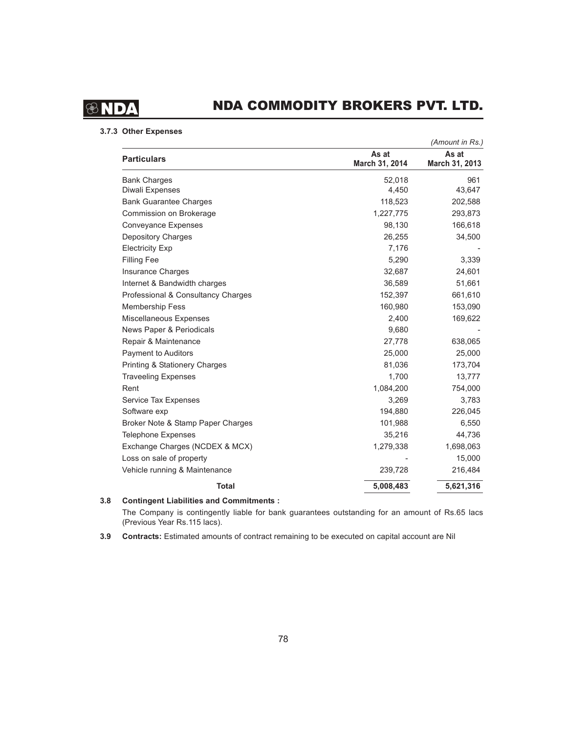# **& NDA**

### NDA COMMODITY BROKERS PVT. LTD.

### **3.7.3 Other Expenses**

|                                    |                         | (Amount in Rs.)         |
|------------------------------------|-------------------------|-------------------------|
| <b>Particulars</b>                 | As at<br>March 31, 2014 | As at<br>March 31, 2013 |
| <b>Bank Charges</b>                | 52,018                  | 961                     |
| Diwali Expenses                    | 4,450                   | 43,647                  |
| <b>Bank Guarantee Charges</b>      | 118,523                 | 202,588                 |
| Commission on Brokerage            | 1,227,775               | 293,873                 |
| Conveyance Expenses                | 98,130                  | 166,618                 |
| Depository Charges                 | 26,255                  | 34,500                  |
| <b>Electricity Exp</b>             | 7,176                   |                         |
| <b>Filling Fee</b>                 | 5,290                   | 3,339                   |
| Insurance Charges                  | 32,687                  | 24,601                  |
| Internet & Bandwidth charges       | 36,589                  | 51,661                  |
| Professional & Consultancy Charges | 152,397                 | 661,610                 |
| <b>Membership Fess</b>             | 160,980                 | 153,090                 |
| Miscellaneous Expenses             | 2,400                   | 169,622                 |
| News Paper & Periodicals           | 9,680                   |                         |
| Repair & Maintenance               | 27,778                  | 638,065                 |
| <b>Payment to Auditors</b>         | 25,000                  | 25,000                  |
| Printing & Stationery Charges      | 81,036                  | 173,704                 |
| <b>Traveeling Expenses</b>         | 1,700                   | 13,777                  |
| Rent                               | 1,084,200               | 754,000                 |
| Service Tax Expenses               | 3,269                   | 3,783                   |
| Software exp                       | 194,880                 | 226,045                 |
| Broker Note & Stamp Paper Charges  | 101,988                 | 6,550                   |
| <b>Telephone Expenses</b>          | 35,216                  | 44,736                  |
| Exchange Charges (NCDEX & MCX)     | 1,279,338               | 1,698,063               |
| Loss on sale of property           |                         | 15,000                  |
| Vehicle running & Maintenance      | 239,728                 | 216,484                 |
| <b>Total</b>                       | 5,008,483               | 5,621,316               |

### **3.8 Contingent Liabilities and Commitments :**

The Company is contingently liable for bank guarantees outstanding for an amount of Rs.65 lacs (Previous Year Rs.115 lacs).

**3.9 Contracts:** Estimated amounts of contract remaining to be executed on capital account are Nil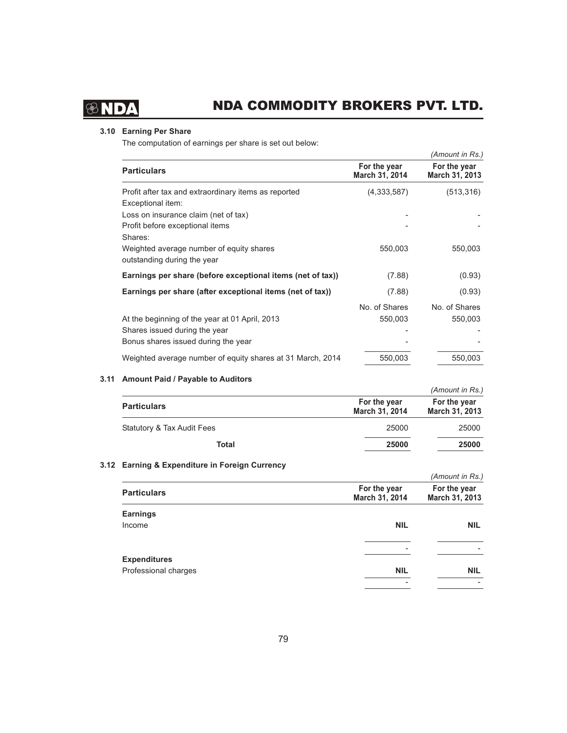

### **3.10 Earning Per Share**

The computation of earnings per share is set out below:

|                                                                                                                        |                                | (Amount in Rs.)                |
|------------------------------------------------------------------------------------------------------------------------|--------------------------------|--------------------------------|
| <b>Particulars</b>                                                                                                     | For the year<br>March 31, 2014 | For the year<br>March 31, 2013 |
| Profit after tax and extraordinary items as reported<br>Exceptional item:                                              | (4,333,587)                    | (513, 316)                     |
| Loss on insurance claim (net of tax)<br>Profit before exceptional items<br>Shares:                                     |                                |                                |
| Weighted average number of equity shares<br>outstanding during the year                                                | 550,003                        | 550,003                        |
| Earnings per share (before exceptional items (net of tax))                                                             | (7.88)                         | (0.93)                         |
| Earnings per share (after exceptional items (net of tax))                                                              | (7.88)                         | (0.93)                         |
| At the beginning of the year at 01 April, 2013<br>Shares issued during the year<br>Bonus shares issued during the year | No. of Shares<br>550,003       | No. of Shares<br>550,003       |
| Weighted average number of equity shares at 31 March, 2014                                                             | 550,003                        | 550,003                        |

### **3.11 Amount Paid / Payable to Auditors**

|                            |                                | (Amount in Rs.)                |
|----------------------------|--------------------------------|--------------------------------|
| <b>Particulars</b>         | For the year<br>March 31, 2014 | For the year<br>March 31, 2013 |
| Statutory & Tax Audit Fees | 25000                          | 25000                          |
| Total                      | 25000                          | 25000                          |

### **3.12 Earning & Expenditure in Foreign Currency**

|                      |                                | (Amount in Rs.)                |
|----------------------|--------------------------------|--------------------------------|
| <b>Particulars</b>   | For the year<br>March 31, 2014 | For the year<br>March 31, 2013 |
| Earnings             |                                |                                |
| Income               | <b>NIL</b>                     | <b>NIL</b>                     |
|                      | ۰                              |                                |
| <b>Expenditures</b>  |                                |                                |
| Professional charges | <b>NIL</b>                     | <b>NIL</b>                     |
|                      |                                |                                |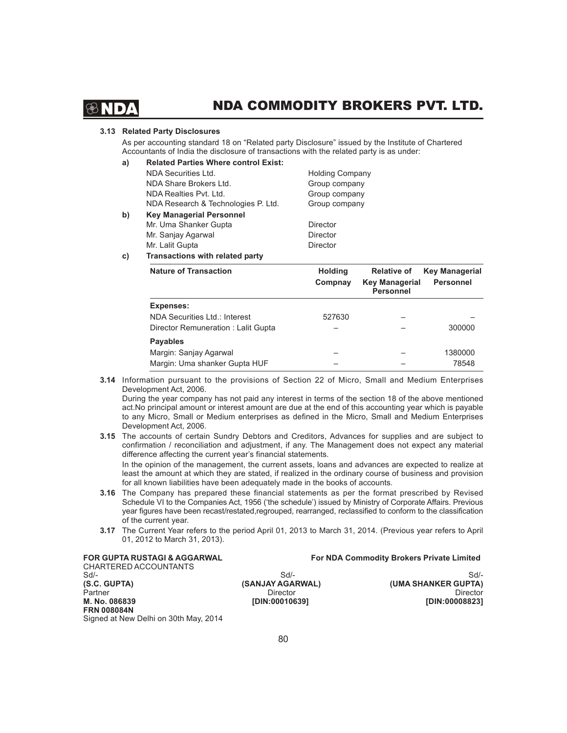

#### **3.13 Related Party Disclosures**

As per accounting standard 18 on "Related party Disclosure" issued by the Institute of Chartered Accountants of India the disclosure of transactions with the related party is as under:

### **a) Related Parties Where control Exist:**

|    | NDA Securities Ltd.                 | <b>Holding Company</b> |
|----|-------------------------------------|------------------------|
|    | NDA Share Brokers Ltd.              | Group company          |
|    | NDA Realties Pyt. Ltd.              | Group company          |
|    | NDA Research & Technologies P. Ltd. | Group company          |
| b) | <b>Key Managerial Personnel</b>     |                        |
|    | Mr. Uma Shanker Gupta               | Director               |
|    | Mr. Sanjay Agarwal                  | Director               |

Mr. Lalit Gupta **Director** 

### **c) Transactions with related party**

| <b>Nature of Transaction</b>       | <b>Holding</b><br>Compnay | <b>Relative of</b><br><b>Key Managerial</b><br><b>Personnel</b> | <b>Key Managerial</b><br><b>Personnel</b> |
|------------------------------------|---------------------------|-----------------------------------------------------------------|-------------------------------------------|
| <b>Expenses:</b>                   |                           |                                                                 |                                           |
| NDA Securities Ltd.: Interest      | 527630                    |                                                                 |                                           |
| Director Remuneration: Lalit Gupta |                           |                                                                 | 300000                                    |
| <b>Payables</b>                    |                           |                                                                 |                                           |
| Margin: Sanjay Agarwal             |                           |                                                                 | 1380000                                   |
| Margin: Uma shanker Gupta HUF      |                           |                                                                 | 78548                                     |

**3.14** Information pursuant to the provisions of Section 22 of Micro, Small and Medium Enterprises Development Act, 2006.

During the year company has not paid any interest in terms of the section 18 of the above mentioned act.No principal amount or interest amount are due at the end of this accounting year which is payable to any Micro, Small or Medium enterprises as defined in the Micro, Small and Medium Enterprises Development Act, 2006.

**3.15** The accounts of certain Sundry Debtors and Creditors, Advances for supplies and are subject to confirmation / reconciliation and adjustment, if any. The Management does not expect any material difference affecting the current year's financial statements. In the opinion of the management, the current assets, loans and advances are expected to realize at

least the amount at which they are stated, if realized in the ordinary course of business and provision for all known liabilities have been adequately made in the books of accounts.

- **3.16** The Company has prepared these financial statements as per the format prescribed by Revised Schedule VI to the Companies Act, 1956 ('the schedule') issued by Ministry of Corporate Affairs. Previous year figures have been recast/restated,regrouped, rearranged, reclassified to conform to the classification of the current year.
- **3.17** The Current Year refers to the period April 01, 2013 to March 31, 2014. (Previous year refers to April 01, 2012 to March 31, 2013).

| <b>FOR GUPTA RUSTAGI &amp; AGGARWAL</b> |                  | For NDA Commodity Brokers Private Limited |
|-----------------------------------------|------------------|-------------------------------------------|
| CHARTERED ACCOUNTANTS                   |                  |                                           |
| Sd                                      | $Sd$ -           | Sd                                        |
| (S.C. GUPTA)                            | (SANJAY AGARWAL) | (UMA SHANKER GUPTA)                       |
| Partner                                 | Director         | Director                                  |
| M. No. 086839                           | [DIN:00010639]   | [DIN:00008823]                            |
| <b>FRN 008084N</b>                      |                  |                                           |
| Signed at New Delhi on 30th May, 2014   |                  |                                           |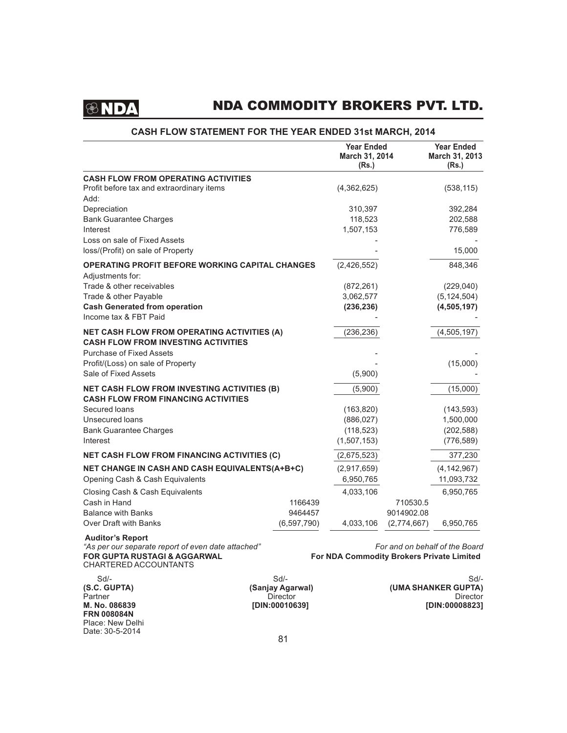## NDA COMMODITY BROKERS PVT. LTD.

|                                                                                                  |               | <b>Year Ended</b><br>March 31, 2014<br>(Rs.) |             | <b>Year Ended</b><br>March 31, 2013<br>(Rs.) |
|--------------------------------------------------------------------------------------------------|---------------|----------------------------------------------|-------------|----------------------------------------------|
| <b>CASH FLOW FROM OPERATING ACTIVITIES</b>                                                       |               |                                              |             |                                              |
| Profit before tax and extraordinary items                                                        |               | (4,362,625)                                  |             | (538, 115)                                   |
| Add:                                                                                             |               |                                              |             |                                              |
| Depreciation                                                                                     |               | 310,397                                      |             | 392,284                                      |
| <b>Bank Guarantee Charges</b>                                                                    |               | 118,523                                      |             | 202,588                                      |
| Interest                                                                                         |               | 1,507,153                                    |             | 776,589                                      |
| Loss on sale of Fixed Assets                                                                     |               |                                              |             |                                              |
| loss/(Profit) on sale of Property                                                                |               |                                              |             | 15,000                                       |
| <b>OPERATING PROFIT BEFORE WORKING CAPITAL CHANGES</b>                                           |               | (2,426,552)                                  |             | 848,346                                      |
| Adjustments for:                                                                                 |               |                                              |             |                                              |
| Trade & other receivables                                                                        |               | (872, 261)                                   |             | (229, 040)                                   |
| Trade & other Payable                                                                            |               | 3,062,577                                    |             | (5, 124, 504)                                |
| <b>Cash Generated from operation</b>                                                             |               | (236, 236)                                   |             | (4, 505, 197)                                |
| Income tax & FBT Paid                                                                            |               |                                              |             |                                              |
| <b>NET CASH FLOW FROM OPERATING ACTIVITIES (A)</b><br><b>CASH FLOW FROM INVESTING ACTIVITIES</b> |               | (236, 236)                                   |             | (4,505,197)                                  |
| Purchase of Fixed Assets                                                                         |               |                                              |             |                                              |
| Profit/(Loss) on sale of Property                                                                |               |                                              |             | (15,000)                                     |
| Sale of Fixed Assets                                                                             |               | (5,900)                                      |             |                                              |
|                                                                                                  |               |                                              |             |                                              |
| <b>NET CASH FLOW FROM INVESTING ACTIVITIES (B)</b><br><b>CASH FLOW FROM FINANCING ACTIVITIES</b> |               | (5,900)                                      |             | (15,000)                                     |
| Secured loans                                                                                    |               | (163, 820)                                   |             | (143, 593)                                   |
| Unsecured loans                                                                                  |               | (886, 027)                                   |             | 1,500,000                                    |
| <b>Bank Guarantee Charges</b>                                                                    |               | (118, 523)                                   |             | (202, 588)                                   |
| Interest                                                                                         |               | (1,507,153)                                  |             | (776, 589)                                   |
| <b>NET CASH FLOW FROM FINANCING ACTIVITIES (C)</b>                                               |               | (2,675,523)                                  |             | 377,230                                      |
| <b>NET CHANGE IN CASH AND CASH EQUIVALENTS(A+B+C)</b>                                            |               | (2,917,659)                                  |             | (4, 142, 967)                                |
| Opening Cash & Cash Equivalents                                                                  |               | 6,950,765                                    |             | 11,093,732                                   |
| Closing Cash & Cash Equivalents                                                                  |               | 4,033,106                                    |             | 6,950,765                                    |
| Cash in Hand                                                                                     | 1166439       |                                              | 710530.5    |                                              |
| <b>Balance with Banks</b>                                                                        | 9464457       |                                              | 9014902.08  |                                              |
| <b>Over Draft with Banks</b>                                                                     | (6, 597, 790) | 4,033,106                                    | (2,774,667) | 6,950,765                                    |

### **CASH FLOW STATEMENT FOR THE YEAR ENDED 31st MARCH, 2014**

 **Auditor's Report** *"As per our separate report of even date attached" For and on behalf of the Board* CHARTERED ACCOUNTANTS

**For NDA Commodity Brokers Private Limited** 

**FRN 008084N** Place: New Delhi Date: 30-5-2014

Sd/- Sd/- Sd/- **(S.C. GUPTA) (Sanjay Agarwal) (UMA SHANKER GUPTA)** Partner Director Director Director Director Director Director Director Director **M. No. 086839 [DIN:00010639] [DIN:00008823]**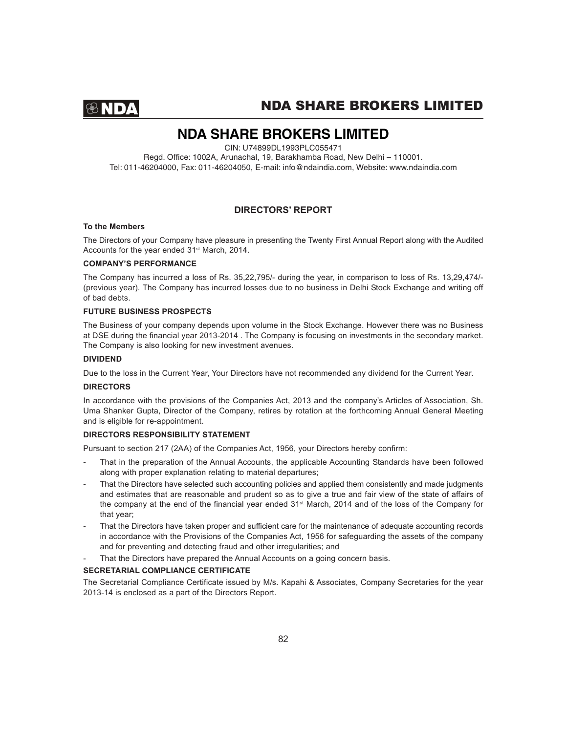**IDY** 

### NDA SHARE BROKERS LIMITED

### **NDA SHARE BROKERS LIMITED**

CIN: U74899DL1993PLC055471

Regd. Office: 1002A, Arunachal, 19, Barakhamba Road, New Delhi – 110001. Tel: 011-46204000, Fax: 011-46204050, E-mail: info@ndaindia.com, Website: www.ndaindia.com

### **DIRECTORS' REPORT**

### **To the Members**

The Directors of your Company have pleasure in presenting the Twenty First Annual Report along with the Audited Accounts for the year ended 31<sup>st</sup> March, 2014.

### **COMPANY'S PERFORMANCE**

The Company has incurred a loss of Rs. 35,22,795/- during the year, in comparison to loss of Rs. 13,29,474/- (previous year). The Company has incurred losses due to no business in Delhi Stock Exchange and writing off of bad debts.

### **FUTURE BUSINESS PROSPECTS**

The Business of your company depends upon volume in the Stock Exchange. However there was no Business at DSE during the financial year 2013-2014 . The Company is focusing on investments in the secondary market. The Company is also looking for new investment avenues.

### **DIVIDEND**

Due to the loss in the Current Year, Your Directors have not recommended any dividend for the Current Year.

### **DIRECTORS**

In accordance with the provisions of the Companies Act, 2013 and the company's Articles of Association, Sh. Uma Shanker Gupta, Director of the Company, retires by rotation at the forthcoming Annual General Meeting and is eligible for re-appointment.

### **DIRECTORS RESPONSIBILITY STATEMENT**

Pursuant to section 217 (2AA) of the Companies Act, 1956, your Directors hereby confirm:

- That in the preparation of the Annual Accounts, the applicable Accounting Standards have been followed along with proper explanation relating to material departures;
- That the Directors have selected such accounting policies and applied them consistently and made judgments and estimates that are reasonable and prudent so as to give a true and fair view of the state of affairs of the company at the end of the financial year ended 31<sup>st</sup> March, 2014 and of the loss of the Company for that year;
- That the Directors have taken proper and sufficient care for the maintenance of adequate accounting records in accordance with the Provisions of the Companies Act, 1956 for safeguarding the assets of the company and for preventing and detecting fraud and other irregularities; and
- That the Directors have prepared the Annual Accounts on a going concern basis.

### **SECRETARIAL COMPLIANCE CERTIFICATE**

The Secretarial Compliance Certificate issued by M/s. Kapahi & Associates, Company Secretaries for the year 2013-14 is enclosed as a part of the Directors Report.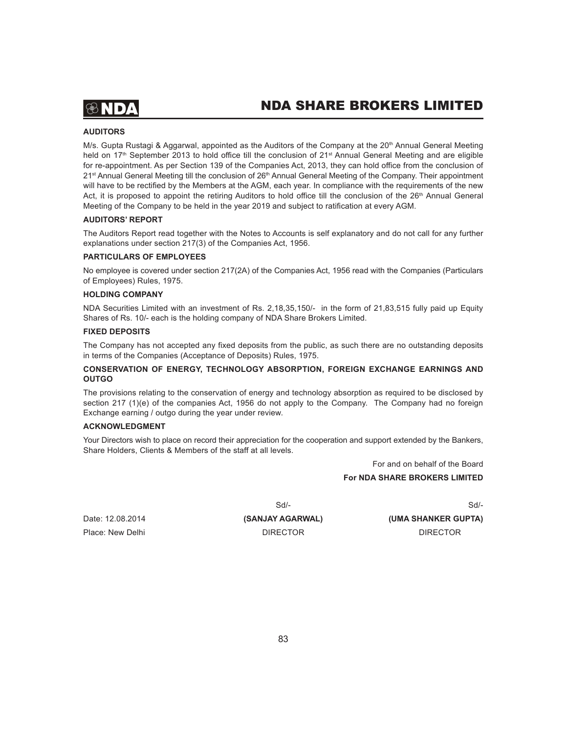### NDA SHARE BROKERS LIMITED

### **AUDITORS**

M/s. Gupta Rustagi & Aggarwal, appointed as the Auditors of the Company at the 20<sup>th</sup> Annual General Meeting held on 17<sup>th</sup> September 2013 to hold office till the conclusion of 21<sup>st</sup> Annual General Meeting and are eligible for re-appointment. As per Section 139 of the Companies Act, 2013, they can hold office from the conclusion of 21<sup>st</sup> Annual General Meeting till the conclusion of 26<sup>th</sup> Annual General Meeting of the Company. Their appointment will have to be rectified by the Members at the AGM, each year. In compliance with the requirements of the new Act, it is proposed to appoint the retiring Auditors to hold office till the conclusion of the 26<sup>th</sup> Annual General Meeting of the Company to be held in the year 2019 and subject to ratification at every AGM.

### **AUDITORS' REPORT**

The Auditors Report read together with the Notes to Accounts is self explanatory and do not call for any further explanations under section 217(3) of the Companies Act, 1956.

#### **PARTICULARS OF EMPLOYEES**

No employee is covered under section 217(2A) of the Companies Act, 1956 read with the Companies (Particulars of Employees) Rules, 1975.

### **HOLDING COMPANY**

NDA Securities Limited with an investment of Rs. 2,18,35,150/- in the form of 21,83,515 fully paid up Equity Shares of Rs. 10/- each is the holding company of NDA Share Brokers Limited.

#### **FIXED DEPOSITS**

The Company has not accepted any fixed deposits from the public, as such there are no outstanding deposits in terms of the Companies (Acceptance of Deposits) Rules, 1975.

### **CONSERVATION OF ENERGY, TECHNOLOGY ABSORPTION, FOREIGN EXCHANGE EARNINGS AND OUTGO**

The provisions relating to the conservation of energy and technology absorption as required to be disclosed by section 217 (1)(e) of the companies Act, 1956 do not apply to the Company. The Company had no foreign Exchange earning / outgo during the year under review.

### **ACKNOWLEDGMENT**

Your Directors wish to place on record their appreciation for the cooperation and support extended by the Bankers, Share Holders, Clients & Members of the staff at all levels.

For and on behalf of the Board

### **For NDA SHARE BROKERS LIMITED**

Date: 12.08.2014 **(SANJAY AGARWAL) (UMA SHANKER GUPTA)** Place: New Delhi **DIRECTOR** DIRECTOR **DIRECTOR** DIRECTOR

Sd/- Sd/-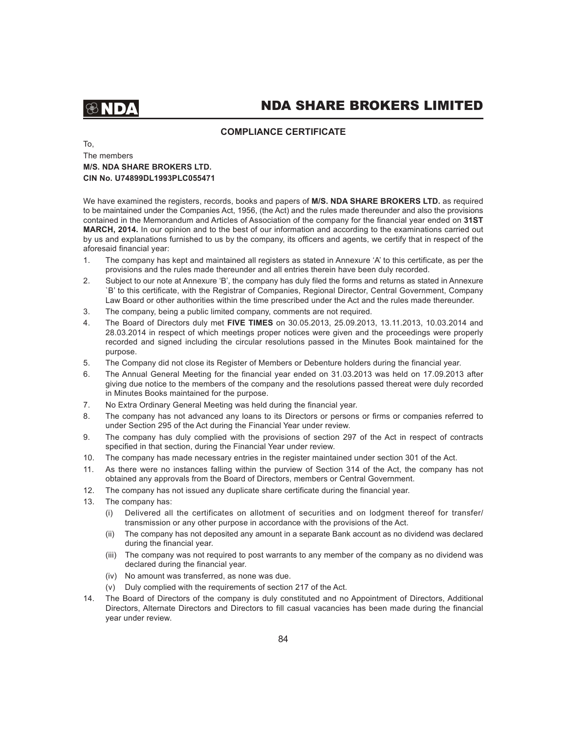### NDA SHARE BROKERS LIMITED

### **COMPLIANCE CERTIFICATE**

To, The members **M/S. NDA SHARE BROKERS LTD. CIN No. U74899DL1993PLC055471**

We have examined the registers, records, books and papers of **M/S. NDA SHARE BROKERS LTD.** as required to be maintained under the Companies Act, 1956, (the Act) and the rules made thereunder and also the provisions contained in the Memorandum and Articles of Association of the company for the financial year ended on **31ST MARCH, 2014.** In our opinion and to the best of our information and according to the examinations carried out by us and explanations furnished to us by the company, its officers and agents, we certify that in respect of the aforesaid financial year:

- 1. The company has kept and maintained all registers as stated in Annexure 'A' to this certificate, as per the provisions and the rules made thereunder and all entries therein have been duly recorded.
- 2. Subject to our note at Annexure 'B', the company has duly filed the forms and returns as stated in Annexure `B' to this certificate, with the Registrar of Companies, Regional Director, Central Government, Company Law Board or other authorities within the time prescribed under the Act and the rules made thereunder.
- 3. The company, being a public limited company, comments are not required.
- 4. The Board of Directors duly met **FIVE TIMES** on 30.05.2013, 25.09.2013, 13.11.2013, 10.03.2014 and 28.03.2014 in respect of which meetings proper notices were given and the proceedings were properly recorded and signed including the circular resolutions passed in the Minutes Book maintained for the purpose.
- 5. The Company did not close its Register of Members or Debenture holders during the financial year.
- 6. The Annual General Meeting for the financial year ended on 31.03.2013 was held on 17.09.2013 after giving due notice to the members of the company and the resolutions passed thereat were duly recorded in Minutes Books maintained for the purpose.
- 7. No Extra Ordinary General Meeting was held during the financial year.
- 8. The company has not advanced any loans to its Directors or persons or firms or companies referred to under Section 295 of the Act during the Financial Year under review.
- 9. The company has duly complied with the provisions of section 297 of the Act in respect of contracts specified in that section, during the Financial Year under review.
- 10. The company has made necessary entries in the register maintained under section 301 of the Act.
- 11. As there were no instances falling within the purview of Section 314 of the Act, the company has not obtained any approvals from the Board of Directors, members or Central Government.
- 12. The company has not issued any duplicate share certificate during the financial year.
- 13. The company has:
	- (i) Delivered all the certificates on allotment of securities and on lodgment thereof for transfer/ transmission or any other purpose in accordance with the provisions of the Act.
	- (ii) The company has not deposited any amount in a separate Bank account as no dividend was declared during the financial year.
	- (iii) The company was not required to post warrants to any member of the company as no dividend was declared during the financial year.
	- (iv) No amount was transferred, as none was due.
	- (v) Duly complied with the requirements of section 217 of the Act.
- 14. The Board of Directors of the company is duly constituted and no Appointment of Directors, Additional Directors, Alternate Directors and Directors to fill casual vacancies has been made during the financial year under review.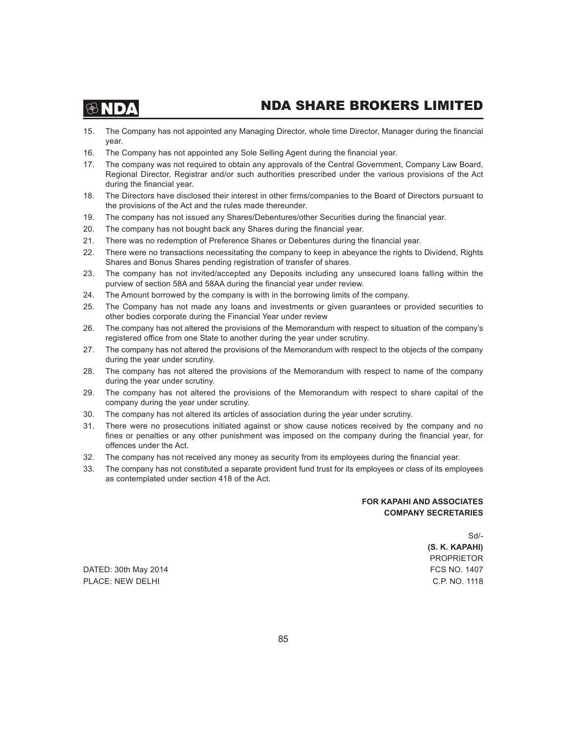# **ENDA**

- 15. The Company has not appointed any Managing Director, whole time Director, Manager during the financial year.
- 16. The Company has not appointed any Sole Selling Agent during the financial year.
- 17. The company was not required to obtain any approvals of the Central Government, Company Law Board, Regional Director, Registrar and/or such authorities prescribed under the various provisions of the Act during the financial year.
- 18. The Directors have disclosed their interest in other firms/companies to the Board of Directors pursuant to the provisions of the Act and the rules made thereunder.
- 19. The company has not issued any Shares/Debentures/other Securities during the financial year.
- 20. The company has not bought back any Shares during the financial year.
- 21. There was no redemption of Preference Shares or Debentures during the financial year.
- 22. There were no transactions necessitating the company to keep in abeyance the rights to Dividend, Rights Shares and Bonus Shares pending registration of transfer of shares.
- 23. The company has not invited/accepted any Deposits including any unsecured loans falling within the purview of section 58A and 58AA during the financial year under review.
- 24. The Amount borrowed by the company is with in the borrowing limits of the company.
- 25. The Company has not made any loans and investments or given guarantees or provided securities to other bodies corporate during the Financial Year under review
- 26. The company has not altered the provisions of the Memorandum with respect to situation of the company's registered office from one State to another during the year under scrutiny.
- 27. The company has not altered the provisions of the Memorandum with respect to the objects of the company during the year under scrutiny.
- 28. The company has not altered the provisions of the Memorandum with respect to name of the company during the year under scrutiny.
- 29. The company has not altered the provisions of the Memorandum with respect to share capital of the company during the year under scrutiny.
- 30. The company has not altered its articles of association during the year under scrutiny.
- 31. There were no prosecutions initiated against or show cause notices received by the company and no fines or penalties or any other punishment was imposed on the company during the financial year, for offences under the Act.
- 32. The company has not received any money as security from its employees during the financial year.
- 33. The company has not constituted a separate provident fund trust for its employees or class of its employees as contemplated under section 418 of the Act.

### **FOR KAPAHI AND ASSOCIATES COMPANY SECRETARIES**

Sd/- **(S. K. KAPAHI)** PROPRIETOR

DATED: 30th May 2014 **FOR 1407 FOR 1407 FOR 1407** PLACE: NEW DELHI C.P. NO. 1118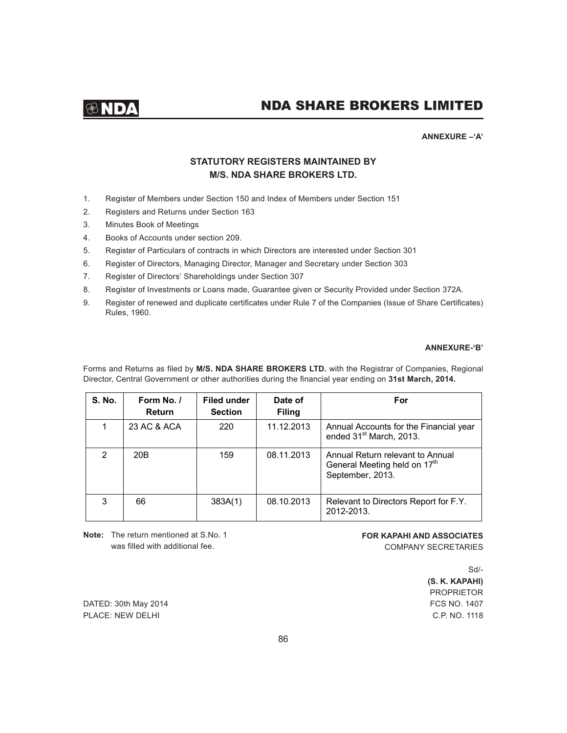**ANNEXURE –'A'**

### **STATUTORY REGISTERS MAINTAINED BY M/S. NDA SHARE BROKERS LTD.**

- 1. Register of Members under Section 150 and Index of Members under Section 151
- 2. Registers and Returns under Section 163
- 3. Minutes Book of Meetings
- 4. Books of Accounts under section 209.
- 5. Register of Particulars of contracts in which Directors are interested under Section 301
- 6. Register of Directors, Managing Director, Manager and Secretary under Section 303
- 7. Register of Directors' Shareholdings under Section 307
- 8. Register of Investments or Loans made, Guarantee given or Security Provided under Section 372A.
- 9. Register of renewed and duplicate certificates under Rule 7 of the Companies (Issue of Share Certificates) Rules, 1960.

### **ANNEXURE-'B'**

Forms and Returns as filed by **M/S. NDA SHARE BROKERS LTD.** with the Registrar of Companies, Regional Director, Central Government or other authorities during the financial year ending on **31st March, 2014.**

| <b>S. No.</b> | Form No. /<br>Return | <b>Filed under</b><br><b>Section</b> | Date of<br><b>Filing</b> | For                                                                                              |
|---------------|----------------------|--------------------------------------|--------------------------|--------------------------------------------------------------------------------------------------|
|               | 23 AC & ACA          | 220                                  | 11.12.2013               | Annual Accounts for the Financial year<br>ended 31 <sup>st</sup> March, 2013.                    |
| 2             | 20 <sub>B</sub>      | 159                                  | 08.11.2013               | Annual Return relevant to Annual<br>General Meeting held on 17 <sup>th</sup><br>September, 2013. |
| 3             | 66                   | 383A(1)                              | 08.10.2013               | Relevant to Directors Report for F.Y.<br>2012-2013.                                              |

**Note:** The return mentioned at S.No. 1 was filled with additional fee.

### **FOR KAPAHI AND ASSOCIATES**

COMPANY SECRETARIES

Sd/- **(S. K. KAPAHI)** PROPRIETOR

DATED: 30th May 2014 **FOR 1407 FOR NO. 1407** PLACE: NEW DELHI C.P. NO. 1118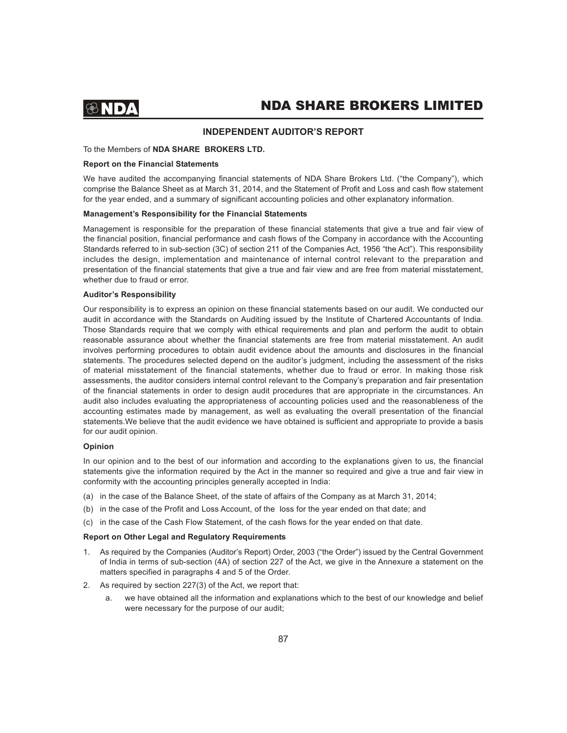

### NDA SHARE BROKERS LIMITED

### **INDEPENDENT AUDITOR'S REPORT**

### To the Members of **NDA SHARE BROKERS LTD.**

### **Report on the Financial Statements**

We have audited the accompanying financial statements of NDA Share Brokers Ltd. ("the Company"), which comprise the Balance Sheet as at March 31, 2014, and the Statement of Profit and Loss and cash flow statement for the year ended, and a summary of significant accounting policies and other explanatory information.

### **Management's Responsibility for the Financial Statements**

Management is responsible for the preparation of these financial statements that give a true and fair view of the financial position, financial performance and cash flows of the Company in accordance with the Accounting Standards referred to in sub-section (3C) of section 211 of the Companies Act, 1956 "the Act"). This responsibility includes the design, implementation and maintenance of internal control relevant to the preparation and presentation of the financial statements that give a true and fair view and are free from material misstatement, whether due to fraud or error.

#### **Auditor's Responsibility**

Our responsibility is to express an opinion on these financial statements based on our audit. We conducted our audit in accordance with the Standards on Auditing issued by the Institute of Chartered Accountants of India. Those Standards require that we comply with ethical requirements and plan and perform the audit to obtain reasonable assurance about whether the financial statements are free from material misstatement. An audit involves performing procedures to obtain audit evidence about the amounts and disclosures in the financial statements. The procedures selected depend on the auditor's judgment, including the assessment of the risks of material misstatement of the financial statements, whether due to fraud or error. In making those risk assessments, the auditor considers internal control relevant to the Company's preparation and fair presentation of the financial statements in order to design audit procedures that are appropriate in the circumstances. An audit also includes evaluating the appropriateness of accounting policies used and the reasonableness of the accounting estimates made by management, as well as evaluating the overall presentation of the financial statements.We believe that the audit evidence we have obtained is sufficient and appropriate to provide a basis for our audit opinion.

### **Opinion**

In our opinion and to the best of our information and according to the explanations given to us, the financial statements give the information required by the Act in the manner so required and give a true and fair view in conformity with the accounting principles generally accepted in India:

- (a) in the case of the Balance Sheet, of the state of affairs of the Company as at March 31, 2014;
- (b) in the case of the Profit and Loss Account, of the loss for the year ended on that date; and
- (c) in the case of the Cash Flow Statement, of the cash flows for the year ended on that date.

#### **Report on Other Legal and Regulatory Requirements**

- 1. As required by the Companies (Auditor's Report) Order, 2003 ("the Order") issued by the Central Government of India in terms of sub-section (4A) of section 227 of the Act, we give in the Annexure a statement on the matters specified in paragraphs 4 and 5 of the Order.
- 2. As required by section 227(3) of the Act, we report that:
	- a. we have obtained all the information and explanations which to the best of our knowledge and belief were necessary for the purpose of our audit;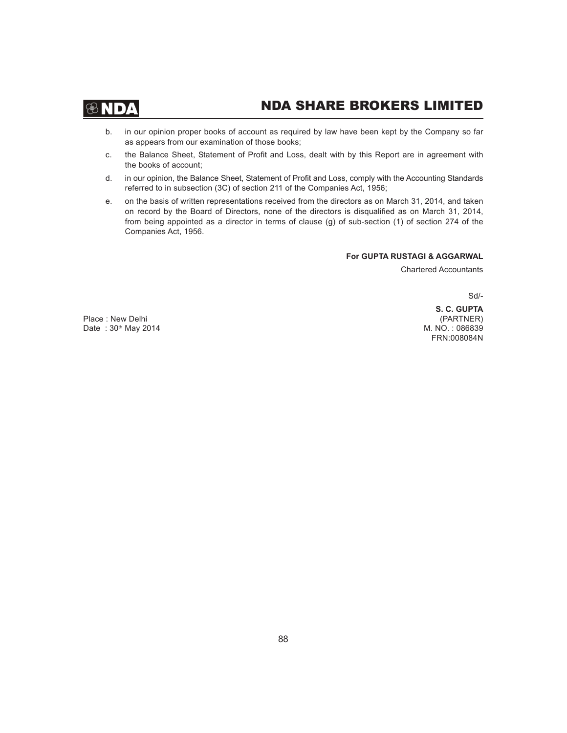# NDA

## NDA SHARE BROKERS LIMITED

- b. in our opinion proper books of account as required by law have been kept by the Company so far as appears from our examination of those books;
- c. the Balance Sheet, Statement of Profit and Loss, dealt with by this Report are in agreement with the books of account;
- d. in our opinion, the Balance Sheet, Statement of Profit and Loss, comply with the Accounting Standards referred to in subsection (3C) of section 211 of the Companies Act, 1956;
- e. on the basis of written representations received from the directors as on March 31, 2014, and taken on record by the Board of Directors, none of the directors is disqualified as on March 31, 2014, from being appointed as a director in terms of clause (g) of sub-section (1) of section 274 of the Companies Act, 1956.

### **For GUPTA RUSTAGI & AGGARWAL**

Chartered Accountants

Sd/-

Place : New Delhi (PARTNER) Date:  $30<sup>th</sup>$  May 2014

**S. C. GUPTA** FRN:008084N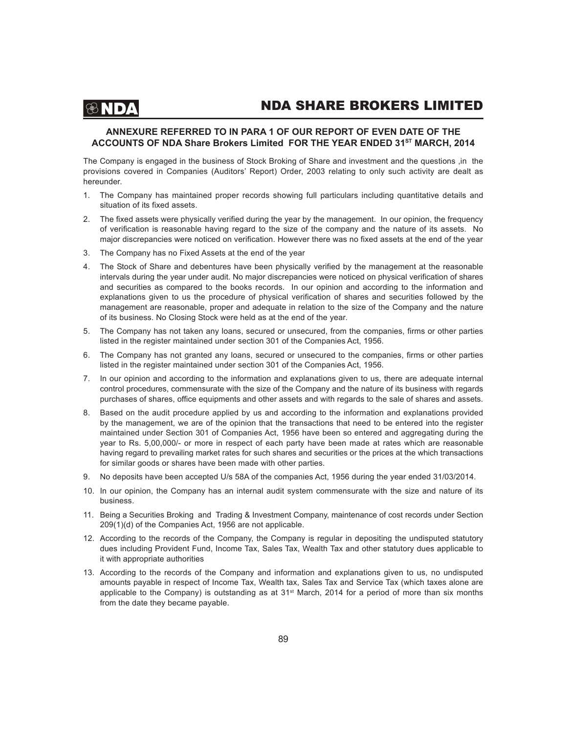### NDA SHARE BROKERS LIMITED

### **ANNEXURE REFERRED TO IN PARA 1 OF OUR REPORT OF EVEN DATE OF THE ACCOUNTS OF NDA Share Brokers Limited FOR THE YEAR ENDED 31ST MARCH, 2014**

The Company is engaged in the business of Stock Broking of Share and investment and the questions ,in the provisions covered in Companies (Auditors' Report) Order, 2003 relating to only such activity are dealt as hereunder.

- 1. The Company has maintained proper records showing full particulars including quantitative details and situation of its fixed assets.
- 2. The fixed assets were physically verified during the year by the management. In our opinion, the frequency of verification is reasonable having regard to the size of the company and the nature of its assets. No major discrepancies were noticed on verification. However there was no fixed assets at the end of the year
- 3. The Company has no Fixed Assets at the end of the year
- 4. The Stock of Share and debentures have been physically verified by the management at the reasonable intervals during the year under audit. No major discrepancies were noticed on physical verification of shares and securities as compared to the books records. In our opinion and according to the information and explanations given to us the procedure of physical verification of shares and securities followed by the management are reasonable, proper and adequate in relation to the size of the Company and the nature of its business. No Closing Stock were held as at the end of the year.
- 5. The Company has not taken any loans, secured or unsecured, from the companies, firms or other parties listed in the register maintained under section 301 of the Companies Act, 1956.
- 6. The Company has not granted any loans, secured or unsecured to the companies, firms or other parties listed in the register maintained under section 301 of the Companies Act, 1956.
- 7. In our opinion and according to the information and explanations given to us, there are adequate internal control procedures, commensurate with the size of the Company and the nature of its business with regards purchases of shares, office equipments and other assets and with regards to the sale of shares and assets.
- 8. Based on the audit procedure applied by us and according to the information and explanations provided by the management, we are of the opinion that the transactions that need to be entered into the register maintained under Section 301 of Companies Act, 1956 have been so entered and aggregating during the year to Rs. 5,00,000/- or more in respect of each party have been made at rates which are reasonable having regard to prevailing market rates for such shares and securities or the prices at the which transactions for similar goods or shares have been made with other parties.
- 9. No deposits have been accepted U/s 58A of the companies Act, 1956 during the year ended 31/03/2014.
- 10. In our opinion, the Company has an internal audit system commensurate with the size and nature of its business.
- 11. Being a Securities Broking and Trading & Investment Company, maintenance of cost records under Section 209(1)(d) of the Companies Act, 1956 are not applicable.
- 12. According to the records of the Company, the Company is regular in depositing the undisputed statutory dues including Provident Fund, Income Tax, Sales Tax, Wealth Tax and other statutory dues applicable to it with appropriate authorities
- 13. According to the records of the Company and information and explanations given to us, no undisputed amounts payable in respect of Income Tax, Wealth tax, Sales Tax and Service Tax (which taxes alone are applicable to the Company) is outstanding as at  $31<sup>st</sup>$  March, 2014 for a period of more than six months from the date they became payable.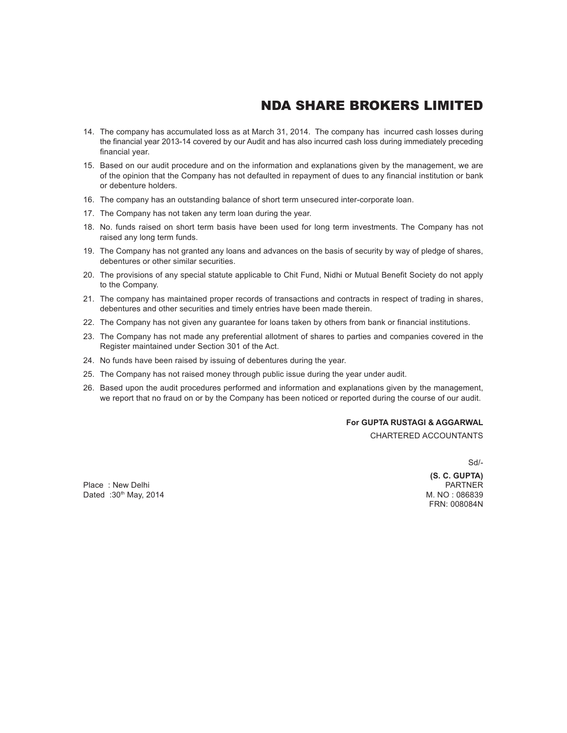### NDA SHARE BROKERS LIMITED

- 14. The company has accumulated loss as at March 31, 2014. The company has incurred cash losses during the financial year 2013-14 covered by our Audit and has also incurred cash loss during immediately preceding financial year.
- 15. Based on our audit procedure and on the information and explanations given by the management, we are of the opinion that the Company has not defaulted in repayment of dues to any financial institution or bank or debenture holders.
- 16. The company has an outstanding balance of short term unsecured inter-corporate loan.
- 17. The Company has not taken any term loan during the year.
- 18. No. funds raised on short term basis have been used for long term investments. The Company has not raised any long term funds.
- 19. The Company has not granted any loans and advances on the basis of security by way of pledge of shares, debentures or other similar securities.
- 20. The provisions of any special statute applicable to Chit Fund, Nidhi or Mutual Benefit Society do not apply to the Company.
- 21. The company has maintained proper records of transactions and contracts in respect of trading in shares, debentures and other securities and timely entries have been made therein.
- 22. The Company has not given any guarantee for loans taken by others from bank or financial institutions.
- 23. The Company has not made any preferential allotment of shares to parties and companies covered in the Register maintained under Section 301 of the Act.
- 24. No funds have been raised by issuing of debentures during the year.
- 25. The Company has not raised money through public issue during the year under audit.
- 26. Based upon the audit procedures performed and information and explanations given by the management, we report that no fraud on or by the Company has been noticed or reported during the course of our audit.

### **For GUPTA RUSTAGI & AGGARWAL**

CHARTERED ACCOUNTANTS

Place : New Delhi PARTNER Dated :  $30<sup>th</sup>$  May, 2014

**(S. C. GUPTA)** FRN: 008084N

Sd/-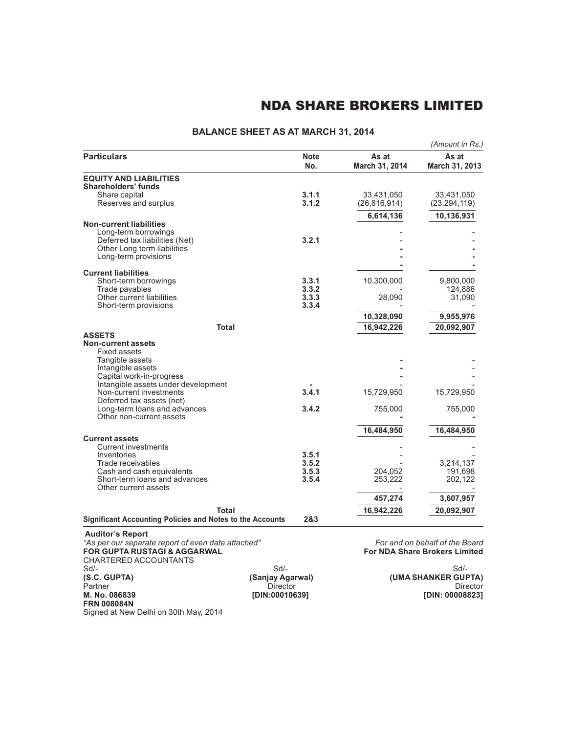### NDA SHARE BROKERS LIMITED

|                                                                 |                    |                              | (Amount in Rs.)              |
|-----------------------------------------------------------------|--------------------|------------------------------|------------------------------|
| <b>Particulars</b>                                              | <b>Note</b><br>No. | As at<br>March 31, 2014      | As at<br>March 31, 2013      |
| <b>EQUITY AND LIABILITIES</b>                                   |                    |                              |                              |
| <b>Shareholders' funds</b>                                      |                    |                              |                              |
| Share capital<br>Reserves and surplus                           | 3.1.1<br>3.1.2     | 33,431,050<br>(26, 816, 914) | 33,431,050<br>(23, 294, 119) |
|                                                                 |                    |                              |                              |
|                                                                 |                    | 6,614,136                    | 10,136,931                   |
| <b>Non-current liabilities</b><br>Long-term borrowings          |                    |                              |                              |
| Deferred tax liabilities (Net)                                  | 3.2.1              |                              |                              |
| Other Long term liabilities                                     |                    |                              |                              |
| Long-term provisions                                            |                    |                              |                              |
|                                                                 |                    |                              |                              |
| <b>Current liabilities</b>                                      |                    |                              |                              |
| Short-term borrowings<br>Trade payables                         | 3.3.1<br>3.3.2     | 10,300,000                   | 9,800,000<br>124,886         |
| Other current liabilities                                       | 3.3.3              | 28,090                       | 31,090                       |
| Short-term provisions                                           | 3.3.4              |                              |                              |
|                                                                 |                    | 10,328,090                   | 9,955,976                    |
| <b>Total</b>                                                    |                    | 16,942,226                   | 20,092,907                   |
| <b>ASSETS</b>                                                   |                    |                              |                              |
| <b>Non-current assets</b>                                       |                    |                              |                              |
| <b>Fixed assets</b>                                             |                    |                              |                              |
| Tangible assets                                                 |                    |                              |                              |
| Intangible assets                                               |                    |                              |                              |
| Capital work-in-progress<br>Intangible assets under development |                    |                              |                              |
| Non-current investments                                         | 3.4.1              | 15,729,950                   | 15,729,950                   |
| Deferred tax assets (net)                                       |                    |                              |                              |
| Long-term loans and advances                                    | 3.4.2              | 755,000                      | 755,000                      |
| Other non-current assets                                        |                    |                              |                              |
|                                                                 |                    | 16,484,950                   | 16,484,950                   |
| <b>Current assets</b>                                           |                    |                              |                              |
| Current investments                                             |                    |                              |                              |
| Inventories<br>Trade receivables                                | 3.5.1<br>3.5.2     |                              | 3,214,137                    |
| Cash and cash equivalents                                       | 3.5.3              | 204,052                      | 191,698                      |
| Short-term loans and advances                                   | 3.5.4              | 253,222                      | 202,122                      |
| Other current assets                                            |                    |                              |                              |
|                                                                 |                    | 457,274                      | 3,607,957                    |
| Total                                                           |                    | 16,942,226                   | 20,092,907                   |
| Significant Accounting Policies and Notes to the Accounts       | 2&3                |                              |                              |
| <b>Auditor's Report</b>                                         |                    |                              |                              |

### **BALANCE SHEET AS AT MARCH 31, 2014**

*"As per our separate report of even date attached" For and on behalf of the Board* **FOR GUPTA RUSTAGI & AGGARWAL For NDA Share Brokers Limited** CHARTERED ACCOUNTANTS Sd/- Sd/- Sd/- **(S.C. GUPTA) (Sanjay Agarwal) (UMA SHANKER GUPTA)** Partner Director Director Director Director Director Director Director Director **M. No. 086839 [DIN:00010639] [DIN: 00008823] FRN 008084N**

Signed at New Delhi on 30th May, 2014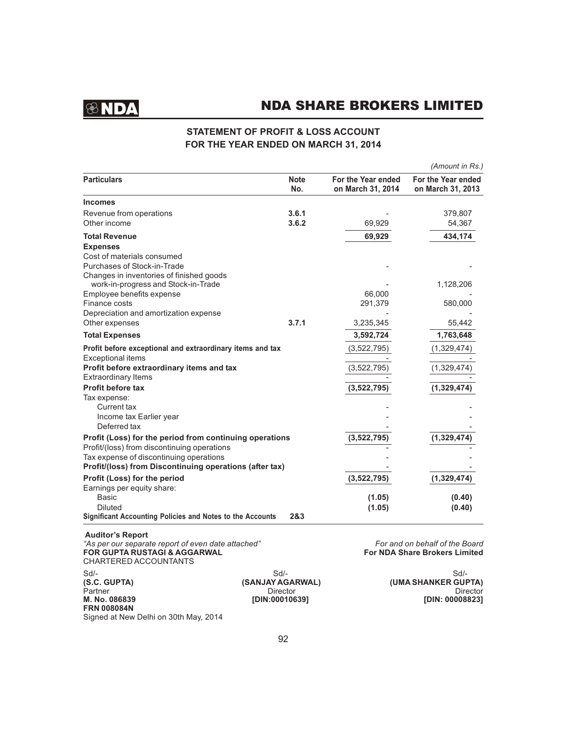# NDA

### NDA SHARE BROKERS LIMITED

### **STATEMENT OF PROFIT & LOSS ACCOUNT FOR THE YEAR ENDED ON MARCH 31, 2014**

|                                                           |                    |                                         | (Amount in Rs.)                         |
|-----------------------------------------------------------|--------------------|-----------------------------------------|-----------------------------------------|
| <b>Particulars</b>                                        | <b>Note</b><br>No. | For the Year ended<br>on March 31, 2014 | For the Year ended<br>on March 31, 2013 |
| <b>Incomes</b>                                            |                    |                                         |                                         |
| Revenue from operations                                   | 3.6.1              |                                         | 379,807                                 |
| Other income                                              | 3.6.2              | 69,929                                  | 54,367                                  |
| <b>Total Revenue</b>                                      |                    | 69,929                                  | 434,174                                 |
| <b>Expenses</b>                                           |                    |                                         |                                         |
| Cost of materials consumed                                |                    |                                         |                                         |
| Purchases of Stock-in-Trade                               |                    |                                         |                                         |
| Changes in inventories of finished goods                  |                    |                                         |                                         |
| work-in-progress and Stock-in-Trade                       |                    |                                         | 1,128,206                               |
| Employee benefits expense                                 |                    | 66,000                                  |                                         |
| Finance costs                                             |                    | 291,379                                 | 580,000                                 |
| Depreciation and amortization expense<br>Other expenses   | 3.7.1              | 3,235,345                               | 55,442                                  |
| <b>Total Expenses</b>                                     |                    | 3,592,724                               | 1,763,648                               |
| Profit before exceptional and extraordinary items and tax |                    |                                         |                                         |
| <b>Exceptional items</b>                                  |                    | (3,522,795)                             | (1,329,474)                             |
| Profit before extraordinary items and tax                 |                    | (3,522,795)                             | (1,329,474)                             |
| <b>Extraordinary Items</b>                                |                    |                                         |                                         |
| <b>Profit before tax</b>                                  |                    | (3,522,795)                             | (1,329,474)                             |
| Tax expense:                                              |                    |                                         |                                         |
| Current tax                                               |                    |                                         |                                         |
| Income tax Earlier year                                   |                    |                                         |                                         |
| Deferred tax                                              |                    |                                         |                                         |
| Profit (Loss) for the period from continuing operations   |                    | (3,522,795)                             | (1,329,474)                             |
| Profit/(loss) from discontinuing operations               |                    |                                         |                                         |
| Tax expense of discontinuing operations                   |                    |                                         |                                         |
| Profit/(loss) from Discontinuing operations (after tax)   |                    |                                         |                                         |
| Profit (Loss) for the period                              |                    | (3,522,795)                             | (1,329,474)                             |
| Earnings per equity share:                                |                    |                                         |                                         |
| <b>Basic</b>                                              |                    | (1.05)                                  | (0.40)                                  |
| Diluted                                                   |                    | (1.05)                                  | (0.40)                                  |
| Significant Accounting Policies and Notes to the Accounts | 2&3                |                                         |                                         |

 **Auditor's Report**

*"As per our separate report of even date attached" For and on behalf of the Board* **FOR GUPTA RUSTAGI & AGGARWAL** CHARTERED ACCOUNTANTS

Sd/- Sd/- Sd/- **(SANJAY AGARWAL)** (SANJAY (SANJAY AGARWAL) (UMA SHANKER GUPTA)<br>Partner Director Director Director Director Director Partner Director Director Director Director Director Director Director Director **M. No. 086839 [DIN:00010639] [DIN: 00008823] FRN 008084N** Signed at New Delhi on 30th May, 2014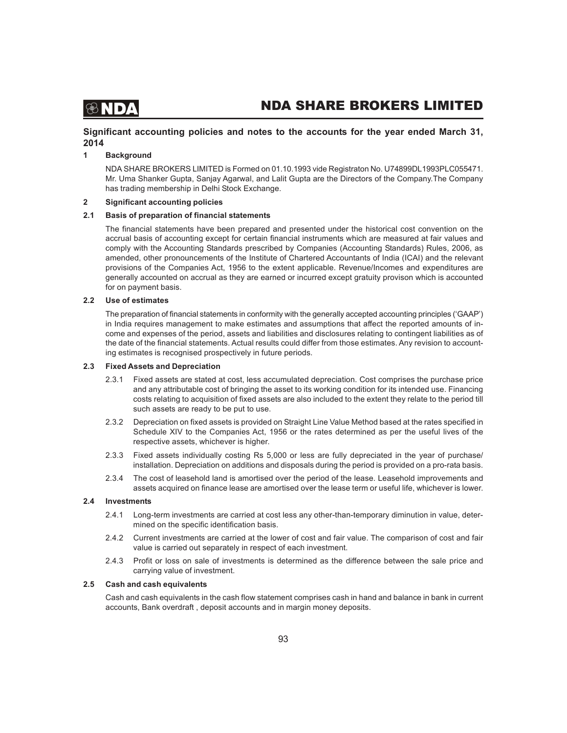### **Significant accounting policies and notes to the accounts for the year ended March 31, 2014**

### **1 Background**

NDA SHARE BROKERS LIMITED is Formed on 01.10.1993 vide Registraton No. U74899DL1993PLC055471. Mr. Uma Shanker Gupta, Sanjay Agarwal, and Lalit Gupta are the Directors of the Company.The Company has trading membership in Delhi Stock Exchange.

### **2 Significant accounting policies**

### **2.1 Basis of preparation of financial statements**

The financial statements have been prepared and presented under the historical cost convention on the accrual basis of accounting except for certain financial instruments which are measured at fair values and comply with the Accounting Standards prescribed by Companies (Accounting Standards) Rules, 2006, as amended, other pronouncements of the Institute of Chartered Accountants of India (ICAI) and the relevant provisions of the Companies Act, 1956 to the extent applicable. Revenue/Incomes and expenditures are generally accounted on accrual as they are earned or incurred except gratuity provison which is accounted for on payment basis.

### **2.2 Use of estimates**

The preparation of financial statements in conformity with the generally accepted accounting principles ('GAAP') in India requires management to make estimates and assumptions that affect the reported amounts of income and expenses of the period, assets and liabilities and disclosures relating to contingent liabilities as of the date of the financial statements. Actual results could differ from those estimates. Any revision to accounting estimates is recognised prospectively in future periods.

### **2.3 Fixed Assets and Depreciation**

- 2.3.1 Fixed assets are stated at cost, less accumulated depreciation. Cost comprises the purchase price and any attributable cost of bringing the asset to its working condition for its intended use. Financing costs relating to acquisition of fixed assets are also included to the extent they relate to the period till such assets are ready to be put to use.
- 2.3.2 Depreciation on fixed assets is provided on Straight Line Value Method based at the rates specified in Schedule XIV to the Companies Act, 1956 or the rates determined as per the useful lives of the respective assets, whichever is higher.
- 2.3.3 Fixed assets individually costing Rs 5,000 or less are fully depreciated in the year of purchase/ installation. Depreciation on additions and disposals during the period is provided on a pro-rata basis.
- 2.3.4 The cost of leasehold land is amortised over the period of the lease. Leasehold improvements and assets acquired on finance lease are amortised over the lease term or useful life, whichever is lower.

#### **2.4 Investments**

- 2.4.1 Long-term investments are carried at cost less any other-than-temporary diminution in value, determined on the specific identification basis.
- 2.4.2 Current investments are carried at the lower of cost and fair value. The comparison of cost and fair value is carried out separately in respect of each investment.
- 2.4.3 Profit or loss on sale of investments is determined as the difference between the sale price and carrying value of investment.

### **2.5 Cash and cash equivalents**

Cash and cash equivalents in the cash flow statement comprises cash in hand and balance in bank in current accounts, Bank overdraft , deposit accounts and in margin money deposits.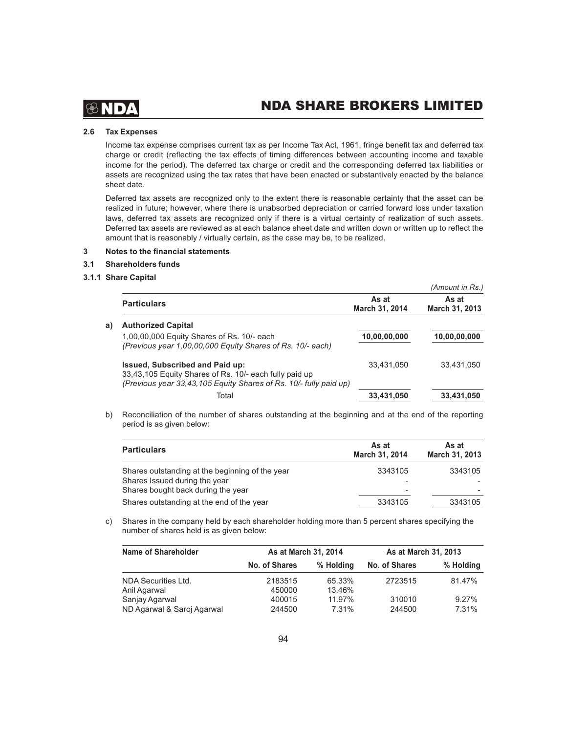#### **2.6 Tax Expenses**

Income tax expense comprises current tax as per Income Tax Act, 1961, fringe benefit tax and deferred tax charge or credit (reflecting the tax effects of timing differences between accounting income and taxable income for the period). The deferred tax charge or credit and the corresponding deferred tax liabilities or assets are recognized using the tax rates that have been enacted or substantively enacted by the balance sheet date.

Deferred tax assets are recognized only to the extent there is reasonable certainty that the asset can be realized in future; however, where there is unabsorbed depreciation or carried forward loss under taxation laws, deferred tax assets are recognized only if there is a virtual certainty of realization of such assets. Deferred tax assets are reviewed as at each balance sheet date and written down or written up to reflect the amount that is reasonably / virtually certain, as the case may be, to be realized.

#### **3 Notes to the financial statements**

### **3.1 Shareholders funds**

**3.1.1 Share Capital**

|    |                                                                                                                                                                |                         | (Amount in Rs.)         |
|----|----------------------------------------------------------------------------------------------------------------------------------------------------------------|-------------------------|-------------------------|
|    | <b>Particulars</b>                                                                                                                                             | As at<br>March 31, 2014 | As at<br>March 31, 2013 |
| a) | <b>Authorized Capital</b>                                                                                                                                      |                         |                         |
|    | 1,00,00,000 Equity Shares of Rs. 10/- each<br>(Previous year 1,00,00,000 Equity Shares of Rs. 10/- each)                                                       | 10,00,00,000            | 10,00,00,000            |
|    | Issued, Subscribed and Paid up:<br>33,43,105 Equity Shares of Rs. 10/- each fully paid up<br>(Previous year 33.43.105 Equity Shares of Rs. 10/- fully paid up) | 33.431.050              | 33.431.050              |
|    | Total                                                                                                                                                          | 33,431,050              | 33,431,050              |

b) Reconciliation of the number of shares outstanding at the beginning and at the end of the reporting period is as given below:

| <b>Particulars</b>                                                                                                     | As at<br>March 31, 2014 | As at<br>March 31, 2013 |
|------------------------------------------------------------------------------------------------------------------------|-------------------------|-------------------------|
| Shares outstanding at the beginning of the year<br>Shares Issued during the year<br>Shares bought back during the year | 3343105<br>-            | 3343105                 |
| Shares outstanding at the end of the year                                                                              | 3343105                 | 3343105                 |

c) Shares in the company held by each shareholder holding more than 5 percent shares specifying the number of shares held is as given below:

| Name of Shareholder        | As at March 31, 2014 |           | As at March 31, 2013 |           |
|----------------------------|----------------------|-----------|----------------------|-----------|
|                            | No. of Shares        | % Holding | No. of Shares        | % Holding |
| NDA Securities Ltd.        | 2183515              | 65.33%    | 2723515              | 81.47%    |
| Anil Agarwal               | 450000               | 13.46%    |                      |           |
| Sanjay Agarwal             | 400015               | 11.97%    | 310010               | 9.27%     |
| ND Agarwal & Saroj Agarwal | 244500               | 7.31%     | 244500               | 7.31%     |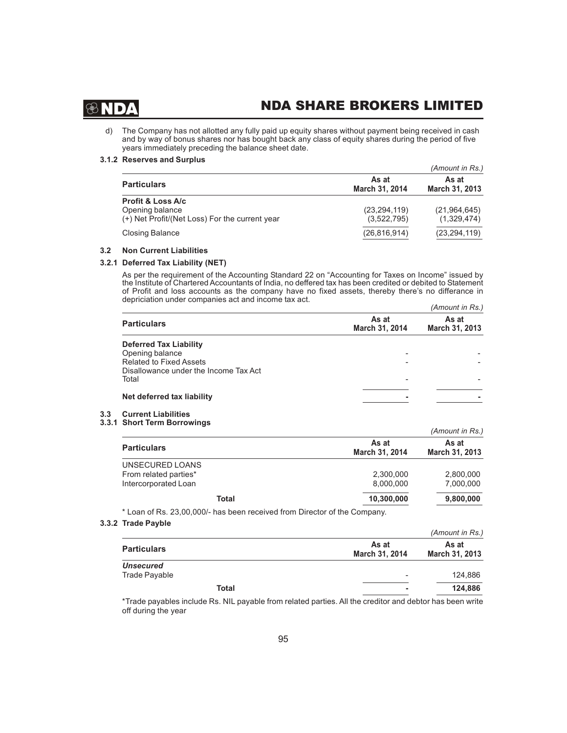# NDA

### NDA SHARE BROKERS LIMITED

d) The Company has not allotted any fully paid up equity shares without payment being received in cash and by way of bonus shares nor has bought back any class of equity shares during the period of five years immediately preceding the balance sheet date.

#### **3.1.2 Reserves and Surplus**

|                                                                                                   |                               | (Amount in Rs.)               |
|---------------------------------------------------------------------------------------------------|-------------------------------|-------------------------------|
| <b>Particulars</b>                                                                                | As at<br>March 31, 2014       | As at<br>March 31, 2013       |
| <b>Profit &amp; Loss A/c</b><br>Opening balance<br>(+) Net Profit/(Net Loss) For the current year | (23, 294, 119)<br>(3,522,795) | (21, 964, 645)<br>(1,329,474) |
| <b>Closing Balance</b>                                                                            | (26, 816, 914)                | (23, 294, 119)                |

### **3.2 Non Current Liabilities**

### **3.2.1 Deferred Tax Liability (NET)**

As per the requirement of the Accounting Standard 22 on "Accounting for Taxes on Income" issued by the Institute of Chartered Accountants of India, no deffered tax has been credited or debited to Statement of Profit and loss accounts as the company have no fixed assets, thereby there's no differance in depriciation under companies act and income tax act. *(Amount in Rs.)*

| As at<br>March 31, 2014 | As at<br>March 31, 2013 |
|-------------------------|-------------------------|
|                         |                         |
|                         |                         |
|                         |                         |
|                         |                         |
|                         |                         |

### **3.3 Current Liabilities**

### **3.3.1 Short Term Borrowings**

| ______________________ |                         | (Amount in Rs.)         |
|------------------------|-------------------------|-------------------------|
| <b>Particulars</b>     | As at<br>March 31, 2014 | As at<br>March 31, 2013 |
| UNSECURED LOANS        |                         |                         |
| From related parties*  | 2,300,000               | 2,800,000               |
| Intercorporated Loan   | 8,000,000               | 7.000.000               |
| Total                  | 10,300,000              | 9,800,000               |

\* Loan of Rs. 23,00,000/- has been received from Director of the Company.

#### **3.3.2 Trade Payble**

|                                   |                         | (Amount in Rs.)         |
|-----------------------------------|-------------------------|-------------------------|
| <b>Particulars</b>                | As at<br>March 31, 2014 | As at<br>March 31, 2013 |
| <b>Unsecured</b><br>Trade Payable |                         | 124.886                 |
| Total                             |                         | 124.886                 |

\*Trade payables include Rs. NIL payable from related parties. All the creditor and debtor has been write off during the year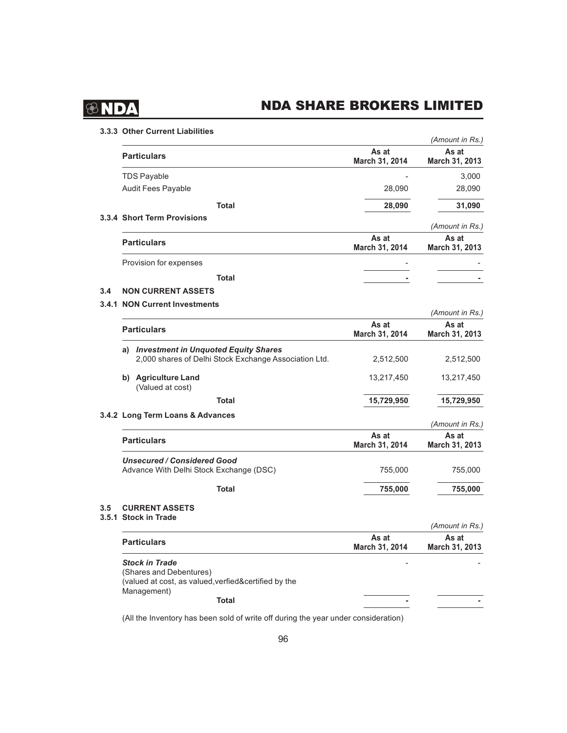# **& NDA**

## NDA SHARE BROKERS LIMITED

|     | 3.3.3 Other Current Liabilities                                                                          |                         | (Amount in Rs.)          |
|-----|----------------------------------------------------------------------------------------------------------|-------------------------|--------------------------|
|     | <b>Particulars</b>                                                                                       | As at<br>March 31, 2014 | As at<br>March 31, 2013  |
|     | <b>TDS Payable</b>                                                                                       |                         | 3,000                    |
|     | Audit Fees Payable                                                                                       | 28,090                  | 28,090                   |
|     | <b>Total</b>                                                                                             | 28,090                  | 31,090                   |
|     | 3.3.4 Short Term Provisions                                                                              |                         |                          |
|     |                                                                                                          | As at                   | (Amount in Rs.)<br>As at |
|     | <b>Particulars</b>                                                                                       | March 31, 2014          | March 31, 2013           |
|     | Provision for expenses                                                                                   |                         |                          |
|     | Total                                                                                                    |                         |                          |
| 3.4 | <b>NON CURRENT ASSETS</b>                                                                                |                         |                          |
|     | 3.4.1 NON Current Investments                                                                            |                         |                          |
|     |                                                                                                          | As at                   | (Amount in Rs.)<br>As at |
|     | <b>Particulars</b>                                                                                       | March 31, 2014          | March 31, 2013           |
|     | a) Investment in Unquoted Equity Shares<br>2,000 shares of Delhi Stock Exchange Association Ltd.         | 2,512,500               | 2,512,500                |
|     | b) Agriculture Land<br>(Valued at cost)                                                                  | 13,217,450              | 13,217,450               |
|     | <b>Total</b>                                                                                             | 15,729,950              | 15,729,950               |
|     | 3.4.2 Long Term Loans & Advances                                                                         |                         | (Amount in Rs.)          |
|     | <b>Particulars</b>                                                                                       | As at<br>March 31, 2014 | As at<br>March 31, 2013  |
|     | <b>Unsecured / Considered Good</b><br>Advance With Delhi Stock Exchange (DSC)                            | 755,000                 | 755,000                  |
|     | <b>Total</b>                                                                                             | 755,000                 | 755,000                  |
| 3.5 | <b>CURRENT ASSETS</b><br>3.5.1 Stock in Trade                                                            |                         |                          |
|     |                                                                                                          | As at                   | (Amount in Rs.)<br>As at |
|     | <b>Particulars</b>                                                                                       | March 31, 2014          | March 31, 2013           |
|     | <b>Stock in Trade</b><br>(Shares and Debentures)<br>(valued at cost, as valued, verfied&certified by the |                         |                          |
|     | Management)<br><b>Total</b>                                                                              |                         |                          |
|     |                                                                                                          |                         |                          |

(All the Inventory has been sold of write off during the year under consideration)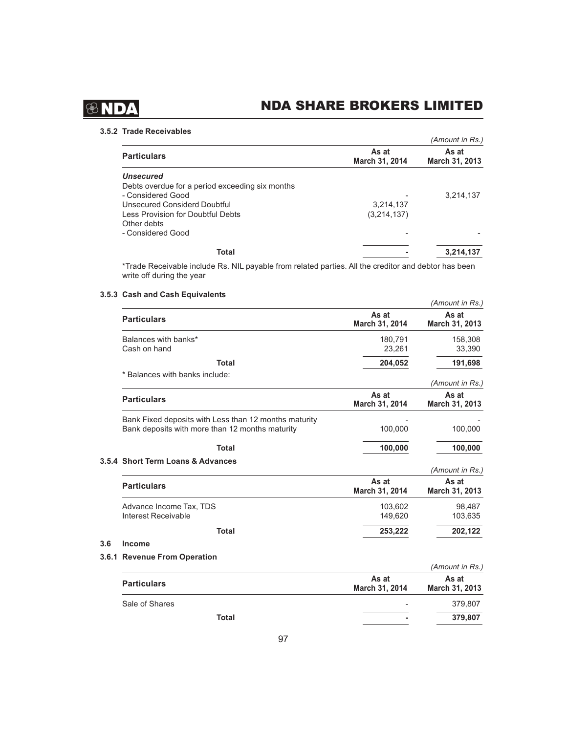## NDA SHARE BROKERS LIMITED

### **3.5.2 Trade Receivables**

|                         | (Amount in Rs.)         |
|-------------------------|-------------------------|
| As at<br>March 31, 2014 | As at<br>March 31, 2013 |
|                         |                         |
|                         |                         |
|                         | 3,214,137               |
| 3,214,137               |                         |
| (3,214,137)             |                         |
|                         |                         |
|                         |                         |
|                         | 3,214,137               |
|                         |                         |

\*Trade Receivable include Rs. NIL payable from related parties. All the creditor and debtor has been write off during the year

### **3.5.3 Cash and Cash Equivalents**

|     | $94911$ and $94911$ and                                                                                  |                           | (Amount in Rs.)         |
|-----|----------------------------------------------------------------------------------------------------------|---------------------------|-------------------------|
|     | <b>Particulars</b>                                                                                       | As at<br>March 31, 2014   | As at<br>March 31, 2013 |
|     | Balances with banks*<br>Cash on hand                                                                     | 180,791<br>23,261         | 158,308<br>33,390       |
|     | Total                                                                                                    | 204,052                   | 191,698                 |
|     | * Balances with banks include:                                                                           |                           | (Amount in Rs.)         |
|     | <b>Particulars</b>                                                                                       | As at<br>March 31, 2014   | As at<br>March 31, 2013 |
|     | Bank Fixed deposits with Less than 12 months maturity<br>Bank deposits with more than 12 months maturity | 100.000                   | 100,000                 |
|     | <b>Total</b>                                                                                             | 100,000                   | 100,000                 |
|     | 3.5.4 Short Term Loans & Advances                                                                        |                           | (Amount in Rs.)         |
|     | <b>Particulars</b>                                                                                       | As at<br>March 31, 2014   | As at<br>March 31, 2013 |
|     | Advance Income Tax, TDS<br>Interest Receivable                                                           | 103,602<br>149,620        | 98,487<br>103,635       |
|     | <b>Total</b>                                                                                             | 253,222                   | 202,122                 |
| 3.6 | Income                                                                                                   |                           |                         |
|     | 3.6.1 Revenue From Operation                                                                             |                           | (Amount in Rs.)         |
|     | <b>Particulars</b>                                                                                       | As at<br>$M$ ayah 94.9044 | As at<br>Marah 34 9042  |

| <b>Particulars</b> | March 31, 2014 | March 31, 2013 |
|--------------------|----------------|----------------|
| Sale of Shares     | -              | 379.807        |
| Total              |                | 379.807        |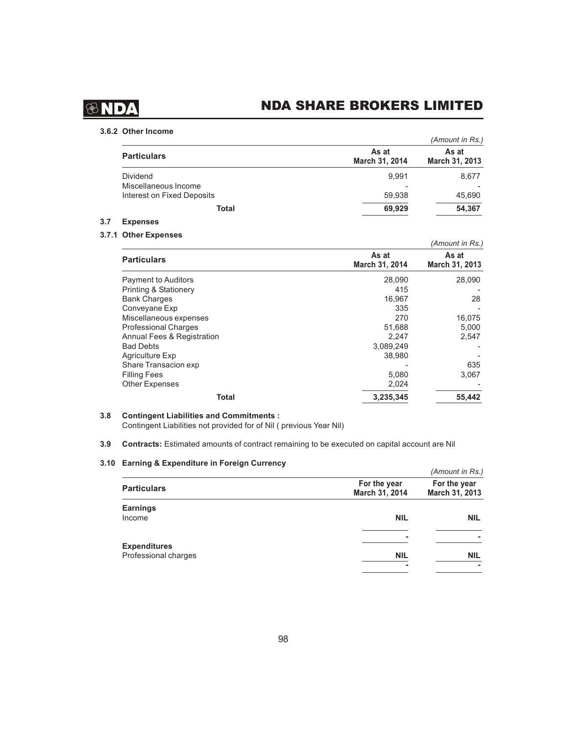## **BRDA**

### NDA SHARE BROKERS LIMITED

### **3.6.2 Other Income**

| <b>UULU INVUITE</b>        |                         | (Amount in Rs.)         |  |
|----------------------------|-------------------------|-------------------------|--|
| <b>Particulars</b>         | As at<br>March 31, 2014 | As at<br>March 31, 2013 |  |
| <b>Dividend</b>            | 9.991                   | 8.677                   |  |
| Miscellaneous Income       |                         |                         |  |
| Interest on Fixed Deposits | 59.938                  | 45.690                  |  |
| Total                      | 69.929                  | 54,367                  |  |

### **3.7 Expenses**

### **3.7.1 Other Expenses**

|                                  |                         | (Amount in Rs.)         |
|----------------------------------|-------------------------|-------------------------|
| <b>Particulars</b>               | As at<br>March 31, 2014 | As at<br>March 31, 2013 |
| <b>Payment to Auditors</b>       | 28.090                  | 28,090                  |
| <b>Printing &amp; Stationery</b> | 415                     |                         |
| <b>Bank Charges</b>              | 16,967                  | 28                      |
| Conveyane Exp                    | 335                     |                         |
| Miscellaneous expenses           | 270                     | 16,075                  |
| <b>Professional Charges</b>      | 51,688                  | 5,000                   |
| Annual Fees & Registration       | 2.247                   | 2,547                   |
| <b>Bad Debts</b>                 | 3,089,249               |                         |
| Agriculture Exp                  | 38,980                  |                         |
| Share Transacion exp             |                         | 635                     |
| <b>Filling Fees</b>              | 5,080                   | 3,067                   |
| <b>Other Expenses</b>            | 2,024                   |                         |
| <b>Total</b>                     | 3,235,345               | 55,442                  |

### **3.8 Contingent Liabilities and Commitments :**

Contingent Liabilities not provided for of Nil ( previous Year Nil)

### **3.9 Contracts:** Estimated amounts of contract remaining to be executed on capital account are Nil

### **3.10 Earning & Expenditure in Foreign Currency**

| $\text{Equation}$ $\text{Equation}$ |                                | (Amount in Rs.)                |
|-------------------------------------|--------------------------------|--------------------------------|
| <b>Particulars</b>                  | For the year<br>March 31, 2014 | For the year<br>March 31, 2013 |
| Earnings<br>Income                  | <b>NIL</b>                     | <b>NIL</b>                     |
| <b>Expenditures</b>                 |                                |                                |
| Professional charges                | <b>NIL</b>                     | <b>NIL</b><br>۰                |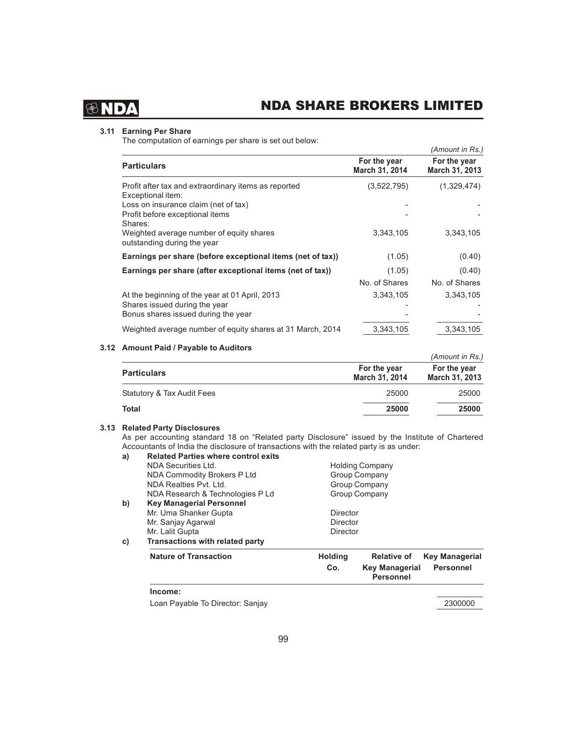# D

### **3.11 Earning Per Share**

The computation of earnings per share is set out below:

| The computation or carrings per share is set out below.                                                                |                                | (Amount in Rs.)                |
|------------------------------------------------------------------------------------------------------------------------|--------------------------------|--------------------------------|
| <b>Particulars</b>                                                                                                     | For the year<br>March 31, 2014 | For the year<br>March 31, 2013 |
| Profit after tax and extraordinary items as reported<br>Exceptional item:                                              | (3,522,795)                    | (1,329,474)                    |
| Loss on insurance claim (net of tax)<br>Profit before exceptional items<br>Shares:                                     |                                |                                |
| Weighted average number of equity shares<br>outstanding during the year                                                | 3,343,105                      | 3,343,105                      |
| Earnings per share (before exceptional items (net of tax))                                                             | (1.05)                         | (0.40)                         |
| Earnings per share (after exceptional items (net of tax))                                                              | (1.05)                         | (0.40)                         |
|                                                                                                                        | No. of Shares                  | No. of Shares                  |
| At the beginning of the year at 01 April, 2013<br>Shares issued during the year<br>Bonus shares issued during the year | 3,343,105                      | 3,343,105                      |
| Weighted average number of equity shares at 31 March, 2014                                                             | 3,343,105                      | 3,343,105                      |

### **3.12 Amount Paid / Payable to Auditors**

|                            | (Amount in Rs.)                |                                |  |
|----------------------------|--------------------------------|--------------------------------|--|
| <b>Particulars</b>         | For the year<br>March 31, 2014 | For the year<br>March 31, 2013 |  |
| Statutory & Tax Audit Fees | 25000                          | 25000                          |  |
| Total                      | 25000                          | 25000                          |  |

### **3.13 Related Party Disclosures**

As per accounting standard 18 on "Related party Disclosure" issued by the Institute of Chartered Accountants of India the disclosure of transactions with the related party is as under:<br>a) Related Parties where control exits

|    |                                            |                 | <b>Personnel</b>       |                       |
|----|--------------------------------------------|-----------------|------------------------|-----------------------|
|    |                                            | Co.             | <b>Key Managerial</b>  | <b>Personnel</b>      |
|    | <b>Nature of Transaction</b>               | <b>Holding</b>  | <b>Relative of</b>     | <b>Key Managerial</b> |
| C) | <b>Transactions with related party</b>     |                 |                        |                       |
|    | Mr. Lalit Gupta                            | <b>Director</b> |                        |                       |
|    | Mr. Sanjay Agarwal                         | Director        |                        |                       |
|    | Mr. Uma Shanker Gupta                      | Director        |                        |                       |
| b) | <b>Key Managerial Personnel</b>            |                 |                        |                       |
|    | NDA Research & Technologies P Ld           |                 | Group Company          |                       |
|    | NDA Realties Pvt. Ltd.                     |                 | Group Company          |                       |
|    | NDA Commodity Brokers P Ltd                |                 | Group Company          |                       |
|    | NDA Securities Ltd.                        |                 | <b>Holding Company</b> |                       |
| a) | <b>Related Parties where control exits</b> |                 |                        |                       |

**Income:**

Loan Payable To Director: Sanjay 2300000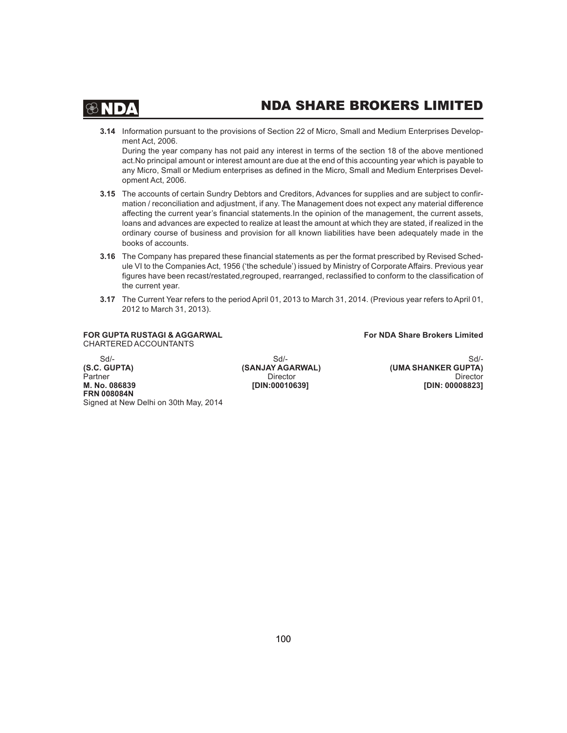**3.14** Information pursuant to the provisions of Section 22 of Micro, Small and Medium Enterprises Development Act, 2006.

During the year company has not paid any interest in terms of the section 18 of the above mentioned act.No principal amount or interest amount are due at the end of this accounting year which is payable to any Micro, Small or Medium enterprises as defined in the Micro, Small and Medium Enterprises Development Act, 2006.

- **3.15** The accounts of certain Sundry Debtors and Creditors, Advances for supplies and are subject to confirmation / reconciliation and adjustment, if any. The Management does not expect any material difference affecting the current year's financial statements.In the opinion of the management, the current assets, loans and advances are expected to realize at least the amount at which they are stated, if realized in the ordinary course of business and provision for all known liabilities have been adequately made in the books of accounts.
- **3.16** The Company has prepared these financial statements as per the format prescribed by Revised Schedule VI to the Companies Act, 1956 ('the schedule') issued by Ministry of Corporate Affairs. Previous year figures have been recast/restated,regrouped, rearranged, reclassified to conform to the classification of the current year.
- **3.17** The Current Year refers to the period April 01, 2013 to March 31, 2014. (Previous year refers to April 01, 2012 to March 31, 2013).

**FOR GUPTA RUSTAGI & AGGARWAL For NDA Share Brokers Limited** CHARTERED ACCOUNTANTS

Sd/- Sd/- Sd/- **(S.C. GUPTA) (SANJAY AGARWAL) (UMA SHANKER GUPTA)** Partner Director Director Director Director Director Director Director Director **M. No. 086839 [DIN:00010639] [DIN: 00008823] FRN 008084N** Signed at New Delhi on 30th May, 2014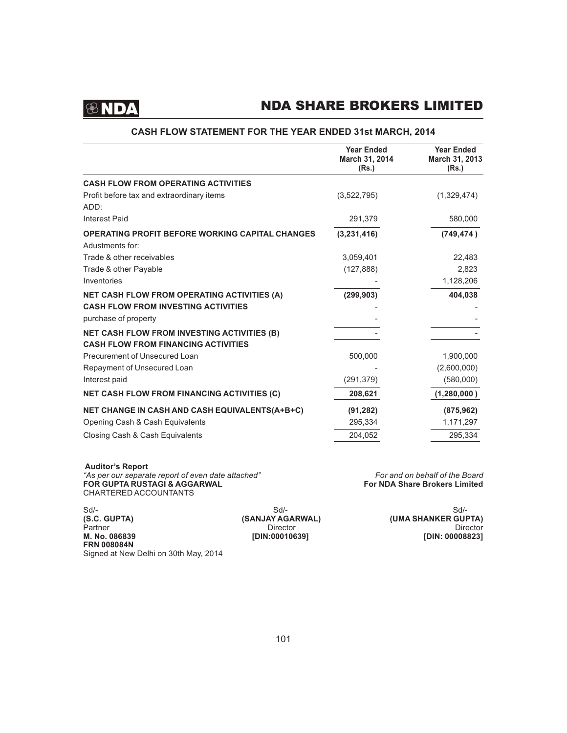### NDA SHARE BROKERS LIMITED

|                                                                                                                          | <b>Year Ended</b><br>March 31, 2014<br>(Rs.) | <b>Year Ended</b><br>March 31, 2013<br>(Rs.) |
|--------------------------------------------------------------------------------------------------------------------------|----------------------------------------------|----------------------------------------------|
| <b>CASH FLOW FROM OPERATING ACTIVITIES</b>                                                                               |                                              |                                              |
| Profit before tax and extraordinary items<br>ADD:                                                                        | (3,522,795)                                  | (1,329,474)                                  |
| <b>Interest Paid</b>                                                                                                     | 291,379                                      | 580,000                                      |
| <b>OPERATING PROFIT BEFORE WORKING CAPITAL CHANGES</b><br>Adustments for:                                                | (3,231,416)                                  | (749, 474)                                   |
| Trade & other receivables                                                                                                | 3,059,401                                    | 22.483                                       |
| Trade & other Payable                                                                                                    | (127, 888)                                   | 2,823                                        |
| Inventories                                                                                                              |                                              | 1,128,206                                    |
| <b>NET CASH FLOW FROM OPERATING ACTIVITIES (A)</b><br><b>CASH FLOW FROM INVESTING ACTIVITIES</b><br>purchase of property | (299, 903)                                   | 404,038                                      |
| <b>NET CASH FLOW FROM INVESTING ACTIVITIES (B)</b><br><b>CASH FLOW FROM FINANCING ACTIVITIES</b>                         |                                              |                                              |
| Precurement of Unsecured Loan                                                                                            | 500,000                                      | 1,900,000                                    |
| Repayment of Unsecured Loan                                                                                              |                                              | (2,600,000)                                  |
| Interest paid                                                                                                            | (291, 379)                                   | (580,000)                                    |
| <b>NET CASH FLOW FROM FINANCING ACTIVITIES (C)</b>                                                                       | 208,621                                      | (1,280,000)                                  |
| <b>NET CHANGE IN CASH AND CASH EQUIVALENTS(A+B+C)</b>                                                                    | (91, 282)                                    | (875, 962)                                   |
| Opening Cash & Cash Equivalents                                                                                          | 295,334                                      | 1,171,297                                    |
| Closing Cash & Cash Equivalents                                                                                          | 204.052                                      | 295,334                                      |

### **CASH FLOW STATEMENT FOR THE YEAR ENDED 31st MARCH, 2014**

 **Auditor's Report** *"As per our separate report of even date attached" For and on behalf of the Board* **FOR GUPTA RUSTAGI & AGGARWAL** CHARTERED ACCOUNTANTS

Signed at New Delhi on 30th May, 2014

**FRN 008084N**

Sd/- Sd/- Sd/- **(S.C. GUPTA) (SANJAY AGARWAL) (UMA SHANKER GUPTA)** Partner Director Director Director Director Director Director Director Director

**M. No. 086839 [DIN:00010639] [DIN: 00008823]**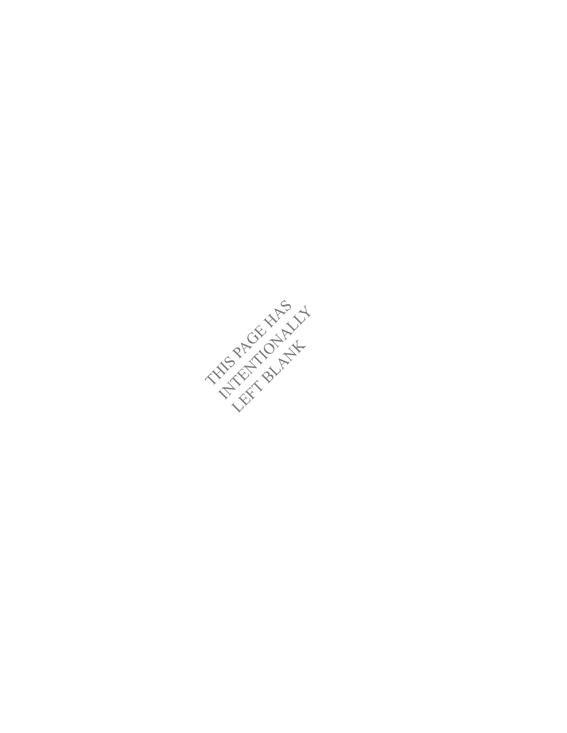THIS PAGE HAS LEFT BLANK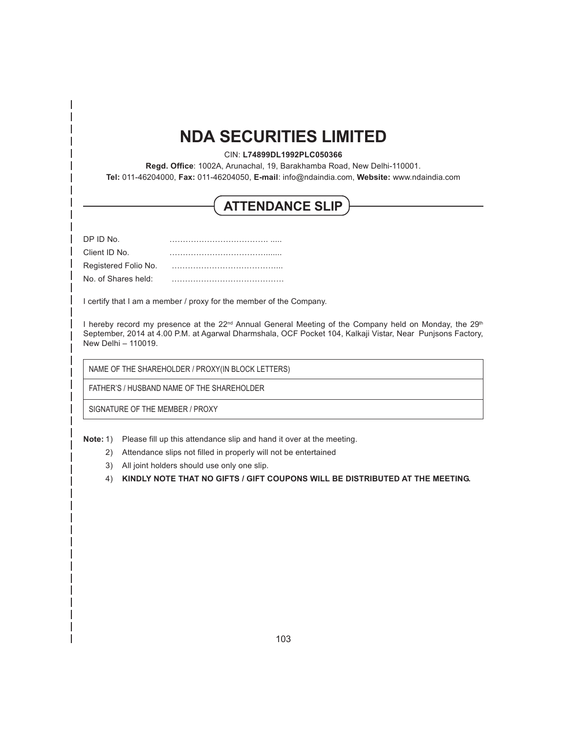# **NDA SECURITIES LIMITED**

CIN: **L74899DL1992PLC050366**

**Regd. Office**: 1002A, Arunachal, 19, Barakhamba Road, New Delhi-110001.

**Tel:** 011-46204000, **Fax:** 011-46204050, **E-mail**: info@ndaindia.com, **Website:** www.ndaindia.com

# **ATTENDANCE SLIP**

DP ID No. ………………………………. .....

| Client ID No.        |  |
|----------------------|--|
| Registered Folio No. |  |
| No. of Shares held:  |  |

I certify that I am a member / proxy for the member of the Company.

I hereby record my presence at the 22<sup>nd</sup> Annual General Meeting of the Company held on Monday, the 29<sup>th</sup> September, 2014 at 4.00 P.M. at Agarwal Dharmshala, OCF Pocket 104, Kalkaji Vistar, Near Punjsons Factory, New Delhi – 110019.

NAME OF THE SHAREHOLDER / PROXY(IN BLOCK LETTERS)

FATHER'S / HUSBAND NAME OF THE SHAREHOLDER

SIGNATURE OF THE MEMBER / PROXY

**Note:** 1) Please fill up this attendance slip and hand it over at the meeting.

- 2) Attendance slips not filled in properly will not be entertained
- 3) All joint holders should use only one slip.
- 4) **KINDLY NOTE THAT NO GIFTS / GIFT COUPONS WILL BE DISTRIBUTED AT THE MEETING.**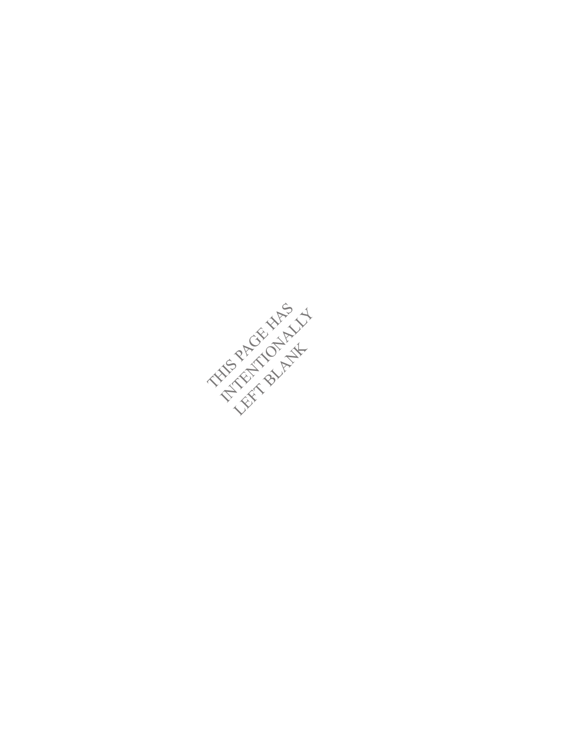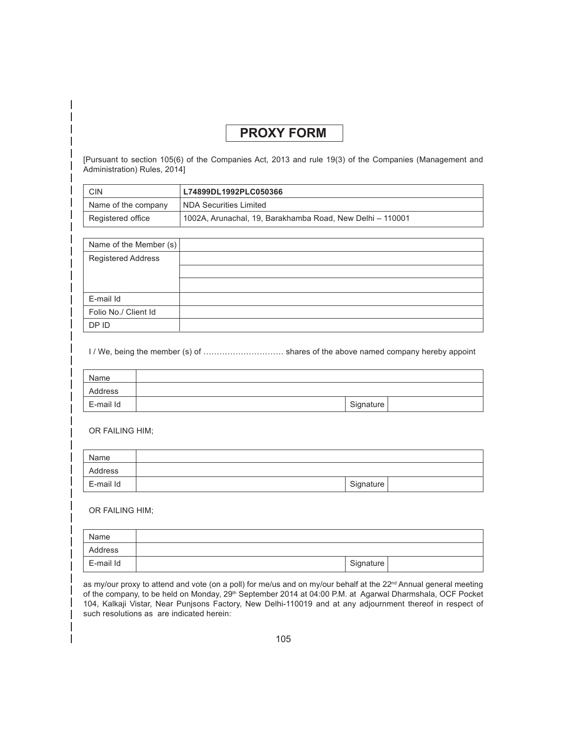### **PROXY FORM**

[Pursuant to section 105(6) of the Companies Act, 2013 and rule 19(3) of the Companies (Management and Administration) Rules, 2014]

| <b>CIN</b>          | L74899DL1992PLC050366                                     |
|---------------------|-----------------------------------------------------------|
| Name of the company | NDA Securities Limited                                    |
| Registered office   | 1002A, Arunachal, 19. Barakhamba Road, New Delhi – 110001 |

| Name of the Member $(s)$ |  |
|--------------------------|--|
| Registered Address       |  |
|                          |  |
|                          |  |
| E-mail Id                |  |
| Folio No./ Client Id     |  |
| DP ID                    |  |

I/We, being the member (s) of ................................. shares of the above named company hereby appoint

| Name      |           |  |
|-----------|-----------|--|
| Address   |           |  |
| E-mail Id | Signature |  |

OR FAILING HIM;

| Name      |           |  |
|-----------|-----------|--|
| Address   |           |  |
| E-mail Id | Signature |  |

OR FAILING HIM;

| Name      |                        |  |
|-----------|------------------------|--|
| Address   |                        |  |
| E-mail Id | Signature <sub>l</sub> |  |

as my/our proxy to attend and vote (on a poll) for me/us and on my/our behalf at the 22<sup>nd</sup> Annual general meeting of the company, to be held on Monday, 29<sup>th</sup> September 2014 at 04:00 P.M. at Agarwal Dharmshala, OCF Pocket 104, Kalkaji Vistar, Near Punjsons Factory, New Delhi-110019 and at any adjournment thereof in respect of such resolutions as are indicated herein: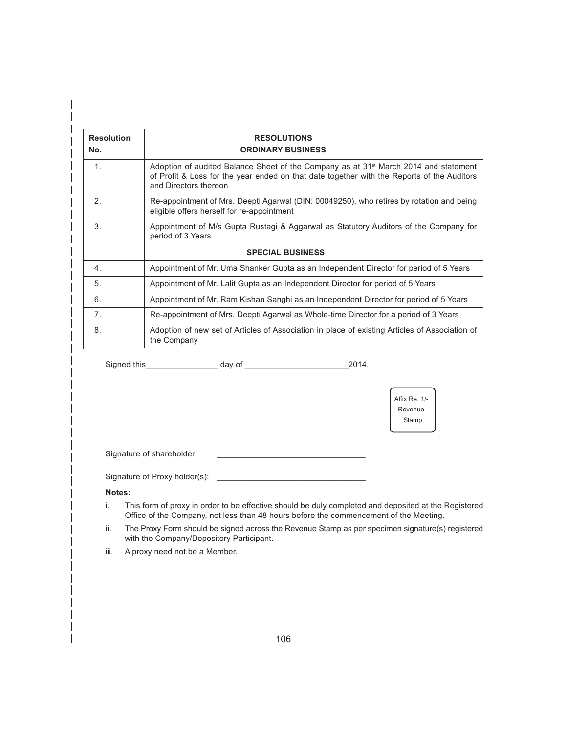| <b>Resolution</b><br>No. | <b>RESOLUTIONS</b><br><b>ORDINARY BUSINESS</b>                                                                                                                                                                          |
|--------------------------|-------------------------------------------------------------------------------------------------------------------------------------------------------------------------------------------------------------------------|
| 1.                       | Adoption of audited Balance Sheet of the Company as at 31 <sup>st</sup> March 2014 and statement<br>of Profit & Loss for the year ended on that date together with the Reports of the Auditors<br>and Directors thereon |
| 2.                       | Re-appointment of Mrs. Deepti Agarwal (DIN: 00049250), who retires by rotation and being<br>eligible offers herself for re-appointment                                                                                  |
| 3.                       | Appointment of M/s Gupta Rustagi & Aggarwal as Statutory Auditors of the Company for<br>period of 3 Years                                                                                                               |
|                          | <b>SPECIAL BUSINESS</b>                                                                                                                                                                                                 |
| 4.                       | Appointment of Mr. Uma Shanker Gupta as an Independent Director for period of 5 Years                                                                                                                                   |
| 5.                       | Appointment of Mr. Lalit Gupta as an Independent Director for period of 5 Years                                                                                                                                         |
| 6.                       | Appointment of Mr. Ram Kishan Sanghi as an Independent Director for period of 5 Years                                                                                                                                   |
| 7.                       | Re-appointment of Mrs. Deepti Agarwal as Whole-time Director for a period of 3 Years                                                                                                                                    |
| 8.                       | Adoption of new set of Articles of Association in place of existing Articles of Association of<br>the Company                                                                                                           |
|                          | Signed this day of day of<br>2014.                                                                                                                                                                                      |
|                          | Affix Re. 1/-<br>Revenue<br>Stamp                                                                                                                                                                                       |
|                          | Signature of shareholder:                                                                                                                                                                                               |
|                          | Signature of Proxy holder(s):                                                                                                                                                                                           |
| Notes:                   |                                                                                                                                                                                                                         |
| i.                       | This form of proxy in order to be effective should be duly completed and deposited at the Registered<br>Office of the Company, not less than 48 hours before the commencement of the Meeting.                           |
| ii.                      | The Proxy Form should be signed across the Revenue Stamp as per specimen signature(s) registered<br>with the Company/Depository Participant.                                                                            |

iii. A proxy need not be a Member.

 $\mathbf{I}$